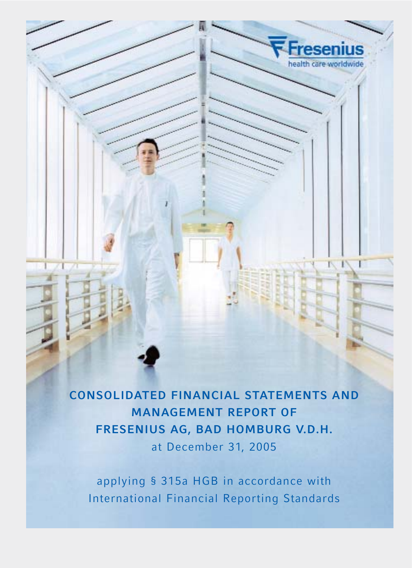**CONSOLIDATED FINANCIAL STATEMENTS AND MANAGEMENT REPORT OF FRESENIUS AG, BAD HOMBURG V.D.H.**  at December 31, 2005

esen

realth care worldwide

applying § 315a HGB in accordance with International Financial Reporting Standards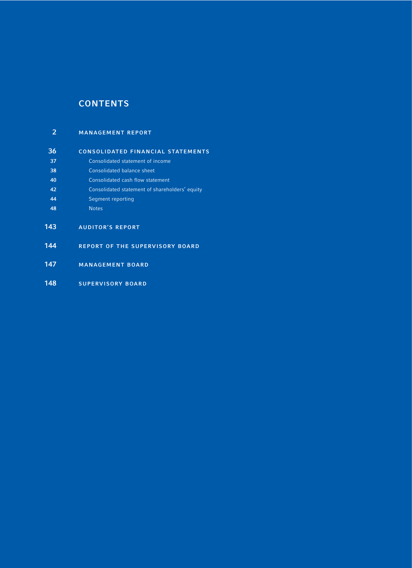# **CONTENTS**

# **MANAGEMENT REPORT**

# **CONSOLIDATED FINANCIAL STATEMENTS**

- Consolidated statement of income
- Consolidated balance sheet
- Consolidated cash flow statement
- Consolidated statement of shareholders' equity
- Segment reporting
- Notes

# **AUDITOR'S REPORT**

- **REPORT OF THE SUPERVISORY BOARD**
- **MANAGEMENT BOARD**
- **SUPERVISORY BOARD**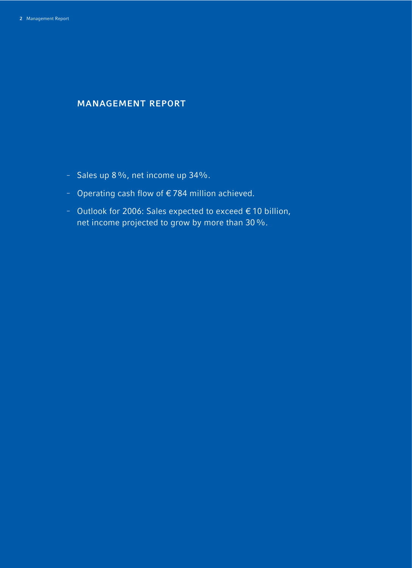# **MANAGEMENT REPORT**

- Sales up 8%, net income up 34%.
- Operating cash flow of € 784 million achieved.
- Outlook for 2006: Sales expected to exceed € 10 billion, net income projected to grow by more than 30%.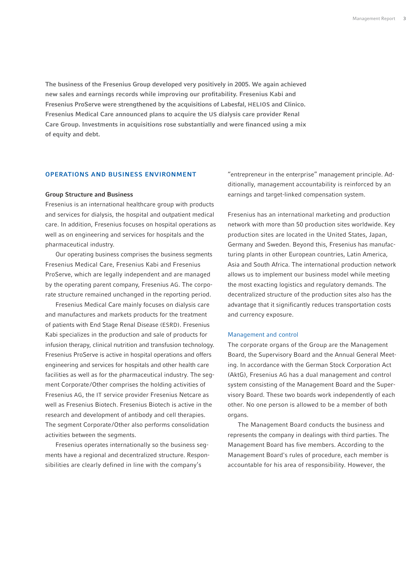**The business of the Fresenius Group developed very positively in 2005. We again achieved new sales and earnings records while improving our profitability. Fresenius Kabi and Fresenius ProServe were strengthened by the acquisitions of Labesfal, HELIOS and Clinico. Fresenius Medical Care announced plans to acquire the US dialysis care provider Renal Care Group. Investments in acquisitions rose substantially and were financed using a mix of equity and debt.**

# **OPERATIONS AND BUSINESS ENVIRONMENT**

### **Group Structure and Business**

Fresenius is an international healthcare group with products and services for dialysis, the hospital and outpatient medical care. In addition, Fresenius focuses on hospital operations as well as on engineering and services for hospitals and the pharmaceutical industry.

Our operating business comprises the business segments Fresenius Medical Care, Fresenius Kabi and Fresenius ProServe, which are legally independent and are managed by the operating parent company, Fresenius AG. The corporate structure remained unchanged in the reporting period.

Fresenius Medical Care mainly focuses on dialysis care and manufactures and markets products for the treatment of patients with End Stage Renal Disease (ESRD). Fresenius Kabi specializes in the production and sale of products for infusion therapy, clinical nutrition and transfusion technology. Fresenius ProServe is active in hospital operations and offers engineering and services for hospitals and other health care facilities as well as for the pharmaceutical industry. The segment Corporate/Other comprises the holding activities of Fresenius AG, the IT service provider Fresenius Netcare as well as Fresenius Biotech. Fresenius Biotech is active in the research and development of antibody and cell therapies. The segment Corporate/Other also performs consolidation activities between the segments.

Fresenius operates internationally so the business segments have a regional and decentralized structure. Responsibilities are clearly defined in line with the company's

"entrepreneur in the enterprise" management principle. Additionally, management accountability is reinforced by an earnings and target-linked compensation system.

Fresenius has an international marketing and production network with more than 50 production sites worldwide. Key production sites are located in the United States, Japan, Germany and Sweden. Beyond this, Fresenius has manufacturing plants in other European countries, Latin America, Asia and South Africa. The international production network allows us to implement our business model while meeting the most exacting logistics and regulatory demands. The decentralized structure of the production sites also has the advantage that it significantly reduces transportation costs and currency exposure.

### Management and control

The corporate organs of the Group are the Management Board, the Supervisory Board and the Annual General Meeting. In accordance with the German Stock Corporation Act (AktG), Fresenius AG has a dual management and control system consisting of the Management Board and the Supervisory Board. These two boards work independently of each other. No one person is allowed to be a member of both organs.

The Management Board conducts the business and represents the company in dealings with third parties. The Management Board has five members. According to the Management Board's rules of procedure, each member is accountable for his area of responsibility. However, the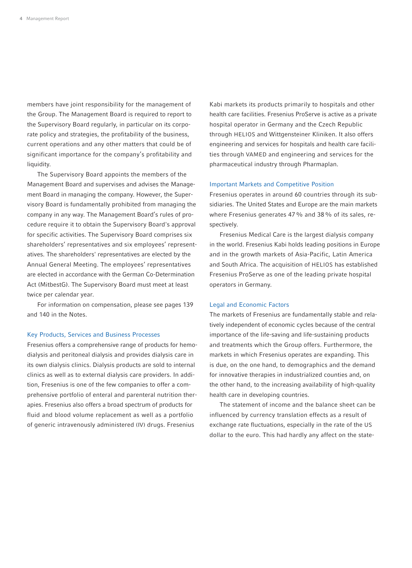members have joint responsibility for the management of the Group. The Management Board is required to report to the Supervisory Board regularly, in particular on its corporate policy and strategies, the profitability of the business, current operations and any other matters that could be of significant importance for the company's profitability and liquidity.

The Supervisory Board appoints the members of the Management Board and supervises and advises the Management Board in managing the company. However, the Supervisory Board is fundamentally prohibited from managing the company in any way. The Management Board's rules of procedure require it to obtain the Supervisory Board's approval for specific activities. The Supervisory Board comprises six shareholders' representatives and six employees' representatives. The shareholders' representatives are elected by the Annual General Meeting. The employees' representatives are elected in accordance with the German Co-Determination Act (MitbestG). The Supervisory Board must meet at least twice per calendar year.

For information on compensation, please see pages 139 and 140 in the Notes.

### Key Products, Services and Business Processes

Fresenius offers a comprehensive range of products for hemodialysis and peritoneal dialysis and provides dialysis care in its own dialysis clinics. Dialysis products are sold to internal clinics as well as to external dialysis care providers. In addition, Fresenius is one of the few companies to offer a comprehensive portfolio of enteral and parenteral nutrition therapies. Fresenius also offers a broad spectrum of products for fluid and blood volume replacement as well as a portfolio of generic intravenously administered (IV) drugs. Fresenius

Kabi markets its products primarily to hospitals and other health care facilities. Fresenius ProServe is active as a private hospital operator in Germany and the Czech Republic through HELIOS and Wittgensteiner Kliniken. It also offers engineering and services for hospitals and health care facilities through VAMED and engineering and services for the pharmaceutical industry through Pharmaplan.

# Important Markets and Competitive Position

Fresenius operates in around 60 countries through its subsidiaries. The United States and Europe are the main markets where Fresenius generates 47% and 38% of its sales, respectively.

Fresenius Medical Care is the largest dialysis company in the world. Fresenius Kabi holds leading positions in Europe and in the growth markets of Asia-Pacific, Latin America and South Africa. The acquisition of HELIOS has established Fresenius ProServe as one of the leading private hospital operators in Germany.

#### Legal and Economic Factors

The markets of Fresenius are fundamentally stable and relatively independent of economic cycles because of the central importance of the life-saving and life-sustaining products and treatments which the Group offers. Furthermore, the markets in which Fresenius operates are expanding. This is due, on the one hand, to demographics and the demand for innovative therapies in industrialized counties and, on the other hand, to the increasing availability of high-quality health care in developing countries.

The statement of income and the balance sheet can be influenced by currency translation effects as a result of exchange rate fluctuations, especially in the rate of the US dollar to the euro. This had hardly any affect on the state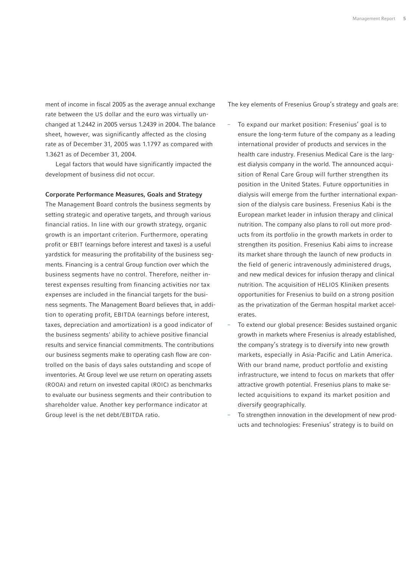ment of income in fiscal 2005 as the average annual exchange rate between the US dollar and the euro was virtually unchanged at 1.2442 in 2005 versus 1.2439 in 2004. The balance sheet, however, was significantly affected as the closing rate as of December 31, 2005 was 1.1797 as compared with 1.3621 as of December 31, 2004.

Legal factors that would have significantly impacted the development of business did not occur.

### **Corporate Performance Measures, Goals and Strategy**

The Management Board controls the business segments by setting strategic and operative targets, and through various financial ratios. In line with our growth strategy, organic growth is an important criterion. Furthermore, operating profit or EBIT (earnings before interest and taxes) is a useful yardstick for measuring the profitability of the business segments. Financing is a central Group function over which the business segments have no control. Therefore, neither interest expenses resulting from financing activities nor tax expenses are included in the financial targets for the business segments. The Management Board believes that, in addition to operating profit, EBITDA (earnings before interest, taxes, depreciation and amortization) is a good indicator of the business segments' ability to achieve positive financial results and service financial commitments. The contributions our business segments make to operating cash flow are controlled on the basis of days sales outstanding and scope of inventories. At Group level we use return on operating assets (ROOA) and return on invested capital (ROIC) as benchmarks to evaluate our business segments and their contribution to shareholder value. Another key performance indicator at Group level is the net debt/EBITDA ratio.

The key elements of Fresenius Group's strategy and goals are:

- To expand our market position: Fresenius' goal is to ensure the long-term future of the company as a leading international provider of products and services in the health care industry. Fresenius Medical Care is the largest dialysis company in the world. The announced acquisition of Renal Care Group will further strengthen its position in the United States. Future opportunities in dialysis will emerge from the further international expansion of the dialysis care business. Fresenius Kabi is the European market leader in infusion therapy and clinical nutrition. The company also plans to roll out more products from its portfolio in the growth markets in order to strengthen its position. Fresenius Kabi aims to increase its market share through the launch of new products in the field of generic intravenously administered drugs, and new medical devices for infusion therapy and clinical nutrition. The acquisition of HELIOS Kliniken presents opportunities for Fresenius to build on a strong position as the privatization of the German hospital market accelerates.
- To extend our global presence: Besides sustained organic growth in markets where Fresenius is already established, the company's strategy is to diversify into new growth markets, especially in Asia-Pacific and Latin America. With our brand name, product portfolio and existing infrastructure, we intend to focus on markets that offer attractive growth potential. Fresenius plans to make selected acquisitions to expand its market position and diversify geographically.
- To strengthen innovation in the development of new products and technologies: Fresenius' strategy is to build on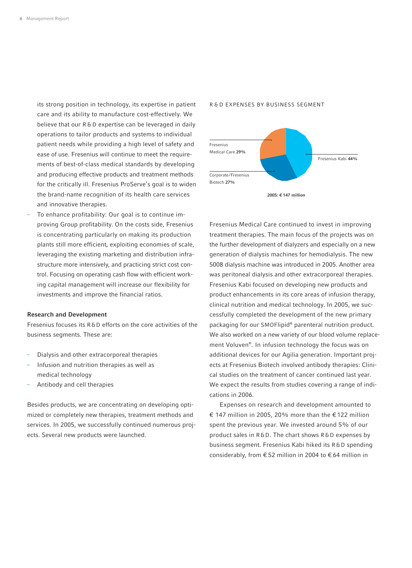its strong position in technology, its expertise in patient care and its ability to manufacture cost-effectively. We believe that our R&D expertise can be leveraged in daily operations to tailor products and systems to individual patient needs while providing a high level of safety and ease of use. Fresenius will continue to meet the requirements of best-of-class medical standards by developing and producing effective products and treatment methods for the critically ill. Fresenius ProServe's goal is to widen the brand-name recognition of its health care services and innovative therapies.

– To enhance profitability: Our goal is to continue improving Group profitability. On the costs side, Fresenius is concentrating particularly on making its production plants still more efficient, exploiting economies of scale, leveraging the existing marketing and distribution infrastructure more intensively, and practicing strict cost control. Focusing on operating cash flow with efficient working capital management will increase our flexibility for investments and improve the financial ratios.

### **Research and Development**

Fresenius focuses its R&D efforts on the core activities of the business segments. These are:

- Dialysis and other extracorporeal therapies
- Infusion and nutrition therapies as well as medical technology
- Antibody and cell therapies

Besides products, we are concentrating on developing optimized or completely new therapies, treatment methods and services. In 2005, we successfully continued numerous projects. Several new products were launched.

### R & D EXPENSES BY BUSINESS SEGMENT



**<sup>2005: € 147</sup> million**

Fresenius Medical Care continued to invest in improving treatment therapies. The main focus of the projects was on the further development of dialyzers and especially on a new generation of dialysis machines for hemodialysis. The new 5008 dialysis machine was introduced in 2005. Another area was peritoneal dialysis and other extracorporeal therapies. Fresenius Kabi focused on developing new products and product enhancements in its core areas of infusion therapy, clinical nutrition and medical technology. In 2005, we successfully completed the development of the new primary packaging for our SMOFlipid® parenteral nutrition product. We also worked on a new variety of our blood volume replacement Voluven®. In infusion technology the focus was on additional devices for our Agilia generation. Important projects at Fresenius Biotech involved antibody therapies: Clinical studies on the treatment of cancer continued last year. We expect the results from studies covering a range of indications in 2006.

Expenses on research and development amounted to € 147 million in 2005, 20% more than the €122 million spent the previous year. We invested around 5% of our product sales in R&D. The chart shows R&D expenses by business segment. Fresenius Kabi hiked its R&D spending considerably, from € 52 million in 2004 to € 64 million in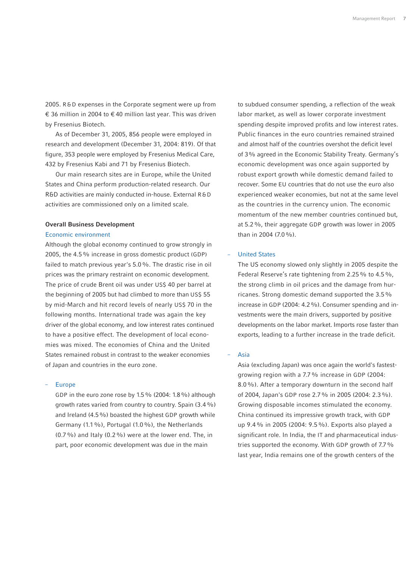2005. R&D expenses in the Corporate segment were up from € 36 million in 2004 to € 40 million last year. This was driven by Fresenius Biotech.

As of December 31, 2005, 856 people were employed in research and development (December 31, 2004: 819). Of that figure, 353 people were employed by Fresenius Medical Care, 432 by Fresenius Kabi and 71 by Fresenius Biotech.

Our main research sites are in Europe, while the United States and China perform production-related research. Our R&D activities are mainly conducted in-house. External R&D activities are commissioned only on a limited scale.

# **Overall Business Development**

# Economic environment

Although the global economy continued to grow strongly in 2005, the 4.5% increase in gross domestic product (GDP) failed to match previous year's 5.0%. The drastic rise in oil prices was the primary restraint on economic development. The price of crude Brent oil was under US\$ 40 per barrel at the beginning of 2005 but had climbed to more than US\$ 55 by mid-March and hit record levels of nearly US\$ 70 in the following months. International trade was again the key driver of the global economy, and low interest rates continued to have a positive effect. The development of local economies was mixed. The economies of China and the United States remained robust in contrast to the weaker economies of Japan and countries in the euro zone.

### – Europe

GDP in the euro zone rose by 1.5% (2004: 1.8%) although growth rates varied from country to country. Spain (3.4%) and Ireland (4.5%) boasted the highest GDP growth while Germany (1.1%), Portugal (1.0%), the Netherlands (0.7%) and Italy (0.2%) were at the lower end. The, in part, poor economic development was due in the main

to subdued consumer spending, a reflection of the weak labor market, as well as lower corporate investment spending despite improved profits and low interest rates. Public finances in the euro countries remained strained and almost half of the countries overshot the deficit level of 3% agreed in the Economic Stability Treaty. Germany's economic development was once again supported by robust export growth while domestic demand failed to recover. Some EU countries that do not use the euro also experienced weaker economies, but not at the same level as the countries in the currency union. The economic momentum of the new member countries continued but, at 5.2%, their aggregate GDP growth was lower in 2005 than in 2004 (7.0%).

## – United States

The US economy slowed only slightly in 2005 despite the Federal Reserve's rate tightening from 2.25% to 4.5%, the strong climb in oil prices and the damage from hurricanes. Strong domestic demand supported the 3.5% increase in GDP (2004: 4.2%). Consumer spending and investments were the main drivers, supported by positive developments on the labor market. Imports rose faster than exports, leading to a further increase in the trade deficit.

# – Asia

Asia (excluding Japan) was once again the world's fastestgrowing region with a 7.7% increase in GDP (2004: 8.0%). After a temporary downturn in the second half of 2004, Japan's GDP rose 2.7% in 2005 (2004: 2.3%). Growing disposable incomes stimulated the economy. China continued its impressive growth track, with GDP up 9.4% in 2005 (2004: 9.5%). Exports also played a significant role. In India, the IT and pharmaceutical industries supported the economy. With GDP growth of 7.7% last year, India remains one of the growth centers of the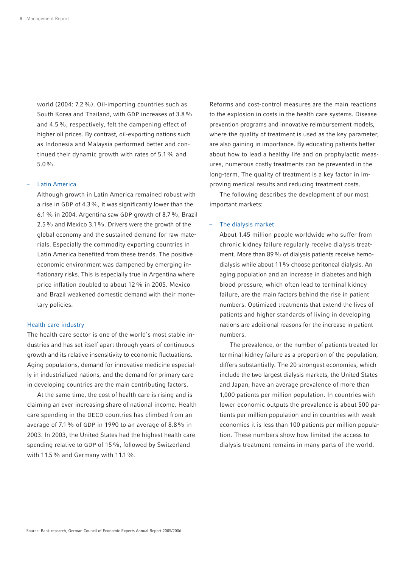world (2004: 7.2%). Oil-importing countries such as South Korea and Thailand, with GDP increases of 3.8% and 4.5%, respectively, felt the dampening effect of higher oil prices. By contrast, oil-exporting nations such as Indonesia and Malaysia performed better and continued their dynamic growth with rates of 5.1% and 5.0%.

# – Latin America

Although growth in Latin America remained robust with a rise in GDP of 4.3%, it was significantly lower than the 6.1% in 2004. Argentina saw GDP growth of 8.7%, Brazil 2.5% and Mexico 3.1%. Drivers were the growth of the global economy and the sustained demand for raw materials. Especially the commodity exporting countries in Latin America benefited from these trends. The positive economic environment was dampened by emerging inflationary risks. This is especially true in Argentina where price inflation doubled to about 12% in 2005. Mexico and Brazil weakened domestic demand with their monetary policies.

### Health care industry

The health care sector is one of the world's most stable industries and has set itself apart through years of continuous growth and its relative insensitivity to economic fluctuations. Aging populations, demand for innovative medicine especially in industrialized nations, and the demand for primary care in developing countries are the main contributing factors.

At the same time, the cost of health care is rising and is claiming an ever increasing share of national income. Health care spending in the OECD countries has climbed from an average of 7.1% of GDP in 1990 to an average of 8.8% in 2003. In 2003, the United States had the highest health care spending relative to GDP of 15%, followed by Switzerland with 11.5% and Germany with 11.1%.

Reforms and cost-control measures are the main reactions to the explosion in costs in the health care systems. Disease prevention programs and innovative reimbursement models, where the quality of treatment is used as the key parameter. are also gaining in importance. By educating patients better about how to lead a healthy life and on prophylactic measures, numerous costly treatments can be prevented in the long-term. The quality of treatment is a key factor in improving medical results and reducing treatment costs.

The following describes the development of our most important markets:

### – The dialysis market

About 1.45 million people worldwide who suffer from chronic kidney failure regularly receive dialysis treatment. More than 89% of dialysis patients receive hemodialysis while about 11% choose peritoneal dialysis. An aging population and an increase in diabetes and high blood pressure, which often lead to terminal kidney failure, are the main factors behind the rise in patient numbers. Optimized treatments that extend the lives of patients and higher standards of living in developing nations are additional reasons for the increase in patient numbers.

The prevalence, or the number of patients treated for terminal kidney failure as a proportion of the population, differs substantially. The 20 strongest economies, which include the two largest dialysis markets, the United States and Japan, have an average prevalence of more than 1,000 patients per million population. In countries with lower economic outputs the prevalence is about 500 patients per million population and in countries with weak economies it is less than 100 patients per million population. These numbers show how limited the access to dialysis treatment remains in many parts of the world.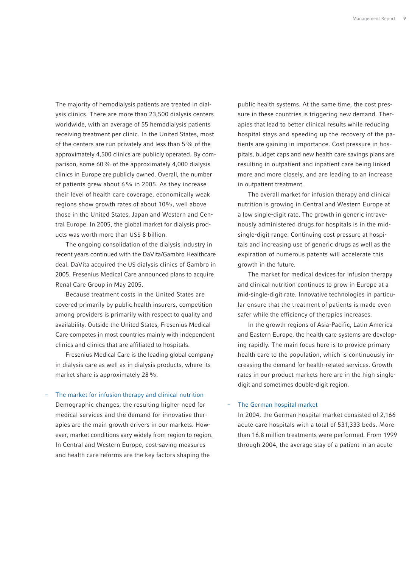The majority of hemodialysis patients are treated in dialysis clinics. There are more than 23,500 dialysis centers worldwide, with an average of 55 hemodialysis patients receiving treatment per clinic. In the United States, most of the centers are run privately and less than 5% of the approximately 4,500 clinics are publicly operated. By comparison, some 60% of the approximately 4,000 dialysis clinics in Europe are publicly owned. Overall, the number of patients grew about 6% in 2005. As they increase their level of health care coverage, economically weak regions show growth rates of about 10%, well above those in the United States, Japan and Western and Central Europe. In 2005, the global market for dialysis products was worth more than US\$ 8 billion.

The ongoing consolidation of the dialysis industry in recent years continued with the DaVita/Gambro Healthcare deal. DaVita acquired the US dialysis clinics of Gambro in 2005. Fresenius Medical Care announced plans to acquire Renal Care Group in May 2005.

Because treatment costs in the United States are covered primarily by public health insurers, competition among providers is primarily with respect to quality and availability. Outside the United States, Fresenius Medical Care competes in most countries mainly with independent clinics and clinics that are affiliated to hospitals.

Fresenius Medical Care is the leading global company in dialysis care as well as in dialysis products, where its market share is approximately 28%.

The market for infusion therapy and clinical nutrition

Demographic changes, the resulting higher need for medical services and the demand for innovative therapies are the main growth drivers in our markets. However, market conditions vary widely from region to region. In Central and Western Europe, cost-saving measures and health care reforms are the key factors shaping the

public health systems. At the same time, the cost pressure in these countries is triggering new demand. Therapies that lead to better clinical results while reducing hospital stays and speeding up the recovery of the patients are gaining in importance. Cost pressure in hospitals, budget caps and new health care savings plans are resulting in outpatient and inpatient care being linked more and more closely, and are leading to an increase in outpatient treatment.

The overall market for infusion therapy and clinical nutrition is growing in Central and Western Europe at a low single-digit rate. The growth in generic intravenously administered drugs for hospitals is in the midsingle-digit range. Continuing cost pressure at hospitals and increasing use of generic drugs as well as the expiration of numerous patents will accelerate this growth in the future.

The market for medical devices for infusion therapy and clinical nutrition continues to grow in Europe at a mid-single-digit rate. Innovative technologies in particular ensure that the treatment of patients is made even safer while the efficiency of therapies increases.

In the growth regions of Asia-Pacific, Latin America and Eastern Europe, the health care systems are developing rapidly. The main focus here is to provide primary health care to the population, which is continuously increasing the demand for health-related services. Growth rates in our product markets here are in the high singledigit and sometimes double-digit region.

### – The German hospital market

In 2004, the German hospital market consisted of 2,166 acute care hospitals with a total of 531,333 beds. More than 16.8 million treatments were performed. From 1999 through 2004, the average stay of a patient in an acute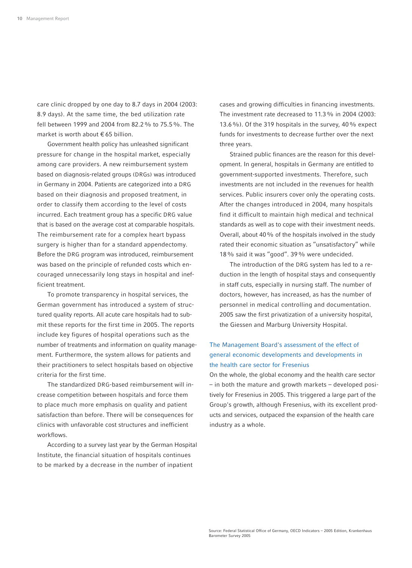care clinic dropped by one day to 8.7 days in 2004 (2003: 8.9 days). At the same time, the bed utilization rate fell between 1999 and 2004 from 82.2% to 75.5%. The market is worth about € 65 billion.

Government health policy has unleashed significant pressure for change in the hospital market, especially among care providers. A new reimbursement system based on diagnosis-related groups (DRGs) was introduced in Germany in 2004. Patients are categorized into a DRG based on their diagnosis and proposed treatment, in order to classify them according to the level of costs incurred. Each treatment group has a specific DRG value that is based on the average cost at comparable hospitals. The reimbursement rate for a complex heart bypass surgery is higher than for a standard appendectomy. Before the DRG program was introduced, reimbursement was based on the principle of refunded costs which encouraged unnecessarily long stays in hospital and inefficient treatment.

To promote transparency in hospital services, the German government has introduced a system of structured quality reports. All acute care hospitals had to submit these reports for the first time in 2005. The reports include key figures of hospital operations such as the number of treatments and information on quality management. Furthermore, the system allows for patients and their practitioners to select hospitals based on objective criteria for the first time.

The standardized DRG-based reimbursement will increase competition between hospitals and force them to place much more emphasis on quality and patient satisfaction than before. There will be consequences for clinics with unfavorable cost structures and inefficient workflows.

According to a survey last year by the German Hospital Institute, the financial situation of hospitals continues to be marked by a decrease in the number of inpatient

cases and growing difficulties in financing investments. The investment rate decreased to 11.3% in 2004 (2003: 13.6%). Of the 319 hospitals in the survey, 40% expect funds for investments to decrease further over the next three years.

Strained public finances are the reason for this development. In general, hospitals in Germany are entitled to government-supported investments. Therefore, such investments are not included in the revenues for health services. Public insurers cover only the operating costs. After the changes introduced in 2004, many hospitals find it difficult to maintain high medical and technical standards as well as to cope with their investment needs. Overall, about 40% of the hospitals involved in the study rated their economic situation as "unsatisfactory" while 18% said it was "good". 39% were undecided.

The introduction of the DRG system has led to a reduction in the length of hospital stays and consequently in staff cuts, especially in nursing staff. The number of doctors, however, has increased, as has the number of personnel in medical controlling and documentation. 2005 saw the first privatization of a university hospital, the Giessen and Marburg University Hospital.

# The Management Board's assessment of the effect of general economic developments and developments in the health care sector for Fresenius

On the whole, the global economy and the health care sector – in both the mature and growth markets – developed positively for Fresenius in 2005. This triggered a large part of the Group's growth, although Fresenius, with its excellent products and services, outpaced the expansion of the health care industry as a whole.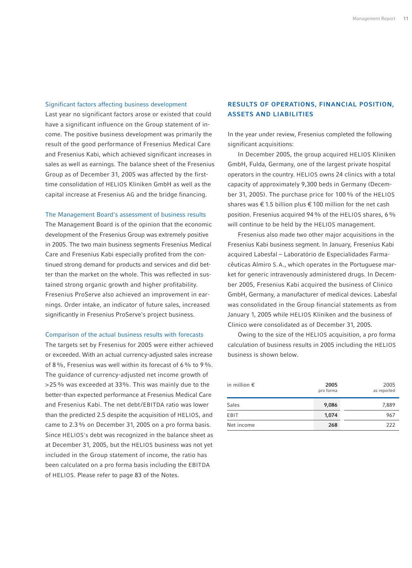### Significant factors affecting business development

Last year no significant factors arose or existed that could have a significant influence on the Group statement of income. The positive business development was primarily the result of the good performance of Fresenius Medical Care and Fresenius Kabi, which achieved significant increases in sales as well as earnings. The balance sheet of the Fresenius Group as of December 31, 2005 was affected by the firsttime consolidation of HELIOS Kliniken GmbH as well as the capital increase at Fresenius AG and the bridge financing.

### The Management Board's assessment of business results

The Management Board is of the opinion that the economic development of the Fresenius Group was extremely positive in 2005. The two main business segments Fresenius Medical Care and Fresenius Kabi especially profited from the continued strong demand for products and services and did better than the market on the whole. This was reflected in sustained strong organic growth and higher profitability. Fresenius ProServe also achieved an improvement in earnings. Order intake, an indicator of future sales, increased significantly in Fresenius ProServe's project business.

### Comparison of the actual business results with forecasts

The targets set by Fresenius for 2005 were either achieved or exceeded. With an actual currency-adjusted sales increase of 8%, Fresenius was well within its forecast of 6% to 9%. The guidance of currency-adjusted net income growth of >25% was exceeded at 33%. This was mainly due to the better-than expected performance at Fresenius Medical Care and Fresenius Kabi. The net debt/EBITDA ratio was lower than the predicted 2.5 despite the acquisition of HELIOS, and came to 2.3% on December 31, 2005 on a pro forma basis. Since HELIOS's debt was recognized in the balance sheet as at December 31, 2005, but the HELIOS business was not yet included in the Group statement of income, the ratio has been calculated on a pro forma basis including the EBITDA of HELIOS. Please refer to page 83 of the Notes.

# **RESULTS OF OPERATIONS, FINANCIAL POSITION, ASSETS AND LIABILITIES**

In the year under review, Fresenius completed the following significant acquisitions:

In December 2005, the group acquired HELIOS Kliniken GmbH, Fulda, Germany, one of the largest private hospital operators in the country. HELIOS owns 24 clinics with a total capacity of approximately 9,300 beds in Germany (December 31, 2005). The purchase price for 100% of the HELIOS shares was  $\epsilon$  1.5 billion plus  $\epsilon$  100 million for the net cash position. Fresenius acquired 94% of the HELIOS shares, 6% will continue to be held by the HELIOS management.

Fresenius also made two other major acquisitions in the Fresenius Kabi business segment. In January, Fresenius Kabi acquired Labesfal – Laboratório de Especialidades Farmacêuticas Almiro S.A., which operates in the Portuguese market for generic intravenously administered drugs. In December 2005, Fresenius Kabi acquired the business of Clinico GmbH, Germany, a manufacturer of medical devices. Labesfal was consolidated in the Group financial statements as from January 1, 2005 while HELIOS Kliniken and the business of Clinico were consolidated as of December 31, 2005.

Owing to the size of the HELIOS acquisition, a pro forma calculation of business results in 2005 including the HELIOS business is shown below.

| in million $\epsilon$ | 2005<br>pro forma | 2005<br>as reported |
|-----------------------|-------------------|---------------------|
| <b>Sales</b>          | 9,086             | 7,889               |
| EBIT                  | 1,074             | 967                 |
| Net income            | 268               | 222                 |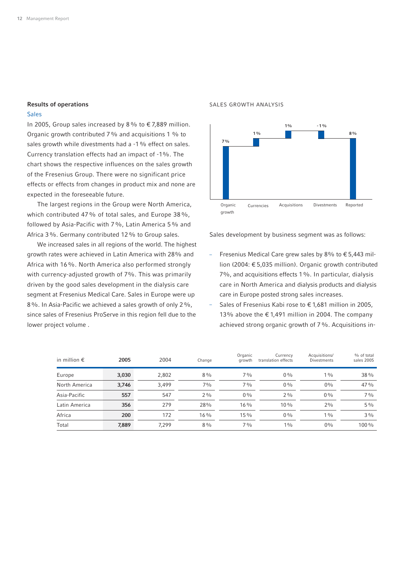# **Results of operations**

# Sales

In 2005, Group sales increased by 8% to  $\epsilon$  7,889 million. Organic growth contributed 7% and acquisitions 1 % to sales growth while divestments had a -1% effect on sales. Currency translation effects had an impact of -1%. The chart shows the respective influences on the sales growth of the Fresenius Group. There were no significant price effects or effects from changes in product mix and none are expected in the foreseeable future.

The largest regions in the Group were North America, which contributed 47% of total sales, and Europe 38%, followed by Asia-Pacific with 7%, Latin America 5% and Africa 3%. Germany contributed 12% to Group sales.

We increased sales in all regions of the world. The highest growth rates were achieved in Latin America with 28% and Africa with 16%. North America also performed strongly with currency-adjusted growth of 7%. This was primarily driven by the good sales development in the dialysis care segment at Fresenius Medical Care. Sales in Europe were up 8%. In Asia-Pacific we achieved a sales growth of only 2%, since sales of Fresenius ProServe in this region fell due to the lower project volume .

### SALES GROWTH ANALYSIS



Sales development by business segment was as follows:

- Fresenius Medical Care grew sales by 8% to € 5,443 million (2004: € 5,035 million). Organic growth contributed 7%, and acquisitions effects 1%. In particular, dialysis care in North America and dialysis products and dialysis care in Europe posted strong sales increases.
- Sales of Fresenius Kabi rose to € 1,681 million in 2005, 13% above the € 1,491 million in 2004. The company achieved strong organic growth of 7%. Acquisitions in-

| in million $\epsilon$ | 2005  | 2004  | Change         | Organic<br>growth | Currency<br>translation effects | Acquisitions/<br><b>Divestments</b> | % of total<br>sales 2005 |
|-----------------------|-------|-------|----------------|-------------------|---------------------------------|-------------------------------------|--------------------------|
| Europe                | 3,030 | 2,802 | $8\%$          | $7\frac{0}{0}$    | $0\%$                           | $1\%$                               | 38 %                     |
| North America         | 3,746 | 3,499 | $7\frac{0}{0}$ | $7\frac{0}{0}$    | $0\%$                           | $0\%$                               | $47\%$                   |
| Asia-Pacific          | 557   | 547   | $2\%$          | $0\%$             | $2\frac{0}{0}$                  | $0\%$                               | $7\frac{0}{0}$           |
| Latin America         | 356   | 279   | 28%            | $16\%$            | $10\%$                          | 2%                                  | $5\%$                    |
| Africa                | 200   | 172   | $16\%$         | $15\%$            | $0\%$                           | $1\%$                               | $3\%$                    |
| Total                 | 7,889 | 7.299 | $8\%$          | $7\frac{0}{0}$    | $1\%$                           | $0\%$                               | 100%                     |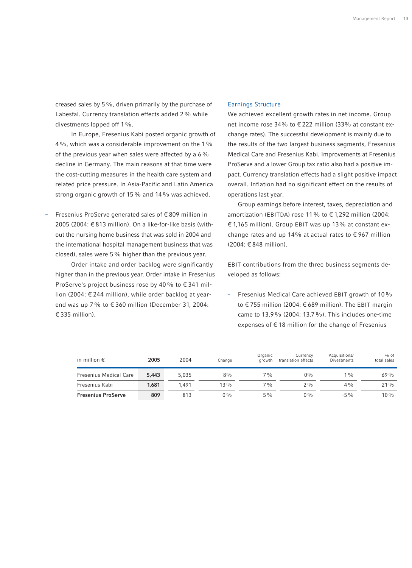creased sales by 5%, driven primarily by the purchase of Labesfal. Currency translation effects added 2% while divestments lopped off 1%.

In Europe, Fresenius Kabi posted organic growth of 4%, which was a considerable improvement on the 1% of the previous year when sales were affected by a 6% decline in Germany. The main reasons at that time were the cost-cutting measures in the health care system and related price pressure. In Asia-Pacific and Latin America strong organic growth of 15% and 14% was achieved.

– Fresenius ProServe generated sales of € 809 million in 2005 (2004: € 813 million). On a like-for-like basis (without the nursing home business that was sold in 2004 and the international hospital management business that was closed), sales were 5% higher than the previous year.

Order intake and order backlog were significantly higher than in the previous year. Order intake in Fresenius ProServe's project business rose by 40% to € 341 million (2004: € 244 million), while order backlog at yearend was up 7% to € 360 million (December 31, 2004: € 335 million).

# Earnings Structure

We achieved excellent growth rates in net income. Group net income rose 34% to € 222 million (33% at constant exchange rates). The successful development is mainly due to the results of the two largest business segments, Fresenius Medical Care and Fresenius Kabi. Improvements at Fresenius ProServe and a lower Group tax ratio also had a positive impact. Currency translation effects had a slight positive impact overall. Inflation had no significant effect on the results of operations last year.

Group earnings before interest, taxes, depreciation and amortization (EBITDA) rose 11 % to € 1,292 million (2004: € 1,165 million). Group EBIT was up 13% at constant exchange rates and up 14% at actual rates to  $\epsilon$ 967 million (2004: € 848 million).

EBIT contributions from the three business segments developed as follows:

– Fresenius Medical Care achieved EBIT growth of 10% to € 755 million (2004: € 689 million). The EBIT margin came to 13.9% (2004: 13.7%). This includes one-time expenses of  $\epsilon$  18 million for the change of Fresenius

| in million $\epsilon$     | 2005  | 2004  | Change | Organic<br>arowth | Currencv<br>translation effects | Acquisitions/<br><b>Divestments</b> | $%$ of<br>total sales |
|---------------------------|-------|-------|--------|-------------------|---------------------------------|-------------------------------------|-----------------------|
| Fresenius Medical Care    | 5,443 | 5.035 | 8%     | $7\frac{0}{0}$    | $0\%$                           | $1\%$                               | $69\%$                |
| Fresenius Kabi            | 1.681 | 1.491 | $13\%$ | $7\frac{0}{0}$    | $2\frac{0}{0}$                  | $4\frac{0}{0}$                      | $21\%$                |
| <b>Fresenius ProServe</b> | 809   | 813   | $0\%$  | $5\%$             | $0\%$                           | $-5\%$                              | $10\%$                |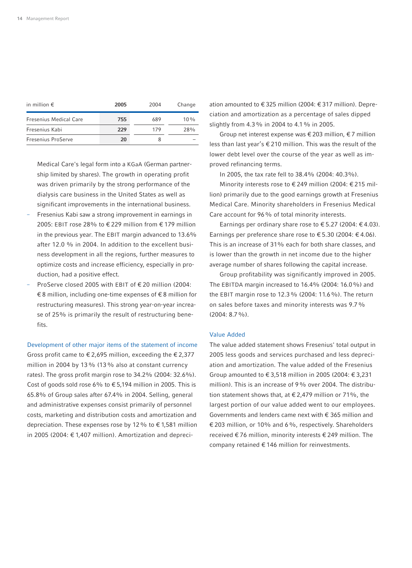| in million $\epsilon$  | 2005 | 2004 | Change |
|------------------------|------|------|--------|
| Fresenius Medical Care | 755  | 689  | $10\%$ |
| Fresenius Kabi         | 229  | 179  | 28%    |
| Fresenius ProServe     | 20   |      |        |

Medical Care's legal form into a KGaA (German partnership limited by shares). The growth in operating profit was driven primarily by the strong performance of the dialysis care business in the United States as well as significant improvements in the international business.

- Fresenius Kabi saw a strong improvement in earnings in 2005: EBIT rose 28% to € 229 million from € 179 million in the previous year. The EBIT margin advanced to 13.6% after 12.0 % in 2004. In addition to the excellent business development in all the regions, further measures to optimize costs and increase efficiency, especially in production, had a positive effect.
- ProServe closed 2005 with EBIT of € 20 million (2004: € 8 million, including one-time expenses of € 8 million for restructuring measures). This strong year-on-year increase of 25% is primarily the result of restructuring benefits.

Development of other major items of the statement of income Gross profit came to  $\epsilon$  2,695 million, exceeding the  $\epsilon$  2,377 million in 2004 by 13% (13% also at constant currency rates). The gross profit margin rose to 34.2% (2004: 32.6%). Cost of goods sold rose 6% to  $\epsilon$  5,194 million in 2005. This is 65.8% of Group sales after 67.4% in 2004. Selling, general and administrative expenses consist primarily of personnel costs, marketing and distribution costs and amortization and depreciation. These expenses rose by 12% to € 1,581 million in 2005 (2004: € 1,407 million). Amortization and depreciation amounted to € 325 million (2004: € 317 million). Depreciation and amortization as a percentage of sales dipped slightly from 4.3% in 2004 to 4.1% in 2005.

Group net interest expense was € 203 million, € 7 million less than last year's € 210 million. This was the result of the lower debt level over the course of the year as well as improved refinancing terms.

In 2005, the tax rate fell to 38.4% (2004: 40.3%).

Minority interests rose to € 249 million (2004: € 215 million) primarily due to the good earnings growth at Fresenius Medical Care. Minority shareholders in Fresenius Medical Care account for 96% of total minority interests.

Earnings per ordinary share rose to  $\epsilon$  5.27 (2004:  $\epsilon$  4.03). Earnings per preference share rose to  $\epsilon$  5.30 (2004:  $\epsilon$  4.06). This is an increase of 31% each for both share classes, and is lower than the growth in net income due to the higher average number of shares following the capital increase.

Group profitability was significantly improved in 2005. The EBITDA margin increased to 16.4% (2004: 16.0%) and the EBIT margin rose to 12.3% (2004: 11.6%). The return on sales before taxes and minority interests was 9.7% (2004: 8.7%).

# Value Added

The value added statement shows Fresenius' total output in 2005 less goods and services purchased and less depreciation and amortization. The value added of the Fresenius Group amounted to € 3,518 million in 2005 (2004: € 3,231 million). This is an increase of 9% over 2004. The distribution statement shows that, at  $\epsilon$  2,479 million or 71%, the largest portion of our value added went to our employees. Governments and lenders came next with € 365 million and € 203 million, or 10% and 6%, respectively. Shareholders received € 76 million, minority interests € 249 million. The company retained  $\epsilon$  146 million for reinvestments.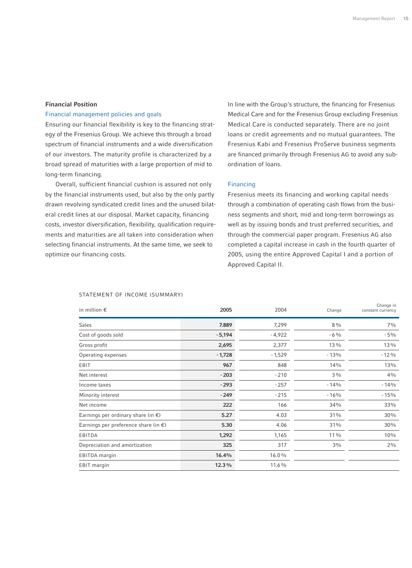Change in

# **Financial Position**

# Financial management policies and goals

Ensuring our financial flexibility is key to the financing strategy of the Fresenius Group. We achieve this through a broad spectrum of financial instruments and a wide diversification of our investors. The maturity profile is characterized by a broad spread of maturities with a large proportion of mid to long-term financing.

Overall, sufficient financial cushion is assured not only by the financial instruments used, but also by the only partly drawn revolving syndicated credit lines and the unused bilateral credit lines at our disposal. Market capacity, financing costs, investor diversification, flexibility, qualification requirements and maturities are all taken into consideration when selecting financial instruments. At the same time, we seek to optimize our financing costs.

In line with the Group's structure, the financing for Fresenius Medical Care and for the Fresenius Group excluding Fresenius Medical Care is conducted separately. There are no joint loans or credit agreements and no mutual guarantees. The Fresenius Kabi and Fresenius ProServe business segments are financed primarily through Fresenius AG to avoid any subordination of loans.

# Financing

Fresenius meets its financing and working capital needs through a combination of operating cash flows from the business segments and short, mid and long-term borrowings as well as by issuing bonds and trust preferred securities, and through the commercial paper program. Fresenius AG also completed a capital increase in cash in the fourth quarter of 2005, using the entire Approved Capital I and a portion of Approved Capital II.

| in million $\epsilon$                          | 2005     | 2004     | Change | Criditye III<br>constant currency |
|------------------------------------------------|----------|----------|--------|-----------------------------------|
| Sales                                          | 7.889    | 7,299    | $8\%$  | $7\%$                             |
| Cost of goods sold                             | $-5,194$ | $-4,922$ | $-6\%$ | $-5%$                             |
| Gross profit                                   | 2,695    | 2,377    | 13%    | 13%                               |
| Operating expenses                             | $-1,728$ | $-1,529$ | $-13%$ | $-12%$                            |
| EBIT                                           | 967      | 848      | 14%    | 13%                               |
| Net interest                                   | $-203$   | $-210$   | $3\%$  | 4%                                |
| Income taxes                                   | $-293$   | $-257$   | $-14%$ | $-14%$                            |
| Minority interest                              | $-249$   | $-215$   | $-16%$ | $-15%$                            |
| Net income                                     | 222      | 166      | 34%    | 33%                               |
| Earnings per ordinary share (in $\epsilon$ )   | 5.27     | 4.03     | 31%    | 30%                               |
| Earnings per preference share (in $\epsilon$ ) | 5.30     | 4.06     | 31%    | 30%                               |
| EBITDA                                         | 1,292    | 1,165    | $11\%$ | 10%                               |
| Depreciation and amortization                  | 325      | 317      | $3\%$  | $2\%$                             |
| EBITDA margin                                  | 16.4%    | 16.0%    |        |                                   |
| EBIT margin                                    | 12.3%    | 11.6 %   |        |                                   |

### STATEMENT OF INCOME (SUMMARY)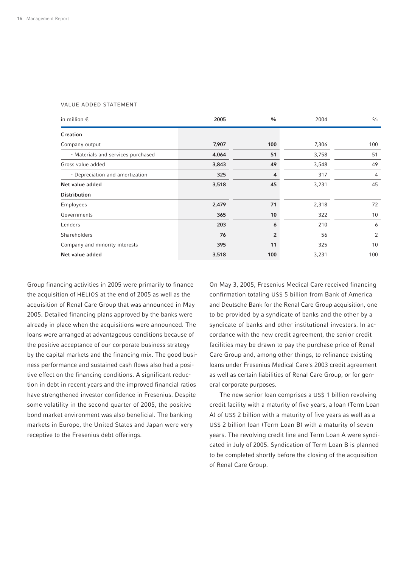# VALUE ADDED STATEMENT

| in million $\epsilon$              | 2005  | $\frac{0}{0}$  | 2004  | 0/0 |
|------------------------------------|-------|----------------|-------|-----|
| Creation                           |       |                |       |     |
| Company output                     | 7,907 | 100            | 7,306 | 100 |
| - Materials and services purchased | 4,064 | 51             | 3,758 | 51  |
| Gross value added                  | 3,843 | 49             | 3,548 | 49  |
| - Depreciation and amortization    | 325   | 4              | 317   | 4   |
| Net value added                    | 3,518 | 45             | 3,231 | 45  |
| <b>Distribution</b>                |       |                |       |     |
| Employees                          | 2,479 | 71             | 2,318 | 72  |
| Governments                        | 365   | 10             | 322   | 10  |
| Lenders                            | 203   | 6              | 210   | 6   |
| Shareholders                       | 76    | $\overline{2}$ | 56    | 2   |
| Company and minority interests     | 395   | 11             | 325   | 10  |
| Net value added                    | 3,518 | 100            | 3,231 | 100 |

Group financing activities in 2005 were primarily to finance the acquisition of HELIOS at the end of 2005 as well as the acquisition of Renal Care Group that was announced in May 2005. Detailed financing plans approved by the banks were already in place when the acquisitions were announced. The loans were arranged at advantageous conditions because of the positive acceptance of our corporate business strategy by the capital markets and the financing mix. The good business performance and sustained cash flows also had a positive effect on the financing conditions. A significant reduction in debt in recent years and the improved financial ratios have strengthened investor confidence in Fresenius. Despite some volatility in the second quarter of 2005, the positive bond market environment was also beneficial. The banking markets in Europe, the United States and Japan were very receptive to the Fresenius debt offerings.

On May 3, 2005, Fresenius Medical Care received financing confirmation totaling US\$ 5 billion from Bank of America and Deutsche Bank for the Renal Care Group acquisition, one to be provided by a syndicate of banks and the other by a syndicate of banks and other institutional investors. In accordance with the new credit agreement, the senior credit facilities may be drawn to pay the purchase price of Renal Care Group and, among other things, to refinance existing loans under Fresenius Medical Care's 2003 credit agreement as well as certain liabilities of Renal Care Group, or for general corporate purposes.

The new senior loan comprises a US\$ 1 billion revolving credit facility with a maturity of five years, a loan (Term Loan A) of US\$ 2 billion with a maturity of five years as well as a US\$ 2 billion loan (Term Loan B) with a maturity of seven years. The revolving credit line and Term Loan A were syndicated in July of 2005. Syndication of Term Loan B is planned to be completed shortly before the closing of the acquisition of Renal Care Group.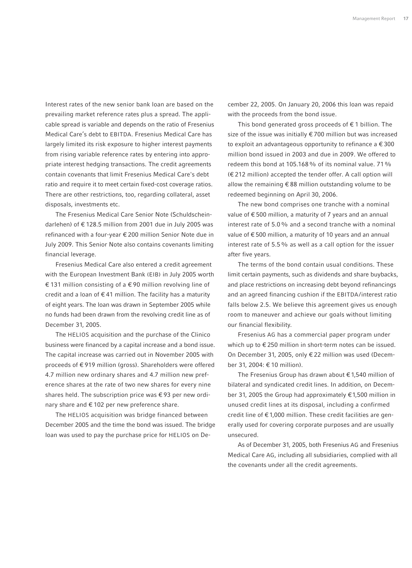Interest rates of the new senior bank loan are based on the prevailing market reference rates plus a spread. The applicable spread is variable and depends on the ratio of Fresenius Medical Care's debt to EBITDA. Fresenius Medical Care has largely limited its risk exposure to higher interest payments from rising variable reference rates by entering into appropriate interest hedging transactions. The credit agreements contain covenants that limit Fresenius Medical Care's debt ratio and require it to meet certain fixed-cost coverage ratios. There are other restrictions, too, regarding collateral, asset disposals, investments etc.

The Fresenius Medical Care Senior Note (Schuldscheindarlehen) of € 128.5 million from 2001 due in July 2005 was refinanced with a four-year € 200 million Senior Note due in July 2009. This Senior Note also contains covenants limiting financial leverage.

Fresenius Medical Care also entered a credit agreement with the European Investment Bank (EIB) in July 2005 worth € 131 million consisting of a € 90 million revolving line of credit and a loan of  $\epsilon$  41 million. The facility has a maturity of eight years. The loan was drawn in September 2005 while no funds had been drawn from the revolving credit line as of December 31, 2005.

The HELIOS acquisition and the purchase of the Clinico business were financed by a capital increase and a bond issue. The capital increase was carried out in November 2005 with proceeds of € 919 million (gross). Shareholders were offered 4.7 million new ordinary shares and 4.7 million new preference shares at the rate of two new shares for every nine shares held. The subscription price was € 93 per new ordinary share and  $\epsilon$  102 per new preference share.

The HELIOS acquisition was bridge financed between December 2005 and the time the bond was issued. The bridge loan was used to pay the purchase price for HELIOS on December 22, 2005. On January 20, 2006 this loan was repaid with the proceeds from the bond issue.

This bond generated gross proceeds of  $\epsilon$  1 billion. The size of the issue was initially € 700 million but was increased to exploit an advantageous opportunity to refinance a  $\epsilon$  300 million bond issued in 2003 and due in 2009. We offered to redeem this bond at 105.168% of its nominal value. 71% (€ 212 million) accepted the tender offer. A call option will allow the remaining € 88 million outstanding volume to be redeemed beginning on April 30, 2006.

The new bond comprises one tranche with a nominal value of  $\epsilon$  500 million, a maturity of 7 years and an annual interest rate of 5.0% and a second tranche with a nominal value of € 500 million, a maturity of 10 years and an annual interest rate of 5.5% as well as a call option for the issuer after five years.

The terms of the bond contain usual conditions. These limit certain payments, such as dividends and share buybacks, and place restrictions on increasing debt beyond refinancings and an agreed financing cushion if the EBITDA/interest ratio falls below 2.5. We believe this agreement gives us enough room to maneuver and achieve our goals without limiting our financial flexibility.

Fresenius AG has a commercial paper program under which up to € 250 million in short-term notes can be issued. On December 31, 2005, only € 22 million was used (December 31, 2004: € 10 million).

The Fresenius Group has drawn about €1,540 million of bilateral and syndicated credit lines. In addition, on December 31, 2005 the Group had approximately €1,500 million in unused credit lines at its disposal, including a confirmed credit line of €1,000 million. These credit facilities are generally used for covering corporate purposes and are usually unsecured.

As of December 31, 2005, both Fresenius AG and Fresenius Medical Care AG, including all subsidiaries, complied with all the covenants under all the credit agreements.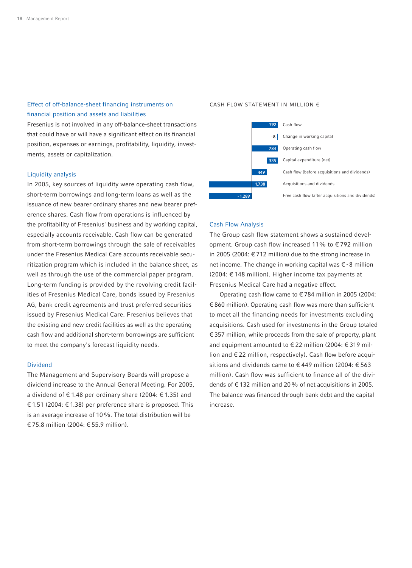# Effect of off-balance-sheet financing instruments on financial position and assets and liabilities

Fresenius is not involved in any off-balance-sheet transactions that could have or will have a significant effect on its financial position, expenses or earnings, profitability, liquidity, investments, assets or capitalization.

# Liquidity analysis

In 2005, key sources of liquidity were operating cash flow, short-term borrowings and long-term loans as well as the issuance of new bearer ordinary shares and new bearer preference shares. Cash flow from operations is influenced by the profitability of Fresenius' business and by working capital, especially accounts receivable. Cash flow can be generated from short-term borrowings through the sale of receivables under the Fresenius Medical Care accounts receivable securitization program which is included in the balance sheet, as well as through the use of the commercial paper program. Long-term funding is provided by the revolving credit facilities of Fresenius Medical Care, bonds issued by Fresenius AG, bank credit agreements and trust preferred securities issued by Fresenius Medical Care. Fresenius believes that the existing and new credit facilities as well as the operating cash flow and additional short-term borrowings are sufficient to meet the company's forecast liquidity needs.

### Dividend

The Management and Supervisory Boards will propose a dividend increase to the Annual General Meeting. For 2005, a dividend of  $\epsilon$  1.48 per ordinary share (2004:  $\epsilon$  1.35) and € 1.51 (2004: € 1.38) per preference share is proposed. This is an average increase of 10%. The total distribution will be € 75.8 million (2004: € 55.9 million).

#### CASH FLOW STATEMENT IN MILLION  $\epsilon$



### Cash Flow Analysis

The Group cash flow statement shows a sustained development. Group cash flow increased 11% to € 792 million in 2005 (2004: € 712 million) due to the strong increase in net income. The change in working capital was € -8 million (2004: €148 million). Higher income tax payments at Fresenius Medical Care had a negative effect.

Operating cash flow came to € 784 million in 2005 (2004: € 860 million). Operating cash flow was more than sufficient to meet all the financing needs for investments excluding acquisitions. Cash used for investments in the Group totaled € 357 million, while proceeds from the sale of property, plant and equipment amounted to € 22 million (2004: € 319 million and € 22 million, respectively). Cash flow before acquisitions and dividends came to  $\epsilon$  449 million (2004:  $\epsilon$  563 million). Cash flow was sufficient to finance all of the dividends of  $\epsilon$  132 million and 20% of net acquisitions in 2005. The balance was financed through bank debt and the capital increase.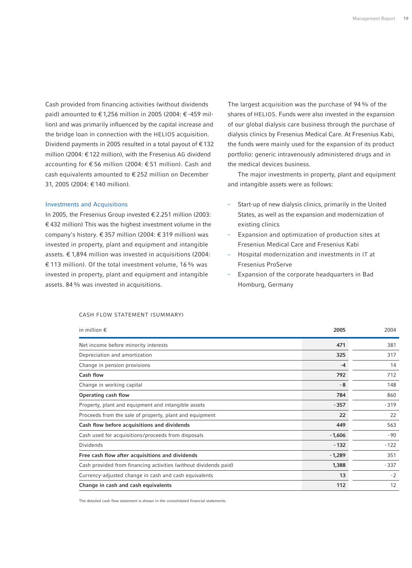Cash provided from financing activities (without dividends paid) amounted to €1,256 million in 2005 (2004:  $€ -459$  million) and was primarily influenced by the capital increase and the bridge loan in connection with the HELIOS acquisition. Dividend payments in 2005 resulted in a total payout of €132 million (2004: €122 million), with the Fresenius AG dividend accounting for € 56 million (2004: € 51 million). Cash and cash equivalents amounted to € 252 million on December 31, 2005 (2004: €140 million).

### Investments and Acquisitions

In 2005, the Fresenius Group invested € 2.251 million (2003: € 432 million) This was the highest investment volume in the company's history. € 357 million (2004: € 319 million) was invested in property, plant and equipment and intangible assets. € 1,894 million was invested in acquisitions (2004: € 113 million). Of the total investment volume, 16% was invested in property, plant and equipment and intangible assets. 84% was invested in acquisitions.

The largest acquisition was the purchase of 94% of the shares of HELIOS. Funds were also invested in the expansion of our global dialysis care business through the purchase of dialysis clinics by Fresenius Medical Care. At Fresenius Kabi, the funds were mainly used for the expansion of its product portfolio: generic intravenously administered drugs and in the medical devices business.

The major investments in property, plant and equipment and intangible assets were as follows:

- Start-up of new dialysis clinics, primarily in the United States, as well as the expansion and modernization of existing clinics
- Expansion and optimization of production sites at Fresenius Medical Care and Fresenius Kabi
- Hospital modernization and investments in IT at Fresenius ProServe
- Expansion of the corporate headquarters in Bad Homburg, Germany

| in million $\in$                                                 | 2005     | 2004              |
|------------------------------------------------------------------|----------|-------------------|
| Net income before minority interests                             | 471      | 381               |
| Depreciation and amortization                                    | 325      | 317               |
| Change in pension provisions                                     | $-4$     | 14                |
| Cash flow                                                        | 792      | 712               |
| Change in working capital                                        | $-8$     | 148               |
| Operating cash flow                                              | 784      | 860               |
| Property, plant and equipment and intangible assets              | $-357$   | $-319$            |
| Proceeds from the sale of property, plant and equipment          | 22       | 22                |
| Cash flow before acquisitions and dividends                      | 449      | 563               |
| Cash used for acquisitions/proceeds from disposals               | $-1,606$ | - 90              |
| Dividends                                                        | $-132$   | $-122$            |
| Free cash flow after acquisitions and dividends                  | $-1,289$ | 351               |
| Cash provided from financing activities (without dividends paid) | 1,388    | $-337$            |
| Currency-adjusted change in cash and cash equivalents            | 13       | $-2$              |
| Change in cash and cash equivalents                              | 112      | $12 \overline{ }$ |

#### CASH FLOW STATEMENT (SUMMARY)

The detailed cash flow statement is shown in the consolidated financial statements.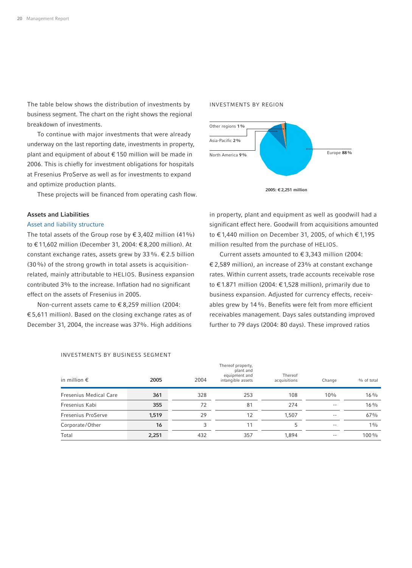The table below shows the distribution of investments by business segment. The chart on the right shows the regional breakdown of investments.

To continue with major investments that were already underway on the last reporting date, investments in property, plant and equipment of about € 150 million will be made in 2006. This is chiefly for investment obligations for hospitals at Fresenius ProServe as well as for investments to expand and optimize production plants.

These projects will be financed from operating cash flow.

### **Assets and Liabilities**

# Asset and liability structure

The total assets of the Group rose by  $\epsilon$  3,402 million (41%) to €11,602 million (December 31, 2004: € 8,200 million). At constant exchange rates, assets grew by 33%.  $\epsilon$  2.5 billion (30%) of the strong growth in total assets is acquisitionrelated, mainly attributable to HELIOS. Business expansion contributed 3% to the increase. Inflation had no significant effect on the assets of Fresenius in 2005.

Non-current assets came to € 8,259 million (2004: € 5,611 million). Based on the closing exchange rates as of December 31, 2004, the increase was 37%. High additions

### INVESTMENTS BY REGION



in property, plant and equipment as well as goodwill had a significant effect here. Goodwill from acquisitions amounted to €1,440 million on December 31, 2005, of which €1,195 million resulted from the purchase of HELIOS.

Current assets amounted to  $\epsilon$  3,343 million (2004: € 2,589 million), an increase of 23% at constant exchange rates. Within current assets, trade accounts receivable rose to €1.871 million (2004: €1,528 million), primarily due to business expansion. Adjusted for currency effects, receivables grew by 14%. Benefits were felt from more efficient receivables management. Days sales outstanding improved further to 79 days (2004: 80 days). These improved ratios

| in million $\epsilon$  | 2005  | 2004 | Thereof property,<br>plant and<br>equipment and<br>intangible assets | Thereof<br>acquisitions | Change | % of total |
|------------------------|-------|------|----------------------------------------------------------------------|-------------------------|--------|------------|
| Fresenius Medical Care | 361   | 328  | 253                                                                  | 108                     | 10%    | $16\%$     |
| Fresenius Kabi         | 355   | 72   | 81                                                                   | 274                     | $- -$  | $16\%$     |
| Fresenius ProServe     | 1,519 | 29   | 12                                                                   | 1.507                   | --     | 67%        |
| Corporate/Other        | 16    | 3    | 11                                                                   | 5                       | $- -$  | $1\%$      |
| Total                  | 2,251 | 432  | 357                                                                  | 1,894                   | $- -$  | 100 %      |

### INVESTMENTS BY BUSINESS SEGMENT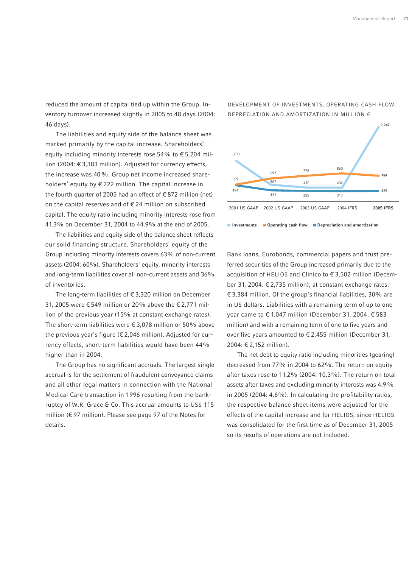reduced the amount of capital tied up within the Group. Inventory turnover increased slightly in 2005 to 48 days (2004: 46 days).

The liabilities and equity side of the balance sheet was marked primarily by the capital increase. Shareholders' equity including minority interests rose 54% to € 5,204 million (2004: € 3,383 million). Adjusted for currency effects, the increase was 40%. Group net income increased shareholders' equity by € 222 million. The capital increase in the fourth quarter of 2005 had an effect of  $\epsilon$ 872 million (net) on the capital reserves and of € 24 million on subscribed capital. The equity ratio including minority interests rose from 41.3% on December 31, 2004 to 44.9% at the end of 2005.

The liabilities and equity side of the balance sheet reflects our solid financing structure. Shareholders' equity of the Group including minority interests covers 63% of non-current assets (2004: 60%). Shareholders' equity, minority interests and long-term liabilities cover all non-current assets and 36% of inventories.

The long-term liabilities of € 3,320 million on December 31, 2005 were €549 million or 20% above the € 2,771 million of the previous year (15% at constant exchange rates). The short-term liabilities were € 3,078 million or 50% above the previous year's figure (€ 2,046 million). Adjusted for currency effects, short-term liabilities would have been 44% higher than in 2004.

The Group has no significant accruals. The largest single accrual is for the settlement of fraudulent conveyance claims and all other legal matters in connection with the National Medical Care transaction in 1996 resulting from the bankruptcy of W.R. Grace & Co. This accrual amounts to US\$ 115 million (€ 97 million). Please see page 97 of the Notes for details.



# DEVELOPMENT OF INVESTMENTS, OPERATING CASH FLOW, DEPRECIATION AND AMORTIZATION IN MILLION €

Bank loans, Eurobonds, commercial papers and trust preferred securities of the Group increased primarily due to the acquisition of HELIOS and Clinico to € 3,502 million (December 31, 2004: € 2,735 million); at constant exchange rates: € 3,384 million. Of the group's financial liabilities, 30% are in US dollars. Liabilities with a remaining term of up to one year came to € 1.047 million (December 31, 2004: € 583 million) and with a remaining term of one to five years and over five years amounted to € 2,455 million (December 31, 2004: € 2,152 million).

The net debt to equity ratio including minorities (gearing) decreased from 77% in 2004 to 62%. The return on equity after taxes rose to 11.2% (2004: 10.3%). The return on total assets after taxes and excluding minority interests was 4.9% in 2005 (2004: 4.6%). In calculating the profitability ratios, the respective balance sheet items were adjusted for the effects of the capital increase and for HELIOS, since HELIOS was consolidated for the first time as of December 31, 2005 so its results of operations are not included.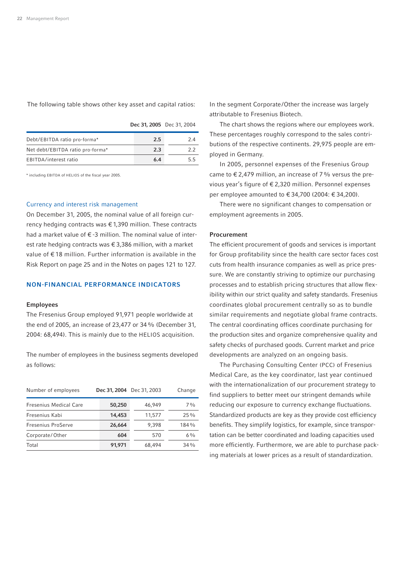The following table shows other key asset and capital ratios: In the segment Corporate/Other the increase was largely

**Dec 31, 2005** Dec 31, 2004

| Debt/EBITDA ratio pro-forma*     | 2.5 | 24 |
|----------------------------------|-----|----|
| Net debt/EBITDA ratio pro-forma* | 2.3 |    |
| EBITDA/interest ratio            | 6.4 | 55 |

\* including EBITDA of HELIOS of the fiscal year 2005.

### Currency and interest risk management

On December 31, 2005, the nominal value of all foreign currency hedging contracts was €1,390 million. These contracts had a market value of  $\epsilon$ -3 million. The nominal value of interest rate hedging contracts was € 3,386 million, with a market value of €18 million. Further information is available in the Risk Report on page 25 and in the Notes on pages 121 to 127.

# **NON-FINANCIAL PERFORMANCE INDICATORS**

#### **Employees**

The Fresenius Group employed 91,971 people worldwide at the end of 2005, an increase of 23,477 or 34% (December 31, 2004: 68,494). This is mainly due to the HELIOS acquisition.

The number of employees in the business segments developed as follows:

| Number of employees    |        | Dec 31, 2004 Dec 31, 2003 | Change         |
|------------------------|--------|---------------------------|----------------|
| Fresenius Medical Care | 50,250 | 46,949                    | $7\frac{0}{0}$ |
| Fresenius Kabi         | 14,453 | 11,577                    | $25\%$         |
| Fresenius ProServe     | 26,664 | 9,398                     | 184%           |
| Corporate/Other        | 604    | 570                       | $6\%$          |
| Total                  | 91.971 | 68,494                    | $34\%$         |

attributable to Fresenius Biotech.

The chart shows the regions where our employees work. These percentages roughly correspond to the sales contributions of the respective continents. 29,975 people are employed in Germany.

In 2005, personnel expenses of the Fresenius Group came to  $\epsilon$  2,479 million, an increase of 7% versus the previous year's figure of € 2,320 million. Personnel expenses per employee amounted to € 34,700 (2004: € 34,200).

There were no significant changes to compensation or employment agreements in 2005.

### **Procurement**

The efficient procurement of goods and services is important for Group profitability since the health care sector faces cost cuts from health insurance companies as well as price pressure. We are constantly striving to optimize our purchasing processes and to establish pricing structures that allow flexibility within our strict quality and safety standards. Fresenius coordinates global procurement centrally so as to bundle similar requirements and negotiate global frame contracts. The central coordinating offices coordinate purchasing for the production sites and organize comprehensive quality and safety checks of purchased goods. Current market and price developments are analyzed on an ongoing basis.

The Purchasing Consulting Center (PCC) of Fresenius Medical Care, as the key coordinator, last year continued with the internationalization of our procurement strategy to find suppliers to better meet our stringent demands while reducing our exposure to currency exchange fluctuations. Standardized products are key as they provide cost efficiency benefits. They simplify logistics, for example, since transportation can be better coordinated and loading capacities used more efficiently. Furthermore, we are able to purchase packing materials at lower prices as a result of standardization.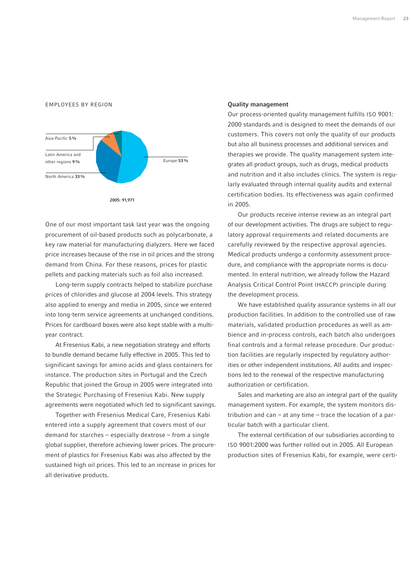### EMPLOYEES BY REGION



**2005: 91,971**

One of our most important task last year was the ongoing procurement of oil-based products such as polycarbonate, a key raw material for manufacturing dialyzers. Here we faced price increases because of the rise in oil prices and the strong demand from China. For these reasons, prices for plastic pellets and packing materials such as foil also increased.

Long-term supply contracts helped to stabilize purchase prices of chlorides and glucose at 2004 levels. This strategy also applied to energy and media in 2005, since we entered into long-term service agreements at unchanged conditions. Prices for cardboard boxes were also kept stable with a multiyear contract.

At Fresenius Kabi, a new negotiation strategy and efforts to bundle demand became fully effective in 2005. This led to significant savings for amino acids and glass containers for instance. The production sites in Portugal and the Czech Republic that joined the Group in 2005 were integrated into the Strategic Purchasing of Fresenius Kabi. New supply agreements were negotiated which led to significant savings.

Together with Fresenius Medical Care, Fresenius Kabi entered into a supply agreement that covers most of our demand for starches – especially dextrose – from a single global supplier, therefore achieving lower prices. The procurement of plastics for Fresenius Kabi was also affected by the sustained high oil prices. This led to an increase in prices for all derivative products.

# **Quality management**

Our process-oriented quality management fulfills ISO 9001: 2000 standards and is designed to meet the demands of our customers. This covers not only the quality of our products but also all business processes and additional services and therapies we provide. The quality management system integrates all product groups, such as drugs, medical products and nutrition and it also includes clinics. The system is regularly evaluated through internal quality audits and external certification bodies. Its effectiveness was again confirmed in 2005.

Our products receive intense review as an integral part of our development activities. The drugs are subject to regulatory approval requirements and related documents are carefully reviewed by the respective approval agencies. Medical products undergo a conformity assessment procedure, and compliance with the appropriate norms is documented. In enteral nutrition, we already follow the Hazard Analysis Critical Control Point (HACCP) principle during the development process.

We have established quality assurance systems in all our production facilities. In addition to the controlled use of raw materials, validated production procedures as well as ambience and in-process controls, each batch also undergoes final controls and a formal release procedure. Our production facilities are regularly inspected by regulatory authorities or other independent institutions. All audits and inspections led to the renewal of the respective manufacturing authorization or certification.

Sales and marketing are also an integral part of the quality management system. For example, the system monitors distribution and can – at any time – trace the location of a particular batch with a particular client.

The external certification of our subsidiaries according to ISO 9001:2000 was further rolled out in 2005. All European production sites of Fresenius Kabi, for example, were certi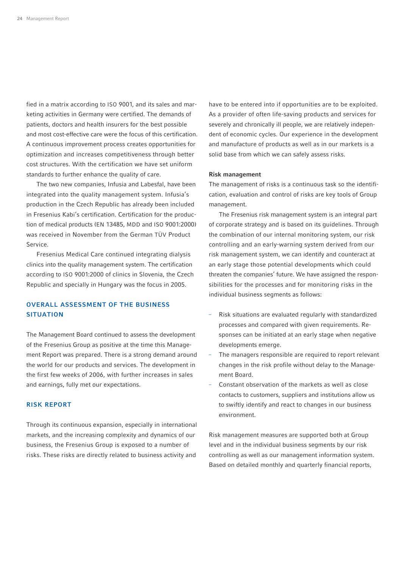fied in a matrix according to ISO 9001, and its sales and marketing activities in Germany were certified. The demands of patients, doctors and health insurers for the best possible and most cost-effective care were the focus of this certification. A continuous improvement process creates opportunities for optimization and increases competitiveness through better cost structures. With the certification we have set uniform standards to further enhance the quality of care.

The two new companies, Infusia and Labesfal, have been integrated into the quality management system. Infusia's production in the Czech Republic has already been included in Fresenius Kabi's certification. Certification for the production of medical products (EN 13485, MDD and ISO 9001:2000) was received in November from the German TÜV Product Service.

Fresenius Medical Care continued integrating dialysis clinics into the quality management system. The certification according to ISO 9001:2000 of clinics in Slovenia, the Czech Republic and specially in Hungary was the focus in 2005.

# **OVERALL ASSESSMENT OF THE BUSINESS SITUATION**

The Management Board continued to assess the development of the Fresenius Group as positive at the time this Management Report was prepared. There is a strong demand around the world for our products and services. The development in the first few weeks of 2006, with further increases in sales and earnings, fully met our expectations.

# **RISK REPORT**

Through its continuous expansion, especially in international markets, and the increasing complexity and dynamics of our business, the Fresenius Group is exposed to a number of risks. These risks are directly related to business activity and

have to be entered into if opportunities are to be exploited. As a provider of often life-saving products and services for severely and chronically ill people, we are relatively independent of economic cycles. Our experience in the development and manufacture of products as well as in our markets is a solid base from which we can safely assess risks.

# **Risk management**

The management of risks is a continuous task so the identification, evaluation and control of risks are key tools of Group management.

The Fresenius risk management system is an integral part of corporate strategy and is based on its guidelines. Through the combination of our internal monitoring system, our risk controlling and an early-warning system derived from our risk management system, we can identify and counteract at an early stage those potential developments which could threaten the companies' future. We have assigned the responsibilities for the processes and for monitoring risks in the individual business segments as follows:

- Risk situations are evaluated regularly with standardized processes and compared with given requirements. Responses can be initiated at an early stage when negative developments emerge.
- The managers responsible are required to report relevant changes in the risk profile without delay to the Management Board.
- Constant observation of the markets as well as close contacts to customers, suppliers and institutions allow us to swiftly identify and react to changes in our business environment.

Risk management measures are supported both at Group level and in the individual business segments by our risk controlling as well as our management information system. Based on detailed monthly and quarterly financial reports,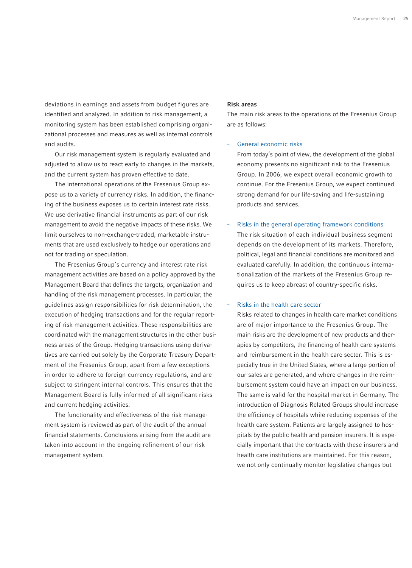deviations in earnings and assets from budget figures are identified and analyzed. In addition to risk management, a monitoring system has been established comprising organizational processes and measures as well as internal controls and audits.

Our risk management system is regularly evaluated and adjusted to allow us to react early to changes in the markets, and the current system has proven effective to date.

The international operations of the Fresenius Group expose us to a variety of currency risks. In addition, the financing of the business exposes us to certain interest rate risks. We use derivative financial instruments as part of our risk management to avoid the negative impacts of these risks. We limit ourselves to non-exchange-traded, marketable instruments that are used exclusively to hedge our operations and not for trading or speculation.

The Fresenius Group's currency and interest rate risk management activities are based on a policy approved by the Management Board that defines the targets, organization and handling of the risk management processes. In particular, the guidelines assign responsibilities for risk determination, the execution of hedging transactions and for the regular reporting of risk management activities. These responsibilities are coordinated with the management structures in the other business areas of the Group. Hedging transactions using derivatives are carried out solely by the Corporate Treasury Department of the Fresenius Group, apart from a few exceptions in order to adhere to foreign currency regulations, and are subject to stringent internal controls. This ensures that the Management Board is fully informed of all significant risks and current hedging activities.

The functionality and effectiveness of the risk management system is reviewed as part of the audit of the annual financial statements. Conclusions arising from the audit are taken into account in the ongoing refinement of our risk management system.

# **Risk areas**

The main risk areas to the operations of the Fresenius Group are as follows:

# – General economic risks

From today's point of view, the development of the global economy presents no significant risk to the Fresenius Group. In 2006, we expect overall economic growth to continue. For the Fresenius Group, we expect continued strong demand for our life-saving and life-sustaining products and services.

### – Risks in the general operating framework conditions

The risk situation of each individual business segment depends on the development of its markets. Therefore, political, legal and financial conditions are monitored and evaluated carefully. In addition, the continuous internationalization of the markets of the Fresenius Group requires us to keep abreast of country-specific risks.

### – Risks in the health care sector

Risks related to changes in health care market conditions are of major importance to the Fresenius Group. The main risks are the development of new products and therapies by competitors, the financing of health care systems and reimbursement in the health care sector. This is especially true in the United States, where a large portion of our sales are generated, and where changes in the reimbursement system could have an impact on our business. The same is valid for the hospital market in Germany. The introduction of Diagnosis Related Groups should increase the efficiency of hospitals while reducing expenses of the health care system. Patients are largely assigned to hospitals by the public health and pension insurers. It is especially important that the contracts with these insurers and health care institutions are maintained. For this reason, we not only continually monitor legislative changes but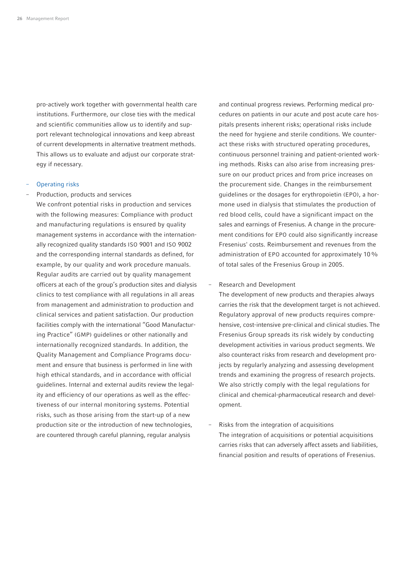pro-actively work together with governmental health care institutions. Furthermore, our close ties with the medical and scientific communities allow us to identify and support relevant technological innovations and keep abreast of current developments in alternative treatment methods. This allows us to evaluate and adjust our corporate strategy if necessary.

### – Operating risks

– Production, products and services

We confront potential risks in production and services with the following measures: Compliance with product and manufacturing regulations is ensured by quality management systems in accordance with the internationally recognized quality standards ISO 9001 and ISO 9002 and the corresponding internal standards as defined, for example, by our quality and work procedure manuals. Regular audits are carried out by quality management officers at each of the group's production sites and dialysis clinics to test compliance with all regulations in all areas from management and administration to production and clinical services and patient satisfaction. Our production facilities comply with the international "Good Manufacturing Practice" (GMP) guidelines or other nationally and internationally recognized standards. In addition, the Quality Management and Compliance Programs document and ensure that business is performed in line with high ethical standards, and in accordance with official guidelines. Internal and external audits review the legality and efficiency of our operations as well as the effectiveness of our internal monitoring systems. Potential risks, such as those arising from the start-up of a new production site or the introduction of new technologies, are countered through careful planning, regular analysis

and continual progress reviews. Performing medical procedures on patients in our acute and post acute care hospitals presents inherent risks; operational risks include the need for hygiene and sterile conditions. We counteract these risks with structured operating procedures, continuous personnel training and patient-oriented working methods. Risks can also arise from increasing pressure on our product prices and from price increases on the procurement side. Changes in the reimbursement guidelines or the dosages for erythropoietin (EPO), a hormone used in dialysis that stimulates the production of red blood cells, could have a significant impact on the sales and earnings of Fresenius. A change in the procurement conditions for EPO could also significantly increase Fresenius' costs. Reimbursement and revenues from the administration of EPO accounted for approximately 10% of total sales of the Fresenius Group in 2005.

– Research and Development

The development of new products and therapies always carries the risk that the development target is not achieved. Regulatory approval of new products requires comprehensive, cost-intensive pre-clinical and clinical studies. The Fresenius Group spreads its risk widely by conducting development activities in various product segments. We also counteract risks from research and development projects by regularly analyzing and assessing development trends and examining the progress of research projects. We also strictly comply with the legal regulations for clinical and chemical-pharmaceutical research and development.

– Risks from the integration of acquisitions The integration of acquisitions or potential acquisitions carries risks that can adversely affect assets and liabilities, financial position and results of operations of Fresenius.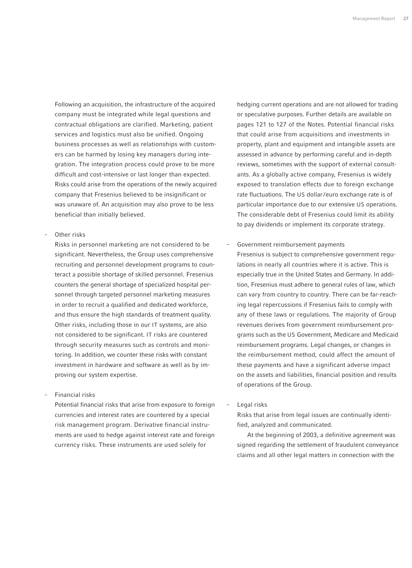Following an acquisition, the infrastructure of the acquired company must be integrated while legal questions and contractual obligations are clarified. Marketing, patient services and logistics must also be unified. Ongoing business processes as well as relationships with customers can be harmed by losing key managers during integration. The integration process could prove to be more difficult and cost-intensive or last longer than expected. Risks could arise from the operations of the newly acquired company that Fresenius believed to be insignificant or was unaware of. An acquisition may also prove to be less beneficial than initially believed.

### Other risks

Risks in personnel marketing are not considered to be significant. Nevertheless, the Group uses comprehensive recruiting and personnel development programs to counteract a possible shortage of skilled personnel. Fresenius counters the general shortage of specialized hospital personnel through targeted personnel marketing measures in order to recruit a qualified and dedicated workforce, and thus ensure the high standards of treatment quality. Other risks, including those in our IT systems, are also not considered to be significant. IT risks are countered through security measures such as controls and monitoring. In addition, we counter these risks with constant investment in hardware and software as well as by improving our system expertise.

### – Financial risks

Potential financial risks that arise from exposure to foreign currencies and interest rates are countered by a special risk management program. Derivative financial instruments are used to hedge against interest rate and foreign currency risks. These instruments are used solely for

hedging current operations and are not allowed for trading or speculative purposes. Further details are available on pages 121 to 127 of the Notes. Potential financial risks that could arise from acquisitions and investments in property, plant and equipment and intangible assets are assessed in advance by performing careful and in-depth reviews, sometimes with the support of external consultants. As a globally active company, Fresenius is widely exposed to translation effects due to foreign exchange rate fluctuations. The US dollar/euro exchange rate is of particular importance due to our extensive US operations. The considerable debt of Fresenius could limit its ability to pay dividends or implement its corporate strategy.

– Government reimbursement payments

Fresenius is subject to comprehensive government regulations in nearly all countries where it is active. This is especially true in the United States and Germany. In addition, Fresenius must adhere to general rules of law, which can vary from country to country. There can be far-reaching legal repercussions if Fresenius fails to comply with any of these laws or regulations. The majority of Group revenues derives from government reimbursement programs such as the US Government, Medicare and Medicaid reimbursement programs. Legal changes, or changes in the reimbursement method, could affect the amount of these payments and have a significant adverse impact on the assets and liabilities, financial position and results of operations of the Group.

– Legal risks

Risks that arise from legal issues are continually identified, analyzed and communicated.

At the beginning of 2003, a definitive agreement was signed regarding the settlement of fraudulent conveyance claims and all other legal matters in connection with the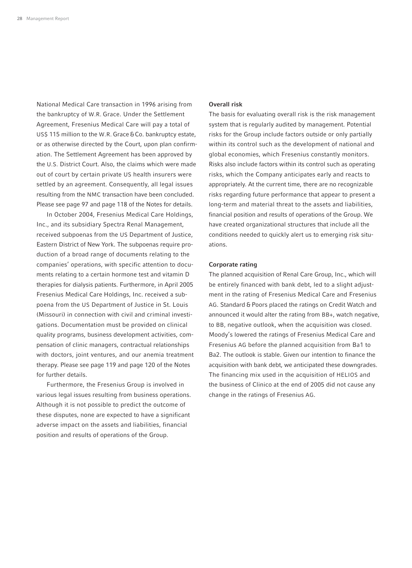National Medical Care transaction in 1996 arising from the bankruptcy of W.R. Grace. Under the Settlement Agreement, Fresenius Medical Care will pay a total of US\$ 115 million to the W.R. Grace & Co. bankruptcy estate, or as otherwise directed by the Court, upon plan confirmation. The Settlement Agreement has been approved by the U.S. District Court. Also, the claims which were made out of court by certain private US health insurers were settled by an agreement. Consequently, all legal issues resulting from the NMC transaction have been concluded. Please see page 97 and page 118 of the Notes for details.

In October 2004, Fresenius Medical Care Holdings, Inc., and its subsidiary Spectra Renal Management, received subpoenas from the US Department of Justice, Eastern District of New York. The subpoenas require production of a broad range of documents relating to the companies' operations, with specific attention to documents relating to a certain hormone test and vitamin D therapies for dialysis patients. Furthermore, in April 2005 Fresenius Medical Care Holdings, Inc. received a subpoena from the US Department of Justice in St. Louis (Missouri) in connection with civil and criminal investigations. Documentation must be provided on clinical quality programs, business development activities, compensation of clinic managers, contractual relationships with doctors, joint ventures, and our anemia treatment therapy. Please see page 119 and page 120 of the Notes for further details.

Furthermore, the Fresenius Group is involved in various legal issues resulting from business operations. Although it is not possible to predict the outcome of these disputes, none are expected to have a significant adverse impact on the assets and liabilities, financial position and results of operations of the Group.

# **Overall risk**

The basis for evaluating overall risk is the risk management system that is regularly audited by management. Potential risks for the Group include factors outside or only partially within its control such as the development of national and global economies, which Fresenius constantly monitors. Risks also include factors within its control such as operating risks, which the Company anticipates early and reacts to appropriately. At the current time, there are no recognizable risks regarding future performance that appear to present a long-term and material threat to the assets and liabilities, financial position and results of operations of the Group. We have created organizational structures that include all the conditions needed to quickly alert us to emerging risk situations.

### **Corporate rating**

The planned acquisition of Renal Care Group, Inc., which will be entirely financed with bank debt, led to a slight adjustment in the rating of Fresenius Medical Care and Fresenius AG. Standard & Poors placed the ratings on Credit Watch and announced it would alter the rating from BB+, watch negative, to BB, negative outlook, when the acquisition was closed. Moody's lowered the ratings of Fresenius Medical Care and Fresenius AG before the planned acquisition from Ba1 to Ba2. The outlook is stable. Given our intention to finance the acquisition with bank debt, we anticipated these downgrades. The financing mix used in the acquisition of HELIOS and the business of Clinico at the end of 2005 did not cause any change in the ratings of Fresenius AG.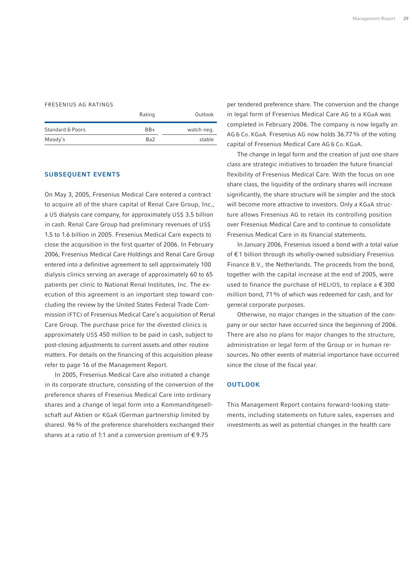### FRESENIUS AG RATINGS

|                  | Rating          | Outlook    |
|------------------|-----------------|------------|
| Standard & Poors | BB+             | watch neg. |
| Moody's          | Ba <sub>2</sub> | stable     |

### **SUBSEQUENT EVENTS**

On May 3, 2005, Fresenius Medical Care entered a contract to acquire all of the share capital of Renal Care Group, Inc., a US dialysis care company, for approximately US\$ 3.5 billion in cash. Renal Care Group had preliminary revenues of US\$ 1.5 to 1.6 billion in 2005. Fresenius Medical Care expects to close the acquisition in the first quarter of 2006. In February 2006, Fresenius Medical Care Holdings and Renal Care Group entered into a definitive agreement to sell approximately 100 dialysis clinics serving an average of approximately 60 to 65 patients per clinic to National Renal Institutes, Inc. The execution of this agreement is an important step toward concluding the review by the United States Federal Trade Commission (FTC) of Fresenius Medical Care's acquisition of Renal Care Group. The purchase price for the divested clinics is approximately US\$ 450 million to be paid in cash, subject to post-closing adjustments to current assets and other routine matters. For details on the financing of this acquisition please refer to page 16 of the Management Report.

In 2005, Fresenius Medical Care also initiated a change in its corporate structure, consisting of the conversion of the preference shares of Fresenius Medical Care into ordinary shares and a change of legal form into a Kommanditgesellschaft auf Aktien or KGaA (German partnership limited by shares). 96% of the preference shareholders exchanged their shares at a ratio of 1:1 and a conversion premium of  $\epsilon$  9.75

per tendered preference share. The conversion and the change in legal form of Fresenius Medical Care AG to a KGaA was completed in February 2006. The company is now legally an AG & Co. KGaA. Fresenius AG now holds 36.77% of the voting capital of Fresenius Medical Care AG & Co. KGaA.

The change in legal form and the creation of just one share class are strategic initiatives to broaden the future financial flexibility of Fresenius Medical Care. With the focus on one share class, the liquidity of the ordinary shares will increase significantly, the share structure will be simpler and the stock will become more attractive to investors. Only a KGaA structure allows Fresenius AG to retain its controlling position over Fresenius Medical Care and to continue to consolidate Fresenius Medical Care in its financial statements.

In January 2006, Fresenius issued a bond with a total value of €1 billion through its wholly-owned subsidiary Fresenius Finance B.V., the Netherlands. The proceeds from the bond, together with the capital increase at the end of 2005, were used to finance the purchase of HELIOS, to replace a  $\epsilon$  300 million bond, 71% of which was redeemed for cash, and for general corporate purposes.

Otherwise, no major changes in the situation of the company or our sector have occurred since the beginning of 2006. There are also no plans for major changes to the structure, administration or legal form of the Group or in human resources. No other events of material importance have occurred since the close of the fiscal year.

# **OUTLOOK**

This Management Report contains forward-looking statements, including statements on future sales, expenses and investments as well as potential changes in the health care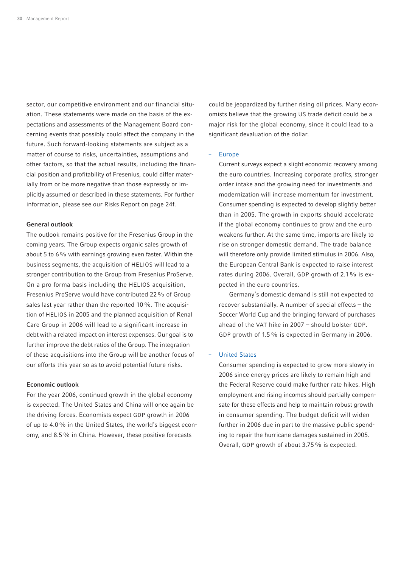sector, our competitive environment and our financial situation. These statements were made on the basis of the expectations and assessments of the Management Board concerning events that possibly could affect the company in the future. Such forward-looking statements are subject as a matter of course to risks, uncertainties, assumptions and other factors, so that the actual results, including the financial position and profitability of Fresenius, could differ materially from or be more negative than those expressly or implicitly assumed or described in these statements. For further information, please see our Risks Report on page 24f.

# **General outlook**

The outlook remains positive for the Fresenius Group in the coming years. The Group expects organic sales growth of about 5 to 6% with earnings growing even faster. Within the business segments, the acquisition of HELIOS will lead to a stronger contribution to the Group from Fresenius ProServe. On a pro forma basis including the HELIOS acquisition, Fresenius ProServe would have contributed 22% of Group sales last year rather than the reported 10%. The acquisition of HELIOS in 2005 and the planned acquisition of Renal Care Group in 2006 will lead to a significant increase in debt with a related impact on interest expenses. Our goal is to further improve the debt ratios of the Group. The integration of these acquisitions into the Group will be another focus of our efforts this year so as to avoid potential future risks.

# **Economic outlook**

For the year 2006, continued growth in the global economy is expected. The United States and China will once again be the driving forces. Economists expect GDP growth in 2006 of up to 4.0% in the United States, the world's biggest economy, and 8.5% in China. However, these positive forecasts

could be jeopardized by further rising oil prices. Many economists believe that the growing US trade deficit could be a major risk for the global economy, since it could lead to a significant devaluation of the dollar.

### – Europe

Current surveys expect a slight economic recovery among the euro countries. Increasing corporate profits, stronger order intake and the growing need for investments and modernization will increase momentum for investment. Consumer spending is expected to develop slightly better than in 2005. The growth in exports should accelerate if the global economy continues to grow and the euro weakens further. At the same time, imports are likely to rise on stronger domestic demand. The trade balance will therefore only provide limited stimulus in 2006. Also, the European Central Bank is expected to raise interest rates during 2006. Overall, GDP growth of 2.1% is expected in the euro countries.

Germany's domestic demand is still not expected to recover substantially. A number of special effects – the Soccer World Cup and the bringing forward of purchases ahead of the VAT hike in 2007 – should bolster GDP. GDP growth of 1.5% is expected in Germany in 2006.

### – United States

Consumer spending is expected to grow more slowly in 2006 since energy prices are likely to remain high and the Federal Reserve could make further rate hikes. High employment and rising incomes should partially compensate for these effects and help to maintain robust growth in consumer spending. The budget deficit will widen further in 2006 due in part to the massive public spending to repair the hurricane damages sustained in 2005. Overall, GDP growth of about 3.75% is expected.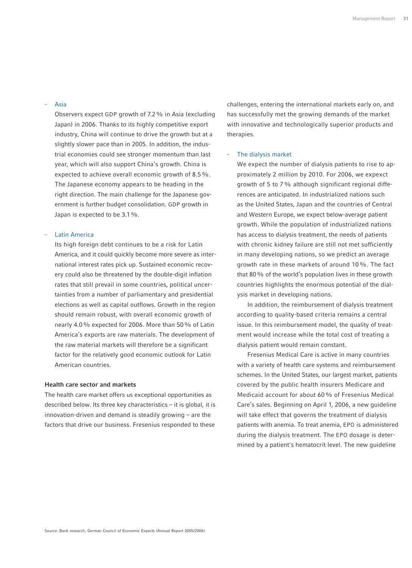# – Asia

Observers expect GDP growth of 7.2% in Asia (excluding Japan) in 2006. Thanks to its highly competitive export industry, China will continue to drive the growth but at a slightly slower pace than in 2005. In addition, the industrial economies could see stronger momentum than last year, which will also support China's growth. China is expected to achieve overall economic growth of 8.5%. The Japanese economy appears to be heading in the right direction. The main challenge for the Japanese government is further budget consolidation. GDP growth in Japan is expected to be 3.1%.

# – Latin America

Its high foreign debt continues to be a risk for Latin America, and it could quickly become more severe as international interest rates pick up. Sustained economic recovery could also be threatened by the double-digit inflation rates that still prevail in some countries, political uncertainties from a number of parliamentary and presidential elections as well as capital outflows. Growth in the region should remain robust, with overall economic growth of nearly 4.0% expected for 2006. More than 50% of Latin America's exports are raw materials. The development of the raw material markets will therefore be a significant factor for the relatively good economic outlook for Latin American countries.

# **Health care sector and markets**

The health care market offers us exceptional opportunities as described below. Its three key characteristics – it is global, it is innovation-driven and demand is steadily growing – are the factors that drive our business. Fresenius responded to these

challenges, entering the international markets early on, and has successfully met the growing demands of the market with innovative and technologically superior products and therapies.

# – The dialysis market

We expect the number of dialysis patients to rise to approximately 2 million by 2010. For 2006, we expexct growth of 5 to 7% although significant regional differences are anticipated. In industrialized nations such as the United States, Japan and the countries of Central and Western Europe, we expect below-average patient growth. While the population of industrialized nations has access to dialysis treatment, the needs of patients with chronic kidney failure are still not met sufficiently in many developing nations, so we predict an average growth rate in these markets of around 10%. The fact that 80% of the world's population lives in these growth countries highlights the enormous potential of the dialysis market in developing nations.

In addition, the reimbursement of dialysis treatment according to quality-based criteria remains a central issue. In this reimbursement model, the quality of treatment would increase while the total cost of treating a dialysis patient would remain constant.

Fresenius Medical Care is active in many countries with a variety of health care systems and reimbursement schemes. In the United States, our largest market, patients covered by the public health insurers Medicare and Medicaid account for about 60% of Fresenius Medical Care's sales. Beginning on April 1, 2006, a new guideline will take effect that governs the treatment of dialysis patients with anemia. To treat anemia, EPO is administered during the dialysis treatment. The EPO dosage is determined by a patient's hematocrit level. The new guideline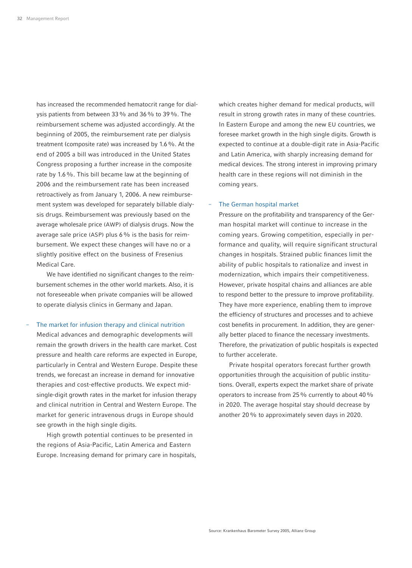has increased the recommended hematocrit range for dialysis patients from between 33% and 36% to 39%. The reimbursement scheme was adjusted accordingly. At the beginning of 2005, the reimbursement rate per dialysis treatment (composite rate) was increased by 1.6%. At the end of 2005 a bill was introduced in the United States Congress proposing a further increase in the composite rate by 1.6%. This bill became law at the beginning of 2006 and the reimbursement rate has been increased retroactively as from January 1, 2006. A new reimbursement system was developed for separately billable dialysis drugs. Reimbursement was previously based on the average wholesale price (AWP) of dialysis drugs. Now the average sale price (ASP) plus 6% is the basis for reimbursement. We expect these changes will have no or a slightly positive effect on the business of Fresenius Medical Care.

We have identified no significant changes to the reimbursement schemes in the other world markets. Also, it is not foreseeable when private companies will be allowed to operate dialysis clinics in Germany and Japan.

# The market for infusion therapy and clinical nutrition

Medical advances and demographic developments will remain the growth drivers in the health care market. Cost pressure and health care reforms are expected in Europe, particularly in Central and Western Europe. Despite these trends, we forecast an increase in demand for innovative therapies and cost-effective products. We expect midsingle-digit growth rates in the market for infusion therapy and clinical nutrition in Central and Western Europe. The market for generic intravenous drugs in Europe should see growth in the high single digits.

High growth potential continues to be presented in the regions of Asia-Pacific, Latin America and Eastern Europe. Increasing demand for primary care in hospitals,

which creates higher demand for medical products, will result in strong growth rates in many of these countries. In Eastern Europe and among the new EU countries, we foresee market growth in the high single digits. Growth is expected to continue at a double-digit rate in Asia-Pacific and Latin America, with sharply increasing demand for medical devices. The strong interest in improving primary health care in these regions will not diminish in the coming years.

#### – The German hospital market

Pressure on the profitability and transparency of the German hospital market will continue to increase in the coming years. Growing competition, especially in performance and quality, will require significant structural changes in hospitals. Strained public finances limit the ability of public hospitals to rationalize and invest in modernization, which impairs their competitiveness. However, private hospital chains and alliances are able to respond better to the pressure to improve profitability. They have more experience, enabling them to improve the efficiency of structures and processes and to achieve cost benefits in procurement. In addition, they are generally better placed to finance the necessary investments. Therefore, the privatization of public hospitals is expected to further accelerate.

Private hospital operators forecast further growth opportunities through the acquisition of public institutions. Overall, experts expect the market share of private operators to increase from 25% currently to about 40% in 2020. The average hospital stay should decrease by another 20% to approximately seven days in 2020.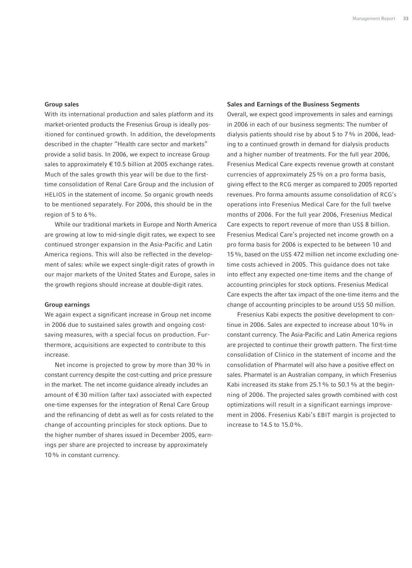# **Group sales**

With its international production and sales platform and its market-oriented products the Fresenius Group is ideally positioned for continued growth. In addition, the developments described in the chapter "Health care sector and markets" provide a solid basis. In 2006, we expect to increase Group sales to approximately €10.5 billion at 2005 exchange rates. Much of the sales growth this year will be due to the firsttime consolidation of Renal Care Group and the inclusion of HELIOS in the statement of income. So organic growth needs to be mentioned separately. For 2006, this should be in the region of 5 to 6%.

While our traditional markets in Europe and North America are growing at low to mid-single digit rates, we expect to see continued stronger expansion in the Asia-Pacific and Latin America regions. This will also be reflected in the development of sales: while we expect single-digit rates of growth in our major markets of the United States and Europe, sales in the growth regions should increase at double-digit rates.

#### **Group earnings**

We again expect a significant increase in Group net income in 2006 due to sustained sales growth and ongoing costsaving measures, with a special focus on production. Furthermore, acquisitions are expected to contribute to this increase.

Net income is projected to grow by more than 30% in constant currency despite the cost-cutting and price pressure in the market. The net income guidance already includes an amount of € 30 million (after tax) associated with expected one-time expenses for the integration of Renal Care Group and the refinancing of debt as well as for costs related to the change of accounting principles for stock options. Due to the higher number of shares issued in December 2005, earnings per share are projected to increase by approximately 10% in constant currency.

### **Sales and Earnings of the Business Segments**

Overall, we expect good improvements in sales and earnings in 2006 in each of our business segments: The number of dialysis patients should rise by about 5 to 7% in 2006, leading to a continued growth in demand for dialysis products and a higher number of treatments. For the full year 2006, Fresenius Medical Care expects revenue growth at constant currencies of approximately 25% on a pro forma basis, giving effect to the RCG merger as compared to 2005 reported revenues. Pro forma amounts assume consolidation of RCG's operations into Fresenius Medical Care for the full twelve months of 2006. For the full year 2006, Fresenius Medical Care expects to report revenue of more than US\$ 8 billion. Fresenius Medical Care's projected net income growth on a pro forma basis for 2006 is expected to be between 10 and 15%, based on the US\$ 472 million net income excluding onetime costs achieved in 2005. This guidance does not take into effect any expected one-time items and the change of accounting principles for stock options. Fresenius Medical Care expects the after tax impact of the one-time items and the change of accounting principles to be around US\$ 50 million.

Fresenius Kabi expects the positive development to continue in 2006. Sales are expected to increase about 10% in constant currency. The Asia-Pacific and Latin America regions are projected to continue their growth pattern. The first-time consolidation of Clinico in the statement of income and the consolidation of Pharmatel will also have a positive effect on sales. Pharmatel is an Australian company, in which Fresenius Kabi increased its stake from 25.1% to 50.1% at the beginning of 2006. The projected sales growth combined with cost optimizations will result in a significant earnings improvement in 2006. Fresenius Kabi's EBIT margin is projected to increase to 14.5 to 15.0%.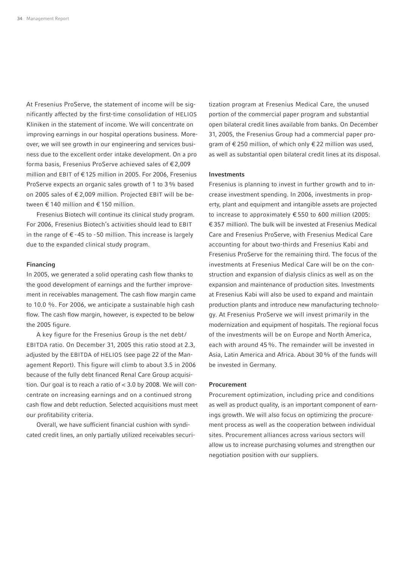At Fresenius ProServe, the statement of income will be significantly affected by the first-time consolidation of HELIOS Kliniken in the statement of income. We will concentrate on improving earnings in our hospital operations business. Moreover, we will see growth in our engineering and services business due to the excellent order intake development. On a pro forma basis, Fresenius ProServe achieved sales of €2,009 million and EBIT of €125 million in 2005. For 2006, Fresenius ProServe expects an organic sales growth of 1 to 3% based on 2005 sales of € 2,009 million. Projected EBIT will be between € 140 million and € 150 million.

Fresenius Biotech will continue its clinical study program. For 2006, Fresenius Biotech's activities should lead to EBIT in the range of  $€ -45$  to  $-50$  million. This increase is largely due to the expanded clinical study program.

#### **Financing**

In 2005, we generated a solid operating cash flow thanks to the good development of earnings and the further improvement in receivables management. The cash flow margin came to 10.0 %. For 2006, we anticipate a sustainable high cash flow. The cash flow margin, however, is expected to be below the 2005 figure.

A key figure for the Fresenius Group is the net debt/ EBITDA ratio. On December 31, 2005 this ratio stood at 2.3, adjusted by the EBITDA of HELIOS (see page 22 of the Management Report). This figure will climb to about 3.5 in 2006 because of the fully debt financed Renal Care Group acquisition. Our goal is to reach a ratio of < 3.0 by 2008. We will concentrate on increasing earnings and on a continued strong cash flow and debt reduction. Selected acquisitions must meet our profitability criteria.

Overall, we have sufficient financial cushion with syndicated credit lines, an only partially utilized receivables securitization program at Fresenius Medical Care, the unused portion of the commercial paper program and substantial open bilateral credit lines available from banks. On December 31, 2005, the Fresenius Group had a commercial paper program of € 250 million, of which only € 22 million was used, as well as substantial open bilateral credit lines at its disposal.

# **Investments**

Fresenius is planning to invest in further growth and to increase investment spending. In 2006, investments in property, plant and equipment and intangible assets are projected to increase to approximately € 550 to 600 million (2005: € 357 million). The bulk will be invested at Fresenius Medical Care and Fresenius ProServe, with Fresenius Medical Care accounting for about two-thirds and Fresenius Kabi and Fresenius ProServe for the remaining third. The focus of the investments at Fresenius Medical Care will be on the construction and expansion of dialysis clinics as well as on the expansion and maintenance of production sites. Investments at Fresenius Kabi will also be used to expand and maintain production plants and introduce new manufacturing technology. At Fresenius ProServe we will invest primarily in the modernization and equipment of hospitals. The regional focus of the investments will be on Europe and North America, each with around 45%. The remainder will be invested in Asia, Latin America and Africa. About 30% of the funds will be invested in Germany.

### **Procurement**

Procurement optimization, including price and conditions as well as product quality, is an important component of earnings growth. We will also focus on optimizing the procurement process as well as the cooperation between individual sites. Procurement alliances across various sectors will allow us to increase purchasing volumes and strengthen our negotiation position with our suppliers.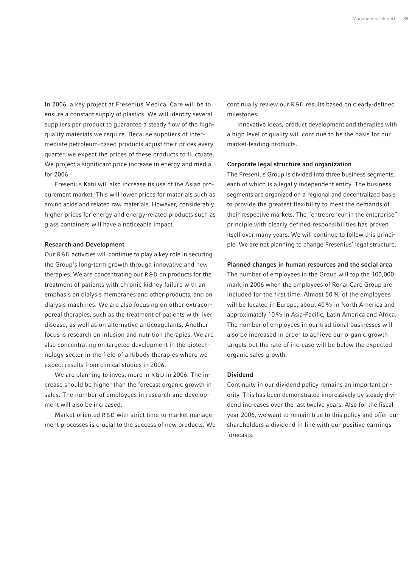In 2006, a key project at Fresenius Medical Care will be to ensure a constant supply of plastics. We will identify several suppliers per product to guarantee a steady flow of the highquality materials we require. Because suppliers of intermediate petroleum-based products adjust their prices every quarter, we expect the prices of these products to fluctuate. We project a significant price increase in energy and media for 2006.

Fresenius Kabi will also increase its use of the Asian procurement market. This will lower prices for materials such as amino acids and related raw materials. However, considerably higher prices for energy and energy-related products such as glass containers will have a noticeable impact.

# **Research and Development**

Our R&D activities will continue to play a key role in securing the Group's long-term growth through innovative and new therapies. We are concentrating our R&D on products for the treatment of patients with chronic kidney failure with an emphasis on dialysis membranes and other products, and on dialysis machines. We are also focusing on other extracorporeal therapies, such as the treatment of patients with liver disease, as well as on alternative anticoagulants. Another focus is research on infusion and nutrition therapies. We are also concentrating on targeted development in the biotechnology sector in the field of antibody therapies where we expect results from clinical studies in 2006.

We are planning to invest more in R&D in 2006. The increase should be higher than the forecast organic growth in sales. The number of employees in research and development will also be increased.

Market-oriented R&D with strict time-to-market management processes is crucial to the success of new products. We continually review our R&D results based on clearly-defined milestones.

Innovative ideas, product development and therapies with a high level of quality will continue to be the basis for our market-leading products.

### **Corporate legal structure and organization**

The Fresenius Group is divided into three business segments, each of which is a legally independent entity. The business segments are organized on a regional and decentralized basis to provide the greatest flexibility to meet the demands of their respective markets. The "entrepreneur in the enterprise" principle with clearly defined responsibilities has proven itself over many years. We will continue to follow this principle. We are not planning to change Fresenius' legal structure.

#### **Planned changes in human resources and the social area**

The number of employees in the Group will top the 100,000 mark in 2006 when the employees of Renal Care Group are included for the first time. Almost 50% of the employees will be located in Europe, about 40% in North America and approximately 10% in Asia-Pacific, Latin America and Africa. The number of employees in our traditional businesses will also be increased in order to achieve our organic growth targets but the rate of increase will be below the expected organic sales growth.

# **Dividend**

Continuity in our dividend policy remains an important priority. This has been demonstrated impressively by steady dividend increases over the last twelve years. Also for the fiscal year 2006, we want to remain true to this policy and offer our shareholders a dividend in line with our positive earnings forecasts.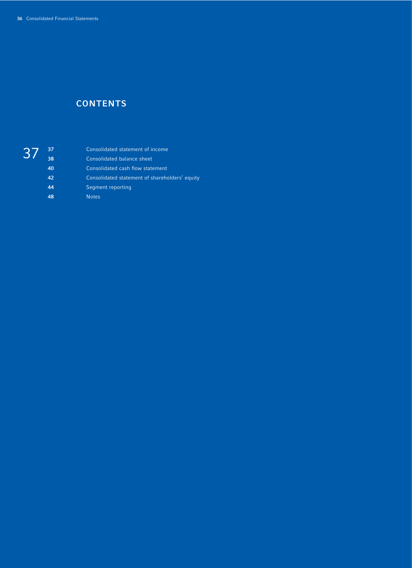## **CONTENTS**

 $37<sup>37</sup>$ 

 Consolidated statement of income **Consolidated balance sheet** 

Consolidated cash flow statement

Consolidated statement of shareholders' equity

Segment reporting

Notes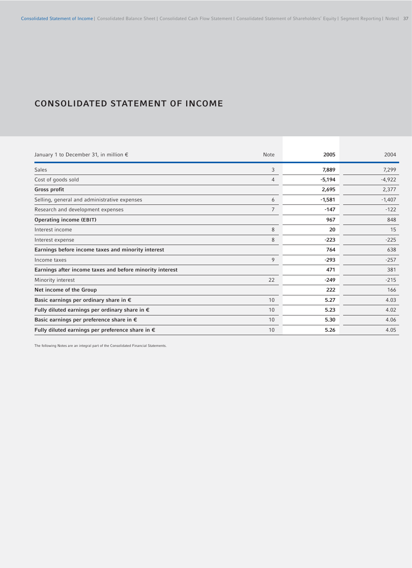## **CONSOLIDATED STATEMENT OF INCOME**

| January 1 to December 31, in million $\epsilon$           | <b>Note</b> | 2005     | 2004     |
|-----------------------------------------------------------|-------------|----------|----------|
| <b>Sales</b>                                              | 3           | 7,889    | 7,299    |
| Cost of goods sold                                        | 4           | $-5,194$ | $-4,922$ |
| Gross profit                                              |             | 2,695    | 2,377    |
| Selling, general and administrative expenses              | 6           | $-1,581$ | $-1,407$ |
| Research and development expenses                         | 7           | $-147$   | $-122$   |
| <b>Operating income (EBIT)</b>                            |             | 967      | 848      |
| Interest income                                           | 8           | 20       | 15       |
| Interest expense                                          | 8           | $-223$   | $-225$   |
| Earnings before income taxes and minority interest        |             | 764      | 638      |
| Income taxes                                              | 9           | $-293$   | $-257$   |
| Earnings after income taxes and before minority interest  |             | 471      | 381      |
| Minority interest                                         | 22          | $-249$   | $-215$   |
| Net income of the Group                                   |             | 222      | 166      |
| Basic earnings per ordinary share in $\epsilon$           | 10          | 5.27     | 4.03     |
| Fully diluted earnings per ordinary share in $\epsilon$   | 10          | 5.23     | 4.02     |
| Basic earnings per preference share in $\epsilon$         | 10          | 5.30     | 4.06     |
| Fully diluted earnings per preference share in $\epsilon$ | 10          | 5.26     | 4.05     |

The following Notes are an integral part of the Consolidated Financial Statements.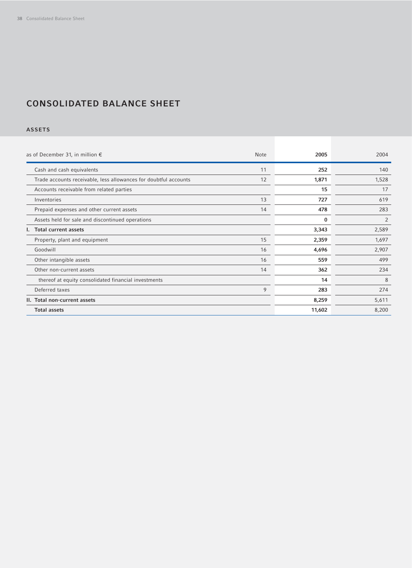# **CONSOLIDATED BALANCE SHEET**

## **ASSETS**

| as of December 31, in million $\epsilon$                         | Note | 2005   | 2004  |
|------------------------------------------------------------------|------|--------|-------|
| Cash and cash equivalents                                        | 11   | 252    | 140   |
| Trade accounts receivable, less allowances for doubtful accounts | 12   | 1,871  | 1,528 |
| Accounts receivable from related parties                         |      | 15     | 17    |
| Inventories                                                      | 13   | 727    | 619   |
| Prepaid expenses and other current assets                        | 14   | 478    | 283   |
| Assets held for sale and discontinued operations                 |      | 0      | 2     |
| I. Total current assets                                          |      | 3,343  | 2,589 |
| Property, plant and equipment                                    | 15   | 2,359  | 1,697 |
| Goodwill                                                         | 16   | 4,696  | 2,907 |
| Other intangible assets                                          | 16   | 559    | 499   |
| Other non-current assets                                         | 14   | 362    | 234   |
| thereof at equity consolidated financial investments             |      | 14     | 8     |
| Deferred taxes                                                   | 9    | 283    | 274   |
| II. Total non-current assets                                     |      | 8,259  | 5,611 |
| <b>Total assets</b>                                              |      | 11,602 | 8,200 |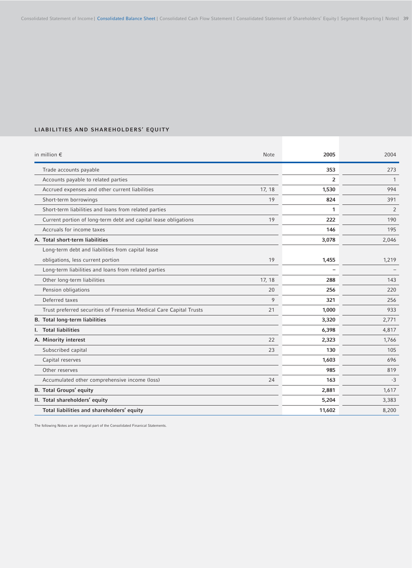Consolidated Statement of Income | Consolidated Balance Sheet | Consolidated Cash Flow Statement | Consolidated Statement of Shareholders' Equity | Segment Reporting | Notes | 39

## **LIABILITIES AND SHAREHOLDERS' EQUITY**

| in million $\epsilon$                                               | <b>Note</b> | 2005           | 2004         |
|---------------------------------------------------------------------|-------------|----------------|--------------|
| Trade accounts payable                                              |             | 353            | 273          |
| Accounts payable to related parties                                 |             | $\overline{2}$ | $\mathbf{1}$ |
| Accrued expenses and other current liabilities                      | 17, 18      | 1,530          | 994          |
| Short-term borrowings                                               | 19          | 824            | 391          |
| Short-term liabilities and loans from related parties               |             | 1              | 2            |
| Current portion of long-term debt and capital lease obligations     | 19          | 222            | 190          |
| Accruals for income taxes                                           |             | 146            | 195          |
| A. Total short-term liabilities                                     |             | 3,078          | 2,046        |
| Long-term debt and liabilities from capital lease                   |             |                |              |
| obligations, less current portion                                   | 19          | 1,455          | 1,219        |
| Long-term liabilities and loans from related parties                |             |                |              |
| Other long-term liabilities                                         | 17, 18      | 288            | 143          |
| Pension obligations                                                 | 20          | 256            | 220          |
| Deferred taxes                                                      | 9           | 321            | 256          |
| Trust preferred securities of Fresenius Medical Care Capital Trusts | 21          | 1,000          | 933          |
| B. Total long-term liabilities                                      |             | 3,320          | 2,771        |
| <b>Total liabilities</b><br>ı.                                      |             | 6,398          | 4,817        |
| A. Minority interest                                                | 22          | 2,323          | 1,766        |
| Subscribed capital                                                  | 23          | 130            | 105          |
| Capital reserves                                                    |             | 1,603          | 696          |
| Other reserves                                                      |             | 985            | 819          |
| Accumulated other comprehensive income (loss)                       | 24          | 163            | $-3$         |
| <b>B.</b> Total Groups' equity                                      |             | 2,881          | 1,617        |
| II. Total shareholders' equity                                      |             | 5,204          | 3,383        |
| Total liabilities and shareholders' equity                          |             | 11,602         | 8,200        |

The following Notes are an integral part of the Consolidated Finanical Statements.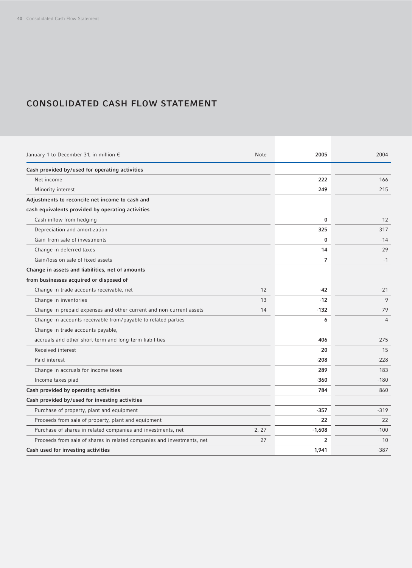# **CONSOLIDATED CASH FLOW STATEMENT**

| January 1 to December 31, in million €                                 | <b>Note</b> | 2005           | 2004           |
|------------------------------------------------------------------------|-------------|----------------|----------------|
| Cash provided by/used for operating activities                         |             |                |                |
| Net income                                                             |             | 222            | 166            |
| Minority interest                                                      |             | 249            | 215            |
| Adjustments to reconcile net income to cash and                        |             |                |                |
| cash equivalents provided by operating activities                      |             |                |                |
| Cash inflow from hedging                                               |             | 0              | 12             |
| Depreciation and amortization                                          |             | 325            | 317            |
| Gain from sale of investments                                          |             | $\bf{0}$       | $-14$          |
| Change in deferred taxes                                               |             | 14             | 29             |
| Gain/loss on sale of fixed assets                                      |             | $\overline{7}$ | $-1$           |
| Change in assets and liabilities, net of amounts                       |             |                |                |
| from businesses acquired or disposed of                                |             |                |                |
| Change in trade accounts receivable, net                               | 12          | $-42$          | $-21$          |
| Change in inventories                                                  | 13          | $-12$          | 9              |
| Change in prepaid expenses and other current and non-current assets    | 14          | $-132$         | 79             |
| Change in accounts receivable from/payable to related parties          |             | 6              | $\overline{4}$ |
| Change in trade accounts payable,                                      |             |                |                |
| accruals and other short-term and long-term liabilities                |             | 406            | 275            |
| Received interest                                                      |             | 20             | 15             |
| Paid interest                                                          |             | $-208$         | $-228$         |
| Change in accruals for income taxes                                    |             | 289            | 183            |
| Income taxes piad                                                      |             | $-360$         | $-180$         |
| Cash provided by operating activities                                  |             | 784            | 860            |
| Cash provided by/used for investing activities                         |             |                |                |
| Purchase of property, plant and equipment                              |             | $-357$         | $-319$         |
| Proceeds from sale of property, plant and equipment                    |             | 22             | 22             |
| Purchase of shares in related companies and investments, net           | 2, 27       | $-1,608$       | $-100$         |
| Proceeds from sale of shares in related companies and investments, net | 27          | 2              | 10             |
| Cash used for investing activities                                     |             | 1,941          | $-387$         |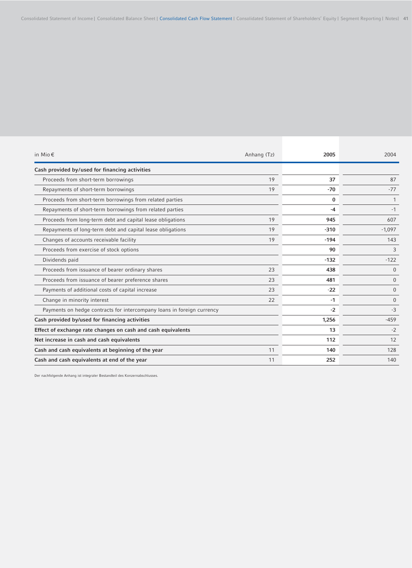Consolidated Statement of Income | Consolidated Balance Sheet | Consolidated Cash Flow Statement | Consolidated Statement of Shareholders' Equity | Segment Reporting | Notes | 41

| in Mio€                                                                | Anhang (Tz) | 2005   | 2004         |
|------------------------------------------------------------------------|-------------|--------|--------------|
| Cash provided by/used for financing activities                         |             |        |              |
| Proceeds from short-term borrowings                                    | 19          | 37     | 87           |
| Repayments of short-term borrowings                                    | 19          | $-70$  | $-77$        |
| Proceeds from short-term borrowings from related parties               |             | 0      | 1            |
| Repayments of short-term borrowings from related parties               |             | $-4$   | $-1$         |
| Proceeds from long-term debt and capital lease obligations             | 19          | 945    | 607          |
| Repayments of long-term debt and capital lease obligations             | 19          | $-310$ | $-1,097$     |
| Changes of accounts receivable facility                                | 19          | $-194$ | 143          |
| Proceeds from exercise of stock options                                |             | 90     | 3            |
| Dividends paid                                                         |             | $-132$ | $-122$       |
| Proceeds from issuance of bearer ordinary shares                       | 23          | 438    | $\Omega$     |
| Proceeds from issuance of bearer preference shares                     | 23          | 481    | $\Omega$     |
| Payments of additional costs of capital increase                       | 23          | $-22$  | $\Omega$     |
| Change in minority interest                                            | 22          | $-1$   | $\mathbf{0}$ |
| Payments on hedge contracts for intercompany loans in foreign currency |             | $-2$   | $-3$         |
| Cash provided by/used for financing activities                         |             | 1,256  | $-459$       |
| Effect of exchange rate changes on cash and cash equivalents           |             | 13     | $-2$         |
| Net increase in cash and cash equivalents                              |             | 112    | 12           |
| Cash and cash equivalents at beginning of the year                     | 11          | 140    | 128          |
| Cash and cash equivalents at end of the year                           | 11          | 252    | 140          |

Der nachfolgende Anhang ist integraler Bestandteil des Konzernabschlusses.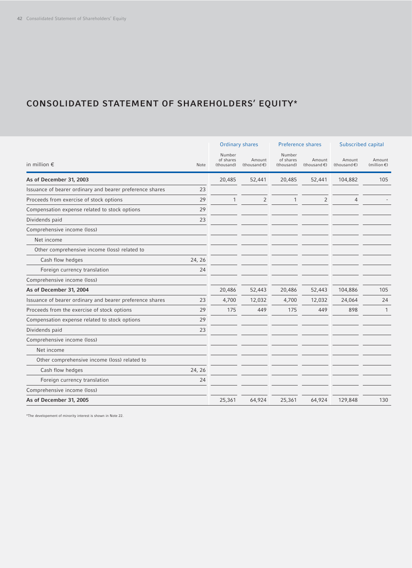# **CONSOLIDATED STATEMENT OF SHAREHOLDERS' EQUITY\***

|                                                          |        |                                   | Ordinary shares                  | Preference shares                 |                                  | Subscribed capital               |                                 |
|----------------------------------------------------------|--------|-----------------------------------|----------------------------------|-----------------------------------|----------------------------------|----------------------------------|---------------------------------|
| in million $\epsilon$                                    | Note   | Number<br>of shares<br>(thousand) | Amount<br>(thousand $\epsilon$ ) | Number<br>of shares<br>(thousand) | Amount<br>(thousand $\epsilon$ ) | Amount<br>(thousand $\epsilon$ ) | Amount<br>(million $\epsilon$ ) |
| As of December 31, 2003                                  |        | 20,485                            | 52,441                           | 20,485                            | 52,441                           | 104,882                          | 105                             |
| Issuance of bearer ordinary and bearer preference shares | 23     |                                   |                                  |                                   |                                  |                                  |                                 |
| Proceeds from exercise of stock options                  | 29     | $\mathbf{1}$                      | $\overline{2}$                   | $\mathbf 1$                       | $\overline{2}$                   | $\overline{4}$                   |                                 |
| Compensation expense related to stock options            | 29     |                                   |                                  |                                   |                                  |                                  |                                 |
| Dividends paid                                           | 23     |                                   |                                  |                                   |                                  |                                  |                                 |
| Comprehensive income (loss)                              |        |                                   |                                  |                                   |                                  |                                  |                                 |
| Net income                                               |        |                                   |                                  |                                   |                                  |                                  |                                 |
| Other comprehensive income (loss) related to             |        |                                   |                                  |                                   |                                  |                                  |                                 |
| Cash flow hedges                                         | 24, 26 |                                   |                                  |                                   |                                  |                                  |                                 |
| Foreign currency translation                             | 24     |                                   |                                  |                                   |                                  |                                  |                                 |
| Comprehensive income (loss)                              |        |                                   |                                  |                                   |                                  |                                  |                                 |
| As of December 31, 2004                                  |        | 20,486                            | 52,443                           | 20,486                            | 52,443                           | 104,886                          | 105                             |
| Issuance of bearer ordinary and bearer preference shares | 23     | 4,700                             | 12,032                           | 4,700                             | 12,032                           | 24,064                           | 24                              |
| Proceeds from the exercise of stock options              | 29     | 175                               | 449                              | 175                               | 449                              | 898                              | $\mathbf{1}$                    |
| Compensation expense related to stock options            | 29     |                                   |                                  |                                   |                                  |                                  |                                 |
| Dividends paid                                           | 23     |                                   |                                  |                                   |                                  |                                  |                                 |
| Comprehensive income (loss)                              |        |                                   |                                  |                                   |                                  |                                  |                                 |
| Net income                                               |        |                                   |                                  |                                   |                                  |                                  |                                 |
| Other comprehensive income (loss) related to             |        |                                   |                                  |                                   |                                  |                                  |                                 |
| Cash flow hedges                                         | 24, 26 |                                   |                                  |                                   |                                  |                                  |                                 |
| Foreign currency translation                             | 24     |                                   |                                  |                                   |                                  |                                  |                                 |
| Comprehensive income (loss)                              |        |                                   |                                  |                                   |                                  |                                  |                                 |
| As of December 31, 2005                                  |        | 25,361                            | 64,924                           | 25,361                            | 64,924                           | 129,848                          | 130                             |

\*The developement of minority interest is shown in Note 22.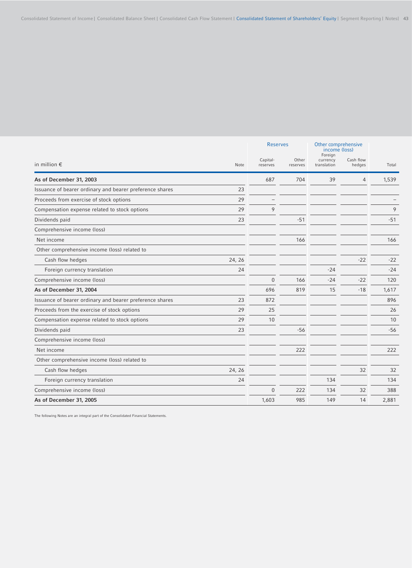|                                                          |        | <b>Reserves</b>      |                   | Other comprehensive<br>income (loss) |                     |       |  |
|----------------------------------------------------------|--------|----------------------|-------------------|--------------------------------------|---------------------|-------|--|
| in million $\epsilon$                                    | Note   | Capital-<br>reserves | Other<br>reserves | Foreign<br>currency<br>translation   | Cash flow<br>hedges | Total |  |
| As of December 31, 2003                                  |        | 687                  | 704               | 39                                   | $\overline{4}$      | 1,539 |  |
| Issuance of bearer ordinary and bearer preference shares | 23     |                      |                   |                                      |                     |       |  |
| Proceeds from exercise of stock options                  | 29     |                      |                   |                                      |                     |       |  |
| Compensation expense related to stock options            | 29     | 9                    |                   |                                      |                     | 9     |  |
| Dividends paid                                           | 23     |                      | $-51$             |                                      |                     | $-51$ |  |
| Comprehensive income (loss)                              |        |                      |                   |                                      |                     |       |  |
| Net income                                               |        |                      | 166               |                                      |                     | 166   |  |
| Other comprehensive income (loss) related to             |        |                      |                   |                                      |                     |       |  |
| Cash flow hedges                                         | 24, 26 |                      |                   |                                      | $-22$               | $-22$ |  |
| Foreign currency translation                             | 24     |                      |                   | $-24$                                |                     | $-24$ |  |
| Comprehensive income (loss)                              |        | $\overline{0}$       | 166               | $-24$                                | $-22$               | 120   |  |
| As of December 31, 2004                                  |        | 696                  | 819               | 15                                   | $-18$               | 1,617 |  |
| Issuance of bearer ordinary and bearer preference shares | 23     | 872                  |                   |                                      |                     | 896   |  |
| Proceeds from the exercise of stock options              | 29     | 25                   |                   |                                      |                     | 26    |  |
| Compensation expense related to stock options            | 29     | 10                   |                   |                                      |                     | 10    |  |
| Dividends paid                                           | 23     |                      | $-56$             |                                      |                     | $-56$ |  |
| Comprehensive income (loss)                              |        |                      |                   |                                      |                     |       |  |
| Net income                                               |        |                      | 222               |                                      |                     | 222   |  |
| Other comprehensive income (loss) related to             |        |                      |                   |                                      |                     |       |  |
| Cash flow hedges                                         | 24, 26 |                      |                   |                                      | 32                  | 32    |  |
| Foreign currency translation                             | 24     |                      |                   | 134                                  |                     | 134   |  |
| Comprehensive income (loss)                              |        | $\overline{0}$       | 222               | 134                                  | 32                  | 388   |  |
| As of December 31, 2005                                  |        | 1,603                | 985               | 149                                  | 14                  | 2,881 |  |

The following Notes are an integral part of the Consolidated Financial Statements.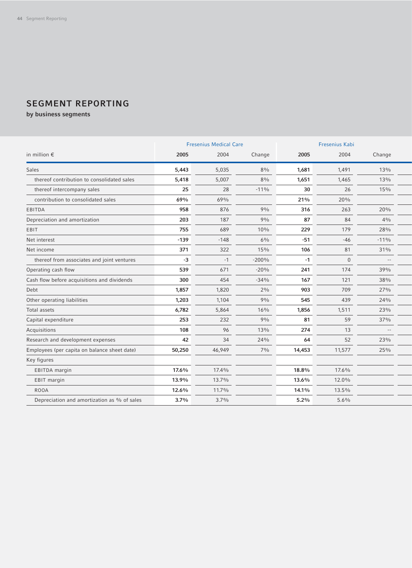# **SEGMENT REPORTING**

**by business segments** 

|                                              |        | <b>Fresenius Medical Care</b> |         |        | Fresenius Kabi |        |
|----------------------------------------------|--------|-------------------------------|---------|--------|----------------|--------|
| in million $\epsilon$                        | 2005   | 2004                          | Change  | 2005   | 2004           | Change |
| <b>Sales</b>                                 | 5,443  | 5,035                         | 8%      | 1.681  | 1,491          | 13%    |
| thereof contribution to consolidated sales   | 5,418  | 5,007                         | $8\%$   | 1,651  | 1,465          | 13%    |
| thereof intercompany sales                   | 25     | 28                            | $-11%$  | 30     | 26             | 15%    |
| contribution to consolidated sales           | 69%    | 69%                           |         | 21%    | 20%            |        |
| EBITDA                                       | 958    | 876                           | 9%      | 316    | 263            | 20%    |
| Depreciation and amortization                | 203    | 187                           | 9%      | 87     | 84             | 4%     |
| EBIT                                         | 755    | 689                           | 10%     | 229    | 179            | 28%    |
| Net interest                                 | $-139$ | $-148$                        | 6%      | $-51$  | $-46$          | $-11%$ |
| Net income                                   | 371    | 322                           | 15%     | 106    | 81             | 31%    |
| thereof from associates and joint ventures   | -3     | $-1$                          | $-200%$ | $-1$   | $\overline{0}$ |        |
| Operating cash flow                          | 539    | 671                           | $-20%$  | 241    | 174            | 39%    |
| Cash flow before acquisitions and dividends  | 300    | 454                           | $-34%$  | 167    | 121            | 38%    |
| Debt                                         | 1,857  | 1,820                         | 2%      | 903    | 709            | 27%    |
| Other operating liabilities                  | 1,203  | 1,104                         | 9%      | 545    | 439            | 24%    |
| <b>Total assets</b>                          | 6,782  | 5,864                         | 16%     | 1,856  | 1,511          | 23%    |
| Capital expenditure                          | 253    | 232                           | 9%      | 81     | 59             | 37%    |
| Acquisitions                                 | 108    | 96                            | 13%     | 274    | 13             |        |
| Research and development expenses            | 42     | 34                            | 24%     | 64     | 52             | 23%    |
| Employees (per capita on balance sheet date) | 50,250 | 46,949                        | 7%      | 14,453 | 11,577         | 25%    |
| Key figures                                  |        |                               |         |        |                |        |
| EBITDA margin                                | 17.6%  | 17.4%                         |         | 18.8%  | 17.6%          |        |
| EBIT margin                                  | 13.9%  | 13.7%                         |         | 13.6%  | 12.0%          |        |
| <b>ROOA</b>                                  | 12.6%  | 11.7%                         |         | 14.1%  | 13.5%          |        |
| Depreciation and amortization as % of sales  | 3.7%   | 3.7%                          |         | 5.2%   | 5.6%           |        |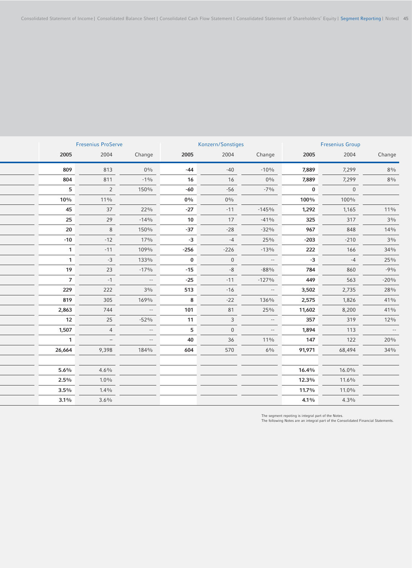|                | <b>Fresenius ProServe</b> |                           | Konzern/Sonstiges |              |                                                     | <b>Fresenius Group</b> |             |                          |
|----------------|---------------------------|---------------------------|-------------------|--------------|-----------------------------------------------------|------------------------|-------------|--------------------------|
| 2005           | 2004                      | Change                    | 2005              | 2004         | Change                                              | 2005                   | 2004        | Change                   |
| 809            | 813                       | $0\%$                     | $-44$             | $-40$        | $-10%$                                              | 7,889                  | 7,299       | $8\%$                    |
| 804            | 811                       | $-1\%$                    | 16                | 16           | $0\%$                                               | 7,889                  | 7,299       | $8\%$                    |
| 5              | $\overline{2}$            | 150%                      | $-60$             | $-56$        | $-7%$                                               | $\mathbf 0$            | $\mathbf 0$ |                          |
| 10%            | 11%                       |                           | $0\%$             | $0\%$        |                                                     | 100%                   | 100%        |                          |
| 45             | 37                        | 22%                       | $-27$             | $-11$        | $-145%$                                             | 1,292                  | 1,165       | 11%                      |
| 25             | 29                        | $-14%$                    | 10                | 17           | $-41%$                                              | 325                    | 317         | $3\%$                    |
| 20             | 8                         | 150%                      | $-37$             | $-28$        | $-32%$                                              | 967                    | 848         | 14%                      |
| $-10$          | $-12$                     | 17%                       | $-3$              | $-4$         | 25%                                                 | $-203$                 | $-210$      | $3\%$                    |
| 1              | $-11$                     | 109%                      | $-256$            | $-226$       | $-13%$                                              | 222                    | 166         | 34%                      |
| $\mathbf{1}$   | $-3$                      | 133%                      | $\mathbf 0$       | $\mathbf 0$  | $\hspace{0.05cm} -\hspace{0.05cm} -\hspace{0.05cm}$ | $-3$                   | $-4$        | 25%                      |
| 19             | 23                        | $-17%$                    | $-15$             | $-8$         | $-88%$                                              | 784                    | 860         | $-9%$                    |
| $\overline{7}$ | $-1$                      | $\mathbb{L}^{\mathbb{L}}$ | $-25$             | $-11$        | $-127%$                                             | 449                    | 563         | $-20%$                   |
| 229            | 222                       | $3\%$                     | 513               | $-16$        | $\overline{\phantom{a}}$                            | 3,502                  | 2,735       | 28%                      |
| 819            | 305                       | 169%                      | 8                 | $-22$        | 136%                                                | 2,575                  | 1,826       | 41%                      |
| 2,863          | 744                       | $\overline{\phantom{a}}$  | 101               | 81           | 25%                                                 | 11,602                 | 8,200       | 41%                      |
| 12             | 25                        | $-52%$                    | 11                | 3            | $\overline{\phantom{a}}$                            | 357                    | 319         | 12%                      |
| 1,507          | $\overline{4}$            | $\overline{\phantom{a}}$  | 5                 | $\mathbf{0}$ | $\overline{\phantom{a}}$                            | 1,894                  | 113         | $\overline{\phantom{a}}$ |
| $\mathbf{1}$   | $\qquad \qquad -$         | $-\,-$                    | 40                | 36           | $11\%$                                              | 147                    | 122         | 20%                      |
| 26,664         | 9,398                     | 184%                      | 604               | 570          | $6\%$                                               | 91,971                 | 68,494      | 34%                      |
|                |                           |                           |                   |              |                                                     |                        |             |                          |
| 5.6%           | 4.6%                      |                           |                   |              |                                                     | 16.4%                  | 16.0%       |                          |
| 2.5%           | $1.0\%$                   |                           |                   |              |                                                     | 12.3%                  | 11.6%       |                          |
| 3.5%           | 1.4%                      |                           |                   |              |                                                     | 11.7%                  | 11.0%       |                          |
| 3.1%           | 3.6%                      |                           |                   |              |                                                     | 4.1%                   | $4.3\%$     |                          |

The segment repoting is integral part of the Notes. The following Notes are an integral part of the Consolidated Financial Statements.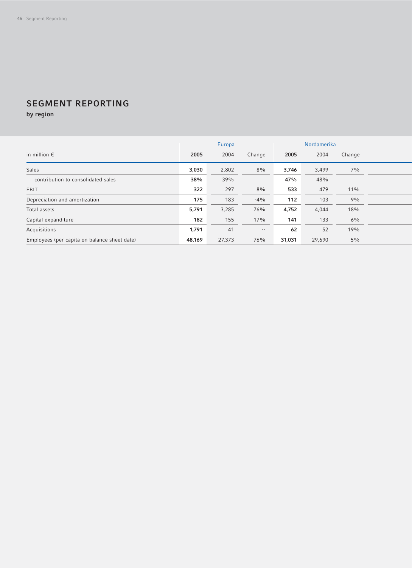# **SEGMENT REPORTING**

**by region**

|                                              |        | Europa |        |        | Nordamerika |        |  |
|----------------------------------------------|--------|--------|--------|--------|-------------|--------|--|
| in million $\epsilon$                        | 2005   | 2004   | Change | 2005   | 2004        | Change |  |
| Sales                                        | 3,030  | 2,802  | $8\%$  | 3,746  | 3,499       | $7\%$  |  |
| contribution to consolidated sales           | 38%    | 39%    |        | 47%    | 48%         |        |  |
| EBIT                                         | 322    | 297    | 8%     | 533    | 479         | $11\%$ |  |
| Depreciation and amortization                | 175    | 183    | $-4%$  | 112    | 103         | 9%     |  |
| Total assets                                 | 5,791  | 3,285  | 76%    | 4,752  | 4,044       | 18%    |  |
| Capital expanditure                          | 182    | 155    | 17%    | 141    | 133         | 6%     |  |
| Acquisitions                                 | 1,791  | 41     | $-\,-$ | 62     | 52          | 19%    |  |
| Employees (per capita on balance sheet date) | 48,169 | 27,373 | 76%    | 31,031 | 29,690      | $5\%$  |  |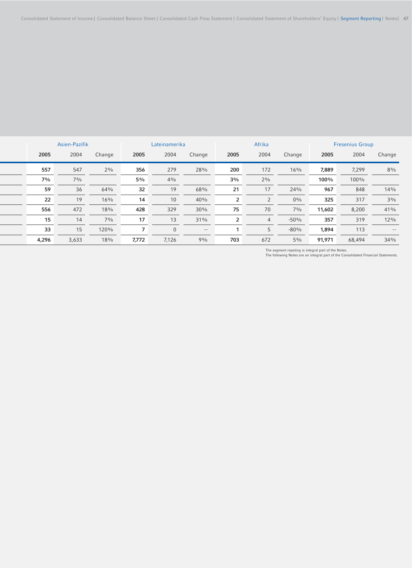|       | Asien-Pazifik |        | Lateinamerika |             |        | Afrika         |                |        | <b>Fresenius Group</b> |        |                   |
|-------|---------------|--------|---------------|-------------|--------|----------------|----------------|--------|------------------------|--------|-------------------|
| 2005  | 2004          | Change | 2005          | 2004        | Change | 2005           | 2004           | Change | 2005                   | 2004   | Change            |
| 557   | 547           | $2\%$  | 356           | 279         | 28%    | 200            | 172            | 16%    | 7,889                  | 7,299  | $8\%$             |
| 7%    | $7\%$         |        | 5%            | 4%          |        | 3%             | 2%             |        | 100%                   | 100%   |                   |
| 59    | 36            | 64%    | 32            | 19          | 68%    | 21             | 17             | 24%    | 967                    | 848    | 14%               |
| 22    | 19            | 16%    | 14            | 10          | 40%    | $\overline{2}$ | $\overline{2}$ | $0\%$  | 325                    | 317    | $3\%$             |
| 556   | 472           | 18%    | 428           | 329         | 30%    | 75             | 70             | $7\%$  | 11,602                 | 8,200  | 41%               |
| 15    | 14            | $7\%$  | 17            | 13          | 31%    | $\overline{2}$ | $\overline{4}$ | $-50%$ | 357                    | 319    | 12%               |
| 33    | 15            | 120%   | 7             | $\mathbf 0$ | $-\,-$ | 1              | 5              | $-80%$ | 1,894                  | 113    | $\qquad \qquad -$ |
| 4,296 | 3,633         | 18%    | 7,772         | 7,126       | 9%     | 703            | 672            | $5\%$  | 91,971                 | 68,494 | 34%               |

The segment repoting is integral part of the Notes. The following Notes are an integral part of the Consolidated Financial Statements.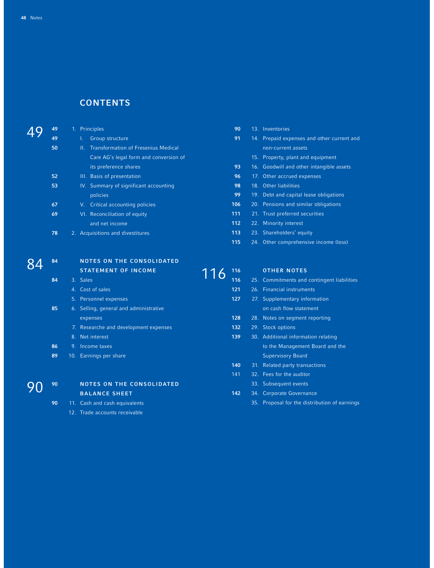## **CONTENTS**

| 49 | 1. Principles                                    | 90        | 13. Inventories                            |
|----|--------------------------------------------------|-----------|--------------------------------------------|
| 49 | Group structure<br>L.                            | 91        | 14. Prepaid expenses and other current and |
| 50 | <b>Transformation of Fresenius Medical</b><br>Ш. |           | non-current assets                         |
|    | Care AG's legal form and conversion of           |           | 15. Property, plant and equipment          |
|    | its preference shares                            | 93        | 16. Goodwill and other intangible assets   |
| 52 | III. Basis of presentation                       | 96        | 17. Other accrued expenses                 |
| 53 | IV. Summary of significant accounting            | 98        | 18. Other liabilities                      |
|    | policies                                         | 99        | 19. Debt and capital lease obligations     |
| 67 | V. Critical accounting policies                  | 106       | 20. Pensions and similar obligations       |
| 69 | VI. Reconciliation of equity                     | 111       | 21. Trust preferred securities             |
|    | and net income                                   | 112       | 22. Minority interest                      |
| 78 | 2. Acquisitions and divestitures                 | 113       | 23. Shareholders' equity                   |
|    |                                                  | 115       | 24. Other comprehensive income (loss)      |
| 84 | <b>NOTES ON THE CONSOLIDATED</b>                 |           |                                            |
|    |                                                  |           |                                            |
|    | <b>STATEMENT OF INCOME</b>                       | 116       | <b>OTHER NOTES</b>                         |
| 84 | 3. Sales                                         | 16<br>116 | 25. Commitments and contingent liabilities |
|    | 4. Cost of sales                                 | 121       | 26. Financial instruments                  |
|    | 5. Personnel expenses                            | 127       | 27. Supplementary information              |
| 85 | 6. Selling, general and administrative           |           | on cash flow statement                     |
|    | expenses                                         | 128       | 28. Notes on segment reporting             |
|    | 7. Researche and development expenses            | 132       | 29. Stock options                          |
|    | 8. Net interest                                  | 139       | 30. Additional information relating        |
| 86 | 9. Income taxes                                  |           | to the Management Board and the            |
| 89 | 10. Earnings per share                           |           | <b>Supervisory Board</b>                   |
|    |                                                  | 140       | 31. Related party transactions             |
|    |                                                  | 141       | 32. Fees for the auditor                   |
| 90 | <b>NOTES ON THE CONSOLIDATED</b>                 |           | 33. Subsequent events                      |
|    | <b>BALANCE SHEET</b>                             | 142       | 34. Corporate Governance                   |

12. Trade accounts receivable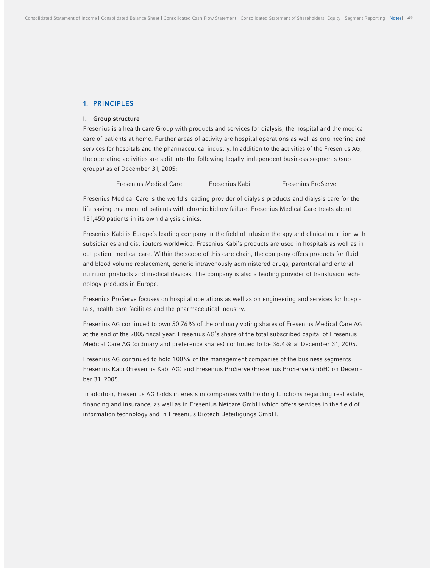## **1. PRINCIPLES**

#### **I. Group structure**

Fresenius is a health care Group with products and services for dialysis, the hospital and the medical care of patients at home. Further areas of activity are hospital operations as well as engineering and services for hospitals and the pharmaceutical industry. In addition to the activities of the Fresenius AG, the operating activities are split into the following legally-independent business segments (subgroups) as of December 31, 2005:

– Fresenius Medical Care – Fresenius Kabi – Fresenius ProServe

Fresenius Medical Care is the world's leading provider of dialysis products and dialysis care for the life-saving treatment of patients with chronic kidney failure. Fresenius Medical Care treats about 131,450 patients in its own dialysis clinics.

Fresenius Kabi is Europe's leading company in the field of infusion therapy and clinical nutrition with subsidiaries and distributors worldwide. Fresenius Kabi's products are used in hospitals as well as in out-patient medical care. Within the scope of this care chain, the company offers products for fluid and blood volume replacement, generic intravenously administered drugs, parenteral and enteral nutrition products and medical devices. The company is also a leading provider of transfusion technology products in Europe.

Fresenius ProServe focuses on hospital operations as well as on engineering and services for hospitals, health care facilities and the pharmaceutical industry.

Fresenius AG continued to own 50.76% of the ordinary voting shares of Fresenius Medical Care AG at the end of the 2005 fiscal year. Fresenius AG's share of the total subscribed capital of Fresenius Medical Care AG (ordinary and preference shares) continued to be 36.4% at December 31, 2005.

Fresenius AG continued to hold 100% of the management companies of the business segments Fresenius Kabi (Fresenius Kabi AG) and Fresenius ProServe (Fresenius ProServe GmbH) on December 31, 2005.

In addition, Fresenius AG holds interests in companies with holding functions regarding real estate, financing and insurance, as well as in Fresenius Netcare GmbH which offers services in the field of information technology and in Fresenius Biotech Beteiligungs GmbH.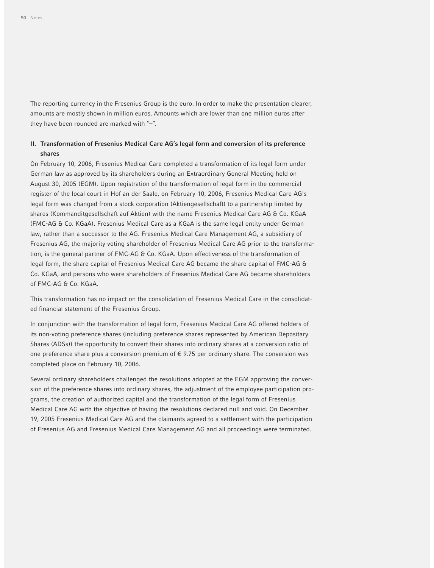The reporting currency in the Fresenius Group is the euro. In order to make the presentation clearer, amounts are mostly shown in million euros. Amounts which are lower than one million euros after they have been rounded are marked with "-".

## **II. Transformation of Fresenius Medical Care AG's legal form and conversion of its preference shares**

On February 10, 2006, Fresenius Medical Care completed a transformation of its legal form under German law as approved by its shareholders during an Extraordinary General Meeting held on August 30, 2005 (EGM). Upon registration of the transformation of legal form in the commercial register of the local court in Hof an der Saale, on February 10, 2006, Fresenius Medical Care AG's legal form was changed from a stock corporation (Aktiengesellschaft) to a partnership limited by shares (Kommanditgesellschaft auf Aktien) with the name Fresenius Medical Care AG & Co. KGaA (FMC-AG & Co. KGaA). Fresenius Medical Care as a KGaA is the same legal entity under German law, rather than a successor to the AG. Fresenius Medical Care Management AG, a subsidiary of Fresenius AG, the majority voting shareholder of Fresenius Medical Care AG prior to the transformation, is the general partner of FMC-AG & Co. KGaA. Upon effectiveness of the transformation of legal form, the share capital of Fresenius Medical Care AG became the share capital of FMC-AG & Co. KGaA, and persons who were shareholders of Fresenius Medical Care AG became shareholders of FMC-AG & Co. KGaA.

This transformation has no impact on the consolidation of Fresenius Medical Care in the consolidated financial statement of the Fresenius Group.

In conjunction with the transformation of legal form, Fresenius Medical Care AG offered holders of its non-voting preference shares (including preference shares represented by American Depositary Shares (ADSs)) the opportunity to convert their shares into ordinary shares at a conversion ratio of one preference share plus a conversion premium of  $\epsilon$  9.75 per ordinary share. The conversion was completed place on February 10, 2006.

Several ordinary shareholders challenged the resolutions adopted at the EGM approving the conversion of the preference shares into ordinary shares, the adjustment of the employee participation programs, the creation of authorized capital and the transformation of the legal form of Fresenius Medical Care AG with the objective of having the resolutions declared null and void. On December 19, 2005 Fresenius Medical Care AG and the claimants agreed to a settlement with the participation of Fresenius AG and Fresenius Medical Care Management AG and all proceedings were terminated.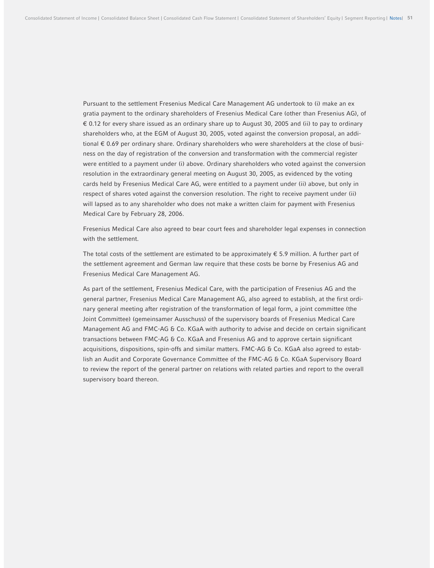Pursuant to the settlement Fresenius Medical Care Management AG undertook to (i) make an ex gratia payment to the ordinary shareholders of Fresenius Medical Care (other than Fresenius AG), of € 0.12 for every share issued as an ordinary share up to August 30, 2005 and (ii) to pay to ordinary shareholders who, at the EGM of August 30, 2005, voted against the conversion proposal, an additional € 0.69 per ordinary share. Ordinary shareholders who were shareholders at the close of business on the day of registration of the conversion and transformation with the commercial register were entitled to a payment under (i) above. Ordinary shareholders who voted against the conversion resolution in the extraordinary general meeting on August 30, 2005, as evidenced by the voting cards held by Fresenius Medical Care AG, were entitled to a payment under (ii) above, but only in respect of shares voted against the conversion resolution. The right to receive payment under (ii) will lapsed as to any shareholder who does not make a written claim for payment with Fresenius Medical Care by February 28, 2006.

Fresenius Medical Care also agreed to bear court fees and shareholder legal expenses in connection with the settlement.

The total costs of the settlement are estimated to be approximately  $\epsilon$  5.9 million. A further part of the settlement agreement and German law require that these costs be borne by Fresenius AG and Fresenius Medical Care Management AG.

As part of the settlement, Fresenius Medical Care, with the participation of Fresenius AG and the general partner, Fresenius Medical Care Management AG, also agreed to establish, at the first ordinary general meeting after registration of the transformation of legal form, a joint committee (the Joint Committee) (gemeinsamer Ausschuss) of the supervisory boards of Fresenius Medical Care Management AG and FMC-AG & Co. KGaA with authority to advise and decide on certain significant transactions between FMC-AG & Co. KGaA and Fresenius AG and to approve certain significant acquisitions, dispositions, spin-offs and similar matters. FMC-AG & Co. KGaA also agreed to establish an Audit and Corporate Governance Committee of the FMC-AG & Co. KGaA Supervisory Board to review the report of the general partner on relations with related parties and report to the overall supervisory board thereon.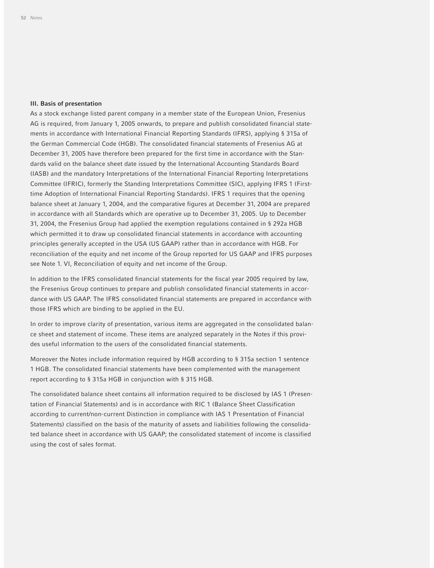## **III. Basis of presentation**

As a stock exchange listed parent company in a member state of the European Union, Fresenius AG is required, from January 1, 2005 onwards, to prepare and publish consolidated financial statements in accordance with International Financial Reporting Standards (IFRS), applying § 315a of the German Commercial Code (HGB). The consolidated financial statements of Fresenius AG at December 31, 2005 have therefore been prepared for the first time in accordance with the Standards valid on the balance sheet date issued by the International Accounting Standards Board (IASB) and the mandatory Interpretations of the International Financial Reporting Interpretations Committee (IFRIC), formerly the Standing Interpretations Committee (SIC), applying IFRS 1 (Firsttime Adoption of International Financial Reporting Standards). IFRS 1 requires that the opening balance sheet at January 1, 2004, and the comparative figures at December 31, 2004 are prepared in accordance with all Standards which are operative up to December 31, 2005. Up to December 31, 2004, the Fresenius Group had applied the exemption regulations contained in § 292a HGB which permitted it to draw up consolidated financial statements in accordance with accounting principles generally accepted in the USA (US GAAP) rather than in accordance with HGB. For reconciliation of the equity and net income of the Group reported for US GAAP and IFRS purposes see Note 1. VI, Reconciliation of equity and net income of the Group.

In addition to the IFRS consolidated financial statements for the fiscal year 2005 required by law, the Fresenius Group continues to prepare and publish consolidated financial statements in accordance with US GAAP. The IFRS consolidated financial statements are prepared in accordance with those IFRS which are binding to be applied in the EU.

In order to improve clarity of presentation, various items are aggregated in the consolidated balance sheet and statement of income. These items are analyzed separately in the Notes if this provides useful information to the users of the consolidated financial statements.

Moreover the Notes include information required by HGB according to § 315a section 1 sentence 1 HGB. The consolidated financial statements have been complemented with the management report according to § 315a HGB in conjunction with § 315 HGB.

The consolidated balance sheet contains all information required to be disclosed by IAS 1 (Presentation of Financial Statements) and is in accordance with RIC 1 (Balance Sheet Classification according to current/non-current Distinction in compliance with IAS 1 Presentation of Financial Statements) classified on the basis of the maturity of assets and liabilities following the consolidated balance sheet in accordance with US GAAP; the consolidated statement of income is classified using the cost of sales format.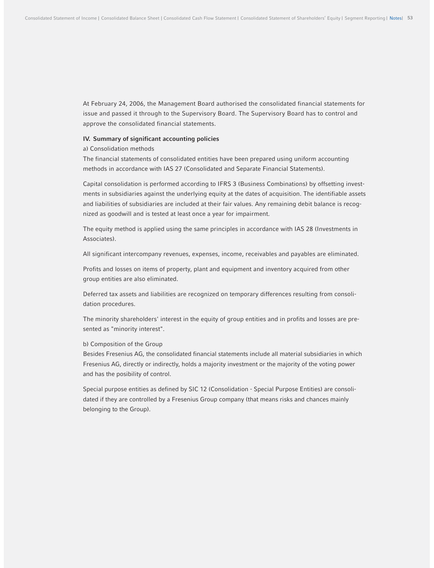At February 24, 2006, the Management Board authorised the consolidated financial statements for issue and passed it through to the Supervisory Board. The Supervisory Board has to control and approve the consolidated financial statements.

## **IV. Summary of significant accounting policies**

a) Consolidation methods

The financial statements of consolidated entities have been prepared using uniform accounting methods in accordance with IAS 27 (Consolidated and Separate Financial Statements).

Capital consolidation is performed according to IFRS 3 (Business Combinations) by offsetting investments in subsidiaries against the underlying equity at the dates of acquisition. The identifiable assets and liabilities of subsidiaries are included at their fair values. Any remaining debit balance is recognized as goodwill and is tested at least once a year for impairment.

The equity method is applied using the same principles in accordance with IAS 28 (Investments in Associates).

All significant intercompany revenues, expenses, income, receivables and payables are eliminated.

Profits and losses on items of property, plant and equipment and inventory acquired from other group entities are also eliminated.

Deferred tax assets and liabilities are recognized on temporary differences resulting from consolidation procedures.

The minority shareholders' interest in the equity of group entities and in profits and losses are presented as "minority interest".

### b) Composition of the Group

Besides Fresenius AG, the consolidated financial statements include all material subsidiaries in which Fresenius AG, directly or indirectly, holds a majority investment or the majority of the voting power and has the posibility of control.

Special purpose entities as defined by SIC 12 (Consolidation - Special Purpose Entities) are consolidated if they are controlled by a Fresenius Group company (that means risks and chances mainly belonging to the Group).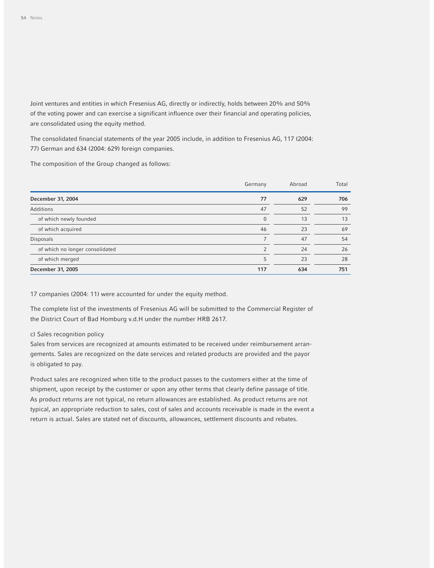Joint ventures and entities in which Fresenius AG, directly or indirectly, holds between 20% and 50% of the voting power and can exercise a significant influence over their financial and operating policies, are consolidated using the equity method.

The consolidated financial statements of the year 2005 include, in addition to Fresenius AG, 117 (2004: 77) German and 634 (2004: 629) foreign companies.

The composition of the Group changed as follows:

| Germany                                          | Abroad | Total |
|--------------------------------------------------|--------|-------|
| December 31, 2004<br>77                          | 629    | 706   |
| Additions<br>47                                  | 52     | 99    |
| of which newly founded<br>$\mathbf{0}$           | 13     | 13    |
| of which acquired<br>46                          | 23     | 69    |
| Disposals<br>$\overline{7}$                      | 47     | 54    |
| $\mathcal{D}$<br>of which no longer consolidated | 24     | 26    |
| 5<br>of which merged                             | 23     | 28    |
| December 31, 2005<br>117                         | 634    | 751   |

17 companies (2004: 11) were accounted for under the equity method.

The complete list of the investments of Fresenius AG will be submitted to the Commercial Register of the District Court of Bad Homburg v.d.H under the number HRB 2617.

## c) Sales recognition policy

Sales from services are recognized at amounts estimated to be received under reimbursement arrangements. Sales are recognized on the date services and related products are provided and the payor is obligated to pay.

Product sales are recognized when title to the product passes to the customers either at the time of shipment, upon receipt by the customer or upon any other terms that clearly define passage of title. As product returns are not typical, no return allowances are established. As product returns are not typical, an appropriate reduction to sales, cost of sales and accounts receivable is made in the event a return is actual. Sales are stated net of discounts, allowances, settlement discounts and rebates.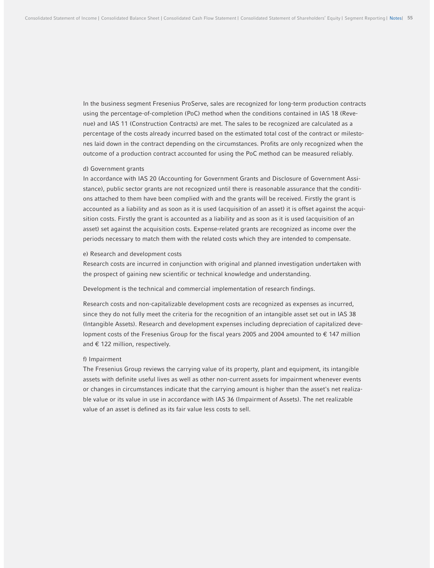In the business segment Fresenius ProServe, sales are recognized for long-term production contracts using the percentage-of-completion (PoC) method when the conditions contained in IAS 18 (Revenue) and IAS 11 (Construction Contracts) are met. The sales to be recognized are calculated as a percentage of the costs already incurred based on the estimated total cost of the contract or milestones laid down in the contract depending on the circumstances. Profits are only recognized when the outcome of a production contract accounted for using the PoC method can be measured reliably.

#### d) Government grants

In accordance with IAS 20 (Accounting for Government Grants and Disclosure of Government Assistance), public sector grants are not recognized until there is reasonable assurance that the conditions attached to them have been complied with and the grants will be received. Firstly the grant is accounted as a liability and as soon as it is used (acquisition of an asset) it is offset against the acquisition costs. Firstly the grant is accounted as a liability and as soon as it is used (acquisition of an asset) set against the acquisition costs. Expense-related grants are recognized as income over the periods necessary to match them with the related costs which they are intended to compensate.

#### e) Research and development costs

Research costs are incurred in conjunction with original and planned investigation undertaken with the prospect of gaining new scientific or technical knowledge and understanding.

Development is the technical and commercial implementation of research findings.

Research costs and non-capitalizable development costs are recognized as expenses as incurred, since they do not fully meet the criteria for the recognition of an intangible asset set out in IAS 38 (Intangible Assets). Research and development expenses including depreciation of capitalized development costs of the Fresenius Group for the fiscal years 2005 and 2004 amounted to € 147 million and € 122 million, respectively.

#### f) Impairment

The Fresenius Group reviews the carrying value of its property, plant and equipment, its intangible assets with definite useful lives as well as other non-current assets for impairment whenever events or changes in circumstances indicate that the carrying amount is higher than the asset's net realizable value or its value in use in accordance with IAS 36 (Impairment of Assets). The net realizable value of an asset is defined as its fair value less costs to sell.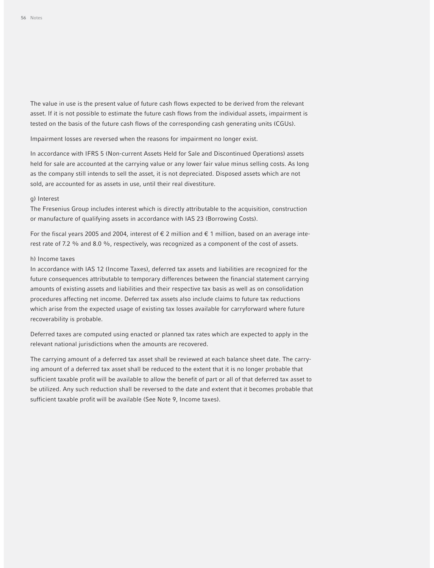The value in use is the present value of future cash flows expected to be derived from the relevant asset. If it is not possible to estimate the future cash flows from the individual assets, impairment is tested on the basis of the future cash flows of the corresponding cash generating units (CGUs).

Impairment losses are reversed when the reasons for impairment no longer exist.

In accordance with IFRS 5 (Non-current Assets Held for Sale and Discontinued Operations) assets held for sale are accounted at the carrying value or any lower fair value minus selling costs. As long as the company still intends to sell the asset, it is not depreciated. Disposed assets which are not sold, are accounted for as assets in use, until their real divestiture.

### g) Interest

The Fresenius Group includes interest which is directly attributable to the acquisition, construction or manufacture of qualifying assets in accordance with IAS 23 (Borrowing Costs).

For the fiscal years 2005 and 2004, interest of  $\epsilon$  2 million and  $\epsilon$  1 million, based on an average interest rate of 7.2 % and 8.0 %, respectively, was recognized as a component of the cost of assets.

## h) Income taxes

In accordance with IAS 12 (Income Taxes), deferred tax assets and liabilities are recognized for the future consequences attributable to temporary differences between the financial statement carrying amounts of existing assets and liabilities and their respective tax basis as well as on consolidation procedures affecting net income. Deferred tax assets also include claims to future tax reductions which arise from the expected usage of existing tax losses available for carryforward where future recoverability is probable.

Deferred taxes are computed using enacted or planned tax rates which are expected to apply in the relevant national jurisdictions when the amounts are recovered.

The carrying amount of a deferred tax asset shall be reviewed at each balance sheet date. The carrying amount of a deferred tax asset shall be reduced to the extent that it is no longer probable that sufficient taxable profit will be available to allow the benefit of part or all of that deferred tax asset to be utilized. Any such reduction shall be reversed to the date and extent that it becomes probable that sufficient taxable profit will be available (See Note 9, Income taxes).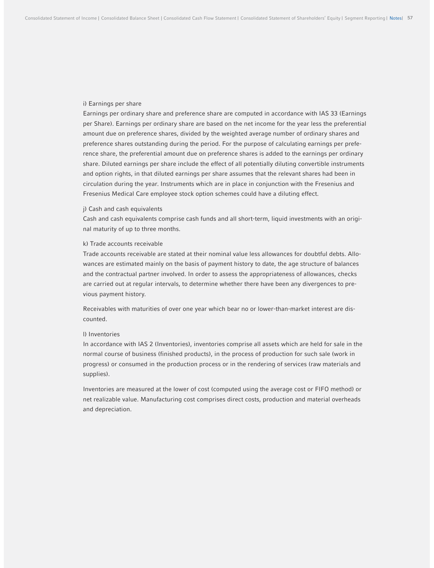### i) Earnings per share

Earnings per ordinary share and preference share are computed in accordance with IAS 33 (Earnings per Share). Earnings per ordinary share are based on the net income for the year less the preferential amount due on preference shares, divided by the weighted average number of ordinary shares and preference shares outstanding during the period. For the purpose of calculating earnings per preference share, the preferential amount due on preference shares is added to the earnings per ordinary share. Diluted earnings per share include the effect of all potentially diluting convertible instruments and option rights, in that diluted earnings per share assumes that the relevant shares had been in circulation during the year. Instruments which are in place in conjunction with the Fresenius and Fresenius Medical Care employee stock option schemes could have a diluting effect.

#### j) Cash and cash equivalents

Cash and cash equivalents comprise cash funds and all short-term, liquid investments with an original maturity of up to three months.

### k) Trade accounts receivable

Trade accounts receivable are stated at their nominal value less allowances for doubtful debts. Allowances are estimated mainly on the basis of payment history to date, the age structure of balances and the contractual partner involved. In order to assess the appropriateness of allowances, checks are carried out at regular intervals, to determine whether there have been any divergences to previous payment history.

Receivables with maturities of over one year which bear no or lower-than-market interest are discounted.

## l) Inventories

In accordance with IAS 2 (Inventories), inventories comprise all assets which are held for sale in the normal course of business (finished products), in the process of production for such sale (work in progress) or consumed in the production process or in the rendering of services (raw materials and supplies).

Inventories are measured at the lower of cost (computed using the average cost or FIFO method) or net realizable value. Manufacturing cost comprises direct costs, production and material overheads and depreciation.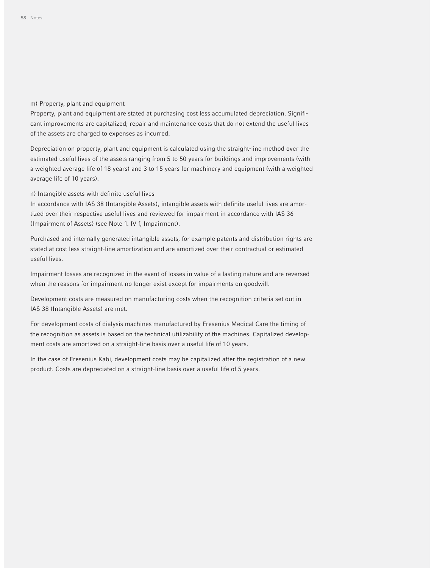## m) Property, plant and equipment

Property, plant and equipment are stated at purchasing cost less accumulated depreciation. Significant improvements are capitalized; repair and maintenance costs that do not extend the useful lives of the assets are charged to expenses as incurred.

Depreciation on property, plant and equipment is calculated using the straight-line method over the estimated useful lives of the assets ranging from 5 to 50 years for buildings and improvements (with a weighted average life of 18 years) and 3 to 15 years for machinery and equipment (with a weighted average life of 10 years).

n) Intangible assets with definite useful lives

In accordance with IAS 38 (Intangible Assets), intangible assets with definite useful lives are amortized over their respective useful lives and reviewed for impairment in accordance with IAS 36 (Impairment of Assets) (see Note 1. IV f, Impairment).

Purchased and internally generated intangible assets, for example patents and distribution rights are stated at cost less straight-line amortization and are amortized over their contractual or estimated useful lives.

Impairment losses are recognized in the event of losses in value of a lasting nature and are reversed when the reasons for impairment no longer exist except for impairments on goodwill.

Development costs are measured on manufacturing costs when the recognition criteria set out in IAS 38 (Intangible Assets) are met.

For development costs of dialysis machines manufactured by Fresenius Medical Care the timing of the recognition as assets is based on the technical utilizability of the machines. Capitalized development costs are amortized on a straight-line basis over a useful life of 10 years.

In the case of Fresenius Kabi, development costs may be capitalized after the registration of a new product. Costs are depreciated on a straight-line basis over a useful life of 5 years.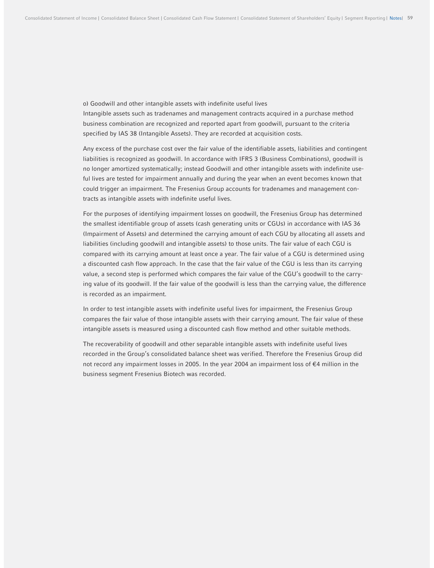o) Goodwill and other intangible assets with indefinite useful lives Intangible assets such as tradenames and management contracts acquired in a purchase method business combination are recognized and reported apart from goodwill, pursuant to the criteria specified by IAS 38 (Intangible Assets). They are recorded at acquisition costs.

Any excess of the purchase cost over the fair value of the identifiable assets, liabilities and contingent liabilities is recognized as goodwill. In accordance with IFRS 3 (Business Combinations), goodwill is no longer amortized systematically; instead Goodwill and other intangible assets with indefinite useful lives are tested for impairment annually and during the year when an event becomes known that could trigger an impairment. The Fresenius Group accounts for tradenames and management contracts as intangible assets with indefinite useful lives.

For the purposes of identifying impairment losses on goodwill, the Fresenius Group has determined the smallest identifiable group of assets (cash generating units or CGUs) in accordance with IAS 36 (Impairment of Assets) and determined the carrying amount of each CGU by allocating all assets and liabilities (including goodwill and intangible assets) to those units. The fair value of each CGU is compared with its carrying amount at least once a year. The fair value of a CGU is determined using a discounted cash flow approach. In the case that the fair value of the CGU is less than its carrying value, a second step is performed which compares the fair value of the CGU's goodwill to the carrying value of its goodwill. If the fair value of the goodwill is less than the carrying value, the difference is recorded as an impairment.

In order to test intangible assets with indefinite useful lives for impairment, the Fresenius Group compares the fair value of those intangible assets with their carrying amount. The fair value of these intangible assets is measured using a discounted cash flow method and other suitable methods.

The recoverability of goodwill and other separable intangible assets with indefinite useful lives recorded in the Group's consolidated balance sheet was verified. Therefore the Fresenius Group did not record any impairment losses in 2005. In the year 2004 an impairment loss of €4 million in the business segment Fresenius Biotech was recorded.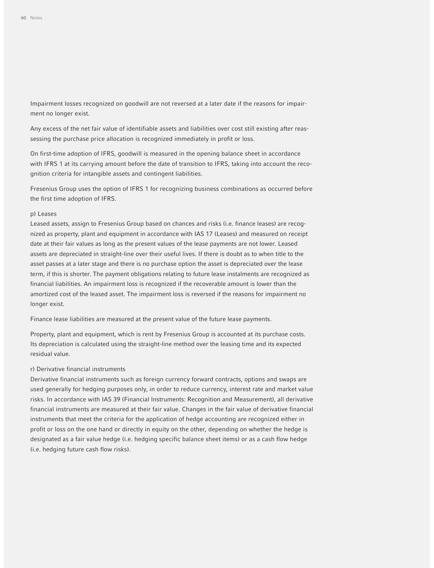Impairment losses recognized on goodwill are not reversed at a later date if the reasons for impairment no longer exist.

Any excess of the net fair value of identifiable assets and liabilities over cost still existing after reassessing the purchase price allocation is recognized immediately in profit or loss.

On first-time adoption of IFRS, goodwill is measured in the opening balance sheet in accordance with IFRS 1 at its carrying amount before the date of transition to IFRS, taking into account the recognition criteria for intangible assets and contingent liabilities.

Fresenius Group uses the option of IFRS 1 for recognizing business combinations as occurred before the first time adoption of IFRS.

### p) Leases

Leased assets, assign to Fresenius Group based on chances and risks (i.e. finance leases) are recognized as property, plant and equipment in accordance with IAS 17 (Leases) and measured on receipt date at their fair values as long as the present values of the lease payments are not lower. Leased assets are depreciated in straight-line over their useful lives. If there is doubt as to when title to the asset passes at a later stage and there is no purchase option the asset is depreciated over the lease term, if this is shorter. The payment obligations relating to future lease instalments are recognized as financial liabilities. An impairment loss is recognized if the recoverable amount is lower than the amortized cost of the leased asset. The impairment loss is reversed if the reasons for impairment no longer exist.

Finance lease liabilities are measured at the present value of the future lease payments.

Property, plant and equipment, which is rent by Fresenius Group is accounted at its purchase costs. Its depreciation is calculated using the straight-line method over the leasing time and its expected residual value.

## r) Derivative financial instruments

Derivative financial instruments such as foreign currency forward contracts, options and swaps are used generally for hedging purposes only, in order to reduce currency, interest rate and market value risks. In accordance with IAS 39 (Financial Instruments: Recognition and Measurement), all derivative financial instruments are measured at their fair value. Changes in the fair value of derivative financial instruments that meet the criteria for the application of hedge accounting are recognized either in profit or loss on the one hand or directly in equity on the other, depending on whether the hedge is designated as a fair value hedge (i.e. hedging specific balance sheet items) or as a cash flow hedge (i.e. hedging future cash flow risks).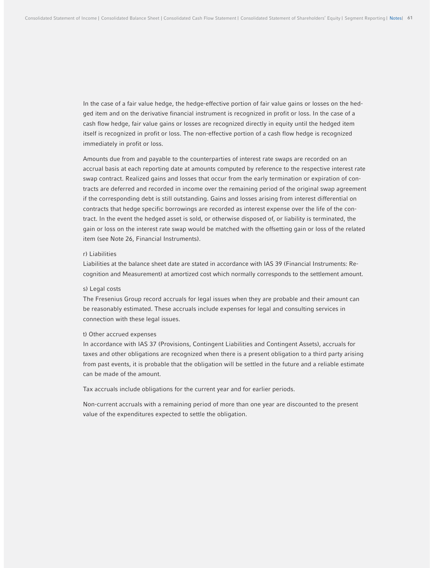In the case of a fair value hedge, the hedge-effective portion of fair value gains or losses on the hedged item and on the derivative financial instrument is recognized in profit or loss. In the case of a cash flow hedge, fair value gains or losses are recognized directly in equity until the hedged item itself is recognized in profit or loss. The non-effective portion of a cash flow hedge is recognized immediately in profit or loss.

Amounts due from and payable to the counterparties of interest rate swaps are recorded on an accrual basis at each reporting date at amounts computed by reference to the respective interest rate swap contract. Realized gains and losses that occur from the early termination or expiration of contracts are deferred and recorded in income over the remaining period of the original swap agreement if the corresponding debt is still outstanding. Gains and losses arising from interest differential on contracts that hedge specific borrowings are recorded as interest expense over the life of the contract. In the event the hedged asset is sold, or otherwise disposed of, or liability is terminated, the gain or loss on the interest rate swap would be matched with the offsetting gain or loss of the related item (see Note 26, Financial Instruments).

### r) Liabilities

Liabilities at the balance sheet date are stated in accordance with IAS 39 (Financial Instruments: Recognition and Measurement) at amortized cost which normally corresponds to the settlement amount.

### s) Legal costs

The Fresenius Group record accruals for legal issues when they are probable and their amount can be reasonably estimated. These accruals include expenses for legal and consulting services in connection with these legal issues.

### t) Other accrued expenses

In accordance with IAS 37 (Provisions, Contingent Liabilities and Contingent Assets), accruals for taxes and other obligations are recognized when there is a present obligation to a third party arising from past events, it is probable that the obligation will be settled in the future and a reliable estimate can be made of the amount.

Tax accruals include obligations for the current year and for earlier periods.

Non-current accruals with a remaining period of more than one year are discounted to the present value of the expenditures expected to settle the obligation.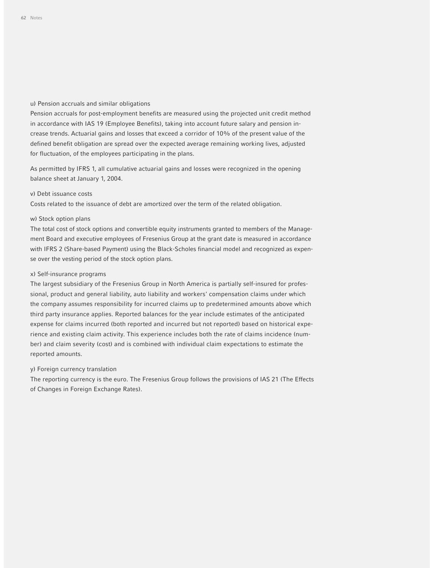## u) Pension accruals and similar obligations

Pension accruals for post-employment benefits are measured using the projected unit credit method in accordance with IAS 19 (Employee Benefits), taking into account future salary and pension increase trends. Actuarial gains and losses that exceed a corridor of 10% of the present value of the defined benefit obligation are spread over the expected average remaining working lives, adjusted for fluctuation, of the employees participating in the plans.

As permitted by IFRS 1, all cumulative actuarial gains and losses were recognized in the opening balance sheet at January 1, 2004.

## v) Debt issuance costs

Costs related to the issuance of debt are amortized over the term of the related obligation.

## w) Stock option plans

The total cost of stock options and convertible equity instruments granted to members of the Management Board and executive employees of Fresenius Group at the grant date is measured in accordance with IFRS 2 (Share-based Payment) using the Black-Scholes financial model and recognized as expense over the vesting period of the stock option plans.

### x) Self-insurance programs

The largest subsidiary of the Fresenius Group in North America is partially self-insured for professional, product and general liability, auto liability and workers' compensation claims under which the company assumes responsibility for incurred claims up to predetermined amounts above which third party insurance applies. Reported balances for the year include estimates of the anticipated expense for claims incurred (both reported and incurred but not reported) based on historical experience and existing claim activity. This experience includes both the rate of claims incidence (number) and claim severity (cost) and is combined with individual claim expectations to estimate the reported amounts.

## y) Foreign currency translation

The reporting currency is the euro. The Fresenius Group follows the provisions of IAS 21 (The Effects of Changes in Foreign Exchange Rates).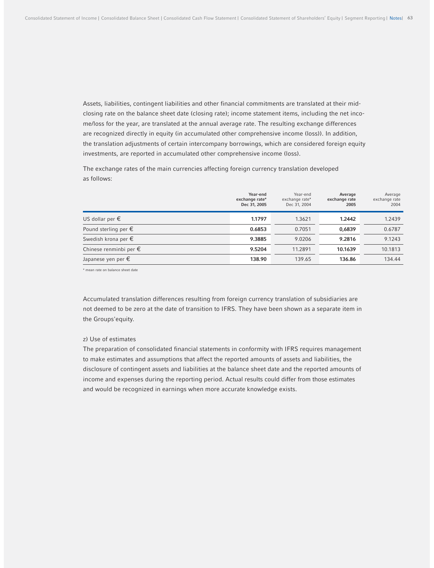Assets, liabilities, contingent liabilities and other financial commitments are translated at their midclosing rate on the balance sheet date (closing rate); income statement items, including the net income/loss for the year, are translated at the annual average rate. The resulting exchange differences are recognized directly in equity (in accumulated other comprehensive income (loss)). In addition, the translation adjustments of certain intercompany borrowings, which are considered foreign equity investments, are reported in accumulated other comprehensive income (loss).

The exchange rates of the main currencies affecting foreign currency translation developed as follows:

|                                 | Year-end<br>exchange rate*<br>Dec 31, 2005 | Year-end<br>exchange rate*<br>Dec 31, 2004 | Average<br>exchange rate<br>2005 | Average<br>exchange rate<br>2004 |
|---------------------------------|--------------------------------------------|--------------------------------------------|----------------------------------|----------------------------------|
| US dollar per $\epsilon$        | 1.1797                                     | 1.3621                                     | 1.2442                           | 1.2439                           |
| Pound sterling per $\epsilon$   | 0.6853                                     | 0.7051                                     | 0,6839                           | 0.6787                           |
| Swedish krona per $\epsilon$    | 9.3885                                     | 9.0206                                     | 9.2816                           | 9.1243                           |
| Chinese renminbi per $\epsilon$ | 9.5204                                     | 11.2891                                    | 10.1639                          | 10.1813                          |
| Japanese yen per $\epsilon$     | 138.90                                     | 139.65                                     | 136.86                           | 134.44                           |

\* mean rate on balance sheet date

Accumulated translation differences resulting from foreign currency translation of subsidiaries are not deemed to be zero at the date of transition to IFRS. They have been shown as a separate item in the Groups'equity.

## z) Use of estimates

The preparation of consolidated financial statements in conformity with IFRS requires management to make estimates and assumptions that affect the reported amounts of assets and liabilities, the disclosure of contingent assets and liabilities at the balance sheet date and the reported amounts of income and expenses during the reporting period. Actual results could differ from those estimates and would be recognized in earnings when more accurate knowledge exists.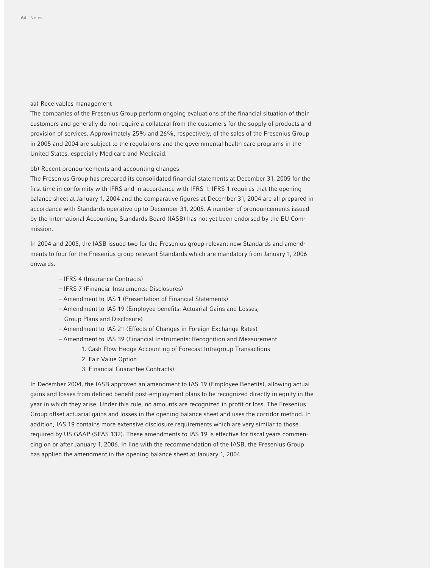## aa) Receivables management

The companies of the Fresenius Group perform ongoing evaluations of the financial situation of their customers and generally do not require a collateral from the customers for the supply of products and provision of services. Approximately 25% and 26%, respectively, of the sales of the Fresenius Group in 2005 and 2004 are subject to the regulations and the governmental health care programs in the United States, especially Medicare and Medicaid.

## bb) Recent pronouncements and accounting changes

The Fresenius Group has prepared its consolidated financial statements at December 31, 2005 for the first time in conformity with IFRS and in accordance with IFRS 1. IFRS 1 requires that the opening balance sheet at January 1, 2004 and the comparative figures at December 31, 2004 are all prepared in accordance with Standards operative up to December 31, 2005. A number of pronouncements issued by the International Accounting Standards Board (IASB) has not yet been endorsed by the EU Commission.

In 2004 and 2005, the IASB issued two for the Fresenius group relevant new Standards and amendments to four for the Fresenius group relevant Standards which are mandatory from January 1, 2006 onwards.

- IFRS 4 (Insurance Contracts)
- IFRS 7 (Financial Instruments: Disclosures)
- Amendment to IAS 1 (Presentation of Financial Statements)
- Amendment to IAS 19 (Employee benefits: Actuarial Gains and Losses, Group Plans and Disclosure)
- Amendment to IAS 21 (Effects of Changes in Foreign Exchange Rates)
- Amendment to IAS 39 (Financial Instruments: Recognition and Measurement
	- 1. Cash Flow Hedge Accounting of Forecast Intragroup Transactions
		- 2. Fair Value Option
		- 3. Financial Guarantee Contracts)

In December 2004, the IASB approved an amendment to IAS 19 (Employee Benefits), allowing actual gains and losses from defined benefit post-employment plans to be recognized directly in equity in the year in which they arise. Under this rule, no amounts are recognized in profit or loss. The Fresenius Group offset actuarial gains and losses in the opening balance sheet and uses the corridor method. In addition, IAS 19 contains more extensive disclosure requirements which are very similar to those required by US GAAP (SFAS 132). These amendments to IAS 19 is effective for fiscal years commencing on or after January 1, 2006. In line with the recommendation of the IASB, the Fresenius Group has applied the amendment in the opening balance sheet at January 1, 2004.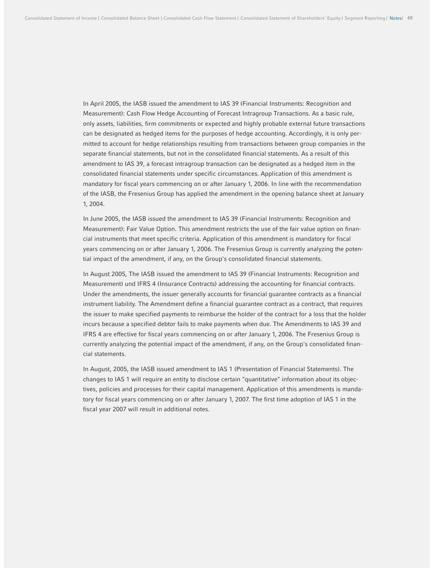In April 2005, the IASB issued the amendment to IAS 39 (Financial Instruments: Recognition and Measurement): Cash Flow Hedge Accounting of Forecast Intragroup Transactions. As a basic rule, only assets, liabilities, firm commitments or expected and highly probable external future transactions can be designated as hedged items for the purposes of hedge accounting. Accordingly, it is only permitted to account for hedge relationships resulting from transactions between group companies in the separate financial statements, but not in the consolidated financial statements. As a result of this amendment to IAS 39, a forecast intragroup transaction can be designated as a hedged item in the consolidated financial statements under specific circumstances. Application of this amendment is mandatory for fiscal years commencing on or after January 1, 2006. In line with the recommendation of the IASB, the Fresenius Group has applied the amendment in the opening balance sheet at January 1, 2004.

In June 2005, the IASB issued the amendment to IAS 39 (Financial Instruments: Recognition and Measurement): Fair Value Option. This amendment restricts the use of the fair value option on financial instruments that meet specific criteria. Application of this amendment is mandatory for fiscal years commencing on or after January 1, 2006. The Fresenius Group is currently analyzing the potential impact of the amendment, if any, on the Group's consolidated financial statements.

In August 2005, The IASB issued the amendment to IAS 39 (Financial Instruments: Recognition and Measurement) und IFRS 4 (Insurance Contracts) addressing the accounting for financial contracts. Under the amendments, the issuer generally accounts for financial guarantee contracts as a financial instrument liability. The Amendment define a financial guarantee contract as a contract, that requires the issuer to make specified payments to reimburse the holder of the contract for a loss that the holder incurs because a specified debtor fails to make payments when due. The Amendments to IAS 39 and IFRS 4 are effective for fiscal years commencing on or after January 1, 2006. The Fresenius Group is currently analyzing the potential impact of the amendment, if any, on the Group's consolidated financial statements.

In August, 2005, the IASB issued amendment to IAS 1 (Presentation of Financial Statements). The changes to IAS 1 will require an entity to disclose certain "quantitative" information about its objectives, policies and processes for their capital management. Application of this amendments is mandatory for fiscal years commencing on or after January 1, 2007. The first time adoption of IAS 1 in the fiscal year 2007 will result in additional notes.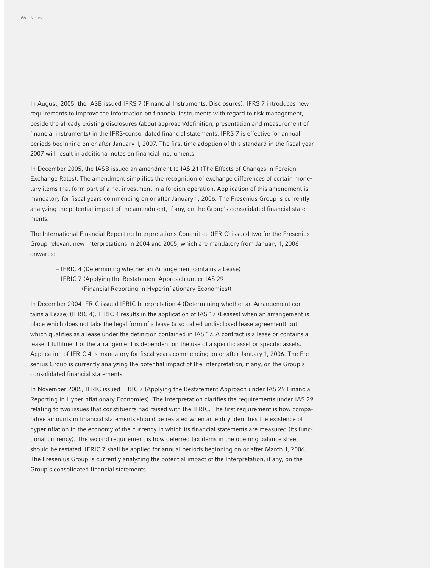In August, 2005, the IASB issued IFRS 7 (Financial Instruments: Disclosures). IFRS 7 introduces new requirements to improve the information on financial instruments with regard to risk management, beside the already existing disclosures (about approach/definition, presentation and measurement of financial instruments) in the IFRS-consolidated financial statements. IFRS 7 is effective for annual periods beginning on or after January 1, 2007. The first time adoption of this standard in the fiscal year 2007 will result in additional notes on financial instruments.

In December 2005, the IASB issued an amendment to IAS 21 (The Effects of Changes in Foreign Exchange Rates). The amendment simplifies the recognition of exchange differences of certain monetary items that form part of a net investment in a foreign operation. Application of this amendment is mandatory for fiscal years commencing on or after January 1, 2006. The Fresenius Group is currently analyzing the potential impact of the amendment, if any, on the Group's consolidated financial statements.

The International Financial Reporting Interpretations Committee (IFRIC) issued two for the Fresenius Group relevant new Interpretations in 2004 and 2005, which are mandatory from January 1, 2006 onwards:

- IFRIC 4 (Determining whether an Arrangement contains a Lease)
- IFRIC 7 (Applying the Restatement Approach under IAS 29 (Financial Reporting in Hyperinflationary Economies))

In December 2004 IFRIC issued IFRIC Interpretation 4 (Determining whether an Arrangement contains a Lease) (IFRIC 4). IFRIC 4 results in the application of IAS 17 (Leases) when an arrangement is place which does not take the legal form of a lease (a so called undisclosed lease agreement) but which qualifies as a lease under the definition contained in IAS 17. A contract is a lease or contains a lease if fulfilment of the arrangement is dependent on the use of a specific asset or specific assets. Application of IFRIC 4 is mandatory for fiscal years commencing on or after January 1, 2006. The Fresenius Group is currently analyzing the potential impact of the Interpretation, if any, on the Group's consolidated financial statements.

In November 2005, IFRIC issued IFRIC 7 (Applying the Restatement Approach under IAS 29 Financial Reporting in Hyperinflationary Economies). The Interpretation clarifies the requirements under IAS 29 relating to two issues that constituents had raised with the IFRIC. The first requirement is how comparative amounts in financial statements should be restated when an entity identifies the existence of hyperinflation in the economy of the currency in which its financial statements are measured (its functional currency). The second requirement is how deferred tax items in the opening balance sheet should be restated. IFRIC 7 shall be applied for annual periods beginning on or after March 1, 2006. The Fresenius Group is currently analyzing the potential impact of the Interpretation, if any, on the Group's consolidated financial statements.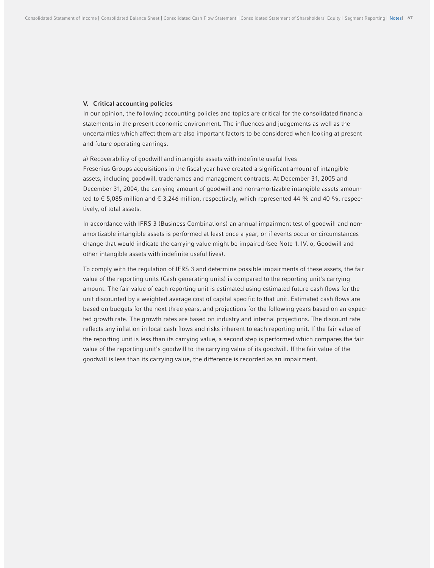### **V. Critical accounting policies**

In our opinion, the following accounting policies and topics are critical for the consolidated financial statements in the present economic environment. The influences and judgements as well as the uncertainties which affect them are also important factors to be considered when looking at present and future operating earnings.

a) Recoverability of goodwill and intangible assets with indefinite useful lives Fresenius Groups acquisitions in the fiscal year have created a significant amount of intangible assets, including goodwill, tradenames and management contracts. At December 31, 2005 and December 31, 2004, the carrying amount of goodwill and non-amortizable intangible assets amounted to  $\epsilon$  5,085 million and  $\epsilon$  3,246 million, respectively, which represented 44 % and 40 %, respectively, of total assets.

In accordance with IFRS 3 (Business Combinations) an annual impairment test of goodwill and nonamortizable intangible assets is performed at least once a year, or if events occur or circumstances change that would indicate the carrying value might be impaired (see Note 1. IV. o, Goodwill and other intangible assets with indefinite useful lives).

To comply with the regulation of IFRS 3 and determine possible impairments of these assets, the fair value of the reporting units (Cash generating units) is compared to the reporting unit's carrying amount. The fair value of each reporting unit is estimated using estimated future cash flows for the unit discounted by a weighted average cost of capital specific to that unit. Estimated cash flows are based on budgets for the next three years, and projections for the following years based on an expected growth rate. The growth rates are based on industry and internal projections. The discount rate reflects any inflation in local cash flows and risks inherent to each reporting unit. If the fair value of the reporting unit is less than its carrying value, a second step is performed which compares the fair value of the reporting unit's goodwill to the carrying value of its goodwill. If the fair value of the goodwill is less than its carrying value, the difference is recorded as an impairment.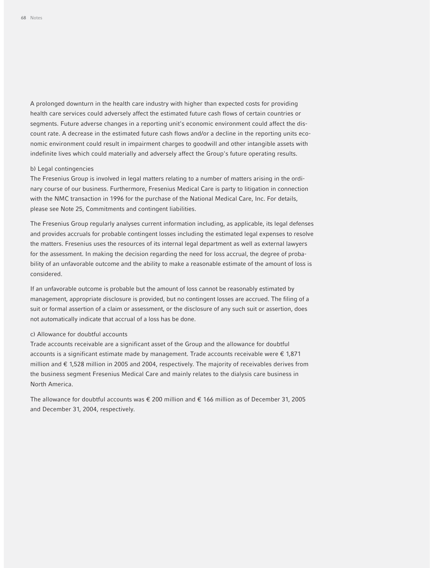A prolonged downturn in the health care industry with higher than expected costs for providing health care services could adversely affect the estimated future cash flows of certain countries or segments. Future adverse changes in a reporting unit's economic environment could affect the discount rate. A decrease in the estimated future cash flows and/or a decline in the reporting units economic environment could result in impairment charges to goodwill and other intangible assets with indefinite lives which could materially and adversely affect the Group's future operating results.

### b) Legal contingencies

The Fresenius Group is involved in legal matters relating to a number of matters arising in the ordinary course of our business. Furthermore, Fresenius Medical Care is party to litigation in connection with the NMC transaction in 1996 for the purchase of the National Medical Care, Inc. For details, please see Note 25, Commitments and contingent liabilities.

The Fresenius Group regularly analyses current information including, as applicable, its legal defenses and provides accruals for probable contingent losses including the estimated legal expenses to resolve the matters. Fresenius uses the resources of its internal legal department as well as external lawyers for the assessment. In making the decision regarding the need for loss accrual, the degree of probability of an unfavorable outcome and the ability to make a reasonable estimate of the amount of loss is considered.

If an unfavorable outcome is probable but the amount of loss cannot be reasonably estimated by management, appropriate disclosure is provided, but no contingent losses are accrued. The filing of a suit or formal assertion of a claim or assessment, or the disclosure of any such suit or assertion, does not automatically indicate that accrual of a loss has be done.

## c) Allowance for doubtful accounts

Trade accounts receivable are a significant asset of the Group and the allowance for doubtful accounts is a significant estimate made by management. Trade accounts receivable were € 1,871 million and € 1,528 million in 2005 and 2004, respectively. The majority of receivables derives from the business segment Fresenius Medical Care and mainly relates to the dialysis care business in North America.

The allowance for doubtful accounts was  $\epsilon$  200 million and  $\epsilon$  166 million as of December 31, 2005 and December 31, 2004, respectively.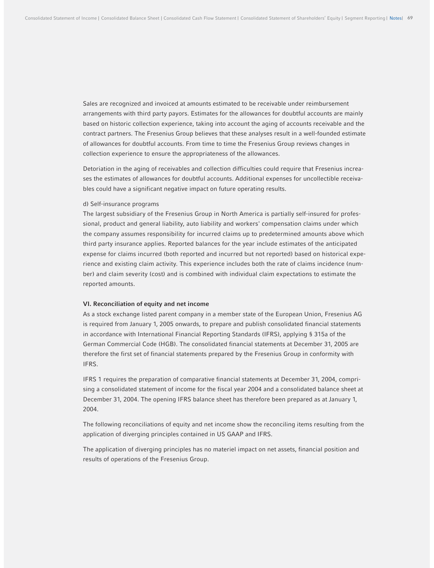Sales are recognized and invoiced at amounts estimated to be receivable under reimbursement arrangements with third party payors. Estimates for the allowances for doubtful accounts are mainly based on historic collection experience, taking into account the aging of accounts receivable and the contract partners. The Fresenius Group believes that these analyses result in a well-founded estimate of allowances for doubtful accounts. From time to time the Fresenius Group reviews changes in collection experience to ensure the appropriateness of the allowances.

Detoriation in the aging of receivables and collection difficulties could require that Fresenius increases the estimates of allowances for doubtful accounts. Additional expenses for uncollectible receivables could have a significant negative impact on future operating results.

### d) Self-insurance programs

The largest subsidiary of the Fresenius Group in North America is partially self-insured for professional, product and general liability, auto liability and workers' compensation claims under which the company assumes responsibility for incurred claims up to predetermined amounts above which third party insurance applies. Reported balances for the year include estimates of the anticipated expense for claims incurred (both reported and incurred but not reported) based on historical experience and existing claim activity. This experience includes both the rate of claims incidence (number) and claim severity (cost) and is combined with individual claim expectations to estimate the reported amounts.

### **VI. Reconciliation of equity and net income**

As a stock exchange listed parent company in a member state of the European Union, Fresenius AG is required from January 1, 2005 onwards, to prepare and publish consolidated financial statements in accordance with International Financial Reporting Standards (IFRS), applying § 315a of the German Commercial Code (HGB). The consolidated financial statements at December 31, 2005 are therefore the first set of financial statements prepared by the Fresenius Group in conformity with IFRS.

IFRS 1 requires the preparation of comparative financial statements at December 31, 2004, comprising a consolidated statement of income for the fiscal year 2004 and a consolidated balance sheet at December 31, 2004. The opening IFRS balance sheet has therefore been prepared as at January 1, 2004.

The following reconciliations of equity and net income show the reconciling items resulting from the application of diverging principles contained in US GAAP and IFRS.

The application of diverging principles has no materiel impact on net assets, financial position and results of operations of the Fresenius Group.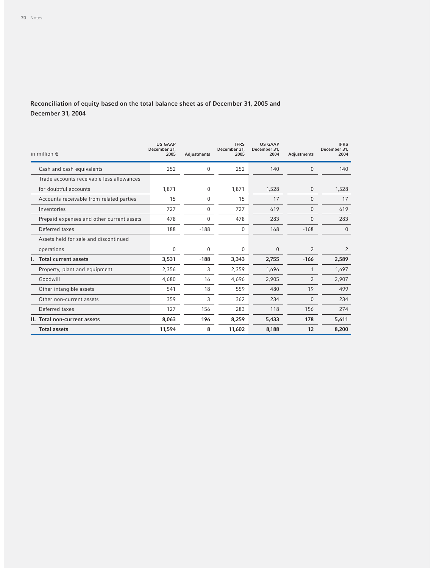## **Reconciliation of equity based on the total balance sheet as of December 31, 2005 and December 31, 2004**

| in million $\epsilon$                     | <b>US GAAP</b><br>December 31,<br>2005 | Adjustments | <b>IFRS</b><br>December 31.<br>2005 | <b>US GAAP</b><br>December 31,<br>2004 | Adjustments    | <b>IFRS</b><br>December 31,<br>2004 |
|-------------------------------------------|----------------------------------------|-------------|-------------------------------------|----------------------------------------|----------------|-------------------------------------|
| Cash and cash equivalents                 | 252                                    | 0           | 252                                 | 140                                    | $\mathbf{0}$   | 140                                 |
| Trade accounts receivable less allowances |                                        |             |                                     |                                        |                |                                     |
| for doubtful accounts                     | 1,871                                  | 0           | 1,871                               | 1,528                                  | $\mathbf 0$    | 1,528                               |
| Accounts receivable from related parties  | 15                                     | $\Omega$    | 15                                  | 17                                     | $\Omega$       | 17                                  |
| Inventories                               | 727                                    | 0           | 727                                 | 619                                    | 0              | 619                                 |
| Prepaid expenses and other current assets | 478                                    | $\Omega$    | 478                                 | 283                                    | $\Omega$       | 283                                 |
| Deferred taxes                            | 188                                    | $-188$      | $\Omega$                            | 168                                    | $-168$         | $\Omega$                            |
| Assets held for sale and discontinued     |                                        |             |                                     |                                        |                |                                     |
| operations                                | 0                                      | 0           | $\mathbf 0$                         | $\mathbf 0$                            | 2              | 2                                   |
| <b>Total current assets</b>               | 3,531                                  | $-188$      | 3,343                               | 2,755                                  | $-166$         | 2,589                               |
| Property, plant and equipment             | 2,356                                  | 3           | 2,359                               | 1,696                                  | 1              | 1,697                               |
| Goodwill                                  | 4,680                                  | 16          | 4,696                               | 2,905                                  | $\overline{2}$ | 2,907                               |
| Other intangible assets                   | 541                                    | 18          | 559                                 | 480                                    | 19             | 499                                 |
| Other non-current assets                  | 359                                    | 3           | 362                                 | 234                                    | $\Omega$       | 234                                 |
| Deferred taxes                            | 127                                    | 156         | 283                                 | 118                                    | 156            | 274                                 |
| II. Total non-current assets              | 8,063                                  | 196         | 8,259                               | 5,433                                  | 178            | 5,611                               |
| <b>Total assets</b>                       | 11,594                                 | 8           | 11,602                              | 8,188                                  | 12             | 8,200                               |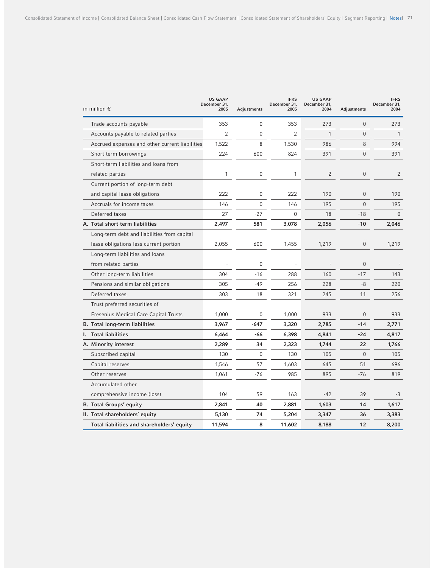| in million $\epsilon$                          | <b>US GAAP</b><br>December 31,<br>2005 | Adjustments | <b>IFRS</b><br>December 31,<br>2005 | <b>US GAAP</b><br>December 31,<br>2004 | Adjustments      | <b>IFRS</b><br>December 31,<br>2004 |
|------------------------------------------------|----------------------------------------|-------------|-------------------------------------|----------------------------------------|------------------|-------------------------------------|
| Trade accounts payable                         | 353                                    | 0           | 353                                 | 273                                    | $\mathbf{0}$     | 273                                 |
| Accounts payable to related parties            | 2                                      | 0           | $\overline{2}$                      | 1                                      | $\boldsymbol{0}$ | $\mathbf{1}$                        |
| Accrued expenses and other current liabilities | 1,522                                  | 8           | 1,530                               | 986                                    | 8                | 994                                 |
| Short-term borrowings                          | 224                                    | 600         | 824                                 | 391                                    | $\boldsymbol{0}$ | 391                                 |
| Short-term liabilities and loans from          |                                        |             |                                     |                                        |                  |                                     |
| related parties                                | 1                                      | 0           | 1                                   | 2                                      | $\mathbf{0}$     | 2                                   |
| Current portion of long-term debt              |                                        |             |                                     |                                        |                  |                                     |
| and capital lease obligations                  | 222                                    | 0           | 222                                 | 190                                    | $\mathbf{0}$     | 190                                 |
| Accruals for income taxes                      | 146                                    | 0           | 146                                 | 195                                    | $\mathbf{0}$     | 195                                 |
| Deferred taxes                                 | 27                                     | $-27$       | $\mathbf 0$                         | 18                                     | $-18$            | $\mathbf{0}$                        |
| A. Total short-term liabilities                | 2,497                                  | 581         | 3,078                               | 2,056                                  | $-10$            | 2,046                               |
| Long-term debt and liabilities from capital    |                                        |             |                                     |                                        |                  |                                     |
| lease obligations less current portion         | 2,055                                  | $-600$      | 1,455                               | 1,219                                  | $\boldsymbol{0}$ | 1,219                               |
| Long-term liabilities and loans                |                                        |             |                                     |                                        |                  |                                     |
| from related parties                           |                                        | 0           |                                     |                                        | $\mathbf{0}$     |                                     |
| Other long-term liabilities                    | 304                                    | $-16$       | 288                                 | 160                                    | $-17$            | 143                                 |
| Pensions and similar obligations               | 305                                    | $-49$       | 256                                 | 228                                    | -8               | 220                                 |
| Deferred taxes                                 | 303                                    | 18          | 321                                 | 245                                    | 11               | 256                                 |
| Trust preferred securities of                  |                                        |             |                                     |                                        |                  |                                     |
| Fresenius Medical Care Capital Trusts          | 1,000                                  | $\mathbf 0$ | 1,000                               | 933                                    | $\overline{0}$   | 933                                 |
| B. Total long-term liabilities                 | 3,967                                  | -647        | 3,320                               | 2,785                                  | $-14$            | 2,771                               |
| I. Total liabilities                           | 6,464                                  | -66         | 6,398                               | 4,841                                  | $-24$            | 4,817                               |
| A. Minority interest                           | 2,289                                  | 34          | 2,323                               | 1,744                                  | 22               | 1,766                               |
| Subscribed capital                             | 130                                    | $\mathbf 0$ | 130                                 | 105                                    | $\mathbf{0}$     | 105                                 |
| Capital reserves                               | 1,546                                  | 57          | 1,603                               | 645                                    | 51               | 696                                 |
| Other reserves                                 | 1,061                                  | $-76$       | 985                                 | 895                                    | $-76$            | 819                                 |
| Accumulated other                              |                                        |             |                                     |                                        |                  |                                     |
| comprehensive income (loss)                    | 104                                    | 59          | 163                                 | $-42$                                  | 39               | -3                                  |
| B. Total Groups' equity                        | 2,841                                  | 40          | 2,881                               | 1,603                                  | 14               | 1,617                               |
| II. Total shareholders' equity                 | 5,130                                  | 74          | 5,204                               | 3,347                                  | 36               | 3,383                               |
| Total liabilities and shareholders' equity     | 11,594                                 | 8           | 11,602                              | 8,188                                  | 12               | 8,200                               |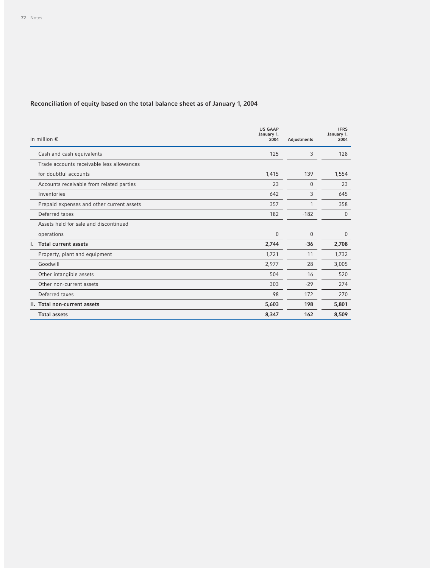# **Reconciliation of equity based on the total balance sheet as of January 1, 2004**

| in million $\epsilon$                     | <b>US GAAP</b><br>January 1,<br>2004 | Adjustments  | <b>IFRS</b><br>January 1,<br>2004 |
|-------------------------------------------|--------------------------------------|--------------|-----------------------------------|
| Cash and cash equivalents                 | 125                                  | 3            | 128                               |
| Trade accounts receivable less allowances |                                      |              |                                   |
| for doubtful accounts                     | 1,415                                | 139          | 1,554                             |
| Accounts receivable from related parties  | 23                                   | $\mathbf{0}$ | 23                                |
| Inventories                               | 642                                  | 3            | 645                               |
| Prepaid expenses and other current assets | 357                                  |              | 358                               |
| Deferred taxes                            | 182                                  | $-182$       | $\mathbf{0}$                      |
| Assets held for sale and discontinued     |                                      |              |                                   |
| operations                                | $\mathbf{0}$                         | $\mathbf{0}$ | $\mathbf{0}$                      |
| I. Total current assets                   | 2,744                                | $-36$        | 2,708                             |
| Property, plant and equipment             | 1,721                                | 11           | 1,732                             |
| Goodwill                                  | 2,977                                | 28           | 3,005                             |
| Other intangible assets                   | 504                                  | 16           | 520                               |
| Other non-current assets                  | 303                                  | $-29$        | 274                               |
| Deferred taxes                            | 98                                   | 172          | 270                               |
| II. Total non-current assets              | 5,603                                | 198          | 5,801                             |
| <b>Total assets</b>                       | 8,347                                | 162          | 8,509                             |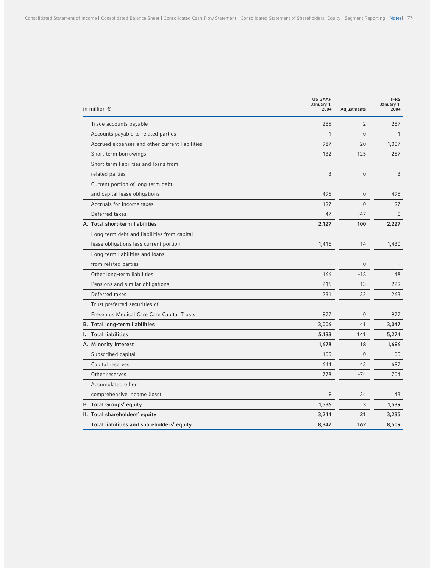| in million $\epsilon$                          | US GAAP<br>January 1,<br>2004 | Adjustments      | <b>IFRS</b><br>January 1,<br>2004 |
|------------------------------------------------|-------------------------------|------------------|-----------------------------------|
| Trade accounts payable                         | 265                           | 2                | 267                               |
| Accounts payable to related parties            | 1                             | $\boldsymbol{0}$ | $\mathbf{1}$                      |
| Accrued expenses and other current liabilities | 987                           | 20               | 1,007                             |
| Short-term borrowings                          | 132                           | 125              | 257                               |
| Short-term liabilities and loans from          |                               |                  |                                   |
| related parties                                | 3                             | $\mathbf 0$      | 3                                 |
| Current portion of long-term debt              |                               |                  |                                   |
| and capital lease obligations                  | 495                           | $\mathbf{0}$     | 495                               |
| Accruals for income taxes                      | 197                           | $\mathbf{0}$     | 197                               |
| Deferred taxes                                 | 47                            | $-47$            | $\mathbf{0}$                      |
| A. Total short-term liabilities                | 2,127                         | 100              | 2,227                             |
| Long-term debt and liabilities from capital    |                               |                  |                                   |
| lease obligations less current portion         | 1,416                         | 14               | 1,430                             |
| Long-term liabilities and loans                |                               |                  |                                   |
| from related parties                           |                               | $\mathbf{0}$     |                                   |
| Other long-term liabilities                    | 166                           | $-18$            | 148                               |
| Pensions and similar obligations               | 216                           | 13               | 229                               |
| Deferred taxes                                 | 231                           | 32               | 263                               |
| Trust preferred securities of                  |                               |                  |                                   |
| Fresenius Medical Care Care Capital Trusts     | 977                           | $\mathbf{0}$     | 977                               |
| B. Total long-term liabilities                 | 3,006                         | 41               | 3,047                             |
| <b>Total liabilities</b>                       | 5,133                         | 141              | 5,274                             |
| A. Minority interest                           | 1,678                         | 18               | 1,696                             |
| Subscribed capital                             | 105                           | $\mathbf{0}$     | 105                               |
| Capital reserves                               | 644                           | 43               | 687                               |
| Other reserves                                 | 778                           | -74              | 704                               |
| Accumulated other                              |                               |                  |                                   |
| comprehensive income (loss)                    | 9                             | 34               | 43                                |
| <b>B. Total Groups' equity</b>                 | 1,536                         | 3                | 1,539                             |
| II. Total shareholders' equity                 | 3,214                         | 21               | 3,235                             |
| Total liabilities and shareholders' equity     | 8,347                         | 162              | 8,509                             |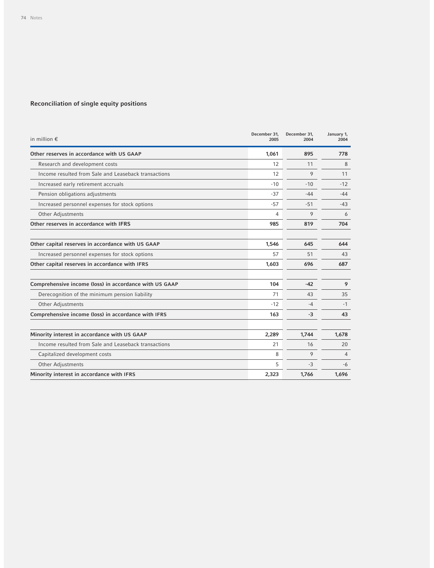# **Reconciliation of single equity positions**

| in million $\epsilon$                                  | December 31.<br>2005 | December 31,<br>2004 | January 1,<br>2004 |
|--------------------------------------------------------|----------------------|----------------------|--------------------|
| Other reserves in accordance with US GAAP              | 1.061                | 895                  | 778                |
| Research and development costs                         | 12                   | 11                   | 8                  |
| Income resulted from Sale and Leaseback transactions   | 12                   | 9                    | 11                 |
| Increased early retirement accruals                    | $-10$                | $-10$                | $-12$              |
| Pension obligations adjustments                        | $-37$                | $-44$                | $-44$              |
| Increased personnel expenses for stock options         | $-57$                | $-51$                | $-43$              |
| <b>Other Adjustments</b>                               | 4                    | 9                    | 6                  |
| Other reserves in accordance with IFRS                 | 985                  | 819                  | 704                |
| Other capital reserves in accordance with US GAAP      | 1,546                | 645                  | 644                |
| Increased personnel expenses for stock options         | 57                   | 51                   | 43                 |
| Other capital reserves in accordance with IFRS         | 1,603                | 696                  | 687                |
| Comprehensive income (loss) in accordance with US GAAP | 104                  | $-42$                | 9                  |
| Derecognition of the minimum pension liability         | 71                   | 43                   | 35                 |
| <b>Other Adjustments</b>                               | $-12$                | $-4$                 | $-1$               |
| Comprehensive income (loss) in accordance with IFRS    | 163                  | $-3$                 | 43                 |
| Minority interest in accordance with US GAAP           | 2,289                | 1,744                | 1.678              |
| Income resulted from Sale and Leaseback transactions   | 21                   | 16                   | 20                 |
| Capitalized development costs                          | 8                    | 9                    | 4                  |
| <b>Other Adjustments</b>                               | 5                    | $-3$                 | $-6$               |
| Minority interest in accordance with IFRS              | 2,323                | 1,766                | 1,696              |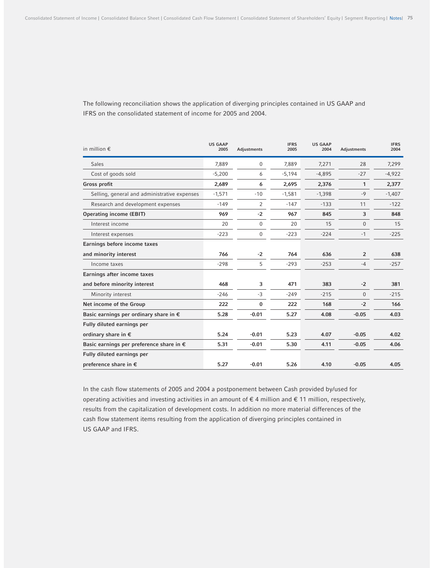| The following reconciliation shows the application of diverging principles contained in US GAAP and |  |
|-----------------------------------------------------------------------------------------------------|--|
| IFRS on the consolidated statement of income for 2005 and 2004.                                     |  |

| in million $\epsilon$                             | <b>US GAAP</b><br>2005 | Adjustments | <b>IFRS</b><br>2005 | <b>US GAAP</b><br>2004 | Adjustments    | <b>IFRS</b><br>2004 |
|---------------------------------------------------|------------------------|-------------|---------------------|------------------------|----------------|---------------------|
| <b>Sales</b>                                      | 7,889                  | $\Omega$    | 7,889               | 7,271                  | 28             | 7,299               |
| Cost of goods sold                                | $-5,200$               | 6           | $-5,194$            | $-4.895$               | $-27$          | $-4,922$            |
| Gross profit                                      | 2,689                  | 6           | 2,695               | 2,376                  | $\mathbf{1}$   | 2,377               |
| Selling, general and administrative expenses      | $-1,571$               | $-10$       | $-1,581$            | $-1,398$               | $-9$           | $-1,407$            |
| Research and development expenses                 | $-149$                 | 2           | $-147$              | $-133$                 | 11             | $-122$              |
| Operating income (EBIT)                           | 969                    | $-2$        | 967                 | 845                    | 3              | 848                 |
| Interest income                                   | 20                     | $\mathbf 0$ | 20                  | 15                     | $\Omega$       | 15                  |
| Interest expenses                                 | $-223$                 | $\mathbf 0$ | $-223$              | $-224$                 | $-1$           | $-225$              |
| Earnings before income taxes                      |                        |             |                     |                        |                |                     |
| and minority interest                             | 766                    | $-2$        | 764                 | 636                    | $\overline{2}$ | 638                 |
| Income taxes                                      | $-298$                 | 5           | $-293$              | $-253$                 | $-4$           | $-257$              |
| Earnings after income taxes                       |                        |             |                     |                        |                |                     |
| and before minority interest                      | 468                    | 3           | 471                 | 383                    | $-2$           | 381                 |
| Minority interest                                 | $-246$                 | $-3$        | $-249$              | $-215$                 | $\Omega$       | $-215$              |
| Net income of the Group                           | 222                    | 0           | 222                 | 168                    | $-2$           | 166                 |
| Basic earnings per ordinary share in $\epsilon$   | 5.28                   | $-0.01$     | 5.27                | 4.08                   | $-0.05$        | 4.03                |
| Fully diluted earnings per                        |                        |             |                     |                        |                |                     |
| ordinary share in $\epsilon$                      | 5.24                   | $-0.01$     | 5.23                | 4.07                   | $-0.05$        | 4.02                |
| Basic earnings per preference share in $\epsilon$ | 5.31                   | $-0.01$     | 5.30                | 4.11                   | $-0.05$        | 4.06                |
| Fully diluted earnings per                        |                        |             |                     |                        |                |                     |
| preference share in €                             | 5.27                   | $-0.01$     | 5.26                | 4.10                   | $-0.05$        | 4.05                |

In the cash flow statements of 2005 and 2004 a postponement between Cash provided by/used for operating activities and investing activities in an amount of  $\epsilon$  4 million and  $\epsilon$  11 million, respectively, results from the capitalization of development costs. In addition no more material differences of the cash flow statement items resulting from the application of diverging principles contained in US GAAP and IFRS.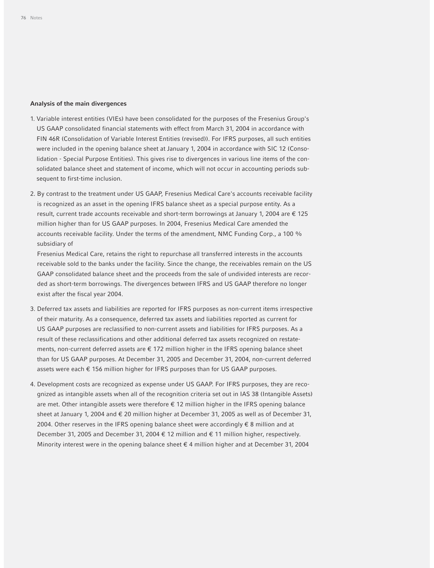#### **Analysis of the main divergences**

- 1. Variable interest entities (VIEs) have been consolidated for the purposes of the Fresenius Group's US GAAP consolidated financial statements with effect from March 31, 2004 in accordance with FIN 46R (Consolidation of Variable Interest Entities (revised)). For IFRS purposes, all such entities were included in the opening balance sheet at January 1, 2004 in accordance with SIC 12 (Consolidation - Special Purpose Entities). This gives rise to divergences in various line items of the consolidated balance sheet and statement of income, which will not occur in accounting periods subsequent to first-time inclusion.
- 2. By contrast to the treatment under US GAAP, Fresenius Medical Care's accounts receivable facility is recognized as an asset in the opening IFRS balance sheet as a special purpose entity. As a result, current trade accounts receivable and short-term borrowings at January 1, 2004 are € 125 million higher than for US GAAP purposes. In 2004, Fresenius Medical Care amended the accounts receivable facility. Under the terms of the amendment, NMC Funding Corp., a 100 % subsidiary of

Fresenius Medical Care, retains the right to repurchase all transferred interests in the accounts receivable sold to the banks under the facility. Since the change, the receivables remain on the US GAAP consolidated balance sheet and the proceeds from the sale of undivided interests are recorded as short-term borrowings. The divergences between IFRS and US GAAP therefore no longer exist after the fiscal year 2004.

- 3. Deferred tax assets and liabilities are reported for IFRS purposes as non-current items irrespective of their maturity. As a consequence, deferred tax assets and liabilities reported as current for US GAAP purposes are reclassified to non-current assets and liabilities for IFRS purposes. As a result of these reclassifications and other additional deferred tax assets recognized on restatements, non-current deferred assets are  $\epsilon$  172 million higher in the IFRS opening balance sheet than for US GAAP purposes. At December 31, 2005 and December 31, 2004, non-current deferred assets were each € 156 million higher for IFRS purposes than for US GAAP purposes.
- 4. Development costs are recognized as expense under US GAAP. For IFRS purposes, they are recognized as intangible assets when all of the recognition criteria set out in IAS 38 (Intangible Assets) are met. Other intangible assets were therefore € 12 million higher in the IFRS opening balance sheet at January 1, 2004 and € 20 million higher at December 31, 2005 as well as of December 31, 2004. Other reserves in the IFRS opening balance sheet were accordingly  $\epsilon$  8 million and at December 31, 2005 and December 31, 2004 € 12 million and € 11 million higher, respectively. Minority interest were in the opening balance sheet € 4 million higher and at December 31, 2004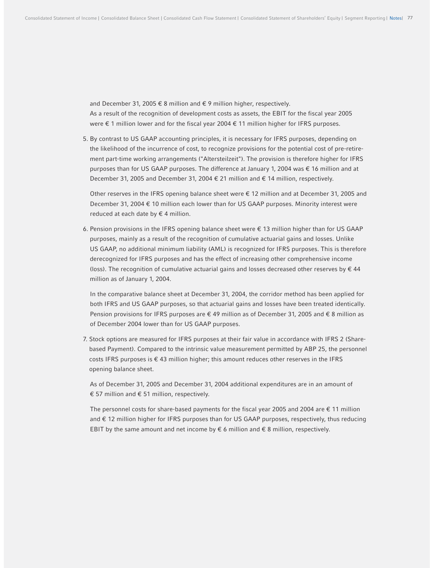and December 31, 2005  $\epsilon$  8 million and  $\epsilon$  9 million higher, respectively. As a result of the recognition of development costs as assets, the EBIT for the fiscal year 2005 were € 1 million lower and for the fiscal year 2004 € 11 million higher for IFRS purposes.

5. By contrast to US GAAP accounting principles, it is necessary for IFRS purposes, depending on the likelihood of the incurrence of cost, to recognize provisions for the potential cost of pre-retirement part-time working arrangements ("Altersteilzeit"). The provision is therefore higher for IFRS purposes than for US GAAP purposes. The difference at January 1, 2004 was € 16 million and at December 31, 2005 and December 31, 2004 € 21 million and € 14 million, respectively.

Other reserves in the IFRS opening balance sheet were € 12 million and at December 31, 2005 and December 31, 2004 € 10 million each lower than for US GAAP purposes. Minority interest were reduced at each date by  $\epsilon$  4 million.

6. Pension provisions in the IFRS opening balance sheet were  $\epsilon$  13 million higher than for US GAAP purposes, mainly as a result of the recognition of cumulative actuarial gains and losses. Unlike US GAAP, no additional minimum liability (AML) is recognized for IFRS purposes. This is therefore derecognized for IFRS purposes and has the effect of increasing other comprehensive income (loss). The recognition of cumulative actuarial gains and losses decreased other reserves by  $\in$  44 million as of January 1, 2004.

In the comparative balance sheet at December 31, 2004, the corridor method has been applied for both IFRS and US GAAP purposes, so that actuarial gains and losses have been treated identically. Pension provisions for IFRS purposes are  $\in$  49 million as of December 31, 2005 and  $\in$  8 million as of December 2004 lower than for US GAAP purposes.

7. Stock options are measured for IFRS purposes at their fair value in accordance with IFRS 2 (Sharebased Payment). Compared to the intrinsic value measurement permitted by ABP 25, the personnel costs IFRS purposes is  $\epsilon$  43 million higher; this amount reduces other reserves in the IFRS opening balance sheet.

As of December 31, 2005 and December 31, 2004 additional expenditures are in an amount of € 57 million and € 51 million, respectively.

The personnel costs for share-based payments for the fiscal year 2005 and 2004 are € 11 million and € 12 million higher for IFRS purposes than for US GAAP purposes, respectively, thus reducing EBIT by the same amount and net income by  $\epsilon$  6 million and  $\epsilon$  8 million, respectively.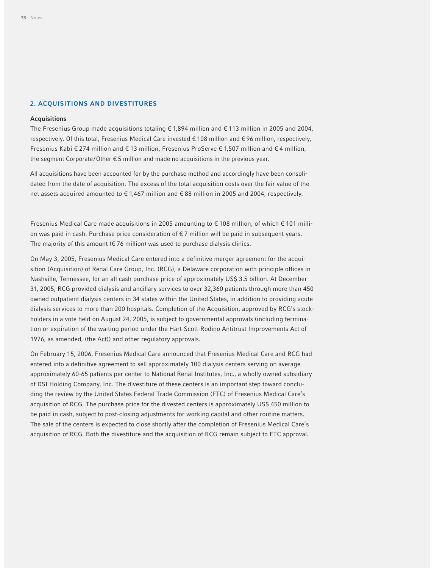#### **2. ACQUISITIONS AND DIVESTITURES**

#### **Acquisitions**

The Fresenius Group made acquisitions totaling € 1,894 million and € 113 million in 2005 and 2004, respectively. Of this total, Fresenius Medical Care invested € 108 million and € 96 million, respectively, Fresenius Kabi € 274 million and € 13 million, Fresenius ProServe € 1,507 million and € 4 million, the segment Corporate/Other € 5 million and made no acquisitions in the previous year.

All acquisitions have been accounted for by the purchase method and accordingly have been consolidated from the date of acquisition. The excess of the total acquisition costs over the fair value of the net assets acquired amounted to € 1,467 million and € 88 million in 2005 and 2004, respectively.

Fresenius Medical Care made acquisitions in 2005 amounting to € 108 million, of which € 101 million was paid in cash. Purchase price consideration of € 7 million will be paid in subsequent years. The majority of this amount ( $\epsilon$  76 million) was used to purchase dialysis clinics.

On May 3, 2005, Fresenius Medical Care entered into a definitive merger agreement for the acquisition (Acquisition) of Renal Care Group, Inc. (RCG), a Delaware corporation with principle offices in Nashville, Tennessee, for an all cash purchase price of approximately US\$ 3.5 billion. At December 31, 2005, RCG provided dialysis and ancillary services to over 32,360 patients through more than 450 owned outpatient dialysis centers in 34 states within the United States, in addition to providing acute dialysis services to more than 200 hospitals. Completion of the Acquisition, approved by RCG's stockholders in a vote held on August 24, 2005, is subject to governmental approvals (including termination or expiration of the waiting period under the Hart-Scott-Rodino Antitrust Improvements Act of 1976, as amended, (the Act)) and other regulatory approvals.

On February 15, 2006, Fresenius Medical Care announced that Fresenius Medical Care and RCG had entered into a definitive agreement to sell approximately 100 dialysis centers serving on average approximately 60-65 patients per center to National Renal Institutes, Inc., a wholly owned subsidiary of DSI Holding Company, Inc. The divestiture of these centers is an important step toward concluding the review by the United States Federal Trade Commission (FTC) of Fresenius Medical Care's acquisition of RCG. The purchase price for the divested centers is approximately US\$ 450 million to be paid in cash, subject to post-closing adjustments for working capital and other routine matters. The sale of the centers is expected to close shortly after the completion of Fresenius Medical Care's acquisition of RCG. Both the divestiture and the acquisition of RCG remain subject to FTC approval.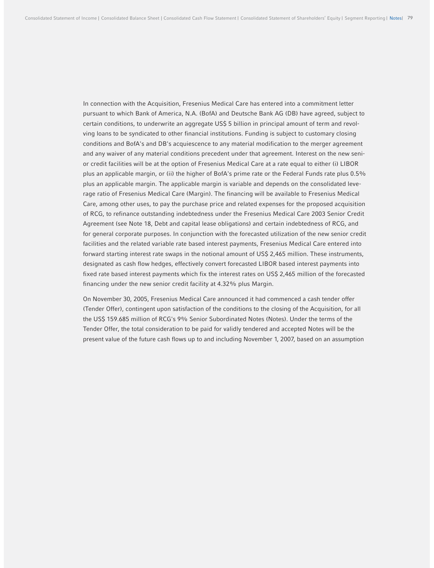In connection with the Acquisition, Fresenius Medical Care has entered into a commitment letter pursuant to which Bank of America, N.A. (BofA) and Deutsche Bank AG (DB) have agreed, subject to certain conditions, to underwrite an aggregate US\$ 5 billion in principal amount of term and revolving loans to be syndicated to other financial institutions. Funding is subject to customary closing conditions and BofA's and DB's acquiescence to any material modification to the merger agreement and any waiver of any material conditions precedent under that agreement. Interest on the new senior credit facilities will be at the option of Fresenius Medical Care at a rate equal to either (i) LIBOR plus an applicable margin, or (ii) the higher of BofA's prime rate or the Federal Funds rate plus 0.5% plus an applicable margin. The applicable margin is variable and depends on the consolidated leverage ratio of Fresenius Medical Care (Margin). The financing will be available to Fresenius Medical Care, among other uses, to pay the purchase price and related expenses for the proposed acquisition of RCG, to refinance outstanding indebtedness under the Fresenius Medical Care 2003 Senior Credit Agreement (see Note 18, Debt and capital lease obligations) and certain indebtedness of RCG, and for general corporate purposes. In conjunction with the forecasted utilization of the new senior credit facilities and the related variable rate based interest payments, Fresenius Medical Care entered into forward starting interest rate swaps in the notional amount of US\$ 2,465 million. These instruments, designated as cash flow hedges, effectively convert forecasted LIBOR based interest payments into fixed rate based interest payments which fix the interest rates on US\$ 2,465 million of the forecasted financing under the new senior credit facility at 4.32% plus Margin.

On November 30, 2005, Fresenius Medical Care announced it had commenced a cash tender offer (Tender Offer), contingent upon satisfaction of the conditions to the closing of the Acquisition, for all the US\$ 159.685 million of RCG's 9% Senior Subordinated Notes (Notes). Under the terms of the Tender Offer, the total consideration to be paid for validly tendered and accepted Notes will be the present value of the future cash flows up to and including November 1, 2007, based on an assumption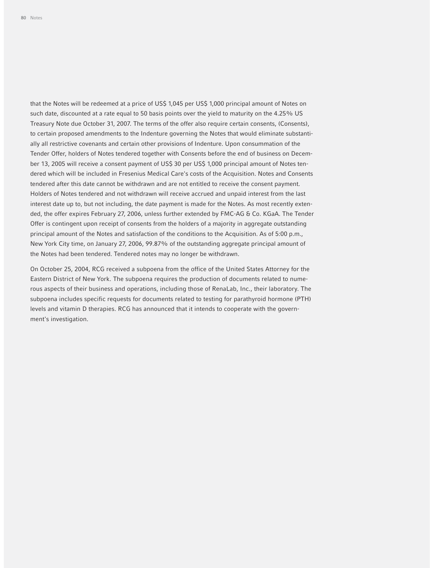that the Notes will be redeemed at a price of US\$ 1,045 per US\$ 1,000 principal amount of Notes on such date, discounted at a rate equal to 50 basis points over the yield to maturity on the 4.25% US Treasury Note due October 31, 2007. The terms of the offer also require certain consents, (Consents), to certain proposed amendments to the Indenture governing the Notes that would eliminate substantially all restrictive covenants and certain other provisions of Indenture. Upon consummation of the Tender Offer, holders of Notes tendered together with Consents before the end of business on December 13, 2005 will receive a consent payment of US\$ 30 per US\$ 1,000 principal amount of Notes tendered which will be included in Fresenius Medical Care's costs of the Acquisition. Notes and Consents tendered after this date cannot be withdrawn and are not entitled to receive the consent payment. Holders of Notes tendered and not withdrawn will receive accrued and unpaid interest from the last interest date up to, but not including, the date payment is made for the Notes. As most recently extended, the offer expires February 27, 2006, unless further extended by FMC-AG & Co. KGaA. The Tender Offer is contingent upon receipt of consents from the holders of a majority in aggregate outstanding principal amount of the Notes and satisfaction of the conditions to the Acquisition. As of 5:00 p.m., New York City time, on January 27, 2006, 99.87% of the outstanding aggregate principal amount of the Notes had been tendered. Tendered notes may no longer be withdrawn.

On October 25, 2004, RCG received a subpoena from the office of the United States Attorney for the Eastern District of New York. The subpoena requires the production of documents related to numerous aspects of their business and operations, including those of RenaLab, Inc., their laboratory. The subpoena includes specific requests for documents related to testing for parathyroid hormone (PTH) levels and vitamin D therapies. RCG has announced that it intends to cooperate with the government's investigation.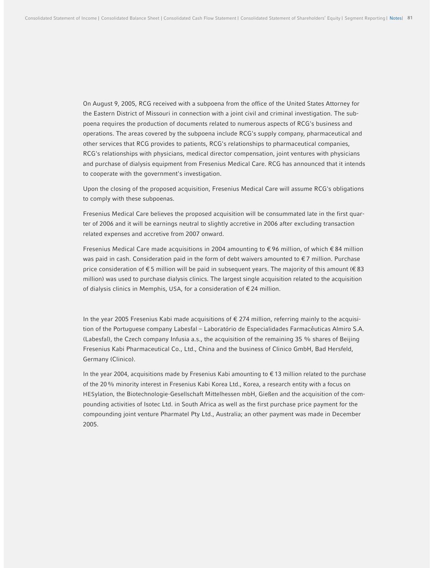On August 9, 2005, RCG received with a subpoena from the office of the United States Attorney for the Eastern District of Missouri in connection with a joint civil and criminal investigation. The subpoena requires the production of documents related to numerous aspects of RCG's business and operations. The areas covered by the subpoena include RCG's supply company, pharmaceutical and other services that RCG provides to patients, RCG's relationships to pharmaceutical companies, RCG's relationships with physicians, medical director compensation, joint ventures with physicians and purchase of dialysis equipment from Fresenius Medical Care. RCG has announced that it intends to cooperate with the government's investigation.

Upon the closing of the proposed acquisition, Fresenius Medical Care will assume RCG's obligations to comply with these subpoenas.

Fresenius Medical Care believes the proposed acquisition will be consummated late in the first quarter of 2006 and it will be earnings neutral to slightly accretive in 2006 after excluding transaction related expenses and accretive from 2007 onward.

Fresenius Medical Care made acquisitions in 2004 amounting to € 96 million, of which € 84 million was paid in cash. Consideration paid in the form of debt waivers amounted to €7 million. Purchase price consideration of  $\epsilon$  5 million will be paid in subsequent years. The majority of this amount ( $\epsilon$ 83 million) was used to purchase dialysis clinics. The largest single acquisition related to the acquisition of dialysis clinics in Memphis, USA, for a consideration of € 24 million.

In the year 2005 Fresenius Kabi made acquisitions of € 274 million, referring mainly to the acquisition of the Portuguese company Labesfal – Laboratório de Especialidades Farmacêuticas Almiro S.A. (Labesfal), the Czech company Infusia a.s., the acquisition of the remaining 35 % shares of Beijing Fresenius Kabi Pharmaceutical Co., Ltd., China and the business of Clinico GmbH, Bad Hersfeld, Germany (Clinico).

In the year 2004, acquisitions made by Fresenius Kabi amounting to € 13 million related to the purchase of the 20% minority interest in Fresenius Kabi Korea Ltd., Korea, a research entity with a focus on HESylation, the Biotechnologie-Gesellschaft Mittelhessen mbH, Gießen and the acquisition of the compounding activities of Isotec Ltd. in South Africa as well as the first purchase price payment for the compounding joint venture Pharmatel Pty Ltd., Australia; an other payment was made in December 2005.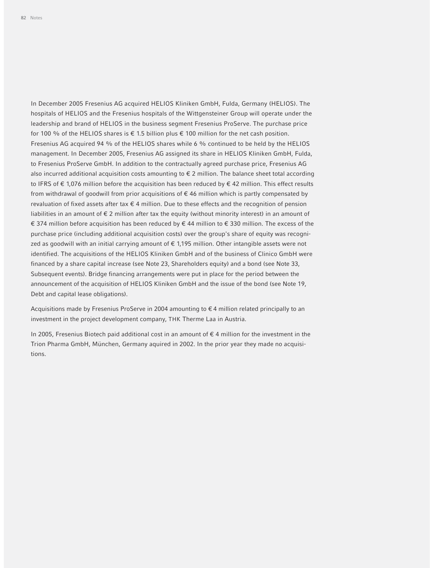In December 2005 Fresenius AG acquired HELIOS Kliniken GmbH, Fulda, Germany (HELIOS). The hospitals of HELIOS and the Fresenius hospitals of the Wittgensteiner Group will operate under the leadership and brand of HELIOS in the business segment Fresenius ProServe. The purchase price for 100 % of the HELIOS shares is  $\epsilon$  1.5 billion plus  $\epsilon$  100 million for the net cash position. Fresenius AG acquired 94 % of the HELIOS shares while 6 % continued to be held by the HELIOS management. In December 2005, Fresenius AG assigned its share in HELIOS Kliniken GmbH, Fulda, to Fresenius ProServe GmbH. In addition to the contractually agreed purchase price, Fresenius AG also incurred additional acquisition costs amounting to  $\epsilon$  2 million. The balance sheet total according to IFRS of  $\epsilon$  1,076 million before the acquisition has been reduced by  $\epsilon$  42 million. This effect results from withdrawal of goodwill from prior acquisitions of  $\epsilon$  46 million which is partly compensated by revaluation of fixed assets after tax  $\epsilon$  4 million. Due to these effects and the recognition of pension liabilities in an amount of  $\epsilon$  2 million after tax the equity (without minority interest) in an amount of € 374 million before acquisition has been reduced by € 44 million to € 330 million. The excess of the purchase price (including additional acquisition costs) over the group's share of equity was recognized as goodwill with an initial carrying amount of  $\epsilon$  1,195 million. Other intangible assets were not identified. The acquisitions of the HELIOS Kliniken GmbH and of the business of Clinico GmbH were financed by a share capital increase (see Note 23, Shareholders equity) and a bond (see Note 33, Subsequent events). Bridge financing arrangements were put in place for the period between the announcement of the acquisition of HELIOS Kliniken GmbH and the issue of the bond (see Note 19, Debt and capital lease obligations).

Acquisitions made by Fresenius ProServe in 2004 amounting to € 4 million related principally to an investment in the project development company, THK Therme Laa in Austria.

In 2005, Fresenius Biotech paid additional cost in an amount of € 4 million for the investment in the Trion Pharma GmbH, München, Germany aquired in 2002. In the prior year they made no acquisitions.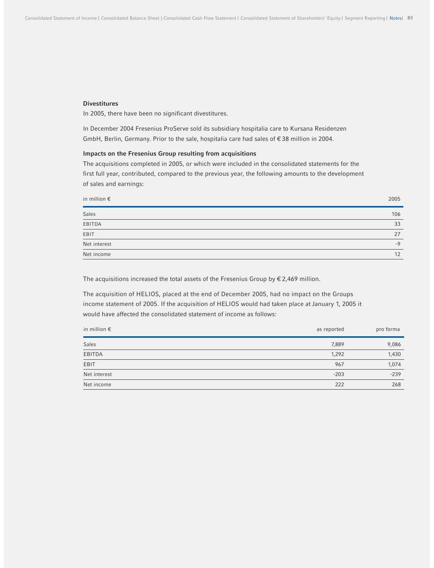## **Divestitures**

In 2005, there have been no significant divestitures.

In December 2004 Fresenius ProServe sold its subsidiary hospitalia care to Kursana Residenzen GmbH, Berlin, Germany. Prior to the sale, hospitalia care had sales of € 38 million in 2004.

#### **Impacts on the Fresenius Group resulting from acquisitions**

The acquisitions completed in 2005, or which were included in the consolidated statements for the first full year, contributed, compared to the previous year, the following amounts to the development of sales and earnings:

| in million $\epsilon$ | 2005 |
|-----------------------|------|
| Sales                 | 106  |
| EBITDA                | 33   |
| EBIT                  | 27   |
| Net interest          | $-9$ |
| Net income            | 12   |

The acquisitions increased the total assets of the Fresenius Group by  $\epsilon$  2,469 million.

The acquisition of HELIOS, placed at the end of December 2005, had no impact on the Groups income statement of 2005. If the acquisition of HELIOS would had taken place at January 1, 2005 it would have affected the consolidated statement of income as follows:

| in million $\epsilon$ | as reported | pro forma |
|-----------------------|-------------|-----------|
| Sales                 | 7,889       | 9,086     |
| EBITDA                | 1,292       | 1,430     |
| EBIT                  | 967         | 1,074     |
| Net interest          | $-203$      | $-239$    |
| Net income            | 222         | 268       |
|                       |             |           |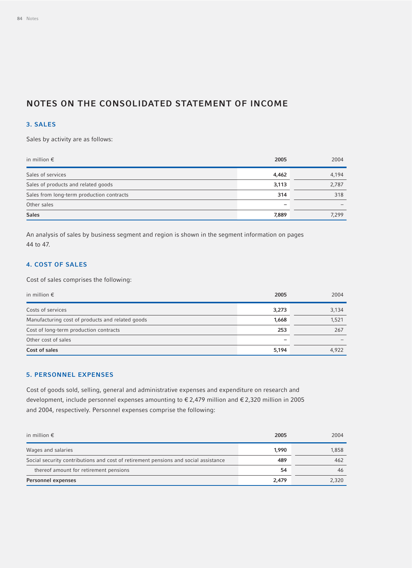# **NOTES ON THE CONSOLIDATED STATEMENT OF INCOME**

## **3. SALES**

Sales by activity are as follows:

| in million $\epsilon$                     | 2005                     | 2004  |
|-------------------------------------------|--------------------------|-------|
| Sales of services                         | 4,462                    | 4,194 |
| Sales of products and related goods       | 3,113                    | 2,787 |
| Sales from long-term production contracts | 314                      | 318   |
| Other sales                               | $\overline{\phantom{0}}$ |       |
| <b>Sales</b>                              | 7,889                    | 7,299 |

An analysis of sales by business segment and region is shown in the segment information on pages 44 to 47.

# **4. COST OF SALES**

Cost of sales comprises the following:

| in million $\epsilon$                            | 2005                     | 2004  |
|--------------------------------------------------|--------------------------|-------|
| Costs of services                                | 3,273                    | 3,134 |
| Manufacturing cost of products and related goods | 1,668                    | 1,521 |
| Cost of long-term production contracts           | 253                      | 267   |
| Other cost of sales                              | $\overline{\phantom{0}}$ |       |
| Cost of sales                                    | 5,194                    | 4,922 |

## **5. PERSONNEL EXPENSES**

Cost of goods sold, selling, general and administrative expenses and expenditure on research and development, include personnel expenses amounting to € 2,479 million and € 2,320 million in 2005 and 2004, respectively. Personnel expenses comprise the following:

| in million $\epsilon$                                                               | 2005  | 2004  |
|-------------------------------------------------------------------------------------|-------|-------|
| Wages and salaries                                                                  | 1,990 | 1.858 |
| Social security contributions and cost of retirement pensions and social assistance | 489   | 462   |
| thereof amount for retirement pensions                                              | 54    | 46    |
| Personnel expenses                                                                  | 2.479 | 2.320 |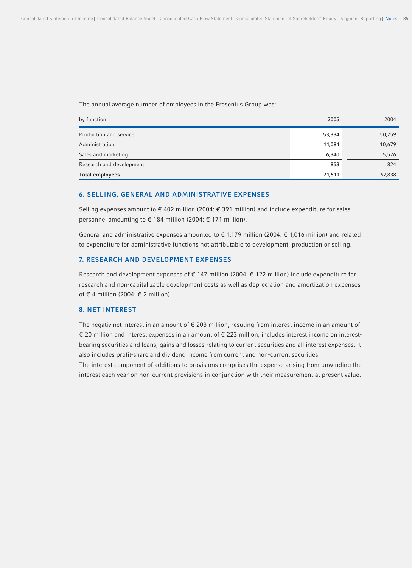The annual average number of employees in the Fresenius Group was:

| by function              | 2005   | 2004   |
|--------------------------|--------|--------|
| Production and service   | 53,334 | 50,759 |
| Administration           | 11,084 | 10,679 |
| Sales and marketing      | 6,340  | 5,576  |
| Research and development | 853    | 824    |
| <b>Total employees</b>   | 71,611 | 67,838 |

#### **6. SELLING, GENERAL AND ADMINISTRATIVE EXPENSES**

Selling expenses amount to € 402 million (2004: € 391 million) and include expenditure for sales personnel amounting to € 184 million (2004: € 171 million).

General and administrative expenses amounted to € 1,179 million (2004: € 1,016 million) and related to expenditure for administrative functions not attributable to development, production or selling.

## **7. RESEARCH AND DEVELOPMENT EXPENSES**

Research and development expenses of € 147 million (2004: € 122 million) include expenditure for research and non-capitalizable development costs as well as depreciation and amortization expenses of  $\in$  4 million (2004:  $\in$  2 million).

## **8. NET INTEREST**

The negativ net interest in an amount of  $\epsilon$  203 million, resuting from interest income in an amount of € 20 million and interest expenses in an amount of € 223 million, includes interest income on interestbearing securities and loans, gains and losses relating to current securities and all interest expenses. It also includes profit-share and dividend income from current and non-current securities.

The interest component of additions to provisions comprises the expense arising from unwinding the interest each year on non-current provisions in conjunction with their measurement at present value.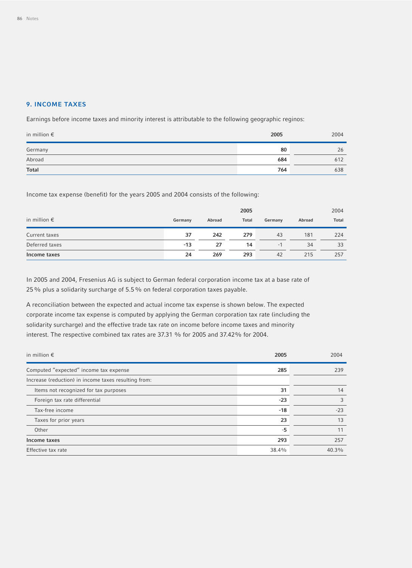## **9. INCOME TAXES**

Earnings before income taxes and minority interest is attributable to the following geographic reginos:

| in million $\epsilon$ | 2005 | 2004 |
|-----------------------|------|------|
| Germany               | 80   | 26   |
| Abroad                | 684  | 612  |
| Total                 | 764  | 638  |

Income tax expense (benefit) for the years 2005 and 2004 consists of the following:

|                       |         |        | 2005  |         |        | 2004         |
|-----------------------|---------|--------|-------|---------|--------|--------------|
| in million $\epsilon$ | Germany | Abroad | Total | Germany | Abroad | <b>Total</b> |
| Current taxes         | 37      | 242    | 279   | 43      | 181    | 224          |
| Deferred taxes        | $-13$   | 27     | 14    | $-1$    | 34     | 33           |
| Income taxes          | 24      | 269    | 293   | 42      | 215    | 257          |

In 2005 and 2004, Fresenius AG is subject to German federal corporation income tax at a base rate of 25% plus a solidarity surcharge of 5.5% on federal corporation taxes payable.

A reconciliation between the expected and actual income tax expense is shown below. The expected corporate income tax expense is computed by applying the German corporation tax rate (including the solidarity surcharge) and the effective trade tax rate on income before income taxes and minority interest. The respective combined tax rates are 37.31 % for 2005 and 37.42% for 2004.

| in million $\epsilon$                                | 2005  | 2004  |
|------------------------------------------------------|-------|-------|
| Computed "expected" income tax expense               | 285   | 239   |
| Increase (reduction) in income taxes resulting from: |       |       |
| Items not recognized for tax purposes                | 31    | 14    |
| Foreign tax rate differential                        | $-23$ | 3     |
| Tax-free income                                      | $-18$ | $-23$ |
| Taxes for prior years                                | 23    | 13    |
| Other                                                | $-5$  | 11    |
| Income taxes                                         | 293   | 257   |
| Effective tax rate                                   | 38.4% | 40.3% |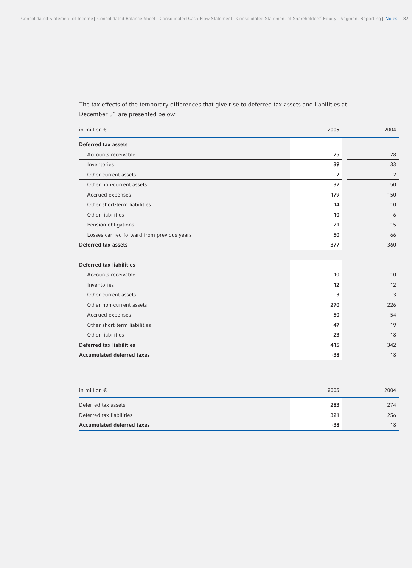The tax effects of the temporary differences that give rise to deferred tax assets and liabilities at December 31 are presented below:

| in million $\epsilon$                      | 2005 | 2004           |  |
|--------------------------------------------|------|----------------|--|
| Deferred tax assets                        |      |                |  |
| Accounts receivable                        | 25   | 28             |  |
| Inventories                                | 39   | 33             |  |
| Other current assets                       | 7    | $\overline{2}$ |  |
| Other non-current assets                   | 32   | 50             |  |
| Accrued expenses                           | 179  | 150            |  |
| Other short-term liabilities               | 14   | 10             |  |
| Other liabilities                          | 10   | 6              |  |
| Pension obligations                        | 21   | 15             |  |
| Losses carried forward from previous years | 50   | 66             |  |
| Deferred tax assets                        | 377  | 360            |  |
|                                            |      |                |  |
| Deferred tax liabilities                   |      |                |  |
| Accounts receivable                        | 10   | 10             |  |
| Inventories                                | 12   | 12             |  |
| Other current assets                       | 3    | 3              |  |
| Other non-current assets                   | 270  | 226            |  |
| Accrued expenses                           | 50   | 54             |  |
| Other short-term liabilities               | 47   | 19             |  |
| Other liabilities                          | 23   | 18             |  |

| .                          |       |     |
|----------------------------|-------|-----|
| Deferred tax liabilities   | 415   | 342 |
| Accumulated deferred taxes | $-38$ | 18  |

| in million $\epsilon$             | 2005 | 2004 |
|-----------------------------------|------|------|
| Deferred tax assets               | 283  | 274  |
| Deferred tax liabilities          | 321  | 256  |
| <b>Accumulated deferred taxes</b> | -38  | 18   |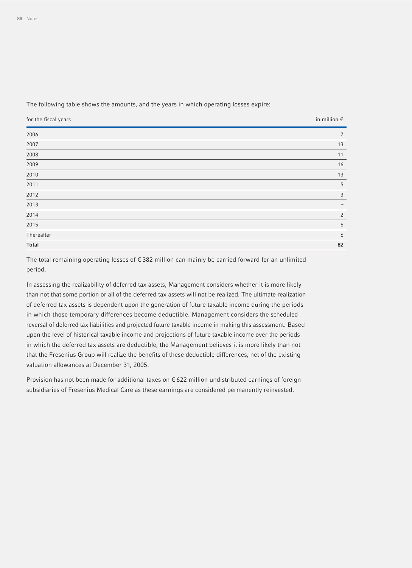| for the fiscal years | in million $\epsilon$ |
|----------------------|-----------------------|
| 2006                 | 7                     |
| 2007                 | 13                    |
| 2008                 | 11                    |
| 2009                 | 16                    |
| 2010                 | 13                    |
| 2011                 | 5                     |
| 2012                 | 3                     |
| 2013                 |                       |
| 2014                 | $\overline{2}$        |
| 2015                 | 6                     |
| Thereafter           | 6                     |
| <b>Total</b>         | 82                    |

The following table shows the amounts, and the years in which operating losses expire:

The total remaining operating losses of  $\epsilon$ 382 million can mainly be carried forward for an unlimited period.

In assessing the realizability of deferred tax assets, Management considers whether it is more likely than not that some portion or all of the deferred tax assets will not be realized. The ultimate realization of deferred tax assets is dependent upon the generation of future taxable income during the periods in which those temporary differences become deductible. Management considers the scheduled reversal of deferred tax liabilities and projected future taxable income in making this assessment. Based upon the level of historical taxable income and projections of future taxable income over the periods in which the deferred tax assets are deductible, the Management believes it is more likely than not that the Fresenius Group will realize the benefits of these deductible differences, net of the existing valuation allowances at December 31, 2005.

Provision has not been made for additional taxes on € 622 million undistributed earnings of foreign subsidiaries of Fresenius Medical Care as these earnings are considered permanently reinvested.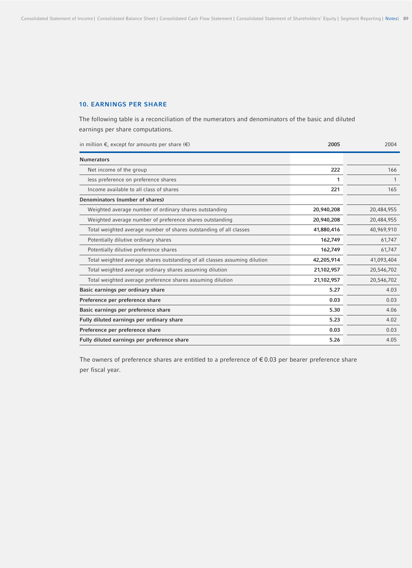## **10. EARNINGS PER SHARE**

The following table is a reconciliation of the numerators and denominators of the basic and diluted earnings per share computations.

| in million $\epsilon$ , except for amounts per share $(\epsilon)$          | 2005       |            |
|----------------------------------------------------------------------------|------------|------------|
| <b>Numerators</b>                                                          |            |            |
| Net income of the group                                                    | 222        | 166        |
| less preference on preference shares                                       | 1          | 1          |
| Income available to all class of shares                                    | 221        | 165        |
| Denominators (number of shares)                                            |            |            |
| Weighted average number of ordinary shares outstanding                     | 20,940,208 | 20,484,955 |
| Weighted average number of preference shares outstanding                   | 20,940,208 | 20,484,955 |
| Total weighted average number of shares outstanding of all classes         | 41,880,416 | 40,969,910 |
| Potentially dilutive ordinary shares                                       | 162,749    | 61,747     |
| Potentially dilutive preference shares                                     | 162,749    | 61,747     |
| Total weighted average shares outstanding of all classes assuming dilution | 42,205,914 | 41,093,404 |
| Total weighted average ordinary shares assuming dilution                   | 21,102,957 | 20,546,702 |
| Total weighted average preference shares assuming dilution                 | 21,102,957 | 20,546,702 |
| Basic earnings per ordinary share                                          | 5.27       | 4.03       |
| Preference per preference share                                            | 0.03       | 0.03       |
| Basic earnings per preference share                                        | 5.30       | 4.06       |
| Fully diluted earnings per ordinary share                                  | 5.23       | 4.02       |
| Preference per preference share                                            | 0.03       | 0.03       |
| Fully diluted earnings per preference share                                | 5.26       | 4.05       |

The owners of preference shares are entitled to a preference of  $\epsilon$  0.03 per bearer preference share per fiscal year.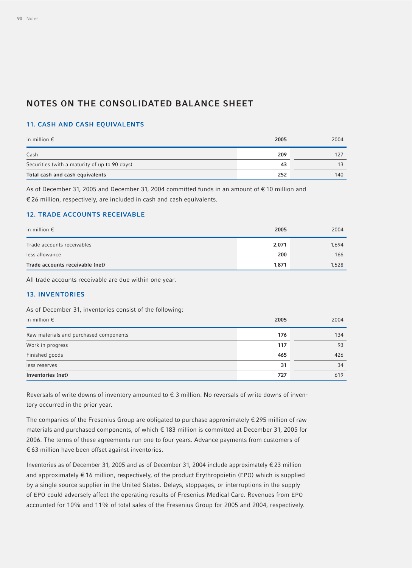# **NOTES ON THE CONSOLIDATED BALANCE SHEET**

## **11. CASH AND CASH EQUIVALENTS**

| in million $\epsilon$                         | 2005 | 2004 |
|-----------------------------------------------|------|------|
| Cash                                          | 209  | 127  |
| Securities (with a maturity of up to 90 days) | 43   | 13   |
| Total cash and cash equivalents               | 252  | 140  |

As of December 31, 2005 and December 31, 2004 committed funds in an amount of € 10 million and € 26 million, respectively, are included in cash and cash equivalents.

## **12. TRADE ACCOUNTS RECEIVABLE**

| in million $\epsilon$           | 2005  | 2004  |
|---------------------------------|-------|-------|
| Trade accounts receivables      | 2,071 | 1,694 |
| less allowance                  | 200   | 166   |
| Trade accounts receivable (net) | 1,871 | 1,528 |

All trade accounts receivable are due within one year.

## **13. INVENTORIES**

As of December 31, inventories consist of the following:

| in million $\epsilon$                  | 2005 | 2004 |
|----------------------------------------|------|------|
| Raw materials and purchased components | 176  | 134  |
| Work in progress                       | 117  | 93   |
| Finished goods                         | 465  | 426  |
| less reserves                          | 31   | 34   |
| Inventories (net)                      | 727  | 619  |

Reversals of write downs of inventory amounted to € 3 million. No reversals of write downs of inventory occurred in the prior year.

The companies of the Fresenius Group are obligated to purchase approximately € 295 million of raw materials and purchased components, of which € 183 million is committed at December 31, 2005 for 2006. The terms of these agreements run one to four years. Advance payments from customers of € 63 million have been offset against inventories.

Inventories as of December 31, 2005 and as of December 31, 2004 include approximately € 23 million and approximately € 16 million, respectively, of the product Erythropoietin (EPO) which is supplied by a single source supplier in the United States. Delays, stoppages, or interruptions in the supply of EPO could adversely affect the operating results of Fresenius Medical Care. Revenues from EPO accounted for 10% and 11% of total sales of the Fresenius Group for 2005 and 2004, respectively.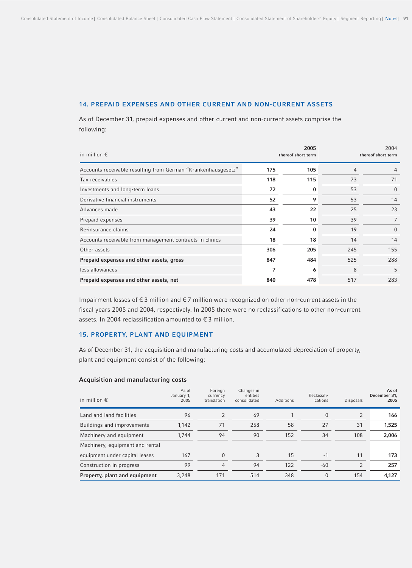## **14. PREPAID EXPENSES AND OTHER CURRENT AND NON-CURRENT ASSETS**

As of December 31, prepaid expenses and other current and non-current assets comprise the following:

| in million $\epsilon$                                         |     | 2005<br>thereof short-term |                | 2004<br>thereof short-term |  |
|---------------------------------------------------------------|-----|----------------------------|----------------|----------------------------|--|
| Accounts receivable resulting from German "Krankenhausgesetz" | 175 | 105                        | $\overline{4}$ | 4                          |  |
| Tax receivables                                               | 118 | 115                        | 73             | 71                         |  |
| Investments and long-term loans                               | 72  | 0                          | 53             | $\Omega$                   |  |
| Derivative financial instruments                              | 52  | 9                          | 53             | 14                         |  |
| Advances made                                                 | 43  | 22                         | 25             | 23                         |  |
| Prepaid expenses                                              | 39  | 10                         | 39             | 7                          |  |
| Re-insurance claims                                           | 24  | 0                          | 19             | $\Omega$                   |  |
| Accounts receivable from management contracts in clinics      | 18  | 18                         | 14             | 14                         |  |
| Other assets                                                  | 306 | 205                        | 245            | 155                        |  |
| Prepaid expenses and other assets, gross                      | 847 | 484                        | 525            | 288                        |  |
| less allowances                                               | 7   | 6                          | 8              | 5                          |  |
| Prepaid expenses and other assets, net                        | 840 | 478                        | 517            | 283                        |  |

Impairment losses of € 3 million and € 7 million were recognized on other non-current assets in the fiscal years 2005 and 2004, respectively. In 2005 there were no reclassifications to other non-current assets. In 2004 reclassification amounted to € 3 million.

## **15. PROPERTY, PLANT AND EQUIPMENT**

As of December 31, the acquisition and manufacturing costs and accumulated depreciation of property, plant and equipment consist of the following:

## **Acquisition and manufacturing costs**

| in million $\epsilon$           | As of<br>January 1,<br>2005 | Foreign<br>currency<br>translation | Changes in<br>entities<br>consolidated | <b>Additions</b> | Reclassifi-<br>cations | Disposals      | As of<br>December 31,<br>2005 |
|---------------------------------|-----------------------------|------------------------------------|----------------------------------------|------------------|------------------------|----------------|-------------------------------|
| Land and land facilities        | 96                          |                                    | 69                                     |                  | $\Omega$               | 2              | 166                           |
| Buildings and improvements      | 1,142                       | 71                                 | 258                                    | 58               | 27                     | 31             | 1,525                         |
| Machinery and equipment         | 1.744                       | 94                                 | 90                                     | 152              | 34                     | 108            | 2,006                         |
| Machinery, equipment and rental |                             |                                    |                                        |                  |                        |                |                               |
| equipment under capital leases  | 167                         | $\Omega$                           | 3                                      | 15               | $-1$                   | 11             | 173                           |
| Construction in progress        | 99                          | 4                                  | 94                                     | 122              | -60                    | $\overline{2}$ | 257                           |
| Property, plant and equipment   | 3.248                       | 171                                | 514                                    | 348              | $\Omega$               | 154            | 4,127                         |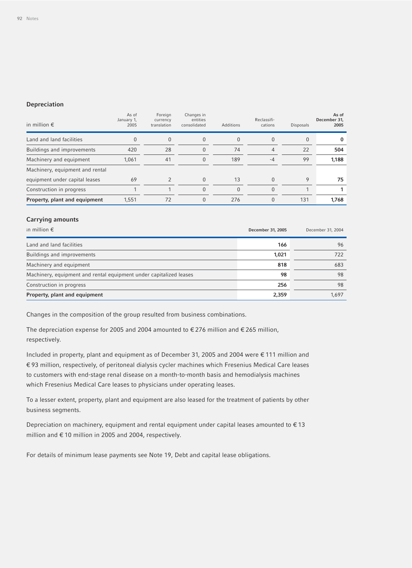#### **Depreciation**

| in million $\epsilon$           | As of<br>January 1,<br>2005 | Foreign<br>currency<br>translation | Changes in<br>entities<br>consolidated | Additions | Reclassifi-<br>cations | <b>Disposals</b> | As of<br>December 31,<br>2005 |
|---------------------------------|-----------------------------|------------------------------------|----------------------------------------|-----------|------------------------|------------------|-------------------------------|
| Land and land facilities        |                             | $\Omega$                           | $\Omega$                               | $\Omega$  |                        | 0                | 0                             |
| Buildings and improvements      | 420                         | 28                                 | $\Omega$                               | 74        | 4                      | 22               | 504                           |
| Machinery and equipment         | 1,061                       | 41                                 | $\Omega$                               | 189       | $-4$                   | 99               | 1,188                         |
| Machinery, equipment and rental |                             |                                    |                                        |           |                        |                  |                               |
| equipment under capital leases  | 69                          |                                    | $\Omega$                               | 13        | $\Omega$               | 9                | 75                            |
| Construction in progress        |                             |                                    | $\Omega$                               | $\Omega$  | $\Omega$               |                  |                               |
| Property, plant and equipment   | 1,551                       | 72                                 | $\Omega$                               | 276       | $\Omega$               | 131              | 1,768                         |

## **Carrying amounts**

| in million $\epsilon$                                              | December 31, 2005 | December 31, 2004 |
|--------------------------------------------------------------------|-------------------|-------------------|
| Land and land facilities                                           | 166               | 96                |
| Buildings and improvements                                         | 1,021             | 722               |
| Machinery and equipment                                            | 818               | 683               |
| Machinery, equipment and rental equipment under capitalized leases | 98                | 98                |
| Construction in progress                                           | 256               | 98                |
| Property, plant and equipment                                      | 2,359             | 1.697             |

Changes in the composition of the group resulted from business combinations.

The depreciation expense for 2005 and 2004 amounted to  $\epsilon$  276 million and  $\epsilon$  265 million, respectively.

Included in property, plant and equipment as of December 31, 2005 and 2004 were € 111 million and € 93 million, respectively, of peritoneal dialysis cycler machines which Fresenius Medical Care leases to customers with end-stage renal disease on a month-to-month basis and hemodialysis machines which Fresenius Medical Care leases to physicians under operating leases.

To a lesser extent, property, plant and equipment are also leased for the treatment of patients by other business segments.

Depreciation on machinery, equipment and rental equipment under capital leases amounted to  $\epsilon$  13 million and € 10 million in 2005 and 2004, respectively.

For details of minimum lease payments see Note 19, Debt and capital lease obligations.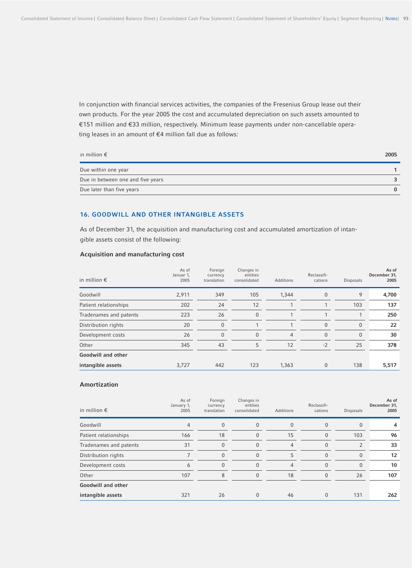In conjunction with financial services activities, the companies of the Fresenius Group lease out their own products. For the year 2005 the cost and accumulated depreciation on such assets amounted to €151 million and €33 million, respectively. Minimum lease payments under non-cancellable operating leases in an amount of €4 million fall due as follows:

| in million $\epsilon$             | 2005 |
|-----------------------------------|------|
| Due within one year               |      |
| Due in between one and five years |      |
| Due later than five years         |      |

## **16. GOODWILL AND OTHER INTANGIBLE ASSETS**

As of December 31, the acquisition and manufacturing cost and accumulated amortization of intangible assets consist of the following:

## **Acquisition and manufacturing cost**

| in million $\epsilon$  | As of<br>Januar 1,<br>2005 | Foreign<br>currency<br>translation | Changes in<br>entities<br>consolidated | Additions      | Reclassifi-<br>cations | Disposals | As of<br>December 31,<br>2005 |
|------------------------|----------------------------|------------------------------------|----------------------------------------|----------------|------------------------|-----------|-------------------------------|
| Goodwill               | 2,911                      | 349                                | 105                                    | 1,344          | $\Omega$               | 9         | 4,700                         |
| Patient relationships  | 202                        | 24                                 | 12                                     |                |                        | 103       | 137                           |
| Tradenames and patents | 223                        | 26                                 | $\Omega$                               |                |                        |           | 250                           |
| Distribution rights    | 20                         | $\Omega$                           |                                        |                | $\Omega$               | $\Omega$  | 22                            |
| Development costs      | 26                         | $\Omega$                           | $\Omega$                               | $\overline{4}$ | $\Omega$               | $\Omega$  | 30                            |
| Other                  | 345                        | 43                                 | 5                                      | 12             | $-2$                   | 25        | 378                           |
| Goodwill and other     |                            |                                    |                                        |                |                        |           |                               |
| intangible assets      | 3,727                      | 442                                | 123                                    | 1,363          | $\Omega$               | 138       | 5,517                         |

#### **Amortization**

| in million $\epsilon$  | As of<br>January 1,<br>2005 | Foreign<br>currency<br>translation | Changes in<br>entities<br>consolidated | Additions      | Reclassifi-<br>cations | Disposals      | As of<br>December 31,<br>2005 |
|------------------------|-----------------------------|------------------------------------|----------------------------------------|----------------|------------------------|----------------|-------------------------------|
| Goodwill               | $\overline{4}$              | 0                                  | $\Omega$                               | $\mathbf{0}$   | $\Omega$               | 0              | 4                             |
| Patient relationships  | 166                         | 18                                 | $\Omega$                               | 15             | $\Omega$               | 103            | 96                            |
| Tradenames and patents | 31                          | $\Omega$                           | $\Omega$                               | $\overline{4}$ | $\Omega$               | $\overline{2}$ | 33                            |
| Distribution rights    |                             | $\Omega$                           | $\Omega$                               | 5              | $\Omega$               | $\mathbf{0}$   | 12                            |
| Development costs      | 6                           | $\Omega$                           | $\Omega$                               | 4              | $\Omega$               | $\Omega$       | 10                            |
| Other                  | 107                         | 8                                  | $\Omega$                               | 18             | $\Omega$               | 26             | 107                           |
| Goodwill and other     |                             |                                    |                                        |                |                        |                |                               |
| intangible assets      | 321                         | 26                                 | $\Omega$                               | 46             | $\Omega$               | 131            | 262                           |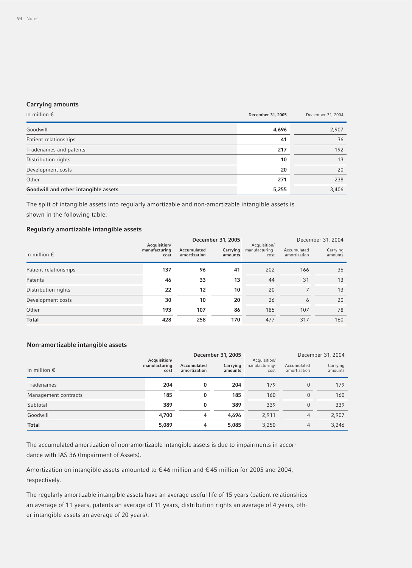## **Carrying amounts**

| in million $\epsilon$                | December 31, 2005 | December 31, 2004 |
|--------------------------------------|-------------------|-------------------|
| Goodwill                             | 4,696             | 2,907             |
| Patient relationships                | 41                | 36                |
| Tradenames and patents               | 217               | 192               |
| Distribution rights                  | 10                | 13                |
| Development costs                    | 20                | 20                |
| Other                                | 271               | 238               |
| Goodwill and other intangible assets | 5,255             | 3,406             |

The split of intangible assets into regularly amortizable and non-amortizable intangible assets is shown in the following table:

## **Regularly amortizable intangible assets**

|                       |                                       |                             | December 31, 2005   |                                        | December 31, 2004           |                     |
|-----------------------|---------------------------------------|-----------------------------|---------------------|----------------------------------------|-----------------------------|---------------------|
| in million $\epsilon$ | Acquisition/<br>manufacturing<br>cost | Accumulated<br>amortization | Carrying<br>amounts | Acquisition/<br>manufacturing-<br>cost | Accumulated<br>amortization | Carrying<br>amounts |
| Patient relationships | 137                                   | 96                          | 41                  | 202                                    | 166                         | 36                  |
| Patents               | 46                                    | 33                          | 13                  | 44                                     | 31                          | 13                  |
| Distribution rights   | 22                                    | 12                          | 10                  | 20                                     |                             | 13                  |
| Development costs     | 30                                    | 10                          | 20                  | 26                                     | 6                           | 20                  |
| Other                 | 193                                   | 107                         | 86                  | 185                                    | 107                         | 78                  |
| <b>Total</b>          | 428                                   | 258                         | 170                 | 477                                    | 317                         | 160                 |

#### **Non-amortizable intangible assets**

|                       |                                       |                             | December 31, 2005   |                                        |                             | December 31, 2004   |
|-----------------------|---------------------------------------|-----------------------------|---------------------|----------------------------------------|-----------------------------|---------------------|
| in million $\epsilon$ | Acquisition/<br>manufacturing<br>cost | Accumulated<br>amortization | Carrying<br>amounts | Acquisition/<br>manufacturing-<br>cost | Accumulated<br>amortization | Carrying<br>amounts |
| Tradenames            | 204                                   | 0                           | 204                 | 179                                    | $\mathbf{0}$                | 179                 |
| Management contracts  | 185                                   | 0                           | 185                 | 160                                    | $\mathbf{0}$                | 160                 |
| Subtotal              | 389                                   | 0                           | 389                 | 339                                    | $\mathbf{0}$                | 339                 |
| Goodwill              | 4,700                                 | 4                           | 4,696               | 2.911                                  | $\overline{4}$              | 2,907               |
| <b>Total</b>          | 5,089                                 | 4                           | 5,085               | 3,250                                  | $\overline{4}$              | 3,246               |

The accumulated amortization of non-amortizable intangible assets is due to impairments in accordance with IAS 36 (Impairment of Assets).

Amortization on intangible assets amounted to € 46 million and € 45 million for 2005 and 2004, respectively.

The regularly amortizable intangible assets have an average useful life of 15 years (patient relationships an average of 11 years, patents an average of 11 years, distribution rights an average of 4 years, other intangible assets an average of 20 years).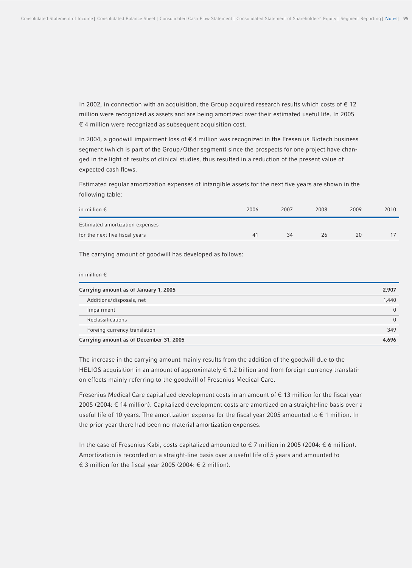In 2002, in connection with an acquisition, the Group acquired research results which costs of  $\epsilon$  12 million were recognized as assets and are being amortized over their estimated useful life. In 2005 € 4 million were recognized as subsequent acquisition cost.

In 2004, a goodwill impairment loss of € 4 million was recognized in the Fresenius Biotech business segment (which is part of the Group/Other segment) since the prospects for one project have changed in the light of results of clinical studies, thus resulted in a reduction of the present value of expected cash flows.

Estimated regular amortization expenses of intangible assets for the next five years are shown in the following table:

| in million $\epsilon$           | 2006 | 2007 | 2008 | 2009 | 2010 |
|---------------------------------|------|------|------|------|------|
| Estimated amortization expenses |      |      |      |      |      |
| for the next five fiscal years  | 41   | 34   | 26   | 20   |      |

The carrying amount of goodwill has developed as follows:

| in million $\epsilon$                   |              |
|-----------------------------------------|--------------|
| Carrying amount as of January 1, 2005   | 2,907        |
| Additions/disposals, net                | 1,440        |
| Impairment                              | $\Omega$     |
| <b>Reclassifications</b>                | $\mathbf{0}$ |
| Foreing currency translation            | 349          |
| Carrying amount as of December 31, 2005 | 4,696        |

The increase in the carrying amount mainly results from the addition of the goodwill due to the HELIOS acquisition in an amount of approximately € 1.2 billion and from foreign currency translation effects mainly referring to the goodwill of Fresenius Medical Care.

Fresenius Medical Care capitalized development costs in an amount of € 13 million for the fiscal year 2005 (2004: € 14 million). Capitalized development costs are amortized on a straight-line basis over a useful life of 10 years. The amortization expense for the fiscal year 2005 amounted to € 1 million. In the prior year there had been no material amortization expenses.

In the case of Fresenius Kabi, costs capitalized amounted to € 7 million in 2005 (2004: € 6 million). Amortization is recorded on a straight-line basis over a useful life of 5 years and amounted to € 3 million for the fiscal year 2005 (2004: € 2 million).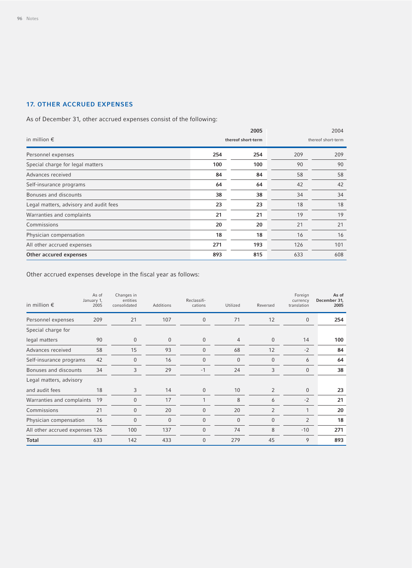# **17. OTHER ACCRUED EXPENSES**

As of December 31, other accrued expenses consist of the following:

| in million $\epsilon$                  |     | 2005<br>thereof short-term | 2004<br>thereof short-term |     |  |
|----------------------------------------|-----|----------------------------|----------------------------|-----|--|
| Personnel expenses                     | 254 | 254                        | 209                        | 209 |  |
| Special charge for legal matters       | 100 | 100                        | 90                         | 90  |  |
| Advances received                      | 84  | 84                         | 58                         | 58  |  |
| Self-insurance programs                | 64  | 64                         | 42                         | 42  |  |
| Bonuses and discounts                  | 38  | 38                         | 34                         | 34  |  |
| Legal matters, advisory and audit fees | 23  | 23                         | 18                         | 18  |  |
| Warranties and complaints              | 21  | 21                         | 19                         | 19  |  |
| Commissions                            | 20  | 20                         | 21                         | 21  |  |
| Physician compensation                 | 18  | 18                         | 16                         | 16  |  |
| All other accrued expenses             | 271 | 193                        | 126                        | 101 |  |
| Other accured expenses                 | 893 | 815                        | 633                        | 608 |  |

Other accrued expenses develope in the fiscal year as follows:

| in million $\epsilon$          | As of<br>January 1,<br>2005 | Changes in<br>entities<br>consolidated | Additions      | Reclassifi-<br>cations | Utilized        | Reversed       | Foreign<br>currency<br>translation | As of<br>December 31,<br>2005 |
|--------------------------------|-----------------------------|----------------------------------------|----------------|------------------------|-----------------|----------------|------------------------------------|-------------------------------|
| Personnel expenses             | 209                         | 21                                     | 107            | $\mathbf{0}$           | 71              | 12             | $\mathbf{0}$                       | 254                           |
| Special charge for             |                             |                                        |                |                        |                 |                |                                    |                               |
| legal matters                  | 90                          | $\mathbf{0}$                           | $\overline{0}$ | 0                      | $\overline{4}$  | $\overline{0}$ | 14                                 | 100                           |
| Advances received              | 58                          | 15                                     | 93             | 0                      | 68              | 12             | $-2$                               | 84                            |
| Self-insurance programs        | 42                          | $\mathbf{0}$                           | 16             | 0                      | $\overline{0}$  | $\mathbf{0}$   | 6                                  | 64                            |
| Bonuses and discounts          | 34                          | 3                                      | 29             | $-1$                   | 24              | 3              | $\overline{0}$                     | 38                            |
| Legal matters, advisory        |                             |                                        |                |                        |                 |                |                                    |                               |
| and audit fees                 | 18                          | 3                                      | 14             | 0                      | 10 <sup>°</sup> | 2              | $\overline{0}$                     | 23                            |
| Warranties and complaints      | 19                          | $\Omega$                               | 17             |                        | 8               | 6              | $-2$                               | 21                            |
| Commissions                    | 21                          | $\mathbf{0}$                           | 20             | 0                      | 20              | 2              | 1                                  | 20                            |
| Physician compensation         | 16                          | $\Omega$                               | $\Omega$       | $\Omega$               | $\Omega$        | $\Omega$       | 2                                  | 18                            |
| All other accrued expenses 126 |                             | 100                                    | 137            | 0                      | 74              | 8              | $-10$                              | 271                           |
| Total                          | 633                         | 142                                    | 433            | $\Omega$               | 279             | 45             | 9                                  | 893                           |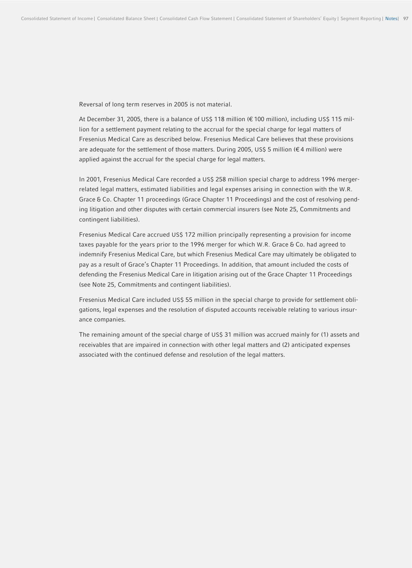Reversal of long term reserves in 2005 is not material.

At December 31, 2005, there is a balance of US\$ 118 million (€ 100 million), including US\$ 115 million for a settlement payment relating to the accrual for the special charge for legal matters of Fresenius Medical Care as described below. Fresenius Medical Care believes that these provisions are adequate for the settlement of those matters. During 2005, US\$ 5 million (€ 4 million) were applied against the accrual for the special charge for legal matters.

In 2001, Fresenius Medical Care recorded a US\$ 258 million special charge to address 1996 mergerrelated legal matters, estimated liabilities and legal expenses arising in connection with the W.R. Grace & Co. Chapter 11 proceedings (Grace Chapter 11 Proceedings) and the cost of resolving pending litigation and other disputes with certain commercial insurers (see Note 25, Commitments and contingent liabilities).

Fresenius Medical Care accrued US\$ 172 million principally representing a provision for income taxes payable for the years prior to the 1996 merger for which W.R. Grace & Co. had agreed to indemnify Fresenius Medical Care, but which Fresenius Medical Care may ultimately be obligated to pay as a result of Grace's Chapter 11 Proceedings. In addition, that amount included the costs of defending the Fresenius Medical Care in litigation arising out of the Grace Chapter 11 Proceedings (see Note 25, Commitments and contingent liabilities).

Fresenius Medical Care included US\$ 55 million in the special charge to provide for settlement obligations, legal expenses and the resolution of disputed accounts receivable relating to various insurance companies.

The remaining amount of the special charge of US\$ 31 million was accrued mainly for (1) assets and receivables that are impaired in connection with other legal matters and (2) anticipated expenses associated with the continued defense and resolution of the legal matters.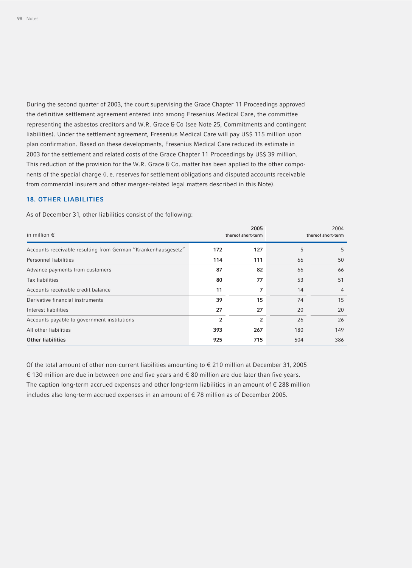During the second quarter of 2003, the court supervising the Grace Chapter 11 Proceedings approved the definitive settlement agreement entered into among Fresenius Medical Care, the committee representing the asbestos creditors and W.R. Grace & Co (see Note 25, Commitments and contingent liabilities). Under the settlement agreement, Fresenius Medical Care will pay US\$ 115 million upon plan confirmation. Based on these developments, Fresenius Medical Care reduced its estimate in 2003 for the settlement and related costs of the Grace Chapter 11 Proceedings by US\$ 39 million. This reduction of the provision for the W.R. Grace & Co. matter has been applied to the other components of the special charge (i. e. reserves for settlement obligations and disputed accounts receivable from commercial insurers and other merger-related legal matters described in this Note).

## **18. OTHER LIABILITIES**

As of December 31, other liabilities consist of the following:

| in million $\epsilon$                                         | 2005<br>thereof short-term |                | 2004<br>thereof short-term |                |
|---------------------------------------------------------------|----------------------------|----------------|----------------------------|----------------|
| Accounts receivable resulting from German "Krankenhausgesetz" | 172                        | 127            | 5                          | 5              |
| Personnel liabilities                                         | 114                        | 111            | 66                         | 50             |
| Advance payments from customers                               | 87                         | 82             | 66                         | 66             |
| Tax liabilities                                               | 80                         | 77             | 53                         | 51             |
| Accounts receivable credit balance                            | 11                         | 7              | 14                         | $\overline{4}$ |
| Derivative financial instruments                              | 39                         | 15             | 74                         | 15             |
| Interest liabilities                                          | 27                         | 27             | 20                         | 20             |
| Accounts payable to government institutions                   | $\overline{2}$             | $\overline{2}$ | 26                         | 26             |
| All other liabilities                                         | 393                        | 267            | 180                        | 149            |
| <b>Other liabilities</b>                                      | 925                        | 715            | 504                        | 386            |

Of the total amount of other non-current liabilities amounting to € 210 million at December 31, 2005 € 130 million are due in between one and five years and € 80 million are due later than five years. The caption long-term accrued expenses and other long-term liabilities in an amount of  $\epsilon$  288 million includes also long-term accrued expenses in an amount of €78 million as of December 2005.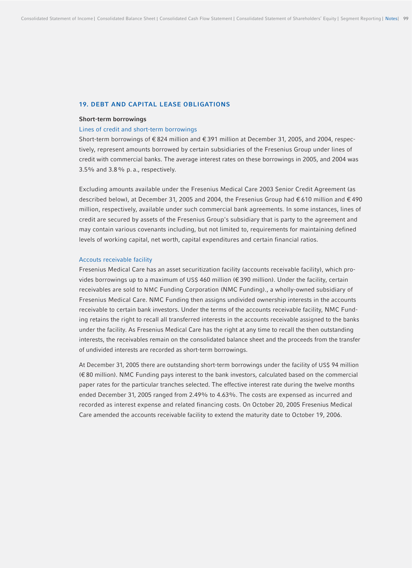#### **19. DEBT AND CAPITAL LEASE OBLIGATIONS**

#### **Short-term borrowings**

#### Lines of credit and short-term borrowings

Short-term borrowings of € 824 million and € 391 million at December 31, 2005, and 2004, respectively, represent amounts borrowed by certain subsidiaries of the Fresenius Group under lines of credit with commercial banks. The average interest rates on these borrowings in 2005, and 2004 was 3.5% and 3.8% p. a., respectively.

Excluding amounts available under the Fresenius Medical Care 2003 Senior Credit Agreement (as described below), at December 31, 2005 and 2004, the Fresenius Group had  $\epsilon$  610 million and  $\epsilon$  490 million, respectively, available under such commercial bank agreements. In some instances, lines of credit are secured by assets of the Fresenius Group's subsidiary that is party to the agreement and may contain various covenants including, but not limited to, requirements for maintaining defined levels of working capital, net worth, capital expenditures and certain financial ratios.

#### Accouts receivable facility

Fresenius Medical Care has an asset securitization facility (accounts receivable facility), which provides borrowings up to a maximum of US\$ 460 million (€ 390 million). Under the facility, certain receivables are sold to NMC Funding Corporation (NMC Funding)., a wholly-owned subsidiary of Fresenius Medical Care. NMC Funding then assigns undivided ownership interests in the accounts receivable to certain bank investors. Under the terms of the accounts receivable facility, NMC Funding retains the right to recall all transferred interests in the accounts receivable assigned to the banks under the facility. As Fresenius Medical Care has the right at any time to recall the then outstanding interests, the receivables remain on the consolidated balance sheet and the proceeds from the transfer of undivided interests are recorded as short-term borrowings.

At December 31, 2005 there are outstanding short-term borrowings under the facility of US\$ 94 million (€ 80 million). NMC Funding pays interest to the bank investors, calculated based on the commercial paper rates for the particular tranches selected. The effective interest rate during the twelve months ended December 31, 2005 ranged from 2.49% to 4.63%. The costs are expensed as incurred and recorded as interest expense and related financing costs. On October 20, 2005 Fresenius Medical Care amended the accounts receivable facility to extend the maturity date to October 19, 2006.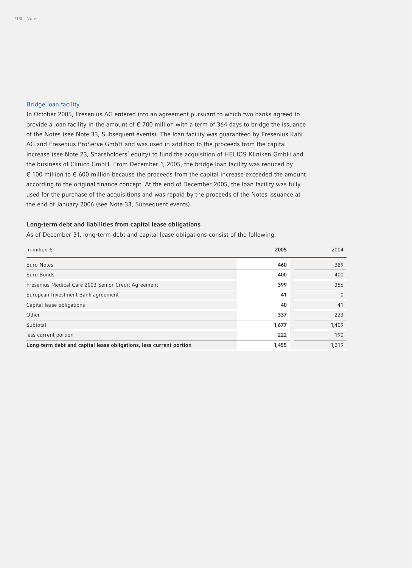## Bridge loan facility

In October 2005, Fresenius AG entered into an agreement pursuant to which two banks agreed to provide a loan facility in the amount of € 700 million with a term of 364 days to bridge the issuance of the Notes (see Note 33, Subsequent events). The loan facility was guaranteed by Fresenius Kabi AG and Fresenius ProServe GmbH and was used in addition to the proceeds from the capital increase (see Note 23, Shareholders' equity) to fund the acquisition of HELIOS Kliniken GmbH and the business of Clinico GmbH. From December 1, 2005, the bridge loan facility was reduced by € 100 million to € 600 million because the proceeds from the capital increase exceeded the amount according to the original finance concept. At the end of December 2005, the loan facility was fully used for the purchase of the acquisitions and was repaid by the proceeds of the Notes issuance at the end of January 2006 (see Note 33, Subsequent events).

## **Long-term debt and liabilities from capital lease obligations**

As of December 31, long-term debt and capital lease obligations consist of the following:

| in milion $\epsilon$                                               | 2005  | 2004     |
|--------------------------------------------------------------------|-------|----------|
| Euro Notes                                                         | 460   | 389      |
| Euro Bonds                                                         | 400   | 400      |
| Fresenius Medical Care 2003 Senior Credit Agreement                | 399   | 356      |
| European Investment Bank agreement                                 | 41    | $\Omega$ |
| Capital lease obligations                                          | 40    | 41       |
| Other                                                              | 337   | 223      |
| Subtotal                                                           | 1,677 | 1,409    |
| less current portion                                               | 222   | 190      |
| Long-term debt and capital lease obligations, less current portion | 1,455 | 1,219    |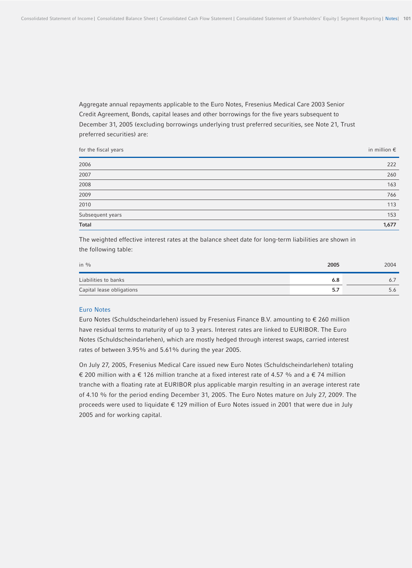Aggregate annual repayments applicable to the Euro Notes, Fresenius Medical Care 2003 Senior Credit Agreement, Bonds, capital leases and other borrowings for the five years subsequent to December 31, 2005 (excluding borrowings underlying trust preferred securities, see Note 21, Trust preferred securities) are:

| for the fiscal years | in million $\epsilon$ |
|----------------------|-----------------------|
| 2006                 | 222                   |
| $\frac{1}{2007}$     | 260                   |
| 2008                 | 163                   |
| 2009                 | 766                   |
| 2010                 | 113                   |
| Subsequent years     | 153                   |
| Total                | 1,677                 |

The weighted effective interest rates at the balance sheet date for long-term liabilities are shown in the following table:

| in $\frac{9}{6}$          | 2005 | 2004 |
|---------------------------|------|------|
| Liabilities to banks      | 6.8  |      |
| Capital lease obligations | 5.7  | 5.6  |

## Euro Notes

Euro Notes (Schuldscheindarlehen) issued by Fresenius Finance B.V. amounting to € 260 million have residual terms to maturity of up to 3 years. Interest rates are linked to EURIBOR. The Euro Notes (Schuldscheindarlehen), which are mostly hedged through interest swaps, carried interest rates of between 3.95% and 5.61% during the year 2005.

On July 27, 2005, Fresenius Medical Care issued new Euro Notes (Schuldscheindarlehen) totaling € 200 million with a € 126 million tranche at a fixed interest rate of 4.57 % and a € 74 million tranche with a floating rate at EURIBOR plus applicable margin resulting in an average interest rate of 4.10 % for the period ending December 31, 2005. The Euro Notes mature on July 27, 2009. The proceeds were used to liquidate € 129 million of Euro Notes issued in 2001 that were due in July 2005 and for working capital.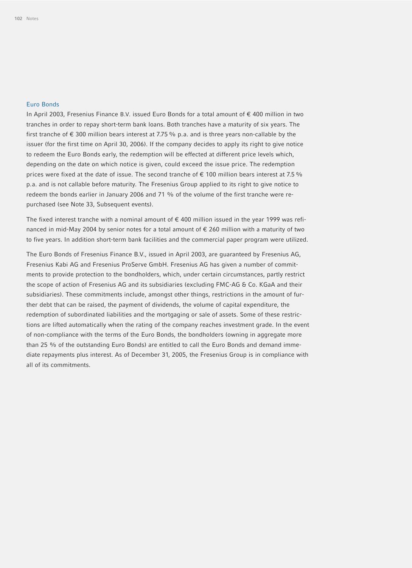## Euro Bonds

In April 2003, Fresenius Finance B.V. issued Euro Bonds for a total amount of € 400 million in two tranches in order to repay short-term bank loans. Both tranches have a maturity of six years. The first tranche of € 300 million bears interest at 7.75 % p.a. and is three years non-callable by the issuer (for the first time on April 30, 2006). If the company decides to apply its right to give notice to redeem the Euro Bonds early, the redemption will be effected at different price levels which, depending on the date on which notice is given, could exceed the issue price. The redemption prices were fixed at the date of issue. The second tranche of  $\epsilon$  100 million bears interest at 7.5 % p.a. and is not callable before maturity. The Fresenius Group applied to its right to give notice to redeem the bonds earlier in January 2006 and 71 % of the volume of the first tranche were repurchased (see Note 33, Subsequent events).

The fixed interest tranche with a nominal amount of  $\epsilon$  400 million issued in the year 1999 was refinanced in mid-May 2004 by senior notes for a total amount of  $\epsilon$  260 million with a maturity of two to five years. In addition short-term bank facilities and the commercial paper program were utilized.

The Euro Bonds of Fresenius Finance B.V., issued in April 2003, are guaranteed by Fresenius AG, Fresenius Kabi AG and Fresenius ProServe GmbH. Fresenius AG has given a number of commitments to provide protection to the bondholders, which, under certain circumstances, partly restrict the scope of action of Fresenius AG and its subsidiaries (excluding FMC-AG & Co. KGaA and their subsidiaries). These commitments include, amongst other things, restrictions in the amount of further debt that can be raised, the payment of dividends, the volume of capital expenditure, the redemption of subordinated liabilities and the mortgaging or sale of assets. Some of these restrictions are lifted automatically when the rating of the company reaches investment grade. In the event of non-compliance with the terms of the Euro Bonds, the bondholders (owning in aggregate more than 25 % of the outstanding Euro Bonds) are entitled to call the Euro Bonds and demand immediate repayments plus interest. As of December 31, 2005, the Fresenius Group is in compliance with all of its commitments.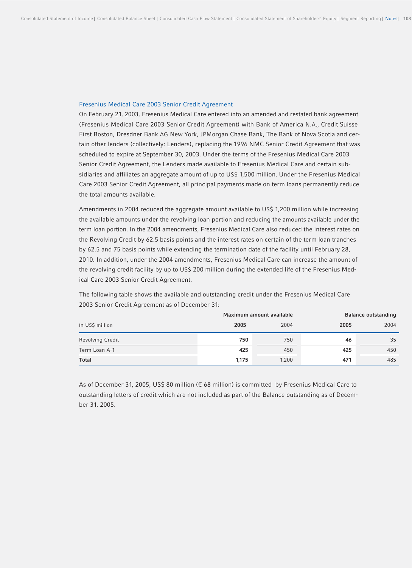#### Fresenius Medical Care 2003 Senior Credit Agreement

On February 21, 2003, Fresenius Medical Care entered into an amended and restated bank agreement (Fresenius Medical Care 2003 Senior Credit Agreement) with Bank of America N.A., Credit Suisse First Boston, Dresdner Bank AG New York, JPMorgan Chase Bank, The Bank of Nova Scotia and certain other lenders (collectively: Lenders), replacing the 1996 NMC Senior Credit Agreement that was scheduled to expire at September 30, 2003. Under the terms of the Fresenius Medical Care 2003 Senior Credit Agreement, the Lenders made available to Fresenius Medical Care and certain subsidiaries and affiliates an aggregate amount of up to US\$ 1,500 million. Under the Fresenius Medical Care 2003 Senior Credit Agreement, all principal payments made on term loans permanently reduce the total amounts available.

Amendments in 2004 reduced the aggregate amount available to US\$ 1,200 million while increasing the available amounts under the revolving loan portion and reducing the amounts available under the term loan portion. In the 2004 amendments, Fresenius Medical Care also reduced the interest rates on the Revolving Credit by 62.5 basis points and the interest rates on certain of the term loan tranches by 62.5 and 75 basis points while extending the termination date of the facility until February 28, 2010. In addition, under the 2004 amendments, Fresenius Medical Care can increase the amount of the revolving credit facility by up to US\$ 200 million during the extended life of the Fresenius Medical Care 2003 Senior Credit Agreement.

The following table shows the available and outstanding credit under the Fresenius Medical Care 2003 Senior Credit Agreement as of December 31:

|                  | Maximum amount available |       | <b>Balance outstanding</b> |      |
|------------------|--------------------------|-------|----------------------------|------|
| in US\$ million  | 2005                     | 2004  | 2005                       | 2004 |
| Revolving Credit | 750                      | 750   | 46                         | 35   |
| Term Loan A-1    | 425                      | 450   | 425                        | 450  |
| <b>Total</b>     | 1.175                    | 1,200 | 471                        | 485  |

As of December 31, 2005, US\$ 80 million (€ 68 million) is committed by Fresenius Medical Care to outstanding letters of credit which are not included as part of the Balance outstanding as of December 31, 2005.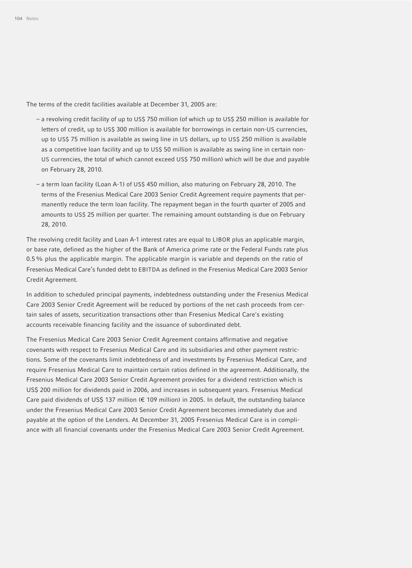The terms of the credit facilities available at December 31, 2005 are:

- a revolving credit facility of up to US\$ 750 million (of which up to US\$ 250 million is available for letters of credit, up to US\$ 300 million is available for borrowings in certain non-US currencies, up to US\$ 75 million is available as swing line in US dollars, up to US\$ 250 million is available as a competitive loan facility and up to US\$ 50 million is available as swing line in certain non-US currencies, the total of which cannot exceed US\$ 750 million) which will be due and payable on February 28, 2010.
- a term loan facility (Loan A-1) of US\$ 450 million, also maturing on February 28, 2010. The terms of the Fresenius Medical Care 2003 Senior Credit Agreement require payments that permanently reduce the term loan facility. The repayment began in the fourth quarter of 2005 and amounts to US\$ 25 million per quarter. The remaining amount outstanding is due on February 28, 2010.

The revolving credit facility and Loan A-1 interest rates are equal to LIBOR plus an applicable margin, or base rate, defined as the higher of the Bank of America prime rate or the Federal Funds rate plus 0.5% plus the applicable margin. The applicable margin is variable and depends on the ratio of Fresenius Medical Care's funded debt to EBITDA as defined in the Fresenius Medical Care 2003 Senior Credit Agreement.

In addition to scheduled principal payments, indebtedness outstanding under the Fresenius Medical Care 2003 Senior Credit Agreement will be reduced by portions of the net cash proceeds from certain sales of assets, securitization transactions other than Fresenius Medical Care's existing accounts receivable financing facility and the issuance of subordinated debt.

The Fresenius Medical Care 2003 Senior Credit Agreement contains affirmative and negative covenants with respect to Fresenius Medical Care and its subsidiaries and other payment restrictions. Some of the covenants limit indebtedness of and investments by Fresenius Medical Care, and require Fresenius Medical Care to maintain certain ratios defined in the agreement. Additionally, the Fresenius Medical Care 2003 Senior Credit Agreement provides for a dividend restriction which is US\$ 200 million for dividends paid in 2006, and increases in subsequent years. Fresenius Medical Care paid dividends of US\$ 137 million ( $\epsilon$  109 million) in 2005. In default, the outstanding balance under the Fresenius Medical Care 2003 Senior Credit Agreement becomes immediately due and payable at the option of the Lenders. At December 31, 2005 Fresenius Medical Care is in compliance with all financial covenants under the Fresenius Medical Care 2003 Senior Credit Agreement.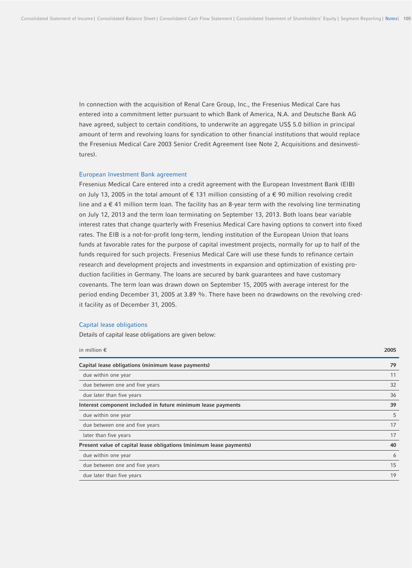In connection with the acquisition of Renal Care Group, Inc., the Fresenius Medical Care has entered into a commitment letter pursuant to which Bank of America, N.A. and Deutsche Bank AG have agreed, subject to certain conditions, to underwrite an aggregate US\$ 5.0 billion in principal amount of term and revolving loans for syndication to other financial institutions that would replace the Fresenius Medical Care 2003 Senior Credit Agreement (see Note 2, Acquisitions and desinvestitures).

#### European Investment Bank agreement

Fresenius Medical Care entered into a credit agreement with the European Investment Bank (EIB) on July 13, 2005 in the total amount of  $\epsilon$  131 million consisting of a  $\epsilon$  90 million revolving credit line and a € 41 million term loan. The facility has an 8-year term with the revolving line terminating on July 12, 2013 and the term loan terminating on September 13, 2013. Both loans bear variable interest rates that change quarterly with Fresenius Medical Care having options to convert into fixed rates. The EIB is a not-for-profit long-term, lending institution of the European Union that loans funds at favorable rates for the purpose of capital investment projects, normally for up to half of the funds required for such projects. Fresenius Medical Care will use these funds to refinance certain research and development projects and investments in expansion and optimization of existing production facilities in Germany. The loans are secured by bank guarantees and have customary covenants. The term loan was drawn down on September 15, 2005 with average interest for the period ending December 31, 2005 at 3.89 %. There have been no drawdowns on the revolving credit facility as of December 31, 2005.

#### Capital lease obligations

Details of capital lease obligations are given below:

| in million $\in$                                                    | 2005 |
|---------------------------------------------------------------------|------|
| Capital lease obligations (minimum lease payments)                  | 79   |
| due within one year                                                 | 11   |
| due between one and five years                                      | 32   |
| due later than five years                                           | 36   |
| Interest component included in future minimum lease payments        | 39   |
| due within one year                                                 | 5    |
| due between one and five years                                      | 17   |
| later than five years                                               | 17   |
| Present value of capital lease obligations (minimum lease payments) | 40   |
| due within one year                                                 | 6    |
| due between one and five years                                      | 15   |
| due later than five years                                           | 19   |
|                                                                     |      |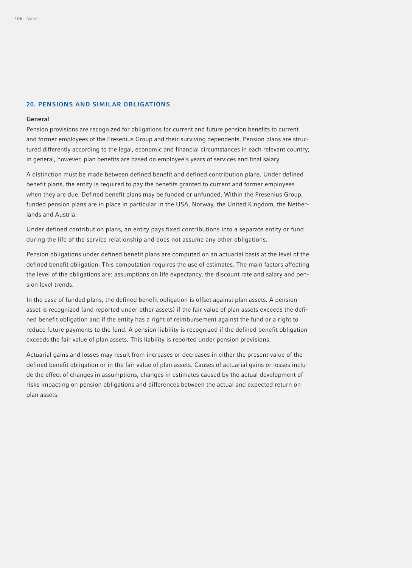## **20. PENSIONS AND SIMILAR OBLIGATIONS**

#### **General**

Pension provisions are recognized for obligations for current and future pension benefits to current and former employees of the Fresenius Group and their surviving dependents. Pension plans are structured differently according to the legal, economic and financial circumstances in each relevant country; in general, however, plan benefits are based on employee's years of services and final salary.

A distinction must be made between defined benefit and defined contribution plans. Under defined benefit plans, the entity is required to pay the benefits granted to current and former employees when they are due. Defined benefit plans may be funded or unfunded. Within the Fresenius Group, funded pension plans are in place in particular in the USA, Norway, the United Kingdom, the Netherlands and Austria.

Under defined contribution plans, an entity pays fixed contributions into a separate entity or fund during the life of the service relationship and does not assume any other obligations.

Pension obligations under defined benefit plans are computed on an actuarial basis at the level of the defined benefit obligation. This computation requires the use of estimates. The main factors affecting the level of the obligations are: assumptions on life expectancy, the discount rate and salary and pension level trends.

In the case of funded plans, the defined benefit obligation is offset against plan assets. A pension asset is recognized (and reported under other assets) if the fair value of plan assets exceeds the defined benefit obligation and if the entity has a right of reimbursement against the fund or a right to reduce future payments to the fund. A pension liability is recognized if the defined benefit obligation exceeds the fair value of plan assets. This liability is reported under pension provisions.

Actuarial gains and losses may result from increases or decreases in either the present value of the defined benefit obligation or in the fair value of plan assets. Causes of actuarial gains or losses include the effect of changes in assumptions, changes in estimates caused by the actual development of risks impacting on pension obligations and differences between the actual and expected return on plan assets.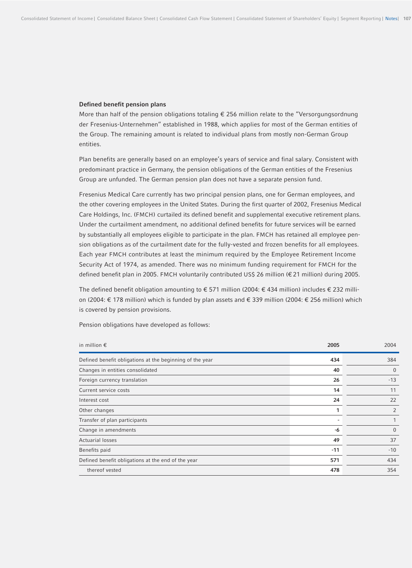#### **Defined benefit pension plans**

More than half of the pension obligations totaling € 256 million relate to the "Versorgungsordnung der Fresenius-Unternehmen" established in 1988, which applies for most of the German entities of the Group. The remaining amount is related to individual plans from mostly non-German Group entities.

Plan benefits are generally based on an employee's years of service and final salary. Consistent with predominant practice in Germany, the pension obligations of the German entities of the Fresenius Group are unfunded. The German pension plan does not have a separate pension fund.

Fresenius Medical Care currently has two principal pension plans, one for German employees, and the other covering employees in the United States. During the first quarter of 2002, Fresenius Medical Care Holdings, Inc. (FMCH) curtailed its defined benefit and supplemental executive retirement plans. Under the curtailment amendment, no additional defined benefits for future services will be earned by substantially all employees eligible to participate in the plan. FMCH has retained all employee pension obligations as of the curtailment date for the fully-vested and frozen benefits for all employees. Each year FMCH contributes at least the minimum required by the Employee Retirement Income Security Act of 1974, as amended. There was no minimum funding requirement for FMCH for the defined benefit plan in 2005. FMCH voluntarily contributed US\$ 26 million (€ 21 million) during 2005.

The defined benefit obligation amounting to € 571 million (2004: € 434 million) includes € 232 million (2004: € 178 million) which is funded by plan assets and € 339 million (2004: € 256 million) which is covered by pension provisions.

| in million $\epsilon$                                    | 2005  | 2004        |
|----------------------------------------------------------|-------|-------------|
| Defined benefit obligations at the beginning of the year | 434   | 384         |
| Changes in entities consolidated                         | 40    | 0           |
| Foreign currency translation                             | 26    | $-13$       |
| Current service costs                                    | 14    | 11          |
| Interest cost                                            | 24    | 22          |
| Other changes                                            | 1     | 2           |
| Transfer of plan participants                            |       |             |
| Change in amendments                                     | -6    | $\mathbf 0$ |
| Actuarial losses                                         | 49    | 37          |
| Benefits paid                                            | $-11$ | $-10$       |
| Defined benefit obligations at the end of the year       | 571   | 434         |
| thereof vested                                           | 478   | 354         |

Pension obligations have developed as follows: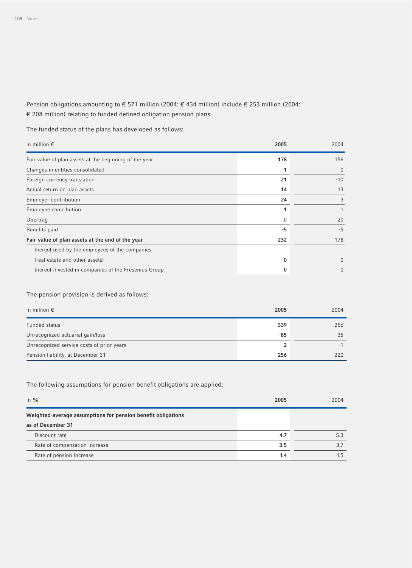Pension obligations amounting to € 571 million (2004: € 434 million) include € 253 million (2004: € 208 million) relating to funded defined obligation pension plans.

The funded status of the plans has developed as follows:

| in million $\epsilon$                                  | 2005     | 2004         |
|--------------------------------------------------------|----------|--------------|
| Fair value of plan assets at the beginning of the year | 178      | 156          |
| Changes in entities consolidated                       | -1       | $\mathbf{0}$ |
| Foreign currency translation                           | 21       | $-10$        |
| Actual return on plan assets                           | 14       | 13           |
| Employer contribution                                  | 24       | 3            |
| Employee contribution                                  | 1        |              |
| Übertrag                                               | $\Omega$ | 20           |
| Benefits paid                                          | -5       | $-5$         |
| Fair value of plan assets at the end of the year       | 232      | 178          |
| thereof used by the employees of the companies         |          |              |
| (real estate and other assets)                         | 0        | $\Omega$     |
| thereof invested in companies of the Fresenius Group   | 0        | $\Omega$     |

# The pension provision is derived as follows:

| in million $\epsilon$                     | 2005 | 2004  |
|-------------------------------------------|------|-------|
| Funded status                             | 339  | 256   |
| Unrecognized actuarial gain/loss          | -85  | $-35$ |
| Unrecognized service costs of prior years |      | - 1   |
| Pension liability, at December 31         | 256  | 220   |

The following assumptions for pension benefit obligations are applied:

| in $\frac{0}{0}$                                             | 2005 | 2004 |
|--------------------------------------------------------------|------|------|
| Weighted-average assumptions for pension benefit obligations |      |      |
| as of December 31                                            |      |      |
| Discount rate                                                | 4.7  | 5.3  |
| Rate of compensation increase                                | 3.5  | 3.7  |
| Rate of pension increase                                     | 1.4  | 1.5  |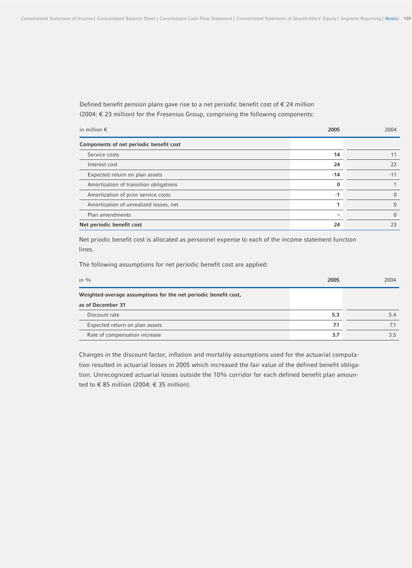Defined benefit pension plans gave rise to a net periodic benefit cost of  $\epsilon$  24 million (2004: € 23 million) for the Fresenius Group, comprising the following components:

| in million $\epsilon$                   | 2005  | 2004     |
|-----------------------------------------|-------|----------|
| Components of net periodic benefit cost |       |          |
| Service costs                           | 14    | 11       |
| Interest cost                           | 24    | 22       |
| Expected return on plan assets          | $-14$ | $-11$    |
| Amortization of transition obligations  | 0     |          |
| Amortization of prior service costs     | $-1$  | $\Omega$ |
| Amortization of unrealized losses, net  |       | $\Omega$ |
| Plan amendments                         |       | 0        |
| Net periodic benefit cost               | 24    | 23       |

Net priodic benefit cost is allocated as personnel expense to each of the income statement function lines.

The following assumptions for net periodic benefit cost are applied:

| in $\frac{0}{0}$                                                | 2005 | 2004 |
|-----------------------------------------------------------------|------|------|
| Weighted-average assumptions for the net periodic benefit cost, |      |      |
| as of December 31                                               |      |      |
| Discount rate                                                   | 5.3  | 5.4  |
| Expected return on plan assets                                  | 7.1  |      |
| Rate of compensation increase                                   | 3.7  | 3.5  |

Changes in the discount factor, inflation and mortality assumptions used for the actuarial computation resulted in actuarial losses in 2005 which increased the fair value of the defined benefit obligation. Unrecognized actuarial losses outside the 10% corridor for each defined benefit plan amounted to  $\in$  85 million (2004:  $\in$  35 million).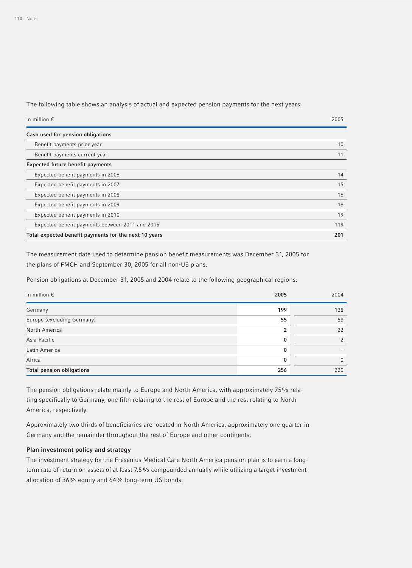The following table shows an analysis of actual and expected pension payments for the next years:

| in million $\epsilon$                                 | 2005            |
|-------------------------------------------------------|-----------------|
| Cash used for pension obligations                     |                 |
| Benefit payments prior year                           | 10 <sup>°</sup> |
| Benefit payments current year                         | 11              |
| <b>Expected future benefit payments</b>               |                 |
| Expected benefit payments in 2006                     | 14              |
| Expected benefit payments in 2007                     | 15              |
| Expected benefit payments in 2008                     | 16              |
| Expected benefit payments in 2009                     | 18              |
| Expected benefit payments in 2010                     | 19              |
| Expected benefit payments between 2011 and 2015       | 119             |
| Total expected benefit payments for the next 10 years | 201             |

The measurement date used to determine pension benefit measurements was December 31, 2005 for the plans of FMCH and September 30, 2005 for all non-US plans.

Pension obligations at December 31, 2005 and 2004 relate to the following geographical regions:

| in million $\epsilon$            | 2005 | 2004 |
|----------------------------------|------|------|
| Germany                          | 199  | 138  |
| Europe (excluding Germany)       | 55   | 58   |
| North America                    | 2    | 22   |
| Asia-Pacific                     | 0    |      |
| Latin America                    | 0    |      |
| Africa                           | 0    | 0    |
| <b>Total pension obligations</b> | 256  | 220  |

The pension obligations relate mainly to Europe and North America, with approximately 75% relating specifically to Germany, one fifth relating to the rest of Europe and the rest relating to North America, respectively.

Approximately two thirds of beneficiaries are located in North America, approximately one quarter in Germany and the remainder throughout the rest of Europe and other continents.

### **Plan investment policy and strategy**

The investment strategy for the Fresenius Medical Care North America pension plan is to earn a longterm rate of return on assets of at least 7.5% compounded annually while utilizing a target investment allocation of 36% equity and 64% long-term US bonds.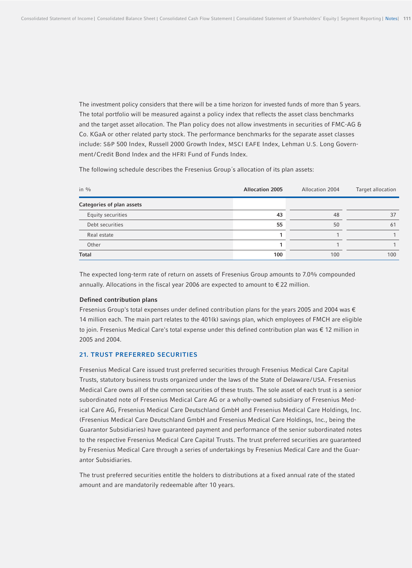The investment policy considers that there will be a time horizon for invested funds of more than 5 years. The total portfolio will be measured against a policy index that reflects the asset class benchmarks and the target asset allocation. The Plan policy does not allow investments in securities of FMC-AG & Co. KGaA or other related party stock. The performance benchmarks for the separate asset classes include: S&P 500 Index, Russell 2000 Growth Index, MSCI EAFE Index, Lehman U.S. Long Government/Credit Bond Index and the HFRI Fund of Funds Index.

The following schedule describes the Fresenius Group´s allocation of its plan assets:

| in $\frac{0}{0}$          | <b>Allocation 2005</b> | Allocation 2004 | Target allocation |  |
|---------------------------|------------------------|-----------------|-------------------|--|
| Categories of plan assets |                        |                 |                   |  |
| Equity securities         | 43                     | 48              | 37                |  |
| Debt securities           | 55                     | 50              | 61                |  |
| Real estate               |                        |                 |                   |  |
| Other                     |                        |                 |                   |  |
| Total                     | 100                    | 100             | 100               |  |

The expected long-term rate of return on assets of Fresenius Group amounts to 7.0% compounded annually. Allocations in the fiscal year 2006 are expected to amount to € 22 million.

### **Defined contribution plans**

Fresenius Group's total expenses under defined contribution plans for the years 2005 and 2004 was  $\epsilon$ 14 million each. The main part relates to the 401(k) savings plan, which employees of FMCH are eligible to join. Fresenius Medical Care's total expense under this defined contribution plan was € 12 million in 2005 and 2004.

### **21. TRUST PREFERRED SECURITIES**

Fresenius Medical Care issued trust preferred securities through Fresenius Medical Care Capital Trusts, statutory business trusts organized under the laws of the State of Delaware/USA. Fresenius Medical Care owns all of the common securities of these trusts. The sole asset of each trust is a senior subordinated note of Fresenius Medical Care AG or a wholly-owned subsidiary of Fresenius Medical Care AG, Fresenius Medical Care Deutschland GmbH and Fresenius Medical Care Holdings, Inc. (Fresenius Medical Care Deutschland GmbH and Fresenius Medical Care Holdings, Inc., being the Guarantor Subsidiaries) have guaranteed payment and performance of the senior subordinated notes to the respective Fresenius Medical Care Capital Trusts. The trust preferred securities are guaranteed by Fresenius Medical Care through a series of undertakings by Fresenius Medical Care and the Guarantor Subsidiaries.

The trust preferred securities entitle the holders to distributions at a fixed annual rate of the stated amount and are mandatorily redeemable after 10 years.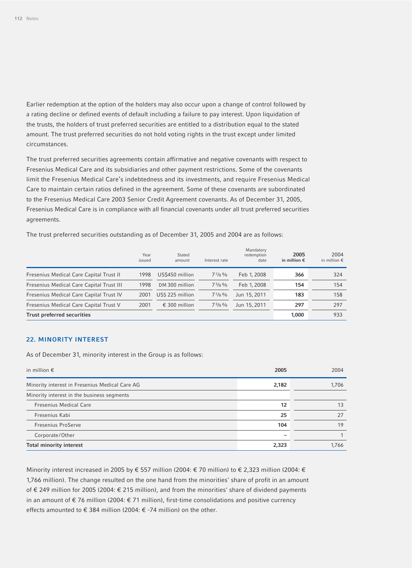Earlier redemption at the option of the holders may also occur upon a change of control followed by a rating decline or defined events of default including a failure to pay interest. Upon liquidation of the trusts, the holders of trust preferred securities are entitled to a distribution equal to the stated amount. The trust preferred securities do not hold voting rights in the trust except under limited circumstances.

The trust preferred securities agreements contain affirmative and negative covenants with respect to Fresenius Medical Care and its subsidiaries and other payment restrictions. Some of the covenants limit the Fresenius Medical Care's indebtedness and its investments, and require Fresenius Medical Care to maintain certain ratios defined in the agreement. Some of these covenants are subordinated to the Fresenius Medical Care 2003 Senior Credit Agreement covenants. As of December 31, 2005, Fresenius Medical Care is in compliance with all financial covenants under all trust preferred securities agreements.

The trust preferred securities outstanding as of December 31, 2005 and 2004 are as follows:

|                                          | Year<br>issued | Stated<br>amount | Interest rate         | Mandatory<br>redemption<br>date | 2005<br>in million $\epsilon$ | 2004<br>in million $\epsilon$ |
|------------------------------------------|----------------|------------------|-----------------------|---------------------------------|-------------------------------|-------------------------------|
| Fresenius Medical Care Capital Trust II  | 1998           | US\$450 million  | $7^{7}/_8\%$          | Feb 1, 2008                     | 366                           | 324                           |
| Fresenius Medical Care Capital Trust III | 1998           | DM 300 million   | $7^{3}/8\%$           | Feb 1, 2008                     | 154                           | 154                           |
| Fresenius Medical Care Capital Trust IV  | 2001           | US\$ 225 million | $7^{7}/_8\frac{0}{0}$ | Jun 15, 2011                    | 183                           | 158                           |
| Fresenius Medical Care Capital Trust V   | 2001           | € 300 million    | $7^{3}/8\%$           | Jun 15, 2011                    | 297                           | 297                           |
| Trust preferred securities               |                |                  |                       |                                 | 1.000                         | 933                           |

### **22. MINORITY INTEREST**

As of December 31, minority interest in the Group is as follows:

| in million $\epsilon$                          | 2005  | 2004  |
|------------------------------------------------|-------|-------|
| Minority interest in Fresenius Medical Care AG | 2,182 | 1,706 |
| Minority interest in the business segments     |       |       |
| Fresenius Medical Care                         | 12    | 13    |
| Fresenius Kabi                                 | 25    | 27    |
| Fresenius ProServe                             | 104   | 19    |
| Corporate/Other                                |       |       |
| <b>Total minority interest</b>                 | 2,323 | 1.766 |

Minority interest increased in 2005 by € 557 million (2004: € 70 million) to € 2,323 million (2004: € 1,766 million). The change resulted on the one hand from the minorities' share of profit in an amount of € 249 million for 2005 (2004: € 215 million), and from the minorities' share of dividend payments in an amount of € 76 million (2004: € 71 million), first-time consolidations and positive currency effects amounted to  $\epsilon$  384 million (2004:  $\epsilon$  -74 million) on the other.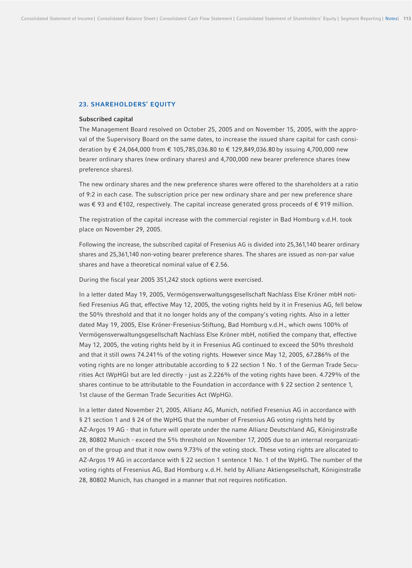### **23. SHAREHOLDERS' EQUITY**

#### **Subscribed capital**

The Management Board resolved on October 25, 2005 and on November 15, 2005, with the approval of the Supervisory Board on the same dates, to increase the issued share capital for cash consideration by € 24,064,000 from € 105,785,036.80 to € 129,849,036.80 by issuing 4,700,000 new bearer ordinary shares (new ordinary shares) and 4,700,000 new bearer preference shares (new preference shares).

The new ordinary shares and the new preference shares were offered to the shareholders at a ratio of 9:2 in each case. The subscription price per new ordinary share and per new preference share was € 93 and €102, respectively. The capital increase generated gross proceeds of € 919 million.

The registration of the capital increase with the commercial register in Bad Homburg v.d.H. took place on November 29, 2005.

Following the increase, the subscribed capital of Fresenius AG is divided into 25,361,140 bearer ordinary shares and 25,361,140 non-voting bearer preference shares. The shares are issued as non-par value shares and have a theoretical nominal value of  $\epsilon$  2.56.

During the fiscal year 2005 351,242 stock options were exercised.

In a letter dated May 19, 2005, Vermögensverwaltungsgesellschaft Nachlass Else Kröner mbH notified Fresenius AG that, effective May 12, 2005, the voting rights held by it in Fresenius AG, fell below the 50% threshold and that it no longer holds any of the company's voting rights. Also in a letter dated May 19, 2005, Else Kröner-Fresenius-Stiftung, Bad Homburg v.d.H., which owns 100% of Vermögensverwaltungsgesellschaft Nachlass Else Kröner mbH, notified the company that, effective May 12, 2005, the voting rights held by it in Fresenius AG continued to exceed the 50% threshold and that it still owns 74.241% of the voting rights. However since May 12, 2005, 67.286% of the voting rights are no longer attributable according to § 22 section 1 No. 1 of the German Trade Securities Act (WpHG) but are led directly - just as 2.226% of the voting rights have been. 4.729% of the shares continue to be attributable to the Foundation in accordance with § 22 section 2 sentence 1, 1st clause of the German Trade Securities Act (WpHG).

In a letter dated November 21, 2005, Allianz AG, Munich, notified Fresenius AG in accordance with § 21 section 1 and § 24 of the WpHG that the number of Fresenius AG voting rights held by AZ-Argos 19 AG - that in future will operate under the name Allianz Deutschland AG, Königinstraße 28, 80802 Munich - exceed the 5% threshold on November 17, 2005 due to an internal reorganization of the group and that it now owns 9.73% of the voting stock. These voting rights are allocated to AZ-Argos 19 AG in accordance with § 22 section 1 sentence 1 No. 1 of the WpHG. The number of the voting rights of Fresenius AG, Bad Homburg v.d.H. held by Allianz Aktiengesellschaft, Königinstraße 28, 80802 Munich, has changed in a manner that not requires notification.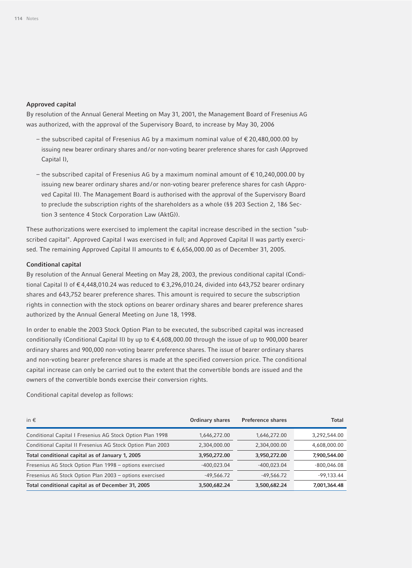### **Approved capital**

By resolution of the Annual General Meeting on May 31, 2001, the Management Board of Fresenius AG was authorized, with the approval of the Supervisory Board, to increase by May 30, 2006

- the subscribed capital of Fresenius AG by a maximum nominal value of  $\epsilon$  20,480,000.00 by issuing new bearer ordinary shares and/or non-voting bearer preference shares for cash (Approved Capital I),
- the subscribed capital of Fresenius AG by a maximum nominal amount of € 10,240,000.00 by issuing new bearer ordinary shares and/or non-voting bearer preference shares for cash (Approved Capital II). The Management Board is authorised with the approval of the Supervisory Board to preclude the subscription rights of the shareholders as a whole (§§ 203 Section 2, 186 Section 3 sentence 4 Stock Corporation Law (AktG)).

These authorizations were exercised to implement the capital increase described in the section "subscribed capital". Approved Capital I was exercised in full; and Approved Capital II was partly exercised. The remaining Approved Capital II amounts to € 6,656,000.00 as of December 31, 2005.

### **Conditional capital**

By resolution of the Annual General Meeting on May 28, 2003, the previous conditional capital (Conditional Capital I) of € 4,448,010.24 was reduced to € 3,296,010.24, divided into 643,752 bearer ordinary shares and 643,752 bearer preference shares. This amount is required to secure the subscription rights in connection with the stock options on bearer ordinary shares and bearer preference shares authorized by the Annual General Meeting on June 18, 1998.

In order to enable the 2003 Stock Option Plan to be executed, the subscribed capital was increased conditionally (Conditional Capital II) by up to € 4,608,000.00 through the issue of up to 900,000 bearer ordinary shares and 900,000 non-voting bearer preference shares. The issue of bearer ordinary shares and non-voting bearer preference shares is made at the specified conversion price. The conditional capital increase can only be carried out to the extent that the convertible bonds are issued and the owners of the convertible bonds exercise their conversion rights.

Conditional capital develop as follows:

| in $\epsilon$                                              | Ordinary shares | <b>Preference shares</b> | Total         |
|------------------------------------------------------------|-----------------|--------------------------|---------------|
| Conditional Capital I Fresenius AG Stock Option Plan 1998  | 1,646,272.00    | 1,646,272.00             | 3,292,544.00  |
| Conditional Capital II Fresenius AG Stock Option Plan 2003 | 2,304,000.00    | 2,304,000.00             | 4,608,000.00  |
| Total conditional capital as of January 1, 2005            | 3,950,272.00    | 3,950,272.00             | 7,900,544.00  |
| Fresenius AG Stock Option Plan 1998 - options exercised    | $-400.023.04$   | $-400.023.04$            | $-800,046.08$ |
| Fresenius AG Stock Option Plan 2003 - options exercised    | $-49,566.72$    | $-49,566.72$             | $-99.133.44$  |
| Total conditional capital as of December 31, 2005          | 3,500,682.24    | 3,500,682.24             | 7,001,364.48  |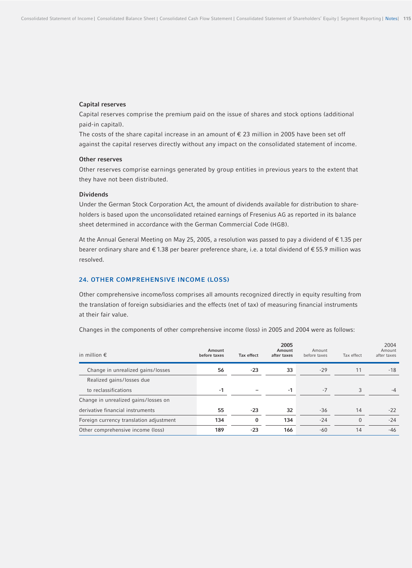#### **Capital reserves**

Capital reserves comprise the premium paid on the issue of shares and stock options (additional paid-in capital).

The costs of the share capital increase in an amount of  $\epsilon$  23 million in 2005 have been set off against the capital reserves directly without any impact on the consolidated statement of income.

### **Other reserves**

Other reserves comprise earnings generated by group entities in previous years to the extent that they have not been distributed.

#### **Dividends**

Under the German Stock Corporation Act, the amount of dividends available for distribution to shareholders is based upon the unconsolidated retained earnings of Fresenius AG as reported in its balance sheet determined in accordance with the German Commercial Code (HGB).

At the Annual General Meeting on May 25, 2005, a resolution was passed to pay a dividend of € 1.35 per bearer ordinary share and € 1.38 per bearer preference share, i.e. a total dividend of € 55.9 million was resolved.

### **24. OTHER COMPREHENSIVE INCOME (LOSS)**

Other comprehensive income/loss comprises all amounts recognized directly in equity resulting from the translation of foreign subsidiaries and the effects (net of tax) of measuring financial instruments at their fair value.

Changes in the components of other comprehensive income (loss) in 2005 and 2004 were as follows:

| in million $\epsilon$                   | Amount<br>before taxes | <b>Tax effect</b> | 2005<br>Amount<br>after taxes | Amount<br>before taxes | Tax effect | 2004<br>Amount<br>after taxes |
|-----------------------------------------|------------------------|-------------------|-------------------------------|------------------------|------------|-------------------------------|
| Change in unrealized gains/losses       | 56                     | $-23$             | 33                            | $-29$                  | 11         | $-18$                         |
| Realized gains/losses due               |                        |                   |                               |                        |            |                               |
| to reclassifications                    | $-1$                   |                   | $-1$                          | $-7$                   | 3          | -4                            |
| Change in unrealized gains/losses on    |                        |                   |                               |                        |            |                               |
| derivative financial instruments        | 55                     | $-23$             | 32                            | $-36$                  | 14         | $-22$                         |
| Foreign currency translation adjustment | 134                    | 0                 | 134                           | $-24$                  | $\Omega$   | $-24$                         |
| Other comprehensive income (loss)       | 189                    | $-23$             | 166                           | $-60$                  | 14         | $-46$                         |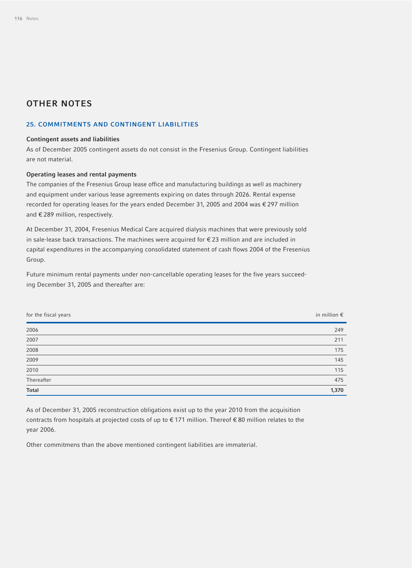# **OTHER NOTES**

# **25. COMMITMENTS AND CONTINGENT LIABILITIES**

### **Contingent assets and liabilities**

As of December 2005 contingent assets do not consist in the Fresenius Group. Contingent liabilities are not material.

### **Operating leases and rental payments**

The companies of the Fresenius Group lease office and manufacturing buildings as well as machinery and equipment under various lease agreements expiring on dates through 2026. Rental expense recorded for operating leases for the years ended December 31, 2005 and 2004 was € 297 million and € 289 million, respectively.

At December 31, 2004, Fresenius Medical Care acquired dialysis machines that were previously sold in sale-lease back transactions. The machines were acquired for € 23 million and are included in capital expenditures in the accompanying consolidated statement of cash flows 2004 of the Fresenius Group.

Future minimum rental payments under non-cancellable operating leases for the five years succeeding December 31, 2005 and thereafter are:

| for the fiscal years                          | in million $\epsilon$ |
|-----------------------------------------------|-----------------------|
| 2006                                          | 249                   |
| $\frac{1}{2007}$                              | 211                   |
| $\begin{array}{c}\n\hline\n2008\n\end{array}$ | 175                   |
|                                               | 145                   |
| $\frac{2009}{2010}$                           | 115                   |
| Thereafter                                    | 475                   |
| <b>Total</b>                                  | 1,370                 |

As of December 31, 2005 reconstruction obligations exist up to the year 2010 from the acquisition contracts from hospitals at projected costs of up to  $\epsilon$  171 million. Thereof  $\epsilon$  80 million relates to the year 2006.

Other commitmens than the above mentioned contingent liabilities are immaterial.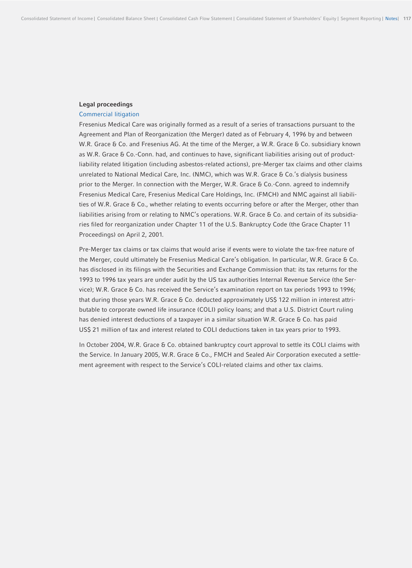### **Legal proceedings**

#### Commercial litigation

Fresenius Medical Care was originally formed as a result of a series of transactions pursuant to the Agreement and Plan of Reorganization (the Merger) dated as of February 4, 1996 by and between W.R. Grace & Co. and Fresenius AG. At the time of the Merger, a W.R. Grace & Co. subsidiary known as W.R. Grace & Co.-Conn. had, and continues to have, significant liabilities arising out of productliability related litigation (including asbestos-related actions), pre-Merger tax claims and other claims unrelated to National Medical Care, Inc. (NMC), which was W.R. Grace & Co.'s dialysis business prior to the Merger. In connection with the Merger, W.R. Grace & Co.-Conn. agreed to indemnify Fresenius Medical Care, Fresenius Medical Care Holdings, Inc. (FMCH) and NMC against all liabilities of W.R. Grace & Co., whether relating to events occurring before or after the Merger, other than liabilities arising from or relating to NMC's operations. W.R. Grace & Co. and certain of its subsidiaries filed for reorganization under Chapter 11 of the U.S. Bankruptcy Code (the Grace Chapter 11 Proceedings) on April 2, 2001.

Pre-Merger tax claims or tax claims that would arise if events were to violate the tax-free nature of the Merger, could ultimately be Fresenius Medical Care's obligation. In particular, W.R. Grace & Co. has disclosed in its filings with the Securities and Exchange Commission that: its tax returns for the 1993 to 1996 tax years are under audit by the US tax authorities Internal Revenue Service (the Service); W.R. Grace & Co. has received the Service's examination report on tax periods 1993 to 1996; that during those years W.R. Grace & Co. deducted approximately US\$ 122 million in interest attributable to corporate owned life insurance (COLI) policy loans; and that a U.S. District Court ruling has denied interest deductions of a taxpayer in a similar situation W.R. Grace & Co. has paid US\$ 21 million of tax and interest related to COLI deductions taken in tax years prior to 1993.

In October 2004, W.R. Grace & Co. obtained bankruptcy court approval to settle its COLI claims with the Service. In January 2005, W.R. Grace & Co., FMCH and Sealed Air Corporation executed a settlement agreement with respect to the Service's COLI-related claims and other tax claims.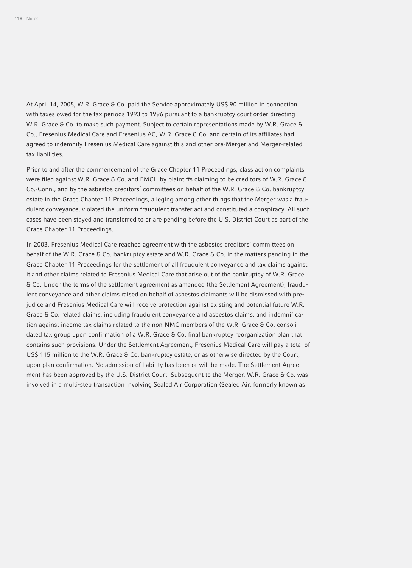At April 14, 2005, W.R. Grace & Co. paid the Service approximately US\$ 90 million in connection with taxes owed for the tax periods 1993 to 1996 pursuant to a bankruptcy court order directing W.R. Grace & Co. to make such payment. Subject to certain representations made by W.R. Grace & Co., Fresenius Medical Care and Fresenius AG, W.R. Grace & Co. and certain of its affiliates had agreed to indemnify Fresenius Medical Care against this and other pre-Merger and Merger-related tax liabilities.

Prior to and after the commencement of the Grace Chapter 11 Proceedings, class action complaints were filed against W.R. Grace & Co. and FMCH by plaintiffs claiming to be creditors of W.R. Grace & Co.-Conn., and by the asbestos creditors' committees on behalf of the W.R. Grace & Co. bankruptcy estate in the Grace Chapter 11 Proceedings, alleging among other things that the Merger was a fraudulent conveyance, violated the uniform fraudulent transfer act and constituted a conspiracy. All such cases have been stayed and transferred to or are pending before the U.S. District Court as part of the Grace Chapter 11 Proceedings.

In 2003, Fresenius Medical Care reached agreement with the asbestos creditors' committees on behalf of the W.R. Grace & Co. bankruptcy estate and W.R. Grace & Co. in the matters pending in the Grace Chapter 11 Proceedings for the settlement of all fraudulent conveyance and tax claims against it and other claims related to Fresenius Medical Care that arise out of the bankruptcy of W.R. Grace & Co. Under the terms of the settlement agreement as amended (the Settlement Agreement), fraudulent conveyance and other claims raised on behalf of asbestos claimants will be dismissed with prejudice and Fresenius Medical Care will receive protection against existing and potential future W.R. Grace & Co. related claims, including fraudulent conveyance and asbestos claims, and indemnification against income tax claims related to the non-NMC members of the W.R. Grace & Co. consolidated tax group upon confirmation of a W.R. Grace & Co. final bankruptcy reorganization plan that contains such provisions. Under the Settlement Agreement, Fresenius Medical Care will pay a total of US\$ 115 million to the W.R. Grace & Co. bankruptcy estate, or as otherwise directed by the Court, upon plan confirmation. No admission of liability has been or will be made. The Settlement Agreement has been approved by the U.S. District Court. Subsequent to the Merger, W.R. Grace & Co. was involved in a multi-step transaction involving Sealed Air Corporation (Sealed Air, formerly known as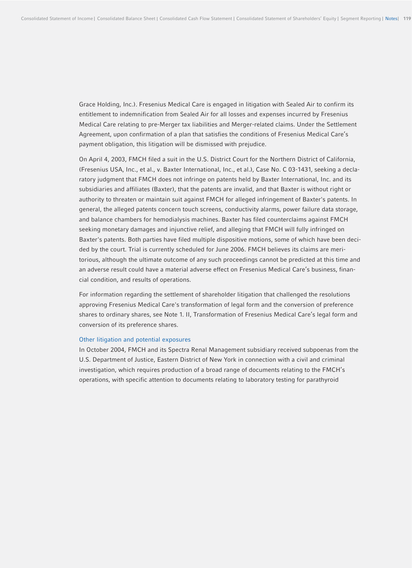Grace Holding, Inc.). Fresenius Medical Care is engaged in litigation with Sealed Air to confirm its entitlement to indemnification from Sealed Air for all losses and expenses incurred by Fresenius Medical Care relating to pre-Merger tax liabilities and Merger-related claims. Under the Settlement Agreement, upon confirmation of a plan that satisfies the conditions of Fresenius Medical Care's payment obligation, this litigation will be dismissed with prejudice.

On April 4, 2003, FMCH filed a suit in the U.S. District Court for the Northern District of California, (Fresenius USA, Inc., et al., v. Baxter International, Inc., et al.), Case No. C 03-1431, seeking a declaratory judgment that FMCH does not infringe on patents held by Baxter International, Inc. and its subsidiaries and affiliates (Baxter), that the patents are invalid, and that Baxter is without right or authority to threaten or maintain suit against FMCH for alleged infringement of Baxter's patents. In general, the alleged patents concern touch screens, conductivity alarms, power failure data storage, and balance chambers for hemodialysis machines. Baxter has filed counterclaims against FMCH seeking monetary damages and injunctive relief, and alleging that FMCH will fully infringed on Baxter's patents. Both parties have filed multiple dispositive motions, some of which have been decided by the court. Trial is currently scheduled for June 2006. FMCH believes its claims are meritorious, although the ultimate outcome of any such proceedings cannot be predicted at this time and an adverse result could have a material adverse effect on Fresenius Medical Care's business, financial condition, and results of operations.

For information regarding the settlement of shareholder litigation that challenged the resolutions approving Fresenius Medical Care's transformation of legal form and the conversion of preference shares to ordinary shares, see Note 1. II, Transformation of Fresenius Medical Care's legal form and conversion of its preference shares.

### Other litigation and potential exposures

In October 2004, FMCH and its Spectra Renal Management subsidiary received subpoenas from the U.S. Department of Justice, Eastern District of New York in connection with a civil and criminal investigation, which requires production of a broad range of documents relating to the FMCH's operations, with specific attention to documents relating to laboratory testing for parathyroid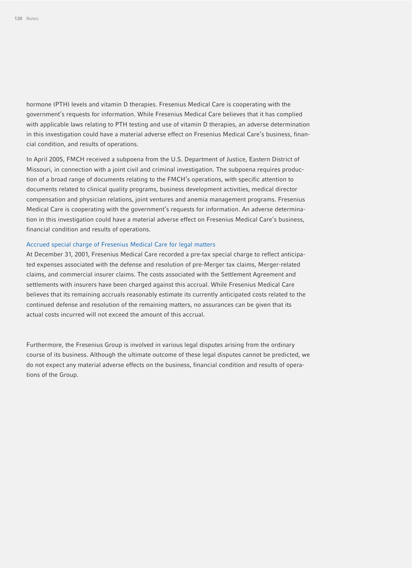hormone (PTH) levels and vitamin D therapies. Fresenius Medical Care is cooperating with the government's requests for information. While Fresenius Medical Care believes that it has complied with applicable laws relating to PTH testing and use of vitamin D therapies, an adverse determination in this investigation could have a material adverse effect on Fresenius Medical Care's business, financial condition, and results of operations.

In April 2005, FMCH received a subpoena from the U.S. Department of Justice, Eastern District of Missouri, in connection with a joint civil and criminal investigation. The subpoena requires production of a broad range of documents relating to the FMCH's operations, with specific attention to documents related to clinical quality programs, business development activities, medical director compensation and physician relations, joint ventures and anemia management programs. Fresenius Medical Care is cooperating with the government's requests for information. An adverse determination in this investigation could have a material adverse effect on Fresenius Medical Care's business, financial condition and results of operations.

### Accrued special charge of Fresenius Medical Care for legal matters

At December 31, 2001, Fresenius Medical Care recorded a pre-tax special charge to reflect anticipated expenses associated with the defense and resolution of pre-Merger tax claims, Merger-related claims, and commercial insurer claims. The costs associated with the Settlement Agreement and settlements with insurers have been charged against this accrual. While Fresenius Medical Care believes that its remaining accruals reasonably estimate its currently anticipated costs related to the continued defense and resolution of the remaining matters, no assurances can be given that its actual costs incurred will not exceed the amount of this accrual.

Furthermore, the Fresenius Group is involved in various legal disputes arising from the ordinary course of its business. Although the ultimate outcome of these legal disputes cannot be predicted, we do not expect any material adverse effects on the business, financial condition and results of operations of the Group.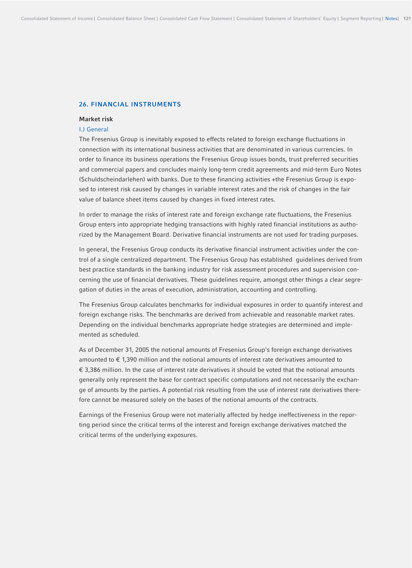### **26. FINANCIAL INSTRUMENTS**

# **Market risk**

#### I.) General

The Fresenius Group is inevitably exposed to effects related to foreign exchange fluctuations in connection with its international business activities that are denominated in various currencies. In order to finance its business operations the Fresenius Group issues bonds, trust preferred securities and commercial papers and concludes mainly long-term credit agreements and mid-term Euro Notes (Schuldscheindarlehen) with banks. Due to these financing activities +the Fresenius Group is exposed to interest risk caused by changes in variable interest rates and the risk of changes in the fair value of balance sheet items caused by changes in fixed interest rates.

In order to manage the risks of interest rate and foreign exchange rate fluctuations, the Fresenius Group enters into appropriate hedging transactions with highly rated financial institutions as authorized by the Management Board. Derivative financial instruments are not used for trading purposes.

In general, the Fresenius Group conducts its derivative financial instrument activities under the control of a single centralized department. The Fresenius Group has established guidelines derived from best practice standards in the banking industry for risk assessment procedures and supervision concerning the use of financial derivatives. These guidelines require, amongst other things a clear segregation of duties in the areas of execution, administration, accounting and controlling.

The Fresenius Group calculates benchmarks for individual exposures in order to quantify interest and foreign exchange risks. The benchmarks are derived from achievable and reasonable market rates. Depending on the individual benchmarks appropriate hedge strategies are determined and implemented as scheduled.

As of December 31, 2005 the notional amounts of Fresenius Group's foreign exchange derivatives amounted to  $\epsilon$  1.390 million and the notional amounts of interest rate derivatives amounted to € 3,386 million. In the case of interest rate derivatives it should be voted that the notional amounts generally only represent the base for contract specific computations and not necessarily the exchange of amounts by the parties. A potential risk resulting from the use of interest rate derivatives therefore cannot be measured solely on the bases of the notional amounts of the contracts.

Earnings of the Fresenius Group were not materially affected by hedge ineffectiveness in the reporting period since the critical terms of the interest and foreign exchange derivatives matched the critical terms of the underlying exposures.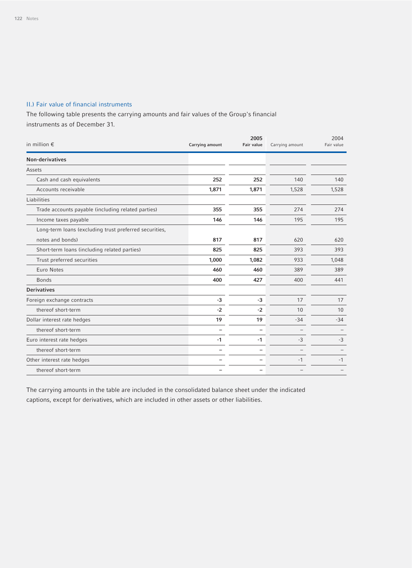## II.) Fair value of financial instruments

The following table presents the carrying amounts and fair values of the Group's financial instruments as of December 31.

|                                                        |                 | 2005       |                 | 2004       |
|--------------------------------------------------------|-----------------|------------|-----------------|------------|
| in million $\epsilon$                                  | Carrying amount | Fair value | Carrying amount | Fair value |
| Non-derivatives                                        |                 |            |                 |            |
| Assets                                                 |                 |            |                 |            |
| Cash and cash equivalents                              | 252             | 252        | 140             | 140        |
| Accounts receivable                                    | 1,871           | 1,871      | 1,528           | 1,528      |
| Liabilities                                            |                 |            |                 |            |
| Trade accounts payable (including related parties)     | 355             | 355        | 274             | 274        |
| Income taxes payable                                   | 146             | 146        | 195             | 195        |
| Long-term loans (excluding trust preferred securities, |                 |            |                 |            |
| notes and bonds)                                       | 817             | 817        | 620             | 620        |
| Short-term loans (including related parties)           | 825             | 825        | 393             | 393        |
| Trust preferred securities                             | 1,000           | 1,082      | 933             | 1,048      |
| Euro Notes                                             | 460             | 460        | 389             | 389        |
| <b>Bonds</b>                                           | 400             | 427        | 400             | 441        |
| <b>Derivatives</b>                                     |                 |            |                 |            |
| Foreign exchange contracts                             | $-3$            | $-3$       | 17              | 17         |
| thereof short-term                                     | $-2$            | $-2$       | 10              | 10         |
| Dollar interest rate hedges                            | 19              | 19         | $-34$           | $-34$      |
| thereof short-term                                     |                 |            |                 |            |
| Euro interest rate hedges                              | $-1$            | $-1$       | $-3$            | $-3$       |
| thereof short-term                                     |                 |            |                 |            |
| Other interest rate hedges                             |                 |            | $-1$            | $-1$       |
| thereof short-term                                     |                 |            |                 |            |

The carrying amounts in the table are included in the consolidated balance sheet under the indicated captions, except for derivatives, which are included in other assets or other liabilities.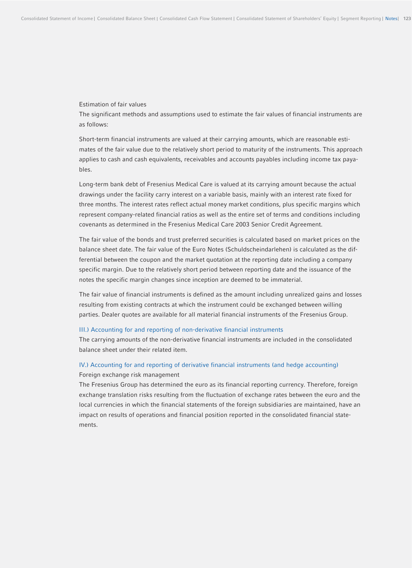#### Estimation of fair values

The significant methods and assumptions used to estimate the fair values of financial instruments are as follows:

Short-term financial instruments are valued at their carrying amounts, which are reasonable estimates of the fair value due to the relatively short period to maturity of the instruments. This approach applies to cash and cash equivalents, receivables and accounts payables including income tax payables.

Long-term bank debt of Fresenius Medical Care is valued at its carrying amount because the actual drawings under the facility carry interest on a variable basis, mainly with an interest rate fixed for three months. The interest rates reflect actual money market conditions, plus specific margins which represent company-related financial ratios as well as the entire set of terms and conditions including covenants as determined in the Fresenius Medical Care 2003 Senior Credit Agreement.

The fair value of the bonds and trust preferred securities is calculated based on market prices on the balance sheet date. The fair value of the Euro Notes (Schuldscheindarlehen) is calculated as the differential between the coupon and the market quotation at the reporting date including a company specific margin. Due to the relatively short period between reporting date and the issuance of the notes the specific margin changes since inception are deemed to be immaterial.

The fair value of financial instruments is defined as the amount including unrealized gains and losses resulting from existing contracts at which the instrument could be exchanged between willing parties. Dealer quotes are available for all material financial instruments of the Fresenius Group.

#### III.) Accounting for and reporting of non-derivative financial instruments

The carrying amounts of the non-derivative financial instruments are included in the consolidated balance sheet under their related item.

### IV.) Accounting for and reporting of derivative financial instruments (and hedge accounting)

### Foreign exchange risk management

The Fresenius Group has determined the euro as its financial reporting currency. Therefore, foreign exchange translation risks resulting from the fluctuation of exchange rates between the euro and the local currencies in which the financial statements of the foreign subsidiaries are maintained, have an impact on results of operations and financial position reported in the consolidated financial statements.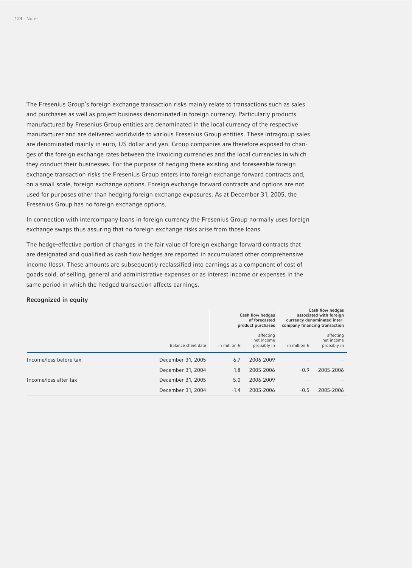The Fresenius Group's foreign exchange transaction risks mainly relate to transactions such as sales and purchases as well as project business denominated in foreign currency. Particularly products manufactured by Fresenius Group entities are denominated in the local currency of the respective manufacturer and are delivered worldwide to various Fresenius Group entities. These intragroup sales are denominated mainly in euro, US dollar and yen. Group companies are therefore exposed to changes of the foreign exchange rates between the invoicing currencies and the local currencies in which they conduct their businesses. For the purpose of hedging these existing and foreseeable foreign exchange transaction risks the Fresenius Group enters into foreign exchange forward contracts and, on a small scale, foreign exchange options. Foreign exchange forward contracts and options are not used for purposes other than hedging foreign exchange exposures. As at December 31, 2005, the Fresenius Group has no foreign exchange options.

In connection with intercompany loans in foreign currency the Fresenius Group normally uses foreign exchange swaps thus assuring that no foreign exchange risks arise from those loans.

The hedge-effective portion of changes in the fair value of foreign exchange forward contracts that are designated and qualified as cash flow hedges are reported in accumulated other comprehensive income (loss). These amounts are subsequently reclassified into earnings as a component of cost of goods sold, of selling, general and administrative expenses or as interest income or expenses in the same period in which the hedged transaction affects earnings.

### **Recognized in equity**

|                        |                    | Cash flow hedges<br>of forecasted<br>product purchases |                                        | company financing transaction | Cash flow hedges<br>associated with foreign<br>currency denominated inter- |
|------------------------|--------------------|--------------------------------------------------------|----------------------------------------|-------------------------------|----------------------------------------------------------------------------|
|                        | Balance sheet date | in million $\epsilon$                                  | affecting<br>net income<br>probably in | in million $\epsilon$         | affecting<br>net income<br>probably in                                     |
| Income/loss before tax | December 31, 2005  | $-6.7$                                                 | 2006-2009                              |                               |                                                                            |
|                        | December 31, 2004  | 1.8                                                    | 2005-2006                              | $-0.9$                        | 2005-2006                                                                  |
| Income/loss after tax  | December 31, 2005  | $-5.0$                                                 | 2006-2009                              |                               |                                                                            |
|                        | December 31, 2004  | $-1.4$                                                 | 2005-2006                              | $-0.5$                        | 2005-2006                                                                  |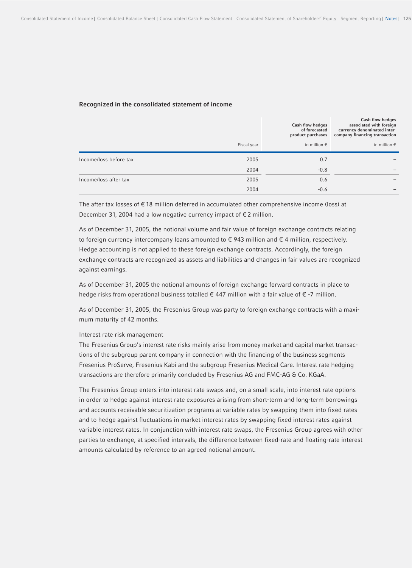#### **Recognized in the consolidated statement of income**

|                        |             | Cash flow hedges<br>of forecasted<br>product purchases | Cash flow hedges<br>associated with foreign<br>currency denominated inter-<br>company financing transaction |
|------------------------|-------------|--------------------------------------------------------|-------------------------------------------------------------------------------------------------------------|
|                        | Fiscal year | in million $\epsilon$                                  | in million $\epsilon$                                                                                       |
| Income/loss before tax | 2005        | 0.7                                                    |                                                                                                             |
|                        | 2004        | $-0.8$                                                 |                                                                                                             |
| Income/loss after tax  | 2005        | 0.6                                                    |                                                                                                             |
|                        | 2004        | $-0.6$                                                 |                                                                                                             |

The after tax losses of € 18 million deferred in accumulated other comprehensive income (loss) at December 31, 2004 had a low negative currency impact of €2 million.

As of December 31, 2005, the notional volume and fair value of foreign exchange contracts relating to foreign currency intercompany loans amounted to  $\epsilon$  943 million and  $\epsilon$  4 million, respectively. Hedge accounting is not applied to these foreign exchange contracts. Accordingly, the foreign exchange contracts are recognized as assets and liabilities and changes in fair values are recognized against earnings.

As of December 31, 2005 the notional amounts of foreign exchange forward contracts in place to hedge risks from operational business totalled € 447 million with a fair value of € -7 million.

As of December 31, 2005, the Fresenius Group was party to foreign exchange contracts with a maximum maturity of 42 months.

#### Interest rate risk management

The Fresenius Group's interest rate risks mainly arise from money market and capital market transactions of the subgroup parent company in connection with the financing of the business segments Fresenius ProServe, Fresenius Kabi and the subgroup Fresenius Medical Care. Interest rate hedging transactions are therefore primarily concluded by Fresenius AG and FMC-AG & Co. KGaA.

The Fresenius Group enters into interest rate swaps and, on a small scale, into interest rate options in order to hedge against interest rate exposures arising from short-term and long-term borrowings and accounts receivable securitization programs at variable rates by swapping them into fixed rates and to hedge against fluctuations in market interest rates by swapping fixed interest rates against variable interest rates. In conjunction with interest rate swaps, the Fresenius Group agrees with other parties to exchange, at specified intervals, the difference between fixed-rate and floating-rate interest amounts calculated by reference to an agreed notional amount.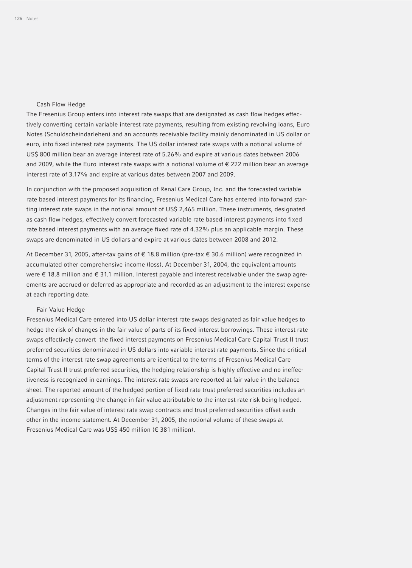### Cash Flow Hedge

The Fresenius Group enters into interest rate swaps that are designated as cash flow hedges effectively converting certain variable interest rate payments, resulting from existing revolving loans, Euro Notes (Schuldscheindarlehen) and an accounts receivable facility mainly denominated in US dollar or euro, into fixed interest rate payments. The US dollar interest rate swaps with a notional volume of US\$ 800 million bear an average interest rate of 5.26% and expire at various dates between 2006 and 2009, while the Euro interest rate swaps with a notional volume of € 222 million bear an average interest rate of 3.17% and expire at various dates between 2007 and 2009.

In conjunction with the proposed acquisition of Renal Care Group, Inc. and the forecasted variable rate based interest payments for its financing, Fresenius Medical Care has entered into forward starting interest rate swaps in the notional amount of US\$ 2,465 million. These instruments, designated as cash flow hedges, effectively convert forecasted variable rate based interest payments into fixed rate based interest payments with an average fixed rate of 4.32% plus an applicable margin. These swaps are denominated in US dollars and expire at various dates between 2008 and 2012.

At December 31, 2005, after-tax gains of € 18.8 million (pre-tax € 30.6 million) were recognized in accumulated other comprehensive income (loss). At December 31, 2004, the equivalent amounts were € 18.8 million and € 31.1 million. Interest payable and interest receivable under the swap agreements are accrued or deferred as appropriate and recorded as an adjustment to the interest expense at each reporting date.

### Fair Value Hedge

Fresenius Medical Care entered into US dollar interest rate swaps designated as fair value hedges to hedge the risk of changes in the fair value of parts of its fixed interest borrowings. These interest rate swaps effectively convert the fixed interest payments on Fresenius Medical Care Capital Trust II trust preferred securities denominated in US dollars into variable interest rate payments. Since the critical terms of the interest rate swap agreements are identical to the terms of Fresenius Medical Care Capital Trust II trust preferred securities, the hedging relationship is highly effective and no ineffectiveness is recognized in earnings. The interest rate swaps are reported at fair value in the balance sheet. The reported amount of the hedged portion of fixed rate trust preferred securities includes an adjustment representing the change in fair value attributable to the interest rate risk being hedged. Changes in the fair value of interest rate swap contracts and trust preferred securities offset each other in the income statement. At December 31, 2005, the notional volume of these swaps at Fresenius Medical Care was US\$ 450 million (€ 381 million).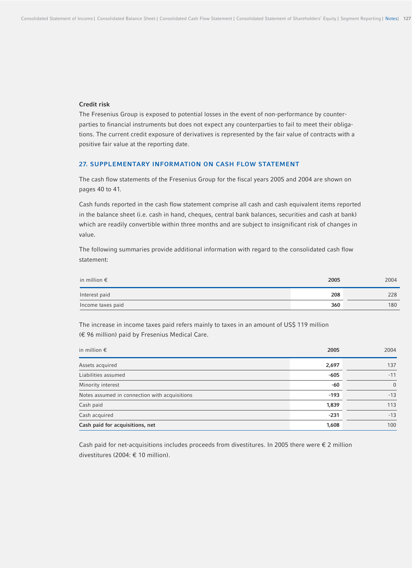### **Credit risk**

The Fresenius Group is exposed to potential losses in the event of non-performance by counterparties to financial instruments but does not expect any counterparties to fail to meet their obligations. The current credit exposure of derivatives is represented by the fair value of contracts with a positive fair value at the reporting date.

# **27. SUPPLEMENTARY INFORMATION ON CASH FLOW STATEMENT**

The cash flow statements of the Fresenius Group for the fiscal years 2005 and 2004 are shown on pages 40 to 41.

Cash funds reported in the cash flow statement comprise all cash and cash equivalent items reported in the balance sheet (i.e. cash in hand, cheques, central bank balances, securities and cash at bank) which are readily convertible within three months and are subject to insignificant risk of changes in value.

The following summaries provide additional information with regard to the consolidated cash flow statement:

| in million $\epsilon$ | 2005 | 2004 |
|-----------------------|------|------|
| Interest paid         | 208  | 228  |
| Income taxes paid     | 360  | 180  |

The increase in income taxes paid refers mainly to taxes in an amount of US\$ 119 million (€ 96 million) paid by Fresenius Medical Care.

| in million $\epsilon$                         | 2005   | 2004     |
|-----------------------------------------------|--------|----------|
| Assets acquired                               | 2,697  | 137      |
| Liabilities assumed                           | $-605$ | $-11$    |
| Minority interest                             | $-60$  | $\Omega$ |
| Notes assumed in connection with acquisitions | $-193$ | $-13$    |
| Cash paid                                     | 1,839  | 113      |
| Cash acquired                                 | $-231$ | $-13$    |
| Cash paid for acquisitions, net               | 1,608  | 100      |

Cash paid for net-acquisitions includes proceeds from divestitures. In 2005 there were  $\epsilon$  2 million divestitures (2004: € 10 million).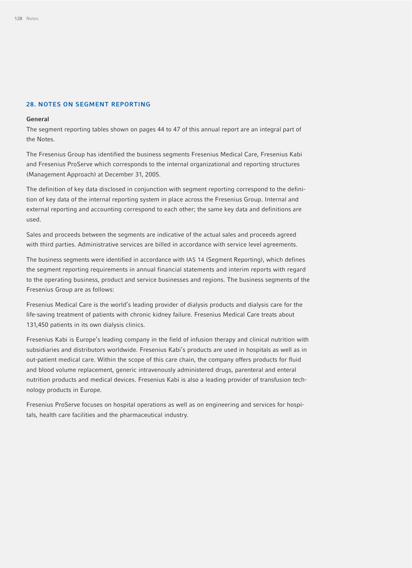### **28. NOTES ON SEGMENT REPORTING**

#### **General**

The segment reporting tables shown on pages 44 to 47 of this annual report are an integral part of the Notes.

The Fresenius Group has identified the business segments Fresenius Medical Care, Fresenius Kabi and Fresenius ProServe which corresponds to the internal organizational and reporting structures (Management Approach) at December 31, 2005.

The definition of key data disclosed in conjunction with segment reporting correspond to the definition of key data of the internal reporting system in place across the Fresenius Group. Internal and external reporting and accounting correspond to each other; the same key data and definitions are used.

Sales and proceeds between the segments are indicative of the actual sales and proceeds agreed with third parties. Administrative services are billed in accordance with service level agreements.

The business segments were identified in accordance with IAS 14 (Segment Reporting), which defines the segment reporting requirements in annual financial statements and interim reports with regard to the operating business, product and service businesses and regions. The business segments of the Fresenius Group are as follows:

Fresenius Medical Care is the world's leading provider of dialysis products and dialysis care for the life-saving treatment of patients with chronic kidney failure. Fresenius Medical Care treats about 131,450 patients in its own dialysis clinics.

Fresenius Kabi is Europe's leading company in the field of infusion therapy and clinical nutrition with subsidiaries and distributors worldwide. Fresenius Kabi's products are used in hospitals as well as in out-patient medical care. Within the scope of this care chain, the company offers products for fluid and blood volume replacement, generic intravenously administered drugs, parenteral and enteral nutrition products and medical devices. Fresenius Kabi is also a leading provider of transfusion technology products in Europe.

Fresenius ProServe focuses on hospital operations as well as on engineering and services for hospitals, health care facilities and the pharmaceutical industry.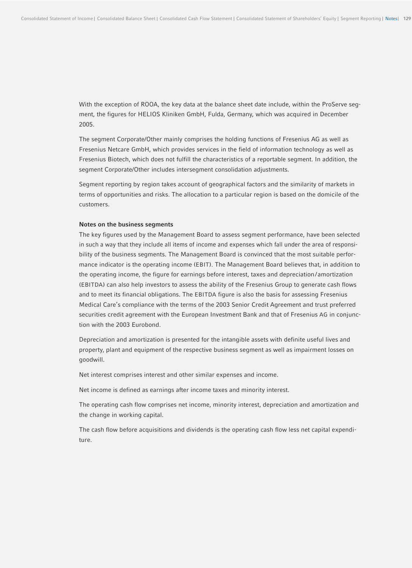With the exception of ROOA, the key data at the balance sheet date include, within the ProServe seqment, the figures for HELIOS Kliniken GmbH, Fulda, Germany, which was acquired in December 2005.

The segment Corporate/Other mainly comprises the holding functions of Fresenius AG as well as Fresenius Netcare GmbH, which provides services in the field of information technology as well as Fresenius Biotech, which does not fulfill the characteristics of a reportable segment. In addition, the segment Corporate/Other includes intersegment consolidation adjustments.

Segment reporting by region takes account of geographical factors and the similarity of markets in terms of opportunities and risks. The allocation to a particular region is based on the domicile of the customers.

### **Notes on the business segments**

The key figures used by the Management Board to assess segment performance, have been selected in such a way that they include all items of income and expenses which fall under the area of responsibility of the business segments. The Management Board is convinced that the most suitable performance indicator is the operating income (EBIT). The Management Board believes that, in addition to the operating income, the figure for earnings before interest, taxes and depreciation/amortization (EBITDA) can also help investors to assess the ability of the Fresenius Group to generate cash flows and to meet its financial obligations. The EBITDA figure is also the basis for assessing Fresenius Medical Care's compliance with the terms of the 2003 Senior Credit Agreement and trust preferred securities credit agreement with the European Investment Bank and that of Fresenius AG in conjunction with the 2003 Eurobond.

Depreciation and amortization is presented for the intangible assets with definite useful lives and property, plant and equipment of the respective business segment as well as impairment losses on goodwill.

Net interest comprises interest and other similar expenses and income.

Net income is defined as earnings after income taxes and minority interest.

The operating cash flow comprises net income, minority interest, depreciation and amortization and the change in working capital.

The cash flow before acquisitions and dividends is the operating cash flow less net capital expenditure.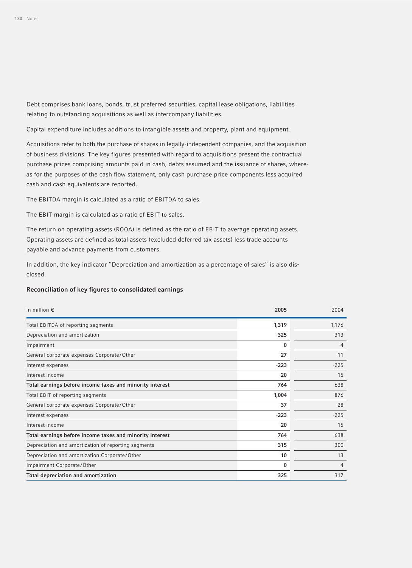Debt comprises bank loans, bonds, trust preferred securities, capital lease obligations, liabilities relating to outstanding acquisitions as well as intercompany liabilities.

Capital expenditure includes additions to intangible assets and property, plant and equipment.

Acquisitions refer to both the purchase of shares in legally-independent companies, and the acquisition of business divisions. The key figures presented with regard to acquisitions present the contractual purchase prices comprising amounts paid in cash, debts assumed and the issuance of shares, whereas for the purposes of the cash flow statement, only cash purchase price components less acquired cash and cash equivalents are reported.

The EBITDA margin is calculated as a ratio of EBITDA to sales.

The EBIT margin is calculated as a ratio of EBIT to sales.

The return on operating assets (ROOA) is defined as the ratio of EBIT to average operating assets. Operating assets are defined as total assets (excluded deferred tax assets) less trade accounts payable and advance payments from customers.

In addition, the key indicator "Depreciation and amortization as a percentage of sales" is also disclosed.

#### **Reconciliation of key figures to consolidated earnings**

| in million $\epsilon$                                    | 2005   | 2004           |
|----------------------------------------------------------|--------|----------------|
| Total EBITDA of reporting segments                       | 1,319  | 1,176          |
| Depreciation and amortization                            | $-325$ | $-313$         |
| Impairment                                               | 0      | $-4$           |
| General corporate expenses Corporate/Other               | $-27$  | $-11$          |
| Interest expenses                                        | $-223$ | $-225$         |
| Interest income                                          | 20     | 15             |
| Total earnings before income taxes and minority interest | 764    | 638            |
| Total EBIT of reporting segments                         | 1,004  | 876            |
| General corporate expenses Corporate/Other               | $-37$  | $-28$          |
| Interest expenses                                        | $-223$ | $-225$         |
| Interest income                                          | 20     | 15             |
| Total earnings before income taxes and minority interest | 764    | 638            |
| Depreciation and amortization of reporting segments      | 315    | 300            |
| Depreciation and amortization Corporate/Other            | 10     | 13             |
| Impairment Corporate/Other                               | 0      | $\overline{4}$ |
| <b>Total depreciation and amortization</b>               | 325    | 317            |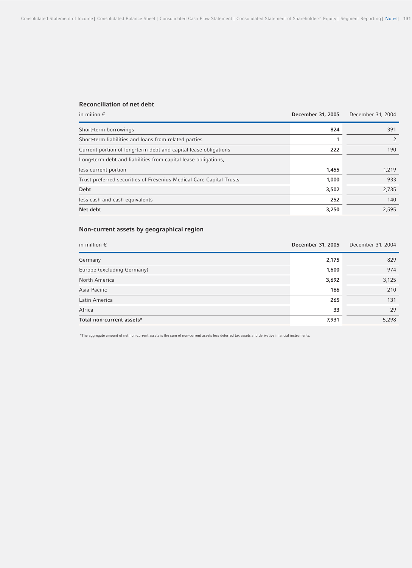### **Reconciliation of net debt**

| in milion $\epsilon$                                                | December 31, 2005 | December 31, 2004 |
|---------------------------------------------------------------------|-------------------|-------------------|
| Short-term borrowings                                               | 824               | 391               |
| Short-term liabilities and loans from related parties               |                   | $\overline{2}$    |
| Current portion of long-term debt and capital lease obligations     | 222               | 190               |
| Long-term debt and liabilities from capital lease obligations,      |                   |                   |
| less current portion                                                | 1,455             | 1,219             |
| Trust preferred securities of Fresenius Medical Care Capital Trusts | 1,000             | 933               |
| Debt                                                                | 3,502             | 2,735             |
| less cash and cash equivalents                                      | 252               | 140               |
| Net debt                                                            | 3,250             | 2.595             |

### **Non-current assets by geographical region**

| in million $\epsilon$      | December 31, 2005 | December 31, 2004 |
|----------------------------|-------------------|-------------------|
| Germany                    | 2,175             | 829               |
| Europe (excluding Germany) | 1,600             | 974               |
| North America              | 3,692             | 3,125             |
| Asia-Pacific               | 166               | 210               |
| Latin America              | 265               | 131               |
| Africa                     | 33                | 29                |
| Total non-current assets*  | 7,931             | 5,298             |

\*The aggregate amount of net non-current assets is the sum of non-current assets less deferred tax assets and derivative financial instruments.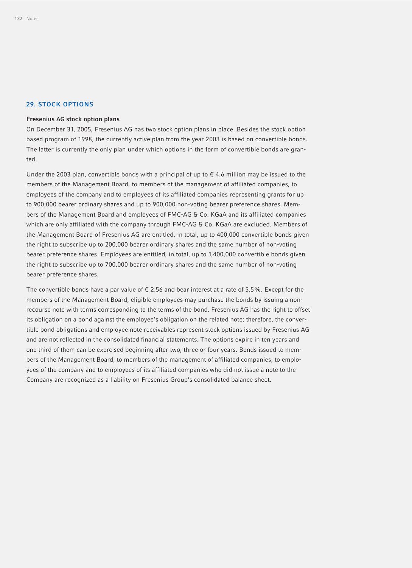### **29. STOCK OPTIONS**

#### **Fresenius AG stock option plans**

On December 31, 2005, Fresenius AG has two stock option plans in place. Besides the stock option based program of 1998, the currently active plan from the year 2003 is based on convertible bonds. The latter is currently the only plan under which options in the form of convertible bonds are granted.

Under the 2003 plan, convertible bonds with a principal of up to  $\epsilon$  4.6 million may be issued to the members of the Management Board, to members of the management of affiliated companies, to employees of the company and to employees of its affiliated companies representing grants for up to 900,000 bearer ordinary shares and up to 900,000 non-voting bearer preference shares. Members of the Management Board and employees of FMC-AG & Co. KGaA and its affiliated companies which are only affiliated with the company through FMC-AG & Co. KGaA are excluded. Members of the Management Board of Fresenius AG are entitled, in total, up to 400,000 convertible bonds given the right to subscribe up to 200,000 bearer ordinary shares and the same number of non-voting bearer preference shares. Employees are entitled, in total, up to 1,400,000 convertible bonds given the right to subscribe up to 700,000 bearer ordinary shares and the same number of non-voting bearer preference shares.

The convertible bonds have a par value of  $\epsilon$  2.56 and bear interest at a rate of 5.5%. Except for the members of the Management Board, eligible employees may purchase the bonds by issuing a nonrecourse note with terms corresponding to the terms of the bond. Fresenius AG has the right to offset its obligation on a bond against the employee's obligation on the related note; therefore, the convertible bond obligations and employee note receivables represent stock options issued by Fresenius AG and are not reflected in the consolidated financial statements. The options expire in ten years and one third of them can be exercised beginning after two, three or four years. Bonds issued to members of the Management Board, to members of the management of affiliated companies, to employees of the company and to employees of its affiliated companies who did not issue a note to the Company are recognized as a liability on Fresenius Group's consolidated balance sheet.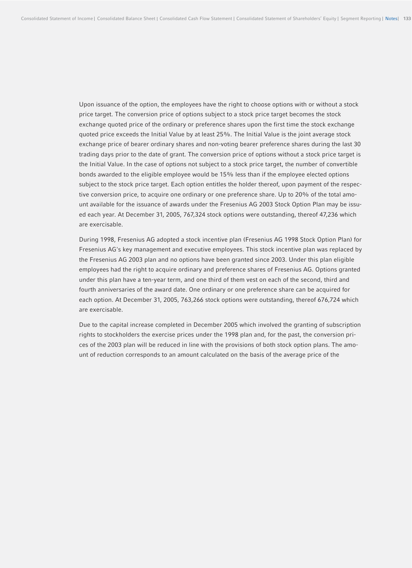Upon issuance of the option, the employees have the right to choose options with or without a stock price target. The conversion price of options subject to a stock price target becomes the stock exchange quoted price of the ordinary or preference shares upon the first time the stock exchange quoted price exceeds the Initial Value by at least 25%. The Initial Value is the joint average stock exchange price of bearer ordinary shares and non-voting bearer preference shares during the last 30 trading days prior to the date of grant. The conversion price of options without a stock price target is the Initial Value. In the case of options not subject to a stock price target, the number of convertible bonds awarded to the eligible employee would be 15% less than if the employee elected options subject to the stock price target. Each option entitles the holder thereof, upon payment of the respective conversion price, to acquire one ordinary or one preference share. Up to 20% of the total amount available for the issuance of awards under the Fresenius AG 2003 Stock Option Plan may be issued each year. At December 31, 2005, 767,324 stock options were outstanding, thereof 47,236 which are exercisable.

During 1998, Fresenius AG adopted a stock incentive plan (Fresenius AG 1998 Stock Option Plan) for Fresenius AG's key management and executive employees. This stock incentive plan was replaced by the Fresenius AG 2003 plan and no options have been granted since 2003. Under this plan eligible employees had the right to acquire ordinary and preference shares of Fresenius AG. Options granted under this plan have a ten-year term, and one third of them vest on each of the second, third and fourth anniversaries of the award date. One ordinary or one preference share can be acquired for each option. At December 31, 2005, 763,266 stock options were outstanding, thereof 676,724 which are exercisable.

Due to the capital increase completed in December 2005 which involved the granting of subscription rights to stockholders the exercise prices under the 1998 plan and, for the past, the conversion prices of the 2003 plan will be reduced in line with the provisions of both stock option plans. The amount of reduction corresponds to an amount calculated on the basis of the average price of the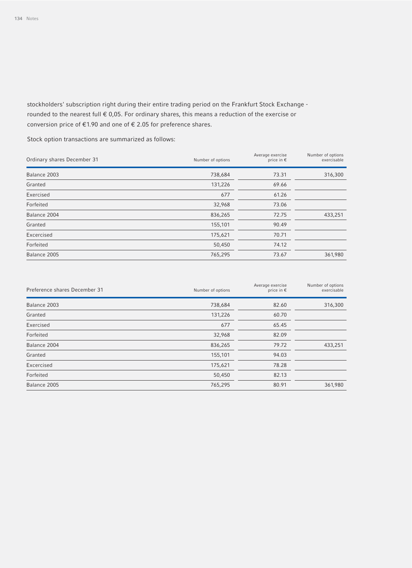stockholders' subscription right during their entire trading period on the Frankfurt Stock Exchange rounded to the nearest full € 0,05. For ordinary shares, this means a reduction of the exercise or conversion price of  $\epsilon$ 1.90 and one of  $\epsilon$  2.05 for preference shares.

Stock option transactions are summarized as follows:

| Ordinary shares December 31 | Number of options | Average exercise<br>price in $\epsilon$ | Number of options<br>exercisable |
|-----------------------------|-------------------|-----------------------------------------|----------------------------------|
| Balance 2003                | 738,684           | 73.31                                   | 316,300                          |
| Granted                     | 131,226           | 69.66                                   |                                  |
| Exercised                   | 677               | 61.26                                   |                                  |
| Forfeited                   | 32,968            | 73.06                                   |                                  |
| Balance 2004                | 836,265           | 72.75                                   | 433,251                          |
| Granted                     | 155,101           | 90.49                                   |                                  |
| Excercised                  | 175,621           | 70.71                                   |                                  |
| Forfeited                   | 50,450            | 74.12                                   |                                  |
| Balance 2005                | 765,295           | 73.67                                   | 361,980                          |

| Preference shares December 31 | Number of options | Average exercise<br>price in $\epsilon$ | Number of options<br>exercisable |
|-------------------------------|-------------------|-----------------------------------------|----------------------------------|
| Balance 2003                  | 738,684           | 82.60                                   | 316,300                          |
| Granted                       | 131,226           | 60.70                                   |                                  |
| Exercised                     | 677               | 65.45                                   |                                  |
| Forfeited                     | 32,968            | 82.09                                   |                                  |
| Balance 2004                  | 836,265           | 79.72                                   | 433,251                          |
| Granted                       | 155,101           | 94.03                                   |                                  |
| Excercised                    | 175,621           | 78.28                                   |                                  |
| Forfeited                     | 50,450            | 82.13                                   |                                  |
| Balance 2005                  | 765,295           | 80.91                                   | 361,980                          |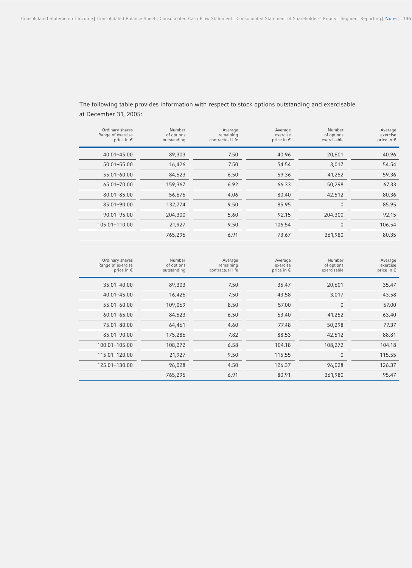| Ordinary shares<br>Range of exercise<br>price in $\epsilon$ | Number<br>of options<br>outstanding | Average<br>remaining<br>contractual life | Average<br>exercise<br>price in $\epsilon$ | Number<br>of options<br>exercisable | Average<br>exercise<br>price in $\epsilon$ |
|-------------------------------------------------------------|-------------------------------------|------------------------------------------|--------------------------------------------|-------------------------------------|--------------------------------------------|
| 40.01-45.00                                                 | 89,303                              | 7.50                                     | 40.96                                      | 20,601                              | 40.96                                      |
| $50.01 - 55.00$                                             | 16,426                              | 7.50                                     | 54.54                                      | 3,017                               | 54.54                                      |
| 55.01-60.00                                                 | 84,523                              | 6.50                                     | 59.36                                      | 41,252                              | 59.36                                      |
| 65.01-70.00                                                 | 159,367                             | 6.92                                     | 66.33                                      | 50,298                              | 67.33                                      |
| $80.01 - 85.00$                                             | 56,675                              | 4.06                                     | 80.40                                      | 42,512                              | 80.36                                      |
| 85.01-90.00                                                 | 132,774                             | 9.50                                     | 85.95                                      |                                     | 85.95                                      |
| $90.01 - 95.00$                                             | 204,300                             | 5.60                                     | 92.15                                      | 204,300                             | 92.15                                      |
| 105.01-110.00                                               | 21,927                              | 9.50                                     | 106.54                                     | $\Omega$                            | 106.54                                     |
|                                                             | 765,295                             | 6.91                                     | 73.67                                      | 361,980                             | 80.35                                      |

The following table provides information with respect to stock options outstanding and exercisable at December 31, 2005:

| Ordinary shares<br>Range of exercise<br>price in $\epsilon$ | Number<br>of options<br>outstanding | Average<br>remaining<br>contractual life | Average<br>exercise<br>price in $\epsilon$ | Number<br>of options<br>exercisable | Average<br>exercise<br>price in $\epsilon$ |
|-------------------------------------------------------------|-------------------------------------|------------------------------------------|--------------------------------------------|-------------------------------------|--------------------------------------------|
| $35.01 - 40.00$                                             | 89,303                              | 7.50                                     | 35.47                                      | 20,601                              | 35.47                                      |
| 40.01-45.00                                                 | 16,426                              | 7.50                                     | 43.58                                      | 3,017                               | 43.58                                      |
| 55.01-60.00                                                 | 109,069                             | 8.50                                     | 57.00                                      | $\mathbf{0}$                        | 57.00                                      |
| $60.01 - 65.00$                                             | 84,523                              | 6.50                                     | 63.40                                      | 41,252                              | 63.40                                      |
| 75.01-80.00                                                 | 64,461                              | 4.60                                     | 77.48                                      | 50,298                              | 77.37                                      |
| 85.01-90.00                                                 | 175,286                             | 7.82                                     | 88.53                                      | 42,512                              | 88.81                                      |
| 100.01-105.00                                               | 108,272                             | 6.58                                     | 104.18                                     | 108,272                             | 104.18                                     |
| 115.01-120.00                                               | 21,927                              | 9.50                                     | 115.55                                     | $\Omega$                            | 115.55                                     |
| 125.01-130.00                                               | 96,028                              | 4.50                                     | 126.37                                     | 96,028                              | 126.37                                     |
|                                                             | 765,295                             | 6.91                                     | 80.91                                      | 361.980                             | 95.47                                      |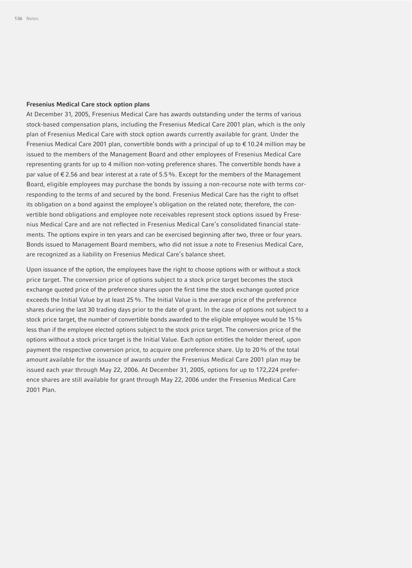### **Fresenius Medical Care stock option plans**

At December 31, 2005, Fresenius Medical Care has awards outstanding under the terms of various stock-based compensation plans, including the Fresenius Medical Care 2001 plan, which is the only plan of Fresenius Medical Care with stock option awards currently available for grant. Under the Fresenius Medical Care 2001 plan, convertible bonds with a principal of up to  $\epsilon$  10.24 million may be issued to the members of the Management Board and other employees of Fresenius Medical Care representing grants for up to 4 million non-voting preference shares. The convertible bonds have a par value of € 2.56 and bear interest at a rate of 5.5%. Except for the members of the Management Board, eligible employees may purchase the bonds by issuing a non-recourse note with terms corresponding to the terms of and secured by the bond. Fresenius Medical Care has the right to offset its obligation on a bond against the employee's obligation on the related note; therefore, the convertible bond obligations and employee note receivables represent stock options issued by Fresenius Medical Care and are not reflected in Fresenius Medical Care's consolidated financial statements. The options expire in ten years and can be exercised beginning after two, three or four years. Bonds issued to Management Board members, who did not issue a note to Fresenius Medical Care, are recognized as a liability on Fresenius Medical Care's balance sheet.

Upon issuance of the option, the employees have the right to choose options with or without a stock price target. The conversion price of options subject to a stock price target becomes the stock exchange quoted price of the preference shares upon the first time the stock exchange quoted price exceeds the Initial Value by at least 25%. The Initial Value is the average price of the preference shares during the last 30 trading days prior to the date of grant. In the case of options not subject to a stock price target, the number of convertible bonds awarded to the eligible employee would be 15% less than if the employee elected options subject to the stock price target. The conversion price of the options without a stock price target is the Initial Value. Each option entitles the holder thereof, upon payment the respective conversion price, to acquire one preference share. Up to 20% of the total amount available for the issuance of awards under the Fresenius Medical Care 2001 plan may be issued each year through May 22, 2006. At December 31, 2005, options for up to 172,224 preference shares are still available for grant through May 22, 2006 under the Fresenius Medical Care 2001 Plan.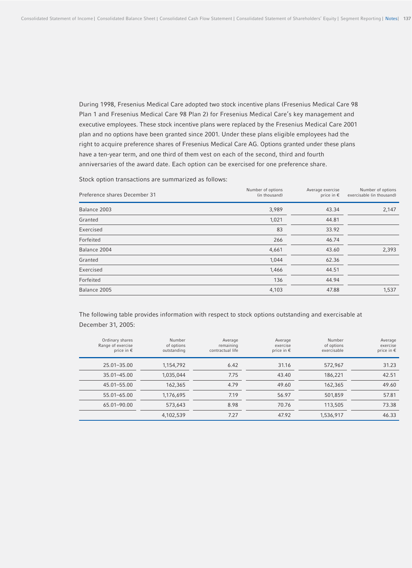During 1998, Fresenius Medical Care adopted two stock incentive plans (Fresenius Medical Care 98 Plan 1 and Fresenius Medical Care 98 Plan 2) for Fresenius Medical Care's key management and executive employees. These stock incentive plans were replaced by the Fresenius Medical Care 2001 plan and no options have been granted since 2001. Under these plans eligible employees had the right to acquire preference shares of Fresenius Medical Care AG. Options granted under these plans have a ten-year term, and one third of them vest on each of the second, third and fourth anniversaries of the award date. Each option can be exercised for one preference share.

Stock option transactions are summarized as follows:

| Preference shares December 31 | Number of options<br>(in thousand) | Average exercise<br>price in $\epsilon$ | Number of options<br>exercisable (in thousand) |
|-------------------------------|------------------------------------|-----------------------------------------|------------------------------------------------|
| Balance 2003                  | 3,989                              | 43.34                                   | 2,147                                          |
| Granted                       | 1,021                              | 44.81                                   |                                                |
| Exercised                     | 83                                 | 33.92                                   |                                                |
| Forfeited                     | 266                                | 46.74                                   |                                                |
| Balance 2004                  | 4,661                              | 43.60                                   | 2,393                                          |
| Granted                       | 1,044                              | 62.36                                   |                                                |
| Exercised                     | 1,466                              | 44.51                                   |                                                |
| Forfeited                     | 136                                | 44.94                                   |                                                |
| Balance 2005                  | 4,103                              | 47.88                                   | 1,537                                          |

The following table provides information with respect to stock options outstanding and exercisable at December 31, 2005:

| Ordinary shares<br>Range of exercise<br>price in $\epsilon$ | Number<br>of options<br>outstanding | Average<br>remaining<br>contractual life | Average<br>exercise<br>price in $\epsilon$ | Number<br>of options<br>exercisable | Average<br>exercise<br>price in $\epsilon$ |
|-------------------------------------------------------------|-------------------------------------|------------------------------------------|--------------------------------------------|-------------------------------------|--------------------------------------------|
| 25.01-35.00                                                 | 1,154,792                           | 6.42                                     | 31.16                                      | 572,967                             | 31.23                                      |
| 35.01-45.00                                                 | 1,035,044                           | 7.75                                     | 43.40                                      | 186,221                             | 42.51                                      |
| 45.01-55.00                                                 | 162,365                             | 4.79                                     | 49.60                                      | 162,365                             | 49.60                                      |
| 55.01-65.00                                                 | 1,176,695                           | 7.19                                     | 56.97                                      | 501,859                             | 57.81                                      |
| 65.01-90.00                                                 | 573,643                             | 8.98                                     | 70.76                                      | 113,505                             | 73.38                                      |
|                                                             | 4,102,539                           | 7.27                                     | 47.92                                      | 1,536,917                           | 46.33                                      |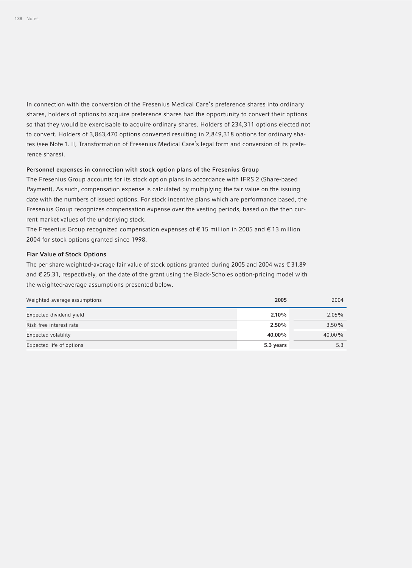In connection with the conversion of the Fresenius Medical Care's preference shares into ordinary shares, holders of options to acquire preference shares had the opportunity to convert their options so that they would be exercisable to acquire ordinary shares. Holders of 234,311 options elected not to convert. Holders of 3,863,470 options converted resulting in 2,849,318 options for ordinary shares (see Note 1. II, Transformation of Fresenius Medical Care's legal form and conversion of its preference shares).

### **Personnel expenses in connection with stock option plans of the Fresenius Group**

The Fresenius Group accounts for its stock option plans in accordance with IFRS 2 (Share-based Payment). As such, compensation expense is calculated by multiplying the fair value on the issuing date with the numbers of issued options. For stock incentive plans which are performance based, the Fresenius Group recognizes compensation expense over the vesting periods, based on the then current market values of the underlying stock.

The Fresenius Group recognized compensation expenses of € 15 million in 2005 and € 13 million 2004 for stock options granted since 1998.

### **Fiar Value of Stock Options**

The per share weighted-average fair value of stock options granted during 2005 and 2004 was € 31.89 and € 25.31, respectively, on the date of the grant using the Black-Scholes option-pricing model with the weighted-average assumptions presented below.

| Weighted-average assumptions | 2005      | 2004      |
|------------------------------|-----------|-----------|
| Expected dividend yield      | 2.10%     | $2.05\%$  |
| Risk-free interest rate      | 2.50%     | $3.50\%$  |
| Expected volatility          | 40.00%    | $40.00\%$ |
| Expected life of options     | 5.3 years | 5.3       |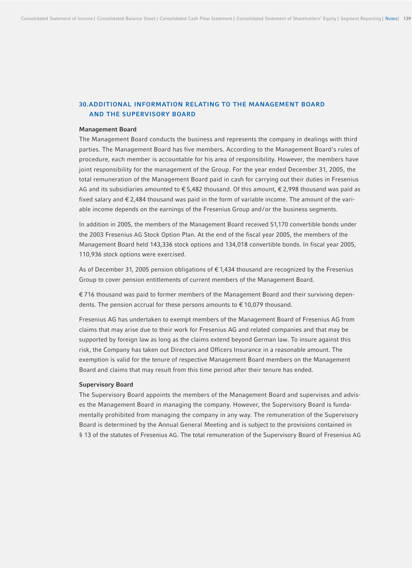# **30.ADDITIONAL INFORMATION RELATING TO THE MANAGEMENT BOARD AND THE SUPERVISORY BOARD**

### **Management Board**

The Management Board conducts the business and represents the company in dealings with third parties. The Management Board has five members. According to the Management Board's rules of procedure, each member is accountable for his area of responsibility. However, the members have joint responsibility for the management of the Group. For the year ended December 31, 2005, the total remuneration of the Management Board paid in cash for carrying out their duties in Fresenius AG and its subsidiaries amounted to € 5,482 thousand. Of this amount, € 2,998 thousand was paid as fixed salary and  $\epsilon$  2,484 thousand was paid in the form of variable income. The amount of the variable income depends on the earnings of the Fresenius Group and/or the business segments.

In addition in 2005, the members of the Management Board received 51,170 convertible bonds under the 2003 Fresenius AG Stock Option Plan. At the end of the fiscal year 2005, the members of the Management Board held 143,336 stock options and 134,018 convertible bonds. In fiscal year 2005, 110,936 stock options were exercised.

As of December 31, 2005 pension obligations of  $\epsilon$  1,434 thousand are recognized by the Fresenius Group to cover pension entitlements of current members of the Management Board.

€ 716 thousand was paid to former members of the Management Board and their surviving dependents. The pension accrual for these persons amounts to  $\epsilon$  10,079 thousand.

Fresenius AG has undertaken to exempt members of the Management Board of Fresenius AG from claims that may arise due to their work for Fresenius AG and related companies and that may be supported by foreign law as long as the claims extend beyond German law. To insure against this risk, the Company has taken out Directors and Officers Insurance in a reasonable amount. The exemption is valid for the tenure of respective Management Board members on the Management Board and claims that may result from this time period after their tenure has ended.

### **Supervisory Board**

The Supervisory Board appoints the members of the Management Board and supervises and advises the Management Board in managing the company. However, the Supervisory Board is fundamentally prohibited from managing the company in any way. The remuneration of the Supervisory Board is determined by the Annual General Meeting and is subject to the provisions contained in § 13 of the statutes of Fresenius AG. The total remuneration of the Supervisory Board of Fresenius AG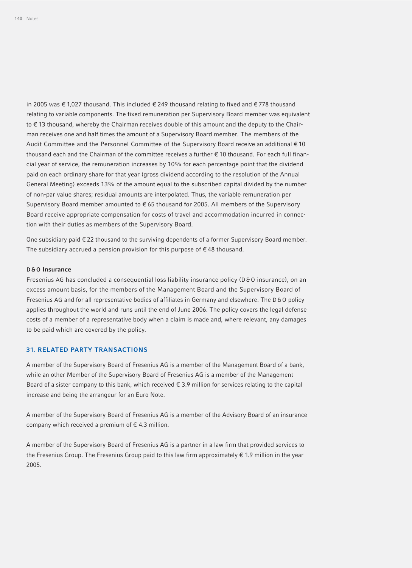in 2005 was € 1,027 thousand. This included € 249 thousand relating to fixed and € 778 thousand relating to variable components. The fixed remuneration per Supervisory Board member was equivalent to € 13 thousand, whereby the Chairman receives double of this amount and the deputy to the Chairman receives one and half times the amount of a Supervisory Board member. The members of the Audit Committee and the Personnel Committee of the Supervisory Board receive an additional € 10 thousand each and the Chairman of the committee receives a further € 10 thousand. For each full financial year of service, the remuneration increases by 10% for each percentage point that the dividend paid on each ordinary share for that year (gross dividend according to the resolution of the Annual General Meeting) exceeds 13% of the amount equal to the subscribed capital divided by the number of non-par value shares; residual amounts are interpolated. Thus, the variable remuneration per Supervisory Board member amounted to € 65 thousand for 2005. All members of the Supervisory Board receive appropriate compensation for costs of travel and accommodation incurred in connection with their duties as members of the Supervisory Board.

One subsidiary paid  $\epsilon$  22 thousand to the surviving dependents of a former Supervisory Board member. The subsidiary accrued a pension provision for this purpose of  $\epsilon$  48 thousand.

### **D&O Insurance**

Fresenius AG has concluded a consequential loss liability insurance policy (D&O insurance), on an excess amount basis, for the members of the Management Board and the Supervisory Board of Fresenius AG and for all representative bodies of affiliates in Germany and elsewhere. The D&O policy applies throughout the world and runs until the end of June 2006. The policy covers the legal defense costs of a member of a representative body when a claim is made and, where relevant, any damages to be paid which are covered by the policy.

### **31. RELATED PARTY TRANSACTIONS**

A member of the Supervisory Board of Fresenius AG is a member of the Management Board of a bank, while an other Member of the Supervisory Board of Fresenius AG is a member of the Management Board of a sister company to this bank, which received  $\epsilon$  3.9 million for services relating to the capital increase and being the arrangeur for an Euro Note.

A member of the Supervisory Board of Fresenius AG is a member of the Advisory Board of an insurance company which received a premium of  $\epsilon$  4.3 million.

A member of the Supervisory Board of Fresenius AG is a partner in a law firm that provided services to the Fresenius Group. The Fresenius Group paid to this law firm approximately € 1.9 million in the year 2005.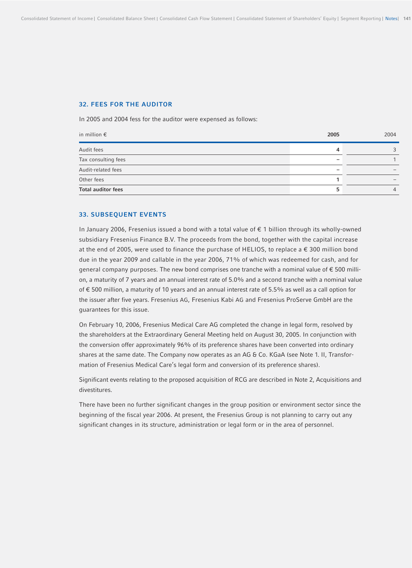### **32. FEES FOR THE AUDITOR**

In 2005 and 2004 fess for the auditor were expensed as follows:

| in million $\epsilon$     | 2005 | 2004 |
|---------------------------|------|------|
| Audit fees                | 4    | 3    |
| Tax consulting fees       |      |      |
| Audit-related fees        |      |      |
| Other fees                |      |      |
| <b>Total auditor fees</b> |      | 4    |

### **33. SUBSEQUENT EVENTS**

In January 2006, Fresenius issued a bond with a total value of € 1 billion through its wholly-owned subsidiary Fresenius Finance B.V. The proceeds from the bond, together with the capital increase at the end of 2005, were used to finance the purchase of HELIOS, to replace a € 300 million bond due in the year 2009 and callable in the year 2006, 71% of which was redeemed for cash, and for general company purposes. The new bond comprises one tranche with a nominal value of € 500 million, a maturity of 7 years and an annual interest rate of 5.0% and a second tranche with a nominal value of € 500 million, a maturity of 10 years and an annual interest rate of 5.5% as well as a call option for the issuer after five years. Fresenius AG, Fresenius Kabi AG and Fresenius ProServe GmbH are the guarantees for this issue.

On February 10, 2006, Fresenius Medical Care AG completed the change in legal form, resolved by the shareholders at the Extraordinary General Meeting held on August 30, 2005. In conjunction with the conversion offer approximately 96% of its preference shares have been converted into ordinary shares at the same date. The Company now operates as an AG & Co. KGaA (see Note 1. II, Transformation of Fresenius Medical Care's legal form and conversion of its preference shares).

Significant events relating to the proposed acquisition of RCG are described in Note 2, Acquisitions and divestitures.

There have been no further significant changes in the group position or environment sector since the beginning of the fiscal year 2006. At present, the Fresenius Group is not planning to carry out any significant changes in its structure, administration or legal form or in the area of personnel.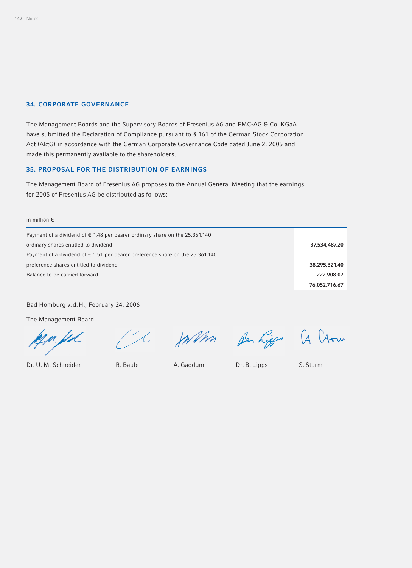# **34. CORPORATE GOVERNANCE**

The Management Boards and the Supervisory Boards of Fresenius AG and FMC-AG & Co. KGaA have submitted the Declaration of Compliance pursuant to § 161 of the German Stock Corporation Act (AktG) in accordance with the German Corporate Governance Code dated June 2, 2005 and made this permanently available to the shareholders.

# **35. PROPOSAL FOR THE DISTRIBUTION OF EARNINGS**

The Management Board of Fresenius AG proposes to the Annual General Meeting that the earnings for 2005 of Fresenius AG be distributed as follows:

#### in million €

| Payment of a dividend of $\epsilon$ 1.48 per bearer ordinary share on the 25,361,140   |               |
|----------------------------------------------------------------------------------------|---------------|
| ordinary shares entitled to dividend                                                   | 37,534,487.20 |
| Payment of a dividend of $\epsilon$ 1.51 per bearer preference share on the 25,361,140 |               |
| preference shares entitled to dividend                                                 | 38,295,321.40 |
| Balance to be carried forward                                                          | 222,908.07    |
|                                                                                        | 76,052,716.67 |

### Bad Homburg v.d.H., February 24, 2006

The Management Board

IC Jordhan Den Liges CA. CArm

Dr. U. M. Schneider R. Baule A. Gaddum Br. B. Lipps S. Sturm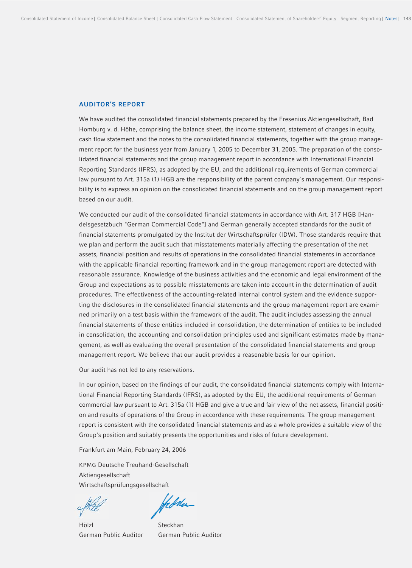#### **AUDITOR'S REPORT**

We have audited the consolidated financial statements prepared by the Fresenius Aktiengesellschaft, Bad Homburg v. d. Höhe, comprising the balance sheet, the income statement, statement of changes in equity, cash flow statement and the notes to the consolidated financial statements, together with the group management report for the business year from January 1, 2005 to December 31, 2005. The preparation of the consolidated financial statements and the group management report in accordance with International Financial Reporting Standards (IFRS), as adopted by the EU, and the additional requirements of German commercial law pursuant to Art. 315a (1) HGB are the responsibility of the parent company`s management. Our responsibility is to express an opinion on the consolidated financial statements and on the group management report based on our audit.

We conducted our audit of the consolidated financial statements in accordance with Art. 317 HGB [Handelsgesetzbuch "German Commercial Code"] and German generally accepted standards for the audit of financial statements promulgated by the Institut der Wirtschaftsprüfer (IDW). Those standards require that we plan and perform the audit such that misstatements materially affecting the presentation of the net assets, financial position and results of operations in the consolidated financial statements in accordance with the applicable financial reporting framework and in the group management report are detected with reasonable assurance. Knowledge of the business activities and the economic and legal environment of the Group and expectations as to possible misstatements are taken into account in the determination of audit procedures. The effectiveness of the accounting-related internal control system and the evidence supporting the disclosures in the consolidated financial statements and the group management report are examined primarily on a test basis within the framework of the audit. The audit includes assessing the annual financial statements of those entities included in consolidation, the determination of entities to be included in consolidation, the accounting and consolidation principles used and significant estimates made by management, as well as evaluating the overall presentation of the consolidated financial statements and group management report. We believe that our audit provides a reasonable basis for our opinion.

Our audit has not led to any reservations.

In our opinion, based on the findings of our audit, the consolidated financial statements comply with International Financial Reporting Standards (IFRS), as adopted by the EU, the additional requirements of German commercial law pursuant to Art. 315a (1) HGB and give a true and fair view of the net assets, financial position and results of operations of the Group in accordance with these requirements. The group management report is consistent with the consolidated financial statements and as a whole provides a suitable view of the Group's position and suitably presents the opportunities and risks of future development.

Frankfurt am Main, February 24, 2006

KPMG Deutsche Treuhand-Gesellschaft Aktiengesellschaft Wirtschaftsprüfungsgesellschaft

Hedder

Hölzl Steckhan

German Public Auditor German Public Auditor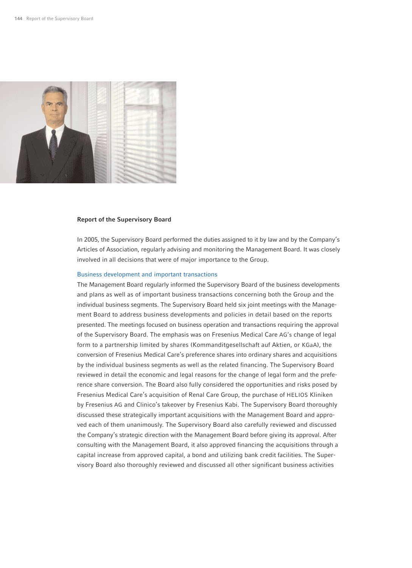

#### **Report of the Supervisory Board**

In 2005, the Supervisory Board performed the duties assigned to it by law and by the Company's Articles of Association, regularly advising and monitoring the Management Board. It was closely involved in all decisions that were of major importance to the Group.

## Business development and important transactions

The Management Board regularly informed the Supervisory Board of the business developments and plans as well as of important business transactions concerning both the Group and the individual business segments. The Supervisory Board held six joint meetings with the Management Board to address business developments and policies in detail based on the reports presented. The meetings focused on business operation and transactions requiring the approval of the Supervisory Board. The emphasis was on Fresenius Medical Care AG's change of legal form to a partnership limited by shares (Kommanditgesellschaft auf Aktien, or KGaA), the conversion of Fresenius Medical Care's preference shares into ordinary shares and acquisitions by the individual business segments as well as the related financing. The Supervisory Board reviewed in detail the economic and legal reasons for the change of legal form and the preference share conversion. The Board also fully considered the opportunities and risks posed by Fresenius Medical Care's acquisition of Renal Care Group, the purchase of HELIOS Kliniken by Fresenius AG and Clinico's takeover by Fresenius Kabi. The Supervisory Board thoroughly discussed these strategically important acquisitions with the Management Board and approved each of them unanimously. The Supervisory Board also carefully reviewed and discussed the Company's strategic direction with the Management Board before giving its approval. After consulting with the Management Board, it also approved financing the acquisitions through a capital increase from approved capital, a bond and utilizing bank credit facilities. The Supervisory Board also thoroughly reviewed and discussed all other significant business activities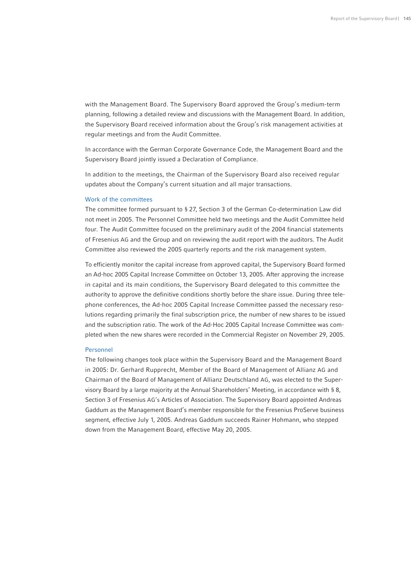with the Management Board. The Supervisory Board approved the Group's medium-term planning, following a detailed review and discussions with the Management Board. In addition, the Supervisory Board received information about the Group's risk management activities at regular meetings and from the Audit Committee.

In accordance with the German Corporate Governance Code, the Management Board and the Supervisory Board jointly issued a Declaration of Compliance.

In addition to the meetings, the Chairman of the Supervisory Board also received regular updates about the Company's current situation and all major transactions.

## Work of the committees

The committee formed pursuant to § 27, Section 3 of the German Co-determination Law did not meet in 2005. The Personnel Committee held two meetings and the Audit Committee held four. The Audit Committee focused on the preliminary audit of the 2004 financial statements of Fresenius AG and the Group and on reviewing the audit report with the auditors. The Audit Committee also reviewed the 2005 quarterly reports and the risk management system.

To efficiently monitor the capital increase from approved capital, the Supervisory Board formed an Ad-hoc 2005 Capital Increase Committee on October 13, 2005. After approving the increase in capital and its main conditions, the Supervisory Board delegated to this committee the authority to approve the definitive conditions shortly before the share issue. During three telephone conferences, the Ad-hoc 2005 Capital Increase Committee passed the necessary resolutions regarding primarily the final subscription price, the number of new shares to be issued and the subscription ratio. The work of the Ad-Hoc 2005 Capital Increase Committee was completed when the new shares were recorded in the Commercial Register on November 29, 2005.

## Personnel

The following changes took place within the Supervisory Board and the Management Board in 2005: Dr. Gerhard Rupprecht, Member of the Board of Management of Allianz AG and Chairman of the Board of Management of Allianz Deutschland AG, was elected to the Supervisory Board by a large majority at the Annual Shareholders' Meeting, in accordance with § 8, Section 3 of Fresenius AG's Articles of Association. The Supervisory Board appointed Andreas Gaddum as the Management Board's member responsible for the Fresenius ProServe business segment, effective July 1, 2005. Andreas Gaddum succeeds Rainer Hohmann, who stepped down from the Management Board, effective May 20, 2005.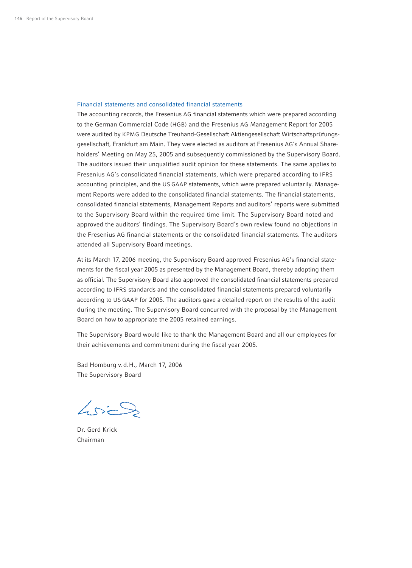## Financial statements and consolidated financial statements

The accounting records, the Fresenius AG financial statements which were prepared according to the German Commercial Code (HGB) and the Fresenius AG Management Report for 2005 were audited by KPMG Deutsche Treuhand-Gesellschaft Aktiengesellschaft Wirtschaftsprüfungsgesellschaft, Frankfurt am Main. They were elected as auditors at Fresenius AG's Annual Shareholders' Meeting on May 25, 2005 and subsequently commissioned by the Supervisory Board. The auditors issued their unqualified audit opinion for these statements. The same applies to Fresenius AG's consolidated financial statements, which were prepared according to IFRS accounting principles, and the US GAAP statements, which were prepared voluntarily. Management Reports were added to the consolidated financial statements. The financial statements, consolidated financial statements, Management Reports and auditors' reports were submitted to the Supervisory Board within the required time limit. The Supervisory Board noted and approved the auditors' findings. The Supervisory Board's own review found no objections in the Fresenius AG financial statements or the consolidated financial statements. The auditors attended all Supervisory Board meetings.

At its March 17, 2006 meeting, the Supervisory Board approved Fresenius AG's financial statements for the fiscal year 2005 as presented by the Management Board, thereby adopting them as official. The Supervisory Board also approved the consolidated financial statements prepared according to IFRS standards and the consolidated financial statements prepared voluntarily according to US GAAP for 2005. The auditors gave a detailed report on the results of the audit during the meeting. The Supervisory Board concurred with the proposal by the Management Board on how to appropriate the 2005 retained earnings.

The Supervisory Board would like to thank the Management Board and all our employees for their achievements and commitment during the fiscal year 2005.

Bad Homburg v.d.H., March 17, 2006 The Supervisory Board

 $4002$ 

Dr. Gerd Krick Chairman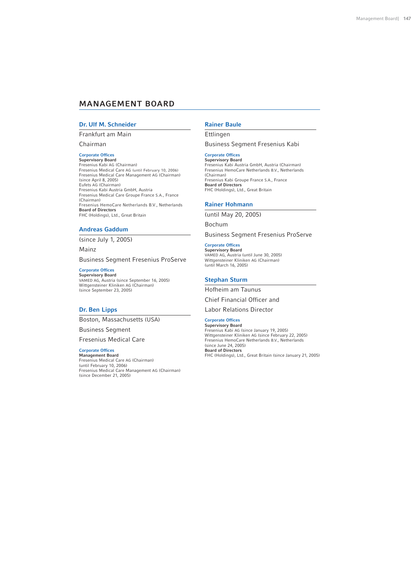# **MANAGEMENT BOARD**

## **Dr. Ulf M. Schneider**

Frankfurt am Main

Chairman

## **Corporate Offices**

**Supervisory Board** Fresenius Kabi AG (Chairman) Fresenius Medical Care AG (until February 10, 2006) Fresenius Medical Care Management AG (Chairman) (since April 8, 2005) Eufets AG (Chairman) Fresenius Kabi Austria GmbH, Austria Fresenius Medical Care Groupe France S.A., France (Chairman) Fresenius HemoCare Netherlands B.V., Netherlands **Board of Directors** FHC (Holdings), Ltd., Great Britain

#### **Andreas Gaddum**

(since July 1, 2005)

Mainz

Business Segment Fresenius ProServe

## **Corporate Offices**

**Supervisory Board** VAMED AG, Austria (since September 16, 2005) Wittgensteiner Kliniken AG (Chairman) (since September 23, 2005)

#### **Dr. Ben Lipps**

Boston, Massachusetts (USA)

Business Segment

Fresenius Medical Care

# **Corporate Offices**

**Management Board** Fresenius Medical Care AG (Chairman) (until February 10, 2006) Fresenius Medical Care Management AG (Chairman) (since December 21, 2005)

#### **Rainer Baule**

Ettlingen

Business Segment Fresenius Kabi

## **Corporate Offices**

**Supervisory Board** Fresenius Kabi Austria GmbH, Austria (Chairman) Fresenius HemoCare Netherlands B.V., Netherlands (Chairman) Fresenius Kabi Groupe France S.A., France **Board of Directors** FHC (Holdings), Ltd., Great Britain

#### **Rainer Hohmann**

(until May 20, 2005)

Bochum

Business Segment Fresenius ProServe

#### **Corporate Offices Supervisory Board**

VAMED AG, Austria (until June 30, 2005) Wittgensteiner Kliniken AG (Chairman) (until March 16, 2005)

#### **Stephan Sturm**

Hofheim am Taunus

Chief Financial Officer and

Labor Relations Director

#### **Corporate Offices Supervisory Board**

Fresenius Kabi AG (since January 19, 2005) Wittgensteiner Kliniken AG (since February 22, 2005) Fresenius HemoCare Netherlands B.V., Netherlands (since June 24, 2005) **Board of Directors** FHC (Holdings), Ltd., Great Britain (since January 21, 2005)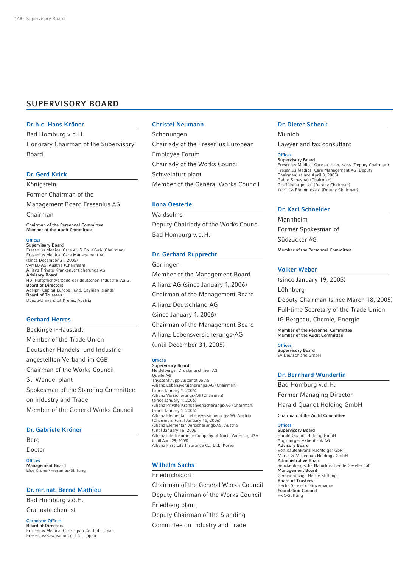# **SUPERVISORY BOARD**

# **Dr.h.c. Hans Kröner**

Bad Homburg v.d.H. Honorary Chairman of the Supervisory Board

#### **Dr. Gerd Krick**

Königstein Former Chairman of the Management Board Fresenius AG Chairman

**Chairman of the Personnel Committee Member of the Audit Committee**

# **Offices**

**Supervisory Board** Fresenius Medical Care AG & Co. KGaA (Chairman) Fresenius Medical Care Management AG (since December 21, 2005) VAMED AG, Austria (Chairman) Allianz Private Krankenversicherungs-AG **Advisory Board** HDI Haftpflichtverband der deutschen Industrie V.a.G. **Board of Directors**  Adelphi Capital Europe Fund, Cayman Islands **Board of Trustees** Donau-Universität Krems, Austria

#### **Gerhard Herres**

Beckingen-Haustadt Member of the Trade Union Deutscher Handels- und Industrieangestellten Verband im CGB Chairman of the Works Council St. Wendel plant Spokesman of the Standing Committee on Industry and Trade Member of the General Works Council

### **Dr. Gabriele Kröner**

Berg

Doctor **Offices Management Board** Else Kröner-Fresenius-Stiftung

#### **Dr.rer. nat. Bernd Mathieu**

Bad Homburg v.d.H.

Graduate chemist

**Corporate Offices Board of Directors** Fresenius Medical Care Japan Co. Ltd., Japan Fresenius-Kawasumi Co. Ltd., Japan

# **Christel Neumann**

**Schonungen** Chairlady of the Fresenius European Employee Forum Chairlady of the Works Council Schweinfurt plant Member of the General Works Council

## **Ilona Oesterle**

Waldsolms Deputy Chairlady of the Works Council Bad Homburg v.d.H.

#### **Dr. Gerhard Rupprecht**

Gerlingen Member of the Management Board Allianz AG (since January 1, 2006) Chairman of the Management Board Allianz Deutschland AG (since January 1, 2006) Chairman of the Management Board Allianz Lebensversicherungs-AG (until December 31, 2005)

## **Offices**

**Supervisory Board** Heidelberger Druckmaschinen AG Quelle AG ThyssenKrupp Automotive AG Allianz Lebensversicherungs-AG (Chairman) (since January 1, 2006) Allianz Versicherungs-AG (Chairman) (since January 1, 2006) Allianz Private Krankenversicherungs-AG (Chairman) (since January 1, 2006) Allianz Elementar Lebensversicherungs-AG, Austria (Chairman) (until January 16, 2006) Allianz Elementar Versicherungs-AG, Austria (until January 16, 2006) Allianz Life Insurance Company of North America, USA (until April 29, 2005) Allianz First Life Insurance Co. Ltd., Korea

#### **Wilhelm Sachs**

Friedrichsdorf Chairman of the General Works Council Deputy Chairman of the Works Council Friedberg plant Deputy Chairman of the Standing Committee on Industry and Trade

## **Dr. Dieter Schenk**

Munich

Lawyer and tax consultant

## **Offices**

**Supervisory Board** Fresenius Medical Care AG & Co. KGaA (Deputy Chairman) Fresenius Medical Care Management AG (Deputy Chairman) (since April 8, 2005) Gabor Shoes AG (Chairman) Greiffenberger AG (Deputy Chairman) TOPTICA Photonics AG (Deputy Chairman)

#### **Dr. Karl Schneider**

Mannheim Former Spokesman of Südzucker AG **Member of the Personnel Committee**

## **Volker Weber**

(since January 19, 2005) Löhnberg Deputy Chairman (since March 18, 2005) Full-time Secretary of the Trade Union IG Bergbau, Chemie, Energie

**Member of the Personnel Committee Member of the Audit Committee**

**Offices Supervisory Board** SV Deutschland GmbH

## **Dr. Bernhard Wunderlin**

Bad Homburg v.d.H. Former Managing Director Harald Quandt Holding GmbH

**Chairman of the Audit Committee**

# **Offices**

**Supervisory Board** Harald Quandt Holding GmbH Augsburger Aktienbank AG **Advisory Board** Von Rautenkranz Nachfolger GbR Marsh & McLennan Holdings GmbH **Administrative Board** Senckenbergische Naturforschende Gesellschaft **Management Board** Gemeinnützige Hertie-Stiftung **Board of Trustees** Hertie School of Governance **Foundation Council** PwC-Stiftung